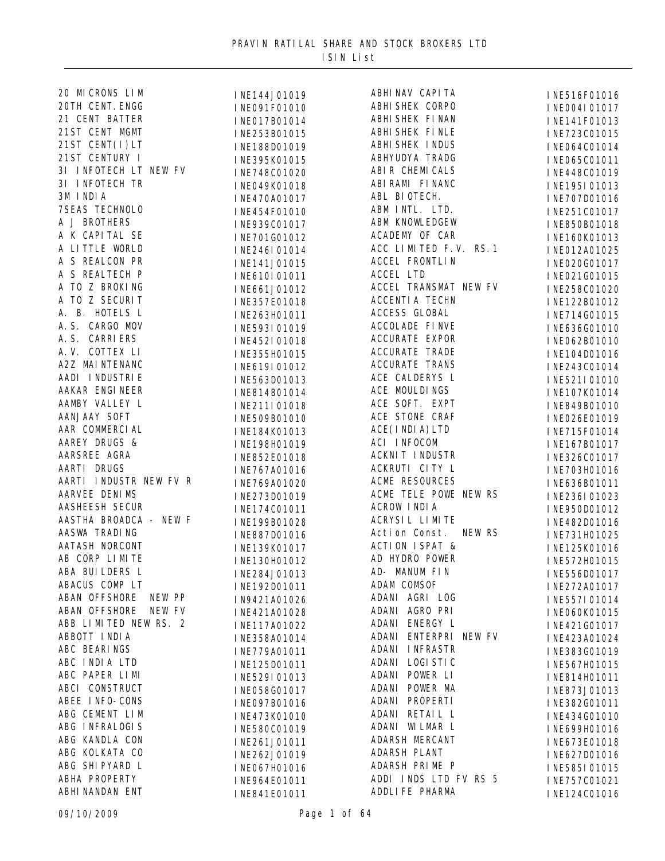| 20 MI CRONS LIM         | INE144J01019 | ABHI NAV CAPI TA          | INE516F01016 |
|-------------------------|--------------|---------------------------|--------------|
| 20TH CENT. ENGG         | INE091F01010 | ABHI SHEK CORPO           | INE004I01017 |
| 21 CENT BATTER          | INE017B01014 | ABHI SHEK FI NAN          | INE141F01013 |
| 21ST CENT MGMT          | INE253B01015 | ABHI SHEK FI NLE          | INE723C01015 |
| 21ST CENT(I) LT         | INE188D01019 | <b>ABHI SHEK I NDUS</b>   | INE064C01014 |
| 21ST CENTURY I          | INE395K01015 | ABHYUDYA TRADG            | INE065C01011 |
| 3I INFOTECH LT NEW FV   | INE748C01020 | ABIR CHEMICALS            | INE448C01019 |
| 3I INFOTECH TR          | INE049K01018 | ABI RAMI FI NANC          | INE195I01013 |
| 3M INDIA                | INE470A01017 | ABL BIOTECH.              | INE707D01016 |
| <b>7SEAS TECHNOLO</b>   | INE454F01010 | ABM INTL. LTD.            | INE251C01017 |
| A J BROTHERS            | INE939C01017 | <b>ABM KNOWLEDGEW</b>     | INE850B01018 |
| A K CAPITAL SE          | INE701G01012 | ACADEMY OF CAR            | INE160K01013 |
| A LITTLE WORLD          | INE246I01014 | ACC LIMITED F.V. RS. 1    | INE012A01025 |
| A S REALCON PR          | INE141J01015 | <b>ACCEL FRONTLIN</b>     | INE020G01017 |
| A S REALTECH P          |              | <b>ACCEL LTD</b>          |              |
| A TO Z BROKING          | INE610I01011 | ACCEL TRANSMAT NEW FV     | INE021G01015 |
| A TO Z SECURIT          | INE661J01012 | <b>ACCENTI A TECHN</b>    | INE258C01020 |
| A. B. HOTELS L          | INE357E01018 | ACCESS GLOBAL             | INE122B01012 |
| A. S. CARGO MOV         | INE263H01011 | <b>ACCOLADE FINVE</b>     | INE714G01015 |
| A. S. CARRI ERS         | INE593I01019 | <b>ACCURATE EXPOR</b>     | INE636G01010 |
| A.V. COTTEX LI          | INE452I01018 | <b>ACCURATE TRADE</b>     | INE062B01010 |
|                         | INE355H01015 | <b>ACCURATE TRANS</b>     | INE104D01016 |
| A2Z MAI NTENANC         | INE619I01012 | ACE CALDERYS L            | INE243C01014 |
| AADI INDUSTRIE          | INE563D01013 |                           | INE521I01010 |
| AAKAR ENGINEER          | INE814B01014 | ACE MOULDINGS             | INE107K01014 |
| AAMBY VALLEY L          | INE211I01018 | ACE SOFT. EXPT            | INE849B01010 |
| AANJAAY SOFT            | INE509B01010 | ACE STONE CRAF            | INE026E01019 |
| AAR COMMERCIAL          | INE184K01013 | ACE(I NDI A) LTD          | INE715F01014 |
| AAREY DRUGS &           | INE198H01019 | ACI INFOCOM               | INE167B01017 |
| AARSREE AGRA            | INE852E01018 | <b>ACKNIT INDUSTR</b>     | INE326C01017 |
| AARTI DRUGS             | INE767A01016 | ACKRUTI CITY L            | INE703H01016 |
| AARTI INDUSTR NEW FV R  | INE769A01020 | <b>ACME RESOURCES</b>     | INE636B01011 |
| AARVEE DENIMS           | INE273D01019 | ACME TELE POWE NEW RS     | INE236I01023 |
| <b>AASHEESH SECUR</b>   | INE174C01011 | <b>ACROW INDIA</b>        | INE950D01012 |
| AASTHA BROADCA - NEW F  | INE199B01028 | <b>ACRYSIL LIMITE</b>     | INE482D01016 |
| AASWA TRADING           | INE887D01016 | Action Const.<br>NEW RS   | INE731H01025 |
| <b>AATASH NORCONT</b>   | INE139K01017 | <b>ACTION ISPAT &amp;</b> | INE125K01016 |
| AB CORP LIMITE          | INE130H01012 | AD HYDRO POWER            | INE572H01015 |
| ABA BUILDERS L          | INE284J01013 | AD- MANUM FIN             | INE556D01017 |
| ABACUS COMP LT          | INE192D01011 | <b>ADAM COMSOF</b>        | INE272A01017 |
| ABAN OFFSHORE<br>NEW PP | IN9421A01026 | ADANI AGRI LOG            | INE557I01014 |
| ABAN OFFSHORE<br>NEW FV | INE421A01028 | ADANI AGRO PRI            | INE060K01015 |
| ABB LIMITED NEW RS. 2   | INE117A01022 | ADANI ENERGY L            | INE421G01017 |
| ABBOTT INDIA            | INE358A01014 | ADANI ENTERPRI NEW FV     | INE423A01024 |
| ABC BEARINGS            | INE779A01011 | <b>ADANI INFRASTR</b>     | INE383G01019 |
| ABC INDIA LTD           | INE125D01011 | ADANI LOGI STI C          | INE567H01015 |
| ABC PAPER LIMI          | INE529I01013 | ADANI POWER LI            | INE814H01011 |
| ABCI CONSTRUCT          | INE058G01017 | ADANI POWER MA            | INE873J01013 |
| ABEE INFO-CONS          | INE097B01016 | ADANI PROPERTI            | INE382G01011 |
| ABG CEMENT LIM          | INE473K01010 | ADANI RETAIL L            | INE434G01010 |
| ABG INFRALOGIS          | INE580C01019 | ADANI WILMAR L            | INE699H01016 |
| ABG KANDLA CON          | INE261J01011 | ADARSH MERCANT            | INE673E01018 |
| ABG KOLKATA CO          |              | ADARSH PLANT              |              |
| ABG SHIPYARD L          | INE262J01019 | ADARSH PRIME P            | INE627D01016 |
| ABHA PROPERTY           | INE067H01016 | ADDI INDS LTD FV RS 5     | INE585I01015 |
| ABHI NANDAN ENT         | INE964E01011 | ADDLIFE PHARMA            | INE757C01021 |
|                         | INE841E01011 |                           | INE124C01016 |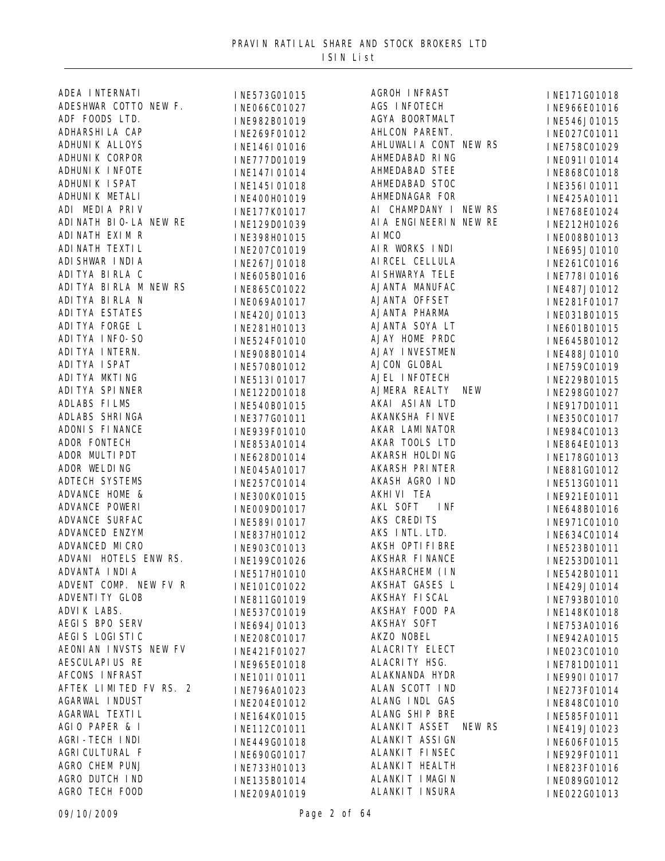| ADEA INTERNATI          | INE573G01015 | <b>AGROH INFRAST</b>   | INE171G01018                 |
|-------------------------|--------------|------------------------|------------------------------|
| ADESHWAR COTTO NEW F.   | INE066C01027 | AGS INFOTECH           | INE966E01016                 |
| ADF FOODS LTD.          | INE982B01019 | AGYA BOORTMALT         | INE546J01015                 |
| ADHARSHI LA CAP         | INE269F01012 | AHLCON PARENT.         | INE027C01011                 |
| ADHUNI K ALLOYS         | INE146I01016 | AHLUWALIA CONT NEW RS  | INE758C01029                 |
| ADHUNI K CORPOR         | INE777D01019 | AHMEDABAD RING         | INE091I01014                 |
| ADHUNI K I NFOTE        | INE147I01014 | <b>AHMEDABAD STEE</b>  | INE868C01018                 |
| ADHUNI K I SPAT         | INE145I01018 | AHMEDABAD STOC         | INE356I01011                 |
| ADHUNI K METALI         | INE400H01019 | AHMEDNAGAR FOR         | INE425A01011                 |
| ADI MEDIA PRIV          | INE177K01017 | AI CHAMPDANY I NEW RS  | INE768E01024                 |
| ADI NATH BI O-LA NEW RE | INE129D01039 | AI A ENGINEERIN NEW RE | INE212H01026                 |
| ADI NATH EXI M R        | INE398H01015 | AI MCO                 | INE008B01013                 |
| ADI NATH TEXTI L        | INE207C01019 | AIR WORKS INDI         | INE695J01010                 |
| ADI SHWAR I NDI A       | INE267J01018 | AI RCEL CELLULA        | INE261C01016                 |
| ADI TYA BIRLA C         | INE605B01016 | AI SHWARYA TELE        | INE778I01016                 |
| ADI TYA BIRLA M NEW RS  | INE865C01022 | AJANTA MANUFAC         |                              |
| ADI TYA BI RLA N        |              | AJANTA OFFSET          | INE487J01012                 |
| ADI TYA ESTATES         | INE069A01017 | AJANTA PHARMA          | INE281F01017                 |
| ADI TYA FORGE L         | INE420J01013 | AJANTA SOYA LT         | INE031B01015                 |
| ADI TYA I NFO-SO        | INE281H01013 | AJAY HOME PRDC         | INE601B01015                 |
| ADI TYA I NTERN.        | INE524F01010 | <b>AJAY INVESTMEN</b>  | INE645B01012                 |
| ADI TYA I SPAT          | INE908B01014 | AJCON GLOBAL           | INE488J01010                 |
| ADI TYA MKTI NG         | INE570B01012 | AJEL INFOTECH          | INE759C01019                 |
| ADI TYA SPI NNER        | INE513I01017 | AJMERA REALTY          | INE229B01015                 |
|                         | INE122D01018 | NEW                    | INE298G01027                 |
| ADLABS FILMS            | INE540B01015 | AKAI ASI AN LTD        | INE917D01011                 |
| ADLABS SHRINGA          | INE377G01011 | AKANKSHA FI NVE        | INE350C01017                 |
| ADONI S FINANCE         | INE939F01010 | AKAR LAMINATOR         | INE984C01013                 |
| ADOR FONTECH            | INE853A01014 | AKAR TOOLS LTD         | INE864E01013                 |
| ADOR MULTI PDT          | INE628D01014 | AKARSH HOLDING         | INE178G01013                 |
| ADOR WELDING            | INE045A01017 | <b>AKARSH PRINTER</b>  | INE881G01012                 |
| <b>ADTECH SYSTEMS</b>   | INE257C01014 | AKASH AGRO IND         | INE513G01011                 |
| ADVANCE HOME &          | INE300K01015 | AKHI VI TEA            | INE921E01011                 |
| ADVANCE POWERI          | INE009D01017 | AKL SOFT<br>I NF       | INE648B01016                 |
| ADVANCE SURFAC          | INE589I01017 | AKS CREDITS            | INE971C01010                 |
| ADVANCED ENZYM          | INE837H01012 | AKS INTL. LTD.         | INE634C01014                 |
| ADVANCED MICRO          | INE903C01013 | AKSH OPTI FI BRE       | INE523B01011                 |
| ADVANI HOTELS ENW RS.   | INE199C01026 | AKSHAR FINANCE         | INE253D01011                 |
| ADVANTA I NDI A         | INE517H01010 | AKSHARCHEM (IN         | INE542B01011                 |
| ADVENT COMP. NEW FV R   | INE101C01022 | AKSHAT GASES L         | INE429J01014                 |
| ADVENTI TY GLOB         | INE811G01019 | AKSHAY FI SCAL         | INE793B01010                 |
| ADVI K LABS.            | INE537C01019 | AKSHAY FOOD PA         | INE148K01018                 |
| AEGIS BPO SERV          | INE694J01013 | <b>AKSHAY SOFT</b>     | INE753A01016                 |
| AEGIS LOGISTIC          | INE208C01017 | AKZO NOBEL             | INE942A01015                 |
| AEONI AN INVSTS NEW FV  | INE421F01027 | <b>ALACRITY ELECT</b>  | INE023C01010                 |
| AESCULAPI US RE         | INE965E01018 | ALACRI TY HSG.         | INE781D01011                 |
| AFCONS INFRAST          | INE101I01011 | ALAKNANDA HYDR         | INE990I01017                 |
| AFTEK LIMITED FV RS. 2  | INE796A01023 | ALAN SCOTT IND         | INE273F01014                 |
| <b>AGARWAL INDUST</b>   | INE204E01012 | ALANG INDL GAS         | INE848C01010                 |
| AGARWAL TEXTI L         | INE164K01015 | ALANG SHIP BRE         | INE585F01011                 |
| AGIO PAPER & I          | INE112C01011 | ALANKIT ASSET NEW RS   | INE419J01023                 |
| <b>AGRI-TECH INDI</b>   | INE449G01018 | ALANKIT ASSI GN        | INE606F01015                 |
| AGRI CULTURAL F         | INE690G01017 | ALANKIT FINSEC         | INE929F01011                 |
| AGRO CHEM PUNJ          | INE733H01013 | ALANKIT HEALTH         | INE823F01016                 |
| AGRO DUTCH IND          | INE135B01014 | ALANKIT I MAGIN        |                              |
| AGRO TECH FOOD          | INE209A01019 | ALANKIT INSURA         | INE089G01012<br>INE022G01013 |
|                         |              |                        |                              |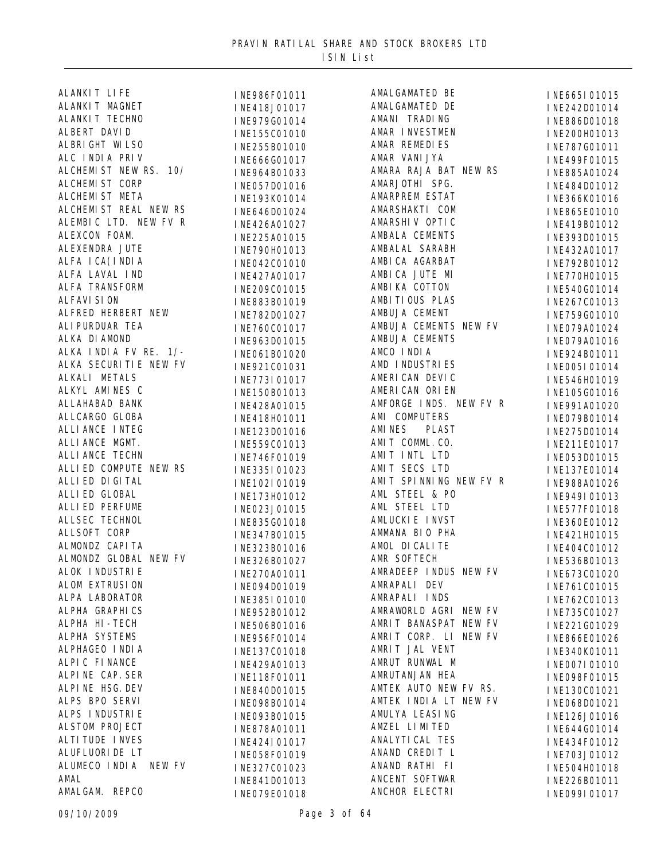| ALANKIT LIFE           | INE986F01011 | AMALGAMATED BE         | INE665I01015   |
|------------------------|--------------|------------------------|----------------|
| ALANKIT MAGNET         | INE418J01017 | AMALGAMATED DE         | INE242D01014   |
| ALANKI T TECHNO        | INE979G01014 | AMANI TRADING          | INE886D01018   |
| ALBERT DAVID           | INE155C01010 | AMAR INVESTMEN         | INE200H01013   |
| ALBRIGHT WILSO         | INE255B01010 | AMAR REMEDIES          | INE787G01011   |
| ALC INDIA PRIV         | INE666G01017 | AMAR VANI JYA          | INE499F01015   |
| ALCHEMIST NEW RS. 10/  | INE964B01033 | AMARA RAJA BAT NEW RS  | INE885A01024   |
| ALCHEMIST CORP         | INE057D01016 | AMARJOTHI SPG.         | INE484D01012   |
| ALCHEMIST META         | INE193K01014 | AMARPREM ESTAT         | INE366K01016   |
| ALCHEMIST REAL NEW RS  | INE646D01024 | AMARSHAKTI COM         | INE865E01010   |
| ALEMBIC LTD. NEW FV R  | INE426A01027 | AMARSHI V OPTI C       | INE419B01012   |
| ALEXCON FOAM.          | INE225A01015 | AMBALA CEMENTS         | INE393D01015   |
| ALEXENDRA JUTE         | INE790H01013 | AMBALAL SARABH         | INE432A01017   |
| ALFA I CA(I NDI A      | INE042C01010 | AMBI CA AGARBAT        | INE792B01012   |
| ALFA LAVAL IND         | INE427A01017 | AMBICA JUTE MI         | INE770H01015   |
| ALFA TRANSFORM         | INE209C01015 | AMBI KA COTTON         | INE540G01014   |
| <b>ALFAVI SION</b>     | INE883B01019 | AMBI TI OUS PLAS       | INE267C01013   |
| ALFRED HERBERT NEW     |              | AMBUJA CEMENT          |                |
| ALI PURDUAR TEA        | INE782D01027 | AMBUJA CEMENTS NEW FV  | INE759G01010   |
| ALKA DI AMOND          | INE760C01017 | AMBUJA CEMENTS         | INE079A01024   |
| ALKA INDIA FV RE. 1/-  | INE963D01015 | AMCO INDIA             | INE079A01016   |
| ALKA SECURITIE NEW FV  | INE061B01020 | AMD INDUSTRIES         | INE924B01011   |
| ALKALI METALS          | INE921C01031 | AMERICAN DEVIC         | INE005I01014   |
| ALKYL AMINES C         | INE773I01017 | AMERICAN ORIEN         | INE546H01019   |
| ALLAHABAD BANK         | INE150B01013 | AMFORGE INDS. NEW FV R | INE105G01016   |
|                        | INE428A01015 |                        | INE991A01020   |
| ALLCARGO GLOBA         | INE418H01011 | AMI COMPUTERS          | INE079B01014   |
| ALLI ANCE INTEG        | INE123D01016 | AMI NES<br>PLAST       | INE275D01014   |
| ALLIANCE MGMT.         | INE559C01013 | AMIT COMML. CO.        | INE211E01017   |
| ALLI ANCE TECHN        | INE746F01019 | AMIT INTL LTD          | INE053D01015   |
| ALLIED COMPUTE NEW RS  | INE335I01023 | AMIT SECS LTD          | INE137E01014   |
| ALLI ED DI GI TAL      | INE102I01019 | AMIT SPINNING NEW FV R | INE988A01026   |
| ALLI ED GLOBAL         | INE173H01012 | AML STEEL & PO         | INE949I01013   |
| ALLI ED PERFUME        | INE023J01015 | AML STEEL LTD          | INE577F01018   |
| ALLSEC TECHNOL         | INE835G01018 | AMLUCKI E I NVST       | INE360E01012   |
| ALLSOFT CORP           | INE347B01015 | AMMANA BIO PHA         | INE421H01015   |
| ALMONDZ CAPI TA        | INE323B01016 | AMOL DI CALI TE        | INE404C01012   |
| ALMONDZ GLOBAL NEW FV  | INE326B01027 | AMR SOFTECH            | INE536B01013   |
| ALOK INDUSTRIE         | INE270A01011 | AMRADEEP INDUS NEW FV  | INE673C01020   |
| ALOM EXTRUSION         | INE094D01019 | AMRAPALI DEV           | INE761C01015   |
| ALPA LABORATOR         | INE385I01010 | AMRAPALI INDS          | INE762C01013   |
| ALPHA GRAPHICS         | INE952B01012 | AMRAWORLD AGRI NEW FV  | INE735C01027   |
| ALPHA HI-TECH          | INE506B01016 | AMRIT BANASPAT NEW FV  | INE221G01029   |
| ALPHA SYSTEMS          | INE956F01014 | AMRIT CORP. LI NEW FV  | INE866E01026   |
| ALPHAGEO INDIA         | INE137C01018 | AMRIT JAL VENT         | INE340K01011   |
| ALPIC FINANCE          | INE429A01013 | AMRUT RUNWAL M         | I NE007I 01010 |
| ALPINE CAP. SER        | INE118F01011 | AMRUTANJAN HEA         | INE098F01015   |
| ALPINE HSG. DEV        | INE840D01015 | AMTEK AUTO NEW FV RS.  | INE130C01021   |
| ALPS BPO SERVI         | INE098B01014 | AMTEK INDIA LT NEW FV  | INE068D01021   |
| ALPS INDUSTRIE         | INE093B01015 | AMULYA LEASING         | INE126J01016   |
| <b>ALSTOM PROJECT</b>  | INE878A01011 | AMZEL LIMITED          | INE644G01014   |
| <b>ALTI TUDE INVES</b> | INE424I01017 | ANALYTI CAL TES        | INE434F01012   |
| ALUFLUORI DE LT        | INE058F01019 | ANAND CREDIT L         | INE703J01012   |
| ALUMECO INDIA NEW FV   | INE327C01023 | ANAND RATHI FI         | INE504H01018   |
| AMAL                   | INE841D01013 | ANCENT SOFTWAR         | INE226B01011   |
| AMALGAM. REPCO         | INE079E01018 | ANCHOR ELECTRI         | INE099I01017   |
|                        |              |                        |                |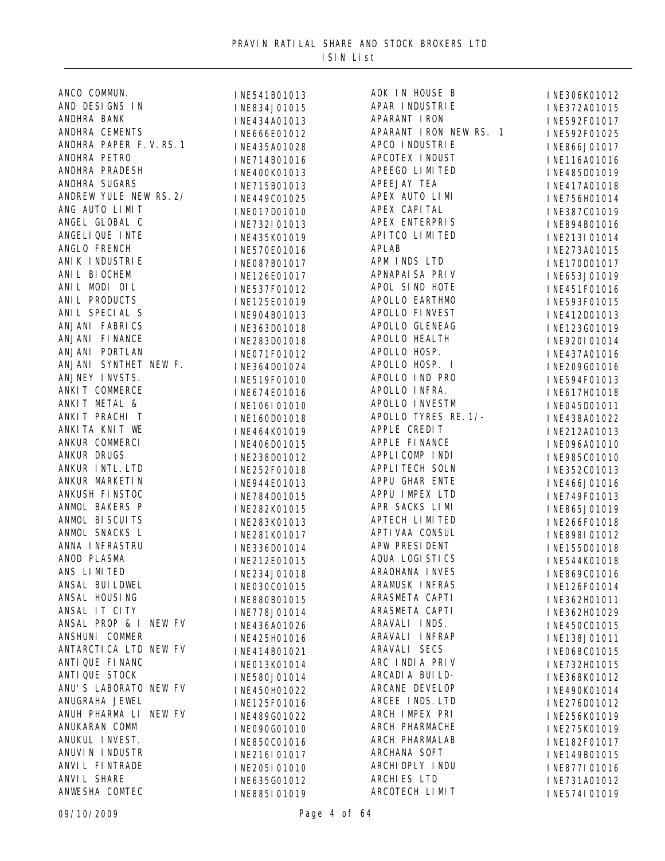| ANCO COMMUN.                           | INE541B01013 | AOK IN HOUSE B         | INE306K01012 |
|----------------------------------------|--------------|------------------------|--------------|
| AND DESIGNS IN                         | INE834J01015 | APAR INDUSTRIE         | INE372A01015 |
| ANDHRA BANK                            | INE434A01013 | APARANT IRON           | INE592F01017 |
| ANDHRA CEMENTS                         | INE666E01012 | APARANT IRON NEW RS. 1 | INE592F01025 |
| ANDHRA PAPER F.V.RS. 1                 | INE435A01028 | APCO I NDUSTRI E       | INE866J01017 |
| ANDHRA PETRO                           | INE714B01016 | APCOTEX INDUST         | INE116A01016 |
| ANDHRA PRADESH                         | INE400K01013 | APEEGO LIMITED         | INE485D01019 |
| ANDHRA SUGARS                          | INE715B01013 | APEEJAY TEA            | INE417A01018 |
| ANDREW YULE NEW RS. 2/                 | INE449C01025 | APEX AUTO LIMI         | INE756H01014 |
| ANG AUTO LIMIT                         | INE017D01010 | APEX CAPITAL           | INE387C01019 |
| ANGEL GLOBAL C                         | INE732I01013 | APEX ENTERPRIS         | INE894B01016 |
| ANGELIQUE INTE                         | INE435K01019 | API TCO LIMITED        | INE213I01014 |
| ANGLO FRENCH                           | INE570E01016 | <b>APLAB</b>           | INE273A01015 |
| ANI K I NDUSTRI E                      | INE087B01017 | APM INDS LTD           | INE170D01017 |
| ANI L BI OCHEM                         | INE126E01017 | APNAPAI SA PRI V       | INE653J01019 |
| ANIL MODI OIL                          | INE537F01012 | APOL SIND HOTE         | INE451F01016 |
| ANI L PRODUCTS                         | INE125E01019 | APOLLO EARTHMO         | INE593F01015 |
| ANI L SPECIAL S                        | INE904B01013 | APOLLO FINVEST         | INE412D01013 |
| ANJANI FABRICS                         | INE363D01018 | APOLLO GLENEAG         | INE123G01019 |
| ANJANI FINANCE                         | INE283D01018 | APOLLO HEALTH          | INE920I01014 |
| ANJANI PORTLAN                         | INE071F01012 | APOLLO HOSP.           | INE437A01016 |
| ANJANI SYNTHET NEW F.                  | INE364D01024 | APOLLO HOSP. I         | INE209G01016 |
| ANJNEY INVSTS.                         | INE519F01010 | APOLLO IND PRO         |              |
| ANKIT COMMERCE                         |              | APOLLO INFRA.          | INE594F01013 |
| ANKIT METAL &                          | INE674E01016 | APOLLO INVESTM         | INE617H01018 |
| ANKIT PRACHI T                         | INE106I01010 | APOLLO TYRES RE. 1/-   | INE045D01011 |
| ANKI TA KNI T WE                       | INE160D01018 | APPLE CREDIT           | INE438A01022 |
| ANKUR COMMERCI                         | INE464K01019 | APPLE FINANCE          | INE212A01013 |
| ANKUR DRUGS                            | INE406D01015 | APPLICOMP INDI         | INE096A01010 |
| ANKUR INTL. LTD                        | INE238D01012 | <b>APPLI TECH SOLN</b> | INE985C01010 |
| ANKUR MARKETI N                        | INE252F01018 | APPU GHAR ENTE         | INE352C01013 |
| ANKUSH FINSTOC                         | INE944E01013 | APPU IMPEX LTD         | INE466J01016 |
| ANMOL BAKERS P                         | INE784D01015 | APR SACKS LIMI         | INE749F01013 |
| ANMOL BISCUITS                         | INE282K01015 | APTECH LIMITED         | INE865J01019 |
| ANMOL SNACKS L                         | INE283K01013 | APTI VAA CONSUL        | INE266F01018 |
| ANNA INFRASTRU                         | INE281K01017 | APW PRESIDENT          | INE898I01012 |
|                                        | INE336D01014 |                        | INE155D01018 |
| ANOD PLASMA<br>ANS LIMITED             | INE212E01015 | AQUA LOGI STICS        | INE544K01018 |
| ANSAL BUI LDWEL                        | INE234J01018 | ARADHANA INVES         | INE869C01016 |
|                                        | INE030C01015 | ARAMUSK INFRAS         | INE126F01014 |
| ANSAL HOUSING                          | INE880B01015 | ARASMETA CAPTI         | INE362H01011 |
| ANSAL IT CITY<br>ANSAL PROP & I NEW FV | INE778J01014 | ARASMETA CAPTI         | INE362H01029 |
|                                        | INE436A01026 | ARAVALI INDS.          | INE450C01015 |
| ANSHUNI COMMER                         | INE425H01016 | ARAVALI INFRAP         | INE138J01011 |
| ANTARCTI CA LTD NEW FV                 | INE414B01021 | ARAVALI SECS           | INE068C01015 |
| ANTI QUE FI NANC                       | INE013K01014 | ARC INDIA PRIV         | INE732H01015 |
| ANTI QUE STOCK                         | INE580J01014 | ARCADI A BUI LD-       | INE368K01012 |
| ANU'S LABORATO NEW FV                  | INE450H01022 | ARCANE DEVELOP         | INE490K01014 |
| ANUGRAHA JEWEL                         | INE125F01016 | ARCEE INDS. LTD        | INE276D01012 |
| ANUH PHARMA LI NEW FV                  | INE489G01022 | ARCH IMPEX PRI         | INE256K01019 |
| ANUKARAN COMM                          | INE090G01010 | ARCH PHARMACHE         | INE275K01019 |
| ANUKUL INVEST.                         | INE850C01016 | ARCH PHARMALAB         | INE182F01017 |
| ANUVIN INDUSTR                         | INE216I01017 | ARCHANA SOFT           | INE149B01015 |
| ANVI L FI NTRADE                       | INE205I01010 | ARCHI DPLY I NDU       | INE877I01016 |
| ANVI L SHARE                           | INE635G01012 | ARCHIES LTD            | INE731A01012 |
| ANWESHA COMTEC                         | INE885I01019 | ARCOTECH LIMIT         | INE574I01019 |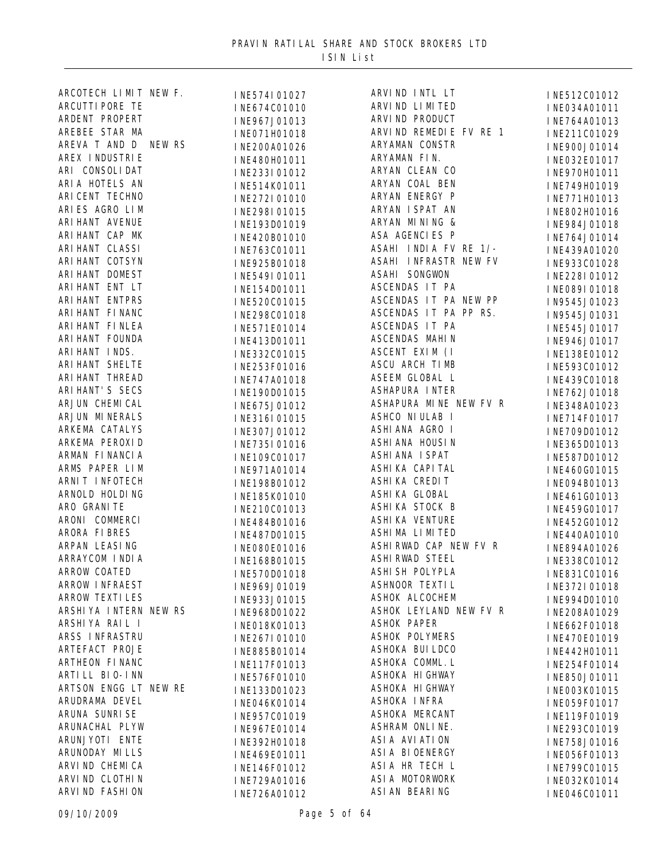| ARCOTECH LIMIT NEW F.  | INE574I01027 | ARVIND INTL LT               | INE512C01012 |
|------------------------|--------------|------------------------------|--------------|
| ARCUTTI PORE TE        | INE674C01010 | ARVI ND LI MI TED            | INE034A01011 |
| ARDENT PROPERT         | INE967J01013 | ARVI ND PRODUCT              | INE764A01013 |
| AREBEE STAR MA         | INE071H01018 | ARVIND REMEDIE FV RE 1       | INE211C01029 |
| AREVA T AND D NEW RS   | INE200A01026 | ARYAMAN CONSTR               | INE900J01014 |
| AREX I NDUSTRI E       | INE480H01011 | ARYAMAN FIN.                 | INE032E01017 |
| ARI CONSOLIDAT         | INE233I01012 | ARYAN CLEAN CO               | INE970H01011 |
| ARI A HOTELS AN        | INE514K01011 | ARYAN COAL BEN               | INE749H01019 |
| ARI CENT TECHNO        | INE272I01010 | ARYAN ENERGY P               | INE771H01013 |
| ARIES AGRO LIM         | INE298I01015 | ARYAN ISPAT AN               | INE802H01016 |
| ARI HANT AVENUE        | INE193D01019 | ARYAN MINING &               | INE984J01018 |
| ARI HANT CAP MK        | INE420B01010 | ASA AGENCIES P               | INE764J01014 |
| ARI HANT CLASSI        | INE763C01011 | ASAHI INDIA FV RE 1/-        | INE439A01020 |
| ARI HANT COTSYN        |              | <b>ASAHI INFRASTR NEW FV</b> |              |
| ARI HANT DOMEST        | INE925B01018 | ASAHI SONGWON                | INE933C01028 |
| ARI HANT ENT LT        | INE549I01011 | ASCENDAS IT PA               | INE228I01012 |
| ARI HANT ENTPRS        | INE154D01011 | ASCENDAS IT PA NEW PP        | INE089I01018 |
| ARI HANT FI NANC       | INE520C01015 | ASCENDAS IT PA PP RS.        | IN9545J01023 |
|                        | INE298C01018 |                              | IN9545J01031 |
| ARI HANT FI NLEA       | INE571E01014 | ASCENDAS IT PA               | INE545J01017 |
| ARI HANT FOUNDA        | INE413D01011 | ASCENDAS MAHIN               | INE946J01017 |
| ARI HANT INDS.         | INE332C01015 | ASCENT EXIM (I               | INE138E01012 |
| ARI HANT SHELTE        | INE253F01016 | ASCU ARCH TIMB               | INE593C01012 |
| ARI HANT THREAD        | INE747A01018 | ASEEM GLOBAL L               | INE439C01018 |
| ARI HANT' S SECS       | INE190D01015 | <b>ASHAPURA INTER</b>        | INE762J01018 |
| ARJUN CHEMICAL         | INE675J01012 | ASHAPURA MINE NEW FV R       | INE348A01023 |
| ARJUN MINERALS         | INE316I01015 | ASHCO NI ULAB I              | INE714F01017 |
| ARKEMA CATALYS         | INE307J01012 | ASHI ANA AGRO I              | INE709D01012 |
| ARKEMA PEROXID         | INE735I01016 | ASHI ANA HOUSIN              | INE365D01013 |
| ARMAN FI NANCI A       | INE109C01017 | ASHI ANA I SPAT              | INE587D01012 |
| ARMS PAPER LIM         | INE971A01014 | ASHI KA CAPI TAL             | INE460G01015 |
| ARNIT INFOTECH         | INE198B01012 | ASHI KA CREDI T              | INE094B01013 |
| ARNOLD HOLDING         | INE185K01010 | ASHI KA GLOBAL               | INE461G01013 |
| ARO GRANITE            | INE210C01013 | ASHIKA STOCK B               | INE459G01017 |
| ARONI COMMERCI         | INE484B01016 | <b>ASHI KA VENTURE</b>       | INE452G01012 |
| ARORA FIBRES           | INE487D01015 | ASHIMA LIMITED               | INE440A01010 |
| ARPAN LEASING          | INE080E01016 | ASHIRWAD CAP NEW FV R        | INE894A01026 |
| ARRAYCOM I NDI A       | INE168B01015 | <b>ASHI RWAD STEEL</b>       | INE338C01012 |
| ARROW COATED           | INE570D01018 | ASHI SH POLYPLA              | INE831C01016 |
| <b>ARROW INFRAEST</b>  | INE969J01019 | ASHNOOR TEXTIL               | INE372I01018 |
| <b>ARROW TEXTI LES</b> | INE933J01015 | ASHOK ALCOCHEM               | INE994D01010 |
| ARSHIYA INTERN NEW RS  | INE968D01022 | ASHOK LEYLAND NEW FV R       | INE208A01029 |
| ARSHIYA RAIL I         | INE018K01013 | <b>ASHOK PAPER</b>           | INE662F01018 |
| ARSS INFRASTRU         | INE267I01010 | <b>ASHOK POLYMERS</b>        | INE470E01019 |
| ARTEFACT PROJE         | INE885B01014 | ASHOKA BUI LDCO              | INE442H01011 |
| ARTHEON FINANC         | INE117F01013 | ASHOKA COMML. L              |              |
| ARTI LL BI 0-INN       |              | ASHOKA HI GHWAY              | INE254F01014 |
| ARTSON ENGG LT NEW RE  | INE576F01010 | ASHOKA HI GHWAY              | INE850J01011 |
| ARUDRAMA DEVEL         | INE133D01023 | ASHOKA INFRA                 | INE003K01015 |
|                        | INE046K01014 |                              | INE059F01017 |
| ARUNA SUNRI SE         | INE957C01019 | ASHOKA MERCANT               | INE119F01019 |
| ARUNACHAL PLYW         | INE967E01014 | ASHRAM ONLINE.               | INE293C01019 |
| ARUNJYOTI ENTE         | INE392H01018 | ASI A AVI ATI ON             | INE758J01016 |
| ARUNODAY MILLS         | INE469E01011 | ASI A BI OENERGY             | INE056F01013 |
| ARVI ND CHEMI CA       | INE146F01012 | ASIA HR TECH L               | INE799C01015 |
| ARVI ND CLOTHI N       | INE729A01016 | ASI A MOTORWORK              | INE032K01014 |
| ARVI ND FASHI ON       | INE726A01012 | ASI AN BEARING               | INE046C01011 |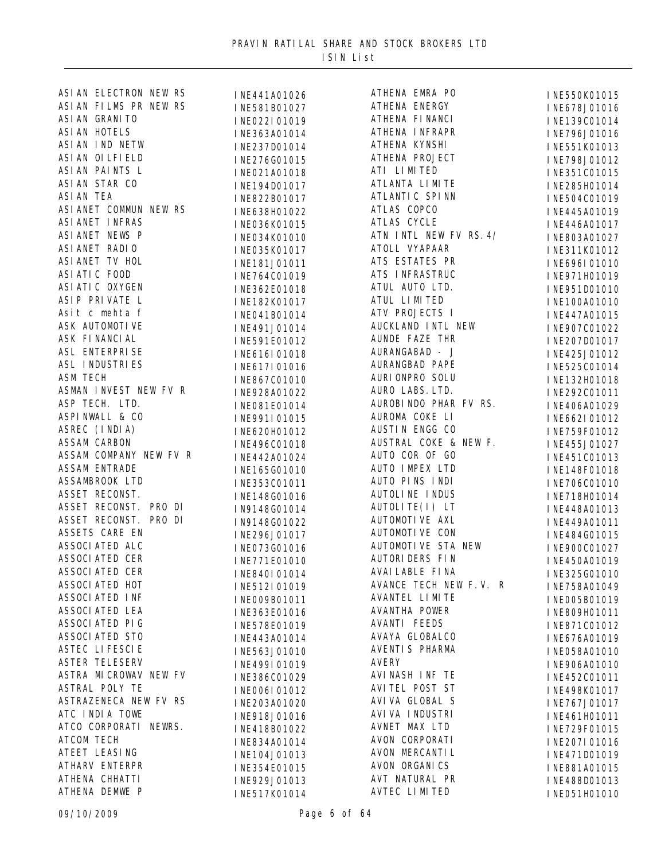| ASI AN ELECTRON NEW RS | INE441A01026   | ATHENA EMRA PO          | INE550K01015 |
|------------------------|----------------|-------------------------|--------------|
| ASI AN FILMS PR NEW RS | INE581B01027   | ATHENA ENERGY           | INE678J01016 |
| ASI AN GRANITO         | INE022I01019   | ATHENA FINANCI          | INE139C01014 |
| <b>ASI AN HOTELS</b>   | INE363A01014   | ATHENA INFRAPR          | INE796J01016 |
| ASI AN IND NETW        | INE237D01014   | ATHENA KYNSHI           | INE551K01013 |
| ASI AN OI LFI ELD      | INE276G01015   | ATHENA PROJECT          | INE798J01012 |
| ASI AN PAINTS L        | INE021A01018   | ATI LIMITED             | INE351C01015 |
| ASI AN STAR CO         | INE194D01017   | ATLANTA LIMITE          | INE285H01014 |
| <b>ASI AN TEA</b>      | INE822B01017   | ATLANTI C SPI NN        | INE504C01019 |
| ASI ANET COMMUN NEW RS | INE638H01022   | ATLAS COPCO             | INE445A01019 |
| ASI ANET INFRAS        | INE036K01015   | <b>ATLAS CYCLE</b>      | INE446A01017 |
| ASI ANET NEWS P        | INE034K01010   | ATN INTL NEW FV RS. 4/  | INE803A01027 |
| ASI ANET RADIO         | INE035K01017   | ATOLL VYAPAAR           | INE311K01012 |
| ASI ANET TV HOL        | INE181J01011   | ATS ESTATES PR          | INE696I01010 |
| ASI ATI C FOOD         | INE764C01019   | ATS INFRASTRUC          | INE971H01019 |
| ASI ATI C OXYGEN       | INE362E01018   | ATUL AUTO LTD.          | INE951D01010 |
| ASIP PRIVATE L         | INE182K01017   | ATUL LIMITED            | INE100A01010 |
| Asit c mehta f         |                | ATV PROJECTS I          |              |
| <b>ASK AUTOMOTIVE</b>  | INE041B01014   | AUCKLAND INTL NEW       | INE447A01015 |
| ASK FINANCIAL          | INE491J01014   | <b>AUNDE FAZE THR</b>   | INE907C01022 |
| <b>ASL ENTERPRISE</b>  | INE591E01012   | AURANGABAD - J          | INE207D01017 |
| <b>ASL INDUSTRIES</b>  | INE616I01018   | AURANGBAD PAPE          | INE425J01012 |
| <b>ASM TECH</b>        | INE617I01016   | AURI ONPRO SOLU         | INE525C01014 |
| ASMAN INVEST NEW FV R  | INE867C01010   | AURO LABS. LTD.         | INE132H01018 |
| ASP TECH. LTD.         | INE928A01022   | AUROBI NDO PHAR FV RS.  | INE292C01011 |
| ASPINWALL & CO         | INE081E01014   | AUROMA COKE LI          | INE406A01029 |
|                        | INE991I01015   |                         | INE662I01012 |
| ASREC (INDIA)          | INE620H01012   | AUSTIN ENGG CO          | INE759F01012 |
| <b>ASSAM CARBON</b>    | INE496C01018   | AUSTRAL COKE & NEW F.   | INE455J01027 |
| ASSAM COMPANY NEW FV R | INE442A01024   | AUTO COR OF GO          | INE451C01013 |
| <b>ASSAM ENTRADE</b>   | INE165G01010   | AUTO IMPEX LTD          | INE148F01018 |
| ASSAMBROOK LTD         | INE353C01011   | AUTO PINS INDI          | INE706C01010 |
| ASSET RECONST.         | INE148G01016   | <b>AUTOLI NE I NDUS</b> | INE718H01014 |
| ASSET RECONST. PRO DI  | IN9148G01014   | AUTOLI TE(I) LT         | INE448A01013 |
| ASSET RECONST. PRO DI  | IN9148G01022   | AUTOMOTI VE AXL         | INE449A01011 |
| ASSETS CARE EN         | INE296J01017   | AUTOMOTI VE CON         | INE484G01015 |
| ASSOCI ATED ALC        | INE073G01016   | AUTOMOTI VE STA NEW     | INE900C01027 |
| <b>ASSOCI ATED CER</b> | INE771E01010   | <b>AUTORI DERS FIN</b>  | INE450A01019 |
| ASSOCIATED CER         | INE840I01014   | AVAI LABLE FI NA        | INE325G01010 |
| <b>ASSOCI ATED HOT</b> | INE512I01019   | AVANCE TECH NEW F.V. R  | INE758A01049 |
| <b>ASSOCI ATED INF</b> | INE009B01011   | AVANTEL LIMITE          | INE005B01019 |
| <b>ASSOCI ATED LEA</b> | INE363E01016   | <b>AVANTHA POWER</b>    | INE809H01011 |
| ASSOCI ATED PIG        | INE578E01019   | <b>AVANTI FEEDS</b>     | INE871C01012 |
| <b>ASSOCI ATED STO</b> | INE443A01014   | AVAYA GLOBALCO          | INE676A01019 |
| <b>ASTEC LIFESCIE</b>  | INE563J01010   | AVENTI S PHARMA         | INE058A01010 |
| <b>ASTER TELESERV</b>  | INE499I01019   | <b>AVERY</b>            | INE906A01010 |
| ASTRA MICROWAV NEW FV  | INE386C01029   | AVINASH INF TE          | INE452C01011 |
| <b>ASTRAL POLY TE</b>  | I NEOO6I 01012 | AVI TEL POST ST         | INE498K01017 |
| ASTRAZENECA NEW FV RS  | INE203A01020   | AVI VA GLOBAL S         | INE767J01017 |
| ATC INDIA TOWE         | INE918J01016   | AVI VA I NDUSTRI        | INE461H01011 |
| ATCO CORPORATI NEWRS.  | INE418B01022   | AVNET MAX LTD           | INE729F01015 |
| <b>ATCOM TECH</b>      | INE834A01014   | AVON CORPORATI          | INE207I01016 |
| ATEET LEASING          | INE104J01013   | AVON MERCANTI L         | INE471D01019 |
| ATHARV ENTERPR         | INE354E01015   | AVON ORGANICS           | INE881A01015 |
| ATHENA CHHATTI         | INE929J01013   | AVT NATURAL PR          | INE488D01013 |
| ATHENA DEMWE P         | INE517K01014   | <b>AVTEC LIMITED</b>    | INE051H01010 |
|                        |                |                         |              |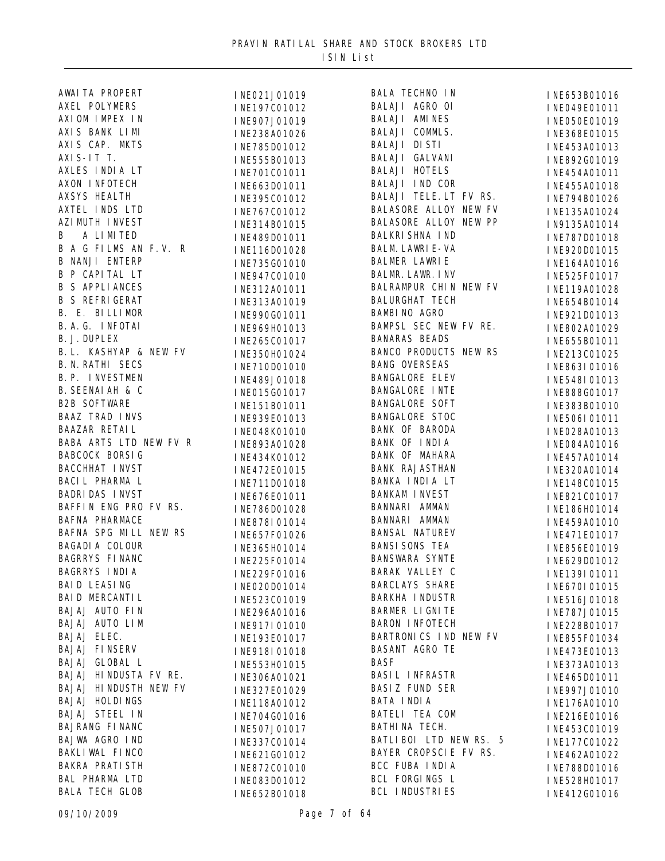| AWAI TA PROPERT             | INE021J01019 | <b>BALA TECHNO IN</b>        | INE653B01016 |
|-----------------------------|--------------|------------------------------|--------------|
| AXEL POLYMERS               | INE197C01012 | BALAJI AGRO OI               | INE049E01011 |
| AXIOM IMPEX IN              | INE907J01019 | <b>BALAJI AMINES</b>         | INE050E01019 |
| AXIS BANK LIMI              | INE238A01026 | BALAJI COMMLS.               | INE368E01015 |
| AXIS CAP. MKTS              | INE785D01012 | <b>BALAJI DISTI</b>          | INE453A01013 |
| AXI S-IT T.                 | INE555B01013 | BALAJI GALVANI               | INE892G01019 |
| AXLES INDIA LT              | INE701C01011 | <b>BALAJI HOTELS</b>         | INE454A01011 |
| AXON INFOTECH               | INE663D01011 | BALAJI IND COR               | INE455A01018 |
| <b>AXSYS HEALTH</b>         | INE395C01012 | BALAJI TELE. LT FV RS.       | INE794B01026 |
| AXTEL INDS LTD              | INE767C01012 | BALASORE ALLOY NEW FV        | INE135A01024 |
| AZI MUTH I NVEST            | INE314B01015 | BALASORE ALLOY NEW PP        | IN9135A01014 |
| B A LIMITED                 |              | <b>BALKRI SHNA IND</b>       |              |
| B A G FILMS AN F.V. R       | INE489D01011 | <b>BALM. LAWRI E-VA</b>      | INE787D01018 |
| <b>B NANJI ENTERP</b>       | INE116D01028 | <b>BALMER LAWRIE</b>         | INE920D01015 |
| <b>B P CAPITAL LT</b>       | INE735G01010 | <b>BALMR. LAWR. I NV</b>     | INE164A01016 |
| <b>B S APPLIANCES</b>       | INE947C01010 | BALRAMPUR CHIN NEW FV        | INE525F01017 |
| <b>B S REFRIGERAT</b>       | INE312A01011 | <b>BALURGHAT TECH</b>        | INE119A01028 |
|                             | INE313A01019 |                              | INE654B01014 |
| B. E. BILLIMOR              | INE990G01011 | <b>BAMBI NO AGRO</b>         | INE921D01013 |
| B. A. G. INFOTAI            | INE969H01013 | BAMPSL SEC NEW FV RE.        | INE802A01029 |
| <b>B. J. DUPLEX</b>         | INE265C01017 | <b>BANARAS BEADS</b>         | INE655B01011 |
| B. L. KASHYAP & NEW FV      | INE350H01024 | <b>BANCO PRODUCTS NEW RS</b> | INE213C01025 |
| <b>B. N. RATHI SECS</b>     | INE710D01010 | <b>BANG OVERSEAS</b>         | INE863I01016 |
| B. P. INVESTMEN             | INE489J01018 | <b>BANGALORE ELEV</b>        | INE548I01013 |
| <b>B. SEENAI AH &amp; C</b> | INE015G01017 | <b>BANGALORE INTE</b>        | INE888G01017 |
| <b>B2B SOFTWARE</b>         | INE151B01011 | <b>BANGALORE SOFT</b>        | INE383B01010 |
| <b>BAAZ TRAD INVS</b>       | INE939E01013 | <b>BANGALORE STOC</b>        | INE506I01011 |
| BAAZAR RETAIL               | INE048K01010 | <b>BANK OF BARODA</b>        | INE028A01013 |
| BABA ARTS LTD NEW FV R      | INE893A01028 | BANK OF INDIA                | INE084A01016 |
| <b>BABCOCK BORSIG</b>       | INE434K01012 | BANK OF MAHARA               | INE457A01014 |
| <b>BACCHHAT INVST</b>       | INE472E01015 | <b>BANK RAJASTHAN</b>        | INE320A01014 |
| BACIL PHARMA L              | INE711D01018 | BANKA INDIA LT               | INE148C01015 |
| <b>BADRI DAS INVST</b>      | INE676E01011 | <b>BANKAM INVEST</b>         | INE821C01017 |
| BAFFIN ENG PRO FV RS.       | INE786D01028 | BANNARI AMMAN                | INE186H01014 |
| <b>BAFNA PHARMACE</b>       | INE878I01014 | BANNARI AMMAN                | INE459A01010 |
| BAFNA SPG MILL NEW RS       | INE657F01026 | <b>BANSAL NATUREV</b>        | INE471E01017 |
| <b>BAGADI A COLOUR</b>      | INE365H01014 | <b>BANSI SONS TEA</b>        | INE856E01019 |
| <b>BAGRRYS FINANC</b>       | INE225F01014 | <b>BANSWARA SYNTE</b>        | INE629D01012 |
| BAGRRYS INDIA               | INE229F01016 | BARAK VALLEY C               | INE139I01011 |
| <b>BAID LEASING</b>         | INE020D01014 | <b>BARCLAYS SHARE</b>        | INE670I01015 |
| BAID MERCANTIL              | INE523C01019 | BARKHA INDUSTR               | INE516J01018 |
| BAJAJ AUTO FIN              | INE296A01016 | BARMER LIGNITE               | INE787J01015 |
| BAJAJ AUTO LIM              | INE917I01010 | <b>BARON INFOTECH</b>        | INE228B01017 |
| BAJAJ ELEC.                 | INE193E01017 | BARTRONICS IND NEW FV        | INE855F01034 |
| <b>BAJAJ FINSERV</b>        | INE918I01018 | <b>BASANT AGRO TE</b>        | INE473E01013 |
| BAJAJ GLOBAL L              | INE553H01015 | <b>BASF</b>                  | INE373A01013 |
| BAJAJ HINDUSTA FV RE.       |              | <b>BASIL INFRASTR</b>        |              |
| BAJAJ HINDUSTH NEW FV       | INE306A01021 | <b>BASIZ FUND SER</b>        | INE465D01011 |
| <b>BAJAJ HOLDINGS</b>       | INE327E01029 | BATA INDIA                   | INE997J01010 |
| <b>BAJAJ STEEL IN</b>       | INE118A01012 | BATELI TEA COM               | INE176A01010 |
| BAJRANG FI NANC             | INE704G01016 | BATHINA TECH.                | INE216E01016 |
| BAJWA AGRO IND              | INE507J01017 | BATLIBOI LTD NEW RS. 5       | INE453C01019 |
|                             | INE337C01014 | BAYER CROPSCIE FV RS.        | INE177C01022 |
| BAKLI WAL FINCO             | INE621G01012 |                              | INE462A01022 |
| <b>BAKRA PRATI STH</b>      | INE872C01010 | BCC FUBA INDIA               | INE788D01016 |
| <b>BAL PHARMA LTD</b>       | INE083D01012 | BCL FORGINGS L               | INE528H01017 |
| <b>BALA TECH GLOB</b>       | INE652B01018 | <b>BCL INDUSTRIES</b>        | INE412G01016 |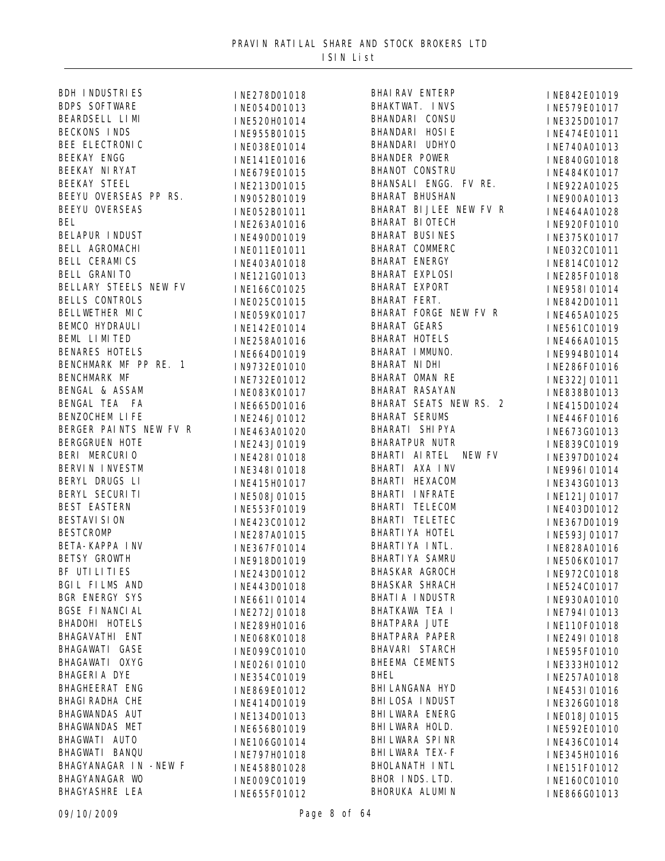| BDH INDUSTRIES                                    | INE278D01018 | <b>BHAI RAV I</b>                    |
|---------------------------------------------------|--------------|--------------------------------------|
| <b>BDPS SOFTWARE</b>                              | INE054D01013 | BHAKTWAT.                            |
| BEARDSELL LIMI                                    | INE520H01014 | BHANDARI                             |
| <b>BECKONS INDS</b>                               | INE955B01015 | BHANDARI                             |
| BEE ELECTRONIC                                    | INE038E01014 | BHANDARI                             |
| <b>BEEKAY ENGG</b>                                | INE141E01016 | <b>BHANDER F</b>                     |
| BEEKAY NI RYAT                                    | INE679E01015 | <b>BHANOT CO</b>                     |
| <b>BEEKAY STEEL</b>                               | INE213D01015 | BHANSALI                             |
| BEEYU OVERSEAS PP RS.                             | IN9052B01019 | <b>BHARAT BI</b>                     |
| <b>BEEYU OVERSEAS</b>                             | INE052B01011 | <b>BHARAT BI</b>                     |
| <b>BEL</b>                                        | INE263A01016 | <b>BHARAT BI</b>                     |
| <b>BELAPUR INDUST</b>                             | INE490D01019 | <b>BHARAT BU</b>                     |
| BELL AGROMACHI                                    | INE011E01011 | <b>BHARAT CO</b>                     |
| <b>BELL CERAMICS</b>                              | INE403A01018 | <b>BHARAT EN</b>                     |
| <b>BELL GRANITO</b>                               | INE121G01013 | <b>BHARAT EX</b>                     |
| BELLARY STEELS NEW FV                             | INE166C01025 | <b>BHARAT EX</b>                     |
| <b>BELLS CONTROLS</b>                             | INE025C01015 | <b>BHARAT FI</b>                     |
| BELLWETHER MIC                                    | INE059K01017 | <b>BHARAT FO</b>                     |
| BEMCO HYDRAULI                                    | INE142E01014 | <b>BHARAT GI</b>                     |
| BEML LIMITED                                      | INE258A01016 | <b>BHARAT HO</b>                     |
| <b>BENARES HOTELS</b>                             | INE664D01019 | BHARAT IN                            |
| BENCHMARK MF PP RE. 1                             | IN9732E01010 | <b>BHARAT NI</b>                     |
| BENCHMARK MF                                      |              | BHARAT ON                            |
|                                                   | INE732E01012 | BHARAT RA                            |
| BENGAL & ASSAM<br>BENGAL TEA FA<br>BENZOCHEM LIFE | INE083K01017 | <b>BHARAT SI</b>                     |
|                                                   | INE665D01016 | <b>BHARAT SI</b>                     |
| BERGER PAINTS NEW FV R                            | INE246J01012 | BHARATI S                            |
| <b>BERGGRUEN HOTE</b>                             | INE463A01020 | <b>BHARATPUI</b>                     |
| BERI MERCURIO                                     | INE243J01019 | BHARTI AI                            |
| BERVIN INVESTM                                    | INE428I01018 | BHARTI A)                            |
| BERYL DRUGS LI                                    | INE348I01018 | BHARTI HI                            |
| BERYL SECURITI                                    | INE415H01017 | BHARTI IN                            |
| <b>BEST EASTERN</b>                               | INE508J01015 | BHARTI TI                            |
| <b>BESTAVI SI ON</b>                              | INE553F01019 | BHARTI TI                            |
| <b>BESTCROMP</b>                                  | INE423C01012 | <b>BHARTI YA</b>                     |
| <b>BETA-KAPPA INV</b>                             | INE287A01015 | <b>BHARTI YA</b>                     |
| <b>BETSY GROWTH</b>                               | INE367F01014 | <b>BHARTI YA</b>                     |
|                                                   | INE918D01019 |                                      |
| BF UTI LI TI ES<br>BGIL FILMS AND                 | INE243D01012 | <b>BHASKAR /</b><br><b>BHASKAR S</b> |
| <b>BGR ENERGY SYS</b>                             | INE443D01018 | BHATIA IN                            |
| <b>BGSE FINANCIAL</b>                             | INE661I01014 | <b>BHATKAWA</b>                      |
| BHADOHI HOTELS                                    | INE272J01018 |                                      |
|                                                   | INE289H01016 | BHATPARA                             |
| BHAGAVATHI ENT                                    | INE068K01018 | <b>BHATPARA</b>                      |
| BHAGAWATI GASE                                    | INE099C01010 | BHAVARI S                            |
| BHAGAWATI OXYG                                    | INE026I01010 | BHEEMA CI                            |
| <b>BHAGERIA DYE</b>                               | INE354C01019 | <b>BHEL</b>                          |
| BHAGHEERAT ENG                                    | INE869E01012 | <b>BHI LANGAN</b>                    |
| <b>BHAGI RADHA CHE</b>                            | INE414D01019 | <b>BHI LOSA I</b>                    |
| BHAGWANDAS AUT                                    | INE134D01013 | <b>BHI LWARA</b>                     |
| <b>BHAGWANDAS MET</b>                             | INE656B01019 | <b>BHI LWARA</b>                     |
| BHAGWATI AUTO                                     | INE106G01014 | <b>BHI LWARA</b>                     |
| BHAGWATI BANQU                                    | INE797H01018 | <b>BHI LWARA</b>                     |
| BHAGYANAGAR IN - NEW F                            | INE458B01028 | <b>BHOLANATH</b>                     |
| BHAGYANAGAR WO                                    | INE009C01019 | <b>BHOR INDS</b>                     |
| <b>BHAGYASHRE LEA</b>                             | INE655F01012 | BHORUKA A                            |

| <b>BHAI RAV ENTERP</b>  | INE842E01019 |
|-------------------------|--------------|
| BHAKTWAT. INVS          | INE579E01017 |
| BHANDARI CONSU          | INE325D01017 |
| BHANDARI HOSIE          | INE474E01011 |
| BHANDARI UDHYO          | INE740A01013 |
| <b>BHANDER POWER</b>    | INE840G01018 |
| <b>BHANOT CONSTRU</b>   | INE484K01017 |
| BHANSALI ENGG. FV RE.   | INE922A01025 |
| <b>BHARAT BHUSHAN</b>   | INE900A01013 |
| BHARAT BIJLEE NEW FV R  | INE464A01028 |
| <b>BHARAT BIOTECH</b>   | INE920F01010 |
| <b>BHARAT BUSINES</b>   | INE375K01017 |
| <b>BHARAT COMMERC</b>   | INE032C01011 |
| <b>BHARAT ENERGY</b>    | INE814C01012 |
| <b>BHARAT EXPLOSI</b>   | INE285F01018 |
| BHARAT EXPORT           | INE958I01014 |
| BHARAT FERT.            | INE842D01011 |
| BHARAT FORGE NEW FV R   | INE465A01025 |
| <b>BHARAT GEARS</b>     | INE561C01019 |
| <b>BHARAT HOTELS</b>    | INE466A01015 |
| BHARAT IMMUNO.          | INE994B01014 |
| BHARAT NI DHI           | INE286F01016 |
| BHARAT OMAN RE          | INE322J01011 |
| BHARAT RASAYAN          | INE838B01013 |
| BHARAT SEATS NEW RS. 2  | INE415D01024 |
| <b>BHARAT SERUMS</b>    | INE446F01016 |
| BHARATI SHIPYA          | INE673G01013 |
| <b>BHARATPUR NUTR</b>   | INE839C01019 |
| BHARTI AIRTEL NEW FV    | INE397D01024 |
| BHARTI AXA INV          | INE996I01014 |
| BHARTI HEXACOM          | INE343G01013 |
| BHARTI INFRATE          | INE121J01017 |
| BHARTI TELECOM          | INE403D01012 |
| BHARTI TELETEC          | INE367D01019 |
| BHARTI YA HOTEL         | INE593J01017 |
| BHARTI YA INTL.         | INE828A01016 |
| <b>BHARTI YA SAMRU</b>  | INE506K01017 |
| <b>BHASKAR AGROCH</b>   | INE972C01018 |
| <b>BHASKAR SHRACH</b>   | INE524C01017 |
| <b>BHATI A I NDUSTR</b> | INE930A01010 |
| BHATKAWA TEA I          | INE794I01013 |
| <b>BHATPARA JUTE</b>    | INE110F01018 |
| <b>BHATPARA PAPER</b>   |              |
| BHAVARI STARCH          | INE249I01018 |
| <b>BHEEMA CEMENTS</b>   | INE595F01010 |
| <b>BHEL</b>             | INE333H01012 |
| <b>BHI LANGANA HYD</b>  | INE257A01018 |
| <b>BHI LOSA INDUST</b>  | INE453I01016 |
| <b>BHI LWARA ENERG</b>  | INE326G01018 |
| BHI LWARA HOLD.         | INE018J01015 |
| <b>BHI LWARA SPINR</b>  | INE592E01010 |
| <b>BHI LWARA TEX-F</b>  | INE436C01014 |
|                         | INE345H01016 |
| <b>BHOLANATH INTL</b>   | INE151F01012 |
| BHOR INDS. LTD.         | INE160C01010 |
| BHORUKA ALUMIN          | INE866G01013 |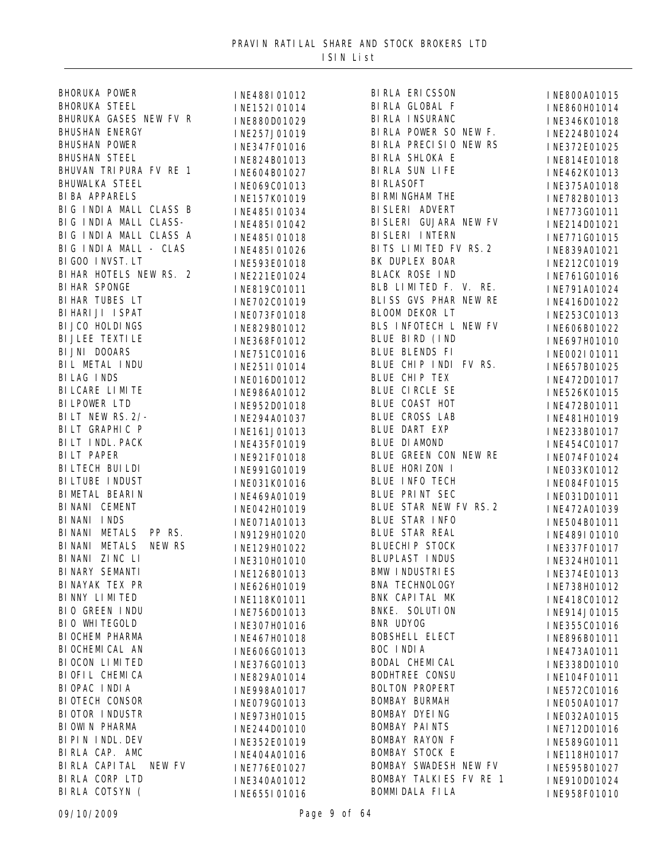| <b>BHORUKA POWER</b>            | INE488I01012 |
|---------------------------------|--------------|
| <b>BHORUKA STEEL</b>            | INE152I01014 |
| BHURUKA GASES NEW FV R          | INE880D01029 |
| <b>BHUSHAN ENERGY</b>           | INE257J01019 |
| <b>BHUSHAN POWER</b>            | INE347F01016 |
| <b>BHUSHAN STEEL</b>            | INE824B01013 |
| BHUVAN TRI PURA FV RE<br>1      | INE604B01027 |
| <b>BHUWALKA STEEL</b>           | INE069C01013 |
| <b>BI BA APPARELS</b>           | INE157K01019 |
| BIG INDIA MALL CLASS B          | INE485I01034 |
| BIG INDIA MALL CLASS-           | INE485I01042 |
| BIG INDIA MALL CLASS A          | INE485I01018 |
| BIG INDIA MALL -<br><b>CLAS</b> | INE485I01026 |
| BI GOO INVST. LT                | INE593E01018 |
| BI HAR HOTELS NEW RS.<br>2      | INE221E01024 |
| <b>BI HAR SPONGE</b>            | INE819C01011 |
| <b>BI HAR TUBES LT</b>          | INE702C01019 |
| BI HARI JI I SPAT               | INE073F01018 |
| BI JCO HOLDINGS                 | INE829B01012 |
| <b>BI JLEE TEXTI LE</b>         | INE368F01012 |
| BI JNI DOOARS                   | INE751C01016 |
| BIL METAL INDU                  | INE251I01014 |
| <b>BILAG INDS</b>               | INE016D01012 |
| BI LCARE LI MI TE               | INE986A01012 |
| <b>BI LPOWER LTD</b>            | INE952D01018 |
| BILT NEW RS. 2/-                | INE294A01037 |
| BILT GRAPHIC P                  | INE161J01013 |
| BILT INDL. PACK                 | INE435F01019 |
| <b>BILT PAPER</b>               | INE921F01018 |
| BI LTECH BUI LDI                | INE991G01019 |
| BI LTUBE I NDUST                | INE031K01016 |
| BI METAL BEARIN                 | INE469A01019 |
| BINANI CEMENT                   | INE042H01019 |
| BINANI INDS                     | INE071A01013 |
| <b>BI NANI</b><br>METALS PP RS. | IN9129H01020 |
| BINANI METALS<br><b>NEW RS</b>  | INE129H01022 |
| BINANI ZINC LI                  | INE310H01010 |
| BI NARY SEMANTI                 | INE126B01013 |
| BI NAYAK TEX PR                 | INE626H01019 |
| BI NNY LIMITED                  | INE118K01011 |
| BIO GREEN INDU                  | INE756D01013 |
| BIO WHITEGOLD                   | INE307H01016 |
| BI OCHEM PHARMA                 | INE467H01018 |
| BI OCHEMI CAL AN                | INE606G01013 |
| BI OCON LIMITED                 | INE376G01013 |
| BI OFIL CHEMICA                 | INE829A01014 |
| BI OPAC I NDI A                 | INE998A01017 |
| BI OTECH CONSOR                 | INE079G01013 |
| <b>BIOTOR INDUSTR</b>           | INE973H01015 |
| BI OWI N PHARMA                 | INE244D01010 |
| BI PIN INDL. DEV                | INE352E01019 |
| BIRLA CAP. AMC                  | INE404A01016 |
| BI RLA CAPI TAL<br>NEW FV       | INE776E01027 |
| BIRLA CORP LTD                  | INE340A01012 |
| BIRLA COTSYN (                  | INE655I01016 |
|                                 |              |

INE152I01014 BIRLA GLOBAL F<br>INE880D01029 BIRLA INSURANC INE347F01016 BIRLA PRECISIO<br>INE824B01013 BIRLA SHLOKA E INE604B01027 BIRLA SUN<br>INE069C01013 BIRLASOFT INE485I01042 BISLERI GUJARA<br>INE485I01018 BISLERI INTERN INE485I01026 BITS LIMITED F<br>INE593E01018 BK DUPLEX BOAR INE702C01019 BLISS GVS PHAR<br>INE073E01018 BLOOM DEKOR LT INE829B01012 BLS INFOTECH L<br>INE368E01012 BLUE BIRD (IND INE016D01012 BLUE CHIP TEX<br>INF986A01012 BLUE CIRCLE SE INE952D01018 BLUE COAST HOT<br>INE294401037 BLUE CROSS LAB INE294A01037 BLUE CROSS LA<br>INE161 IO1013 BLUE DART EXP INE161J01013<br>INE435E01019 BLUE DIAMOND INE031K01016 BLUE INFO TECH<br>INE469A01019 BLUE PRINT SEC IN9129H01020 BLUE STAR REAL<br>INF129H01022 BLUECHIP STOCK INE756D01013 BNKE. SUL<br>INE307H01016 BNR UDYOG INE606G01013 BOC INDIA INE973H01015 BOMBAY DYEING<br>INE244D01010 BOMBAY PAINTS INE340A01012 BOMBAY TALKIES<br>INE655L01016 BOMMIDALA FILA BIRLA GLOBAL F INE860H01014 BIRLA POWER SO NEW F. INE224B01024 BIRLA PRECISIO NEW RS INE372E01025 BIRLA SUN LIFE INE462K01013 BIRMINGHAM THE INE782B01013 BISLERI ADVERT INE773G01011 BISLERI GUJARA NEW FV INE214D01021 BITS LIMITED FV RS. 2 INE839A01021 BLACK ROSE IND INE761G01016 BLB LIMITED F. V. RE. INE791A01024 BLISS GVS PHAR NEW RE INE416D01022 BLS INFOTECH L NEW FV INE606B01022 BLUE BLENDS FI INE002I01011 BLUE CHIP INDI FV RS. INE657B01025 BLUE CHIP TEX INE472D01017 BLUE COAST HOT INE472B01011 BLUE GREEN CON NEW RE INE074F01024 BLUE HORIZON I INE033K01012 BLUE STAR NEW FV RS. 2 INE472A01039 BLUE STAR INFO INE504B01011 BLUE STAR REAL INE489I01010 BLUPLAST INDUS INE324H01011 BMW INDUSTRIES INE374E01013 BNA TECHNOLOGY INE738H01012 BNK CAPITAL MK INE418C01012 BNKE. SOLUTION INE914J01015 BOBSHELL ELECT INE896B01011 BODAL CHEMICAL INE338D01010 BODHTREE CONSU INE104F01011 BOLTON PROPERT INE572C01016 BOMBAY BURMAH INE050A01017 BOMBAY RAYON F INE589G01011 BOMBAY STOCK E INE118H01017 BOMBAY SWADESH NEW FV INE595B01027 BOMBAY TALKIES FV RE 1 INE910D01024

BIRLA ERICSSON INE800A01015 INE346K01018 INE814E01018 INE375A01018 INE771G01015 INE212C01019 INE253C01013 INE697H01010 INE526K01015 INE481H01019 INE 233B01017 INE454C01017 INE084F01015 INE031D01011 INE337F01017 INE355C01016 INE473A01011 INE032A01015 INE712D01016 INE958F01010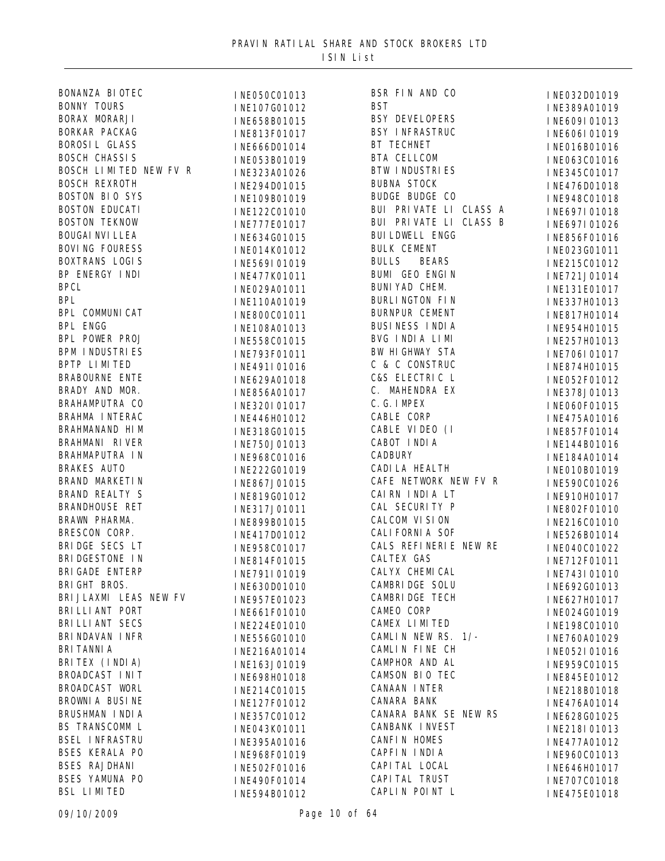| BONANZA BI OTEC        | INE050C01013 | BSR FIN AND CO               | INE032D01019 |
|------------------------|--------------|------------------------------|--------------|
| <b>BONNY TOURS</b>     | INE107G01012 | <b>BST</b>                   | INE389A01019 |
| BORAX MORARJI          | INE658B01015 | <b>BSY DEVELOPERS</b>        | INE609I01013 |
| BORKAR PACKAG          | INE813F01017 | <b>BSY INFRASTRUC</b>        | INE606I01019 |
| <b>BOROSIL GLASS</b>   | INE666D01014 | BT TECHNET                   | INE016B01016 |
| <b>BOSCH CHASSIS</b>   | INE053B01019 | BTA CELLCOM                  | INE063C01016 |
| BOSCH LIMITED NEW FV R | INE323A01026 | <b>BTW INDUSTRIES</b>        | INE345C01017 |
| <b>BOSCH REXROTH</b>   | INE294D01015 | <b>BUBNA STOCK</b>           | INE476D01018 |
| <b>BOSTON BIO SYS</b>  | INE109B01019 | <b>BUDGE BUDGE CO</b>        | INE948C01018 |
| <b>BOSTON EDUCATI</b>  | INE122C01010 | BUI PRIVATE LI CLASS A       | INE697I01018 |
| <b>BOSTON TEKNOW</b>   | INE777E01017 | BUI PRIVATE LI CLASS B       |              |
| <b>BOUGAI NVI LLEA</b> |              | <b>BUI LDWELL ENGG</b>       | INE697I01026 |
| <b>BOVING FOURESS</b>  | INE634G01015 | <b>BULK CEMENT</b>           | INE856F01016 |
| <b>BOXTRANS LOGIS</b>  | INE014K01012 | <b>BULLS</b><br><b>BEARS</b> | INE023G01011 |
| BP ENERGY INDI         | INE569I01019 | <b>BUMI GEO ENGIN</b>        | INE215C01012 |
|                        | INE477K01011 | BUNI YAD CHEM.               | INE721J01014 |
| <b>BPCL</b>            | INE029A01011 | <b>BURLINGTON FIN</b>        | INE131E01017 |
| <b>BPL</b>             | INE110A01019 |                              | INE337H01013 |
| BPL COMMUNICAT         | INE800C01011 | <b>BURNPUR CEMENT</b>        | INE817H01014 |
| <b>BPL ENGG</b>        | INE108A01013 | <b>BUSINESS INDIA</b>        | INE954H01015 |
| BPL POWER PROJ         | INE558C01015 | BVG INDIA LIMI               | INE257H01013 |
| <b>BPM INDUSTRIES</b>  | INE793F01011 | BW HIGHWAY STA               | INE706I01017 |
| BPTP LIMITED           | INE491I01016 | C & C CONSTRUC               | INE874H01015 |
| <b>BRABOURNE ENTE</b>  | INE629A01018 | C&S ELECTRIC L               | INE052F01012 |
| BRADY AND MOR.         | INE856A01017 | C. MAHENDRA EX               | INE378J01013 |
| BRAHAMPUTRA CO         | INE320I01017 | C. G. IMPEX                  | INE060F01015 |
| BRAHMA INTERAC         | INE446H01012 | CABLE CORP                   | INE475A01016 |
| BRAHMANAND HIM         | INE318G01015 | CABLE VIDEO (I               | INE857F01014 |
| BRAHMANI RIVER         | INE750J01013 | CABOT INDIA                  | INE144B01016 |
| BRAHMAPUTRA IN         | INE968C01016 | <b>CADBURY</b>               | INE184A01014 |
| <b>BRAKES AUTO</b>     | INE222G01019 | <b>CADI LA HEALTH</b>        | INE010B01019 |
| BRAND MARKETIN         | INE867J01015 | CAFE NETWORK NEW FV R        | INE590C01026 |
| <b>BRAND REALTY S</b>  | INE819G01012 | CAIRN INDIA LT               | INE910H01017 |
| <b>BRANDHOUSE RET</b>  | INE317J01011 | CAL SECURITY P               | INE802F01010 |
| BRAWN PHARMA.          | INE899B01015 | CALCOM VISION                | INE216C01010 |
| BRESCON CORP.          | INE417D01012 | <b>CALI FORNI A SOF</b>      | INE526B01014 |
| BRIDGE SECS LT         | INE958C01017 | CALS REFINERIE NEW RE        | INE040C01022 |
| BRI DGESTONE IN        | INE814F01015 | CALTEX GAS                   | INE712F01011 |
| <b>BRI GADE ENTERP</b> | INE791I01019 | CALYX CHEMICAL               | INE743I01010 |
| BRI GHT BROS.          | INE630D01010 | <b>CAMBRIDGE SOLU</b>        | INE692G01013 |
| BRI JLAXMI LEAS NEW FV | INE957E01023 | <b>CAMBRIDGE TECH</b>        | INE627H01017 |
| BRI LLI ANT PORT       | INE661F01010 | CAMEO CORP                   | INE024G01019 |
| BRI LLI ANT SECS       | INE224E01010 | CAMEX LIMITED                | INE198C01010 |
| BRI NDAVAN I NFR       | INE556G01010 | CAMLIN NEW RS. 1/-           |              |
| <b>BRI TANNI A</b>     |              | CAMLIN FINE CH               | INE760A01029 |
| BRITEX (INDIA)         | INE216A01014 | CAMPHOR AND AL               | INE052I01016 |
| BROADCAST INIT         | INE163J01019 | CAMSON BIO TEC               | INE959C01015 |
| BROADCAST WORL         | INE698H01018 | CANAAN INTER                 | INE845E01012 |
|                        | INE214C01015 |                              | INE218B01018 |
| BROWNIA BUSINE         | INE127F01012 | CANARA BANK                  | INE476A01014 |
| BRUSHMAN INDIA         | INE357C01012 | CANARA BANK SE NEW RS        | INE628G01025 |
| BS TRANSCOMM L         | INE043K01011 | CANBANK INVEST               | INE218I01013 |
| <b>BSEL INFRASTRU</b>  | INE395A01016 | <b>CANFIN HOMES</b>          | INE477A01012 |
| <b>BSES KERALA PO</b>  | INE968F01019 | CAPFIN INDIA                 | INE960C01013 |
| <b>BSES RAJDHANI</b>   | INE502F01016 | CAPI TAL LOCAL               | INE646H01017 |
| BSES YAMUNA PO         | INE490F01014 | CAPI TAL TRUST               | INE707C01018 |
| <b>BSL LIMITED</b>     | INE594B01012 | CAPLIN POINT L               | INE475E01018 |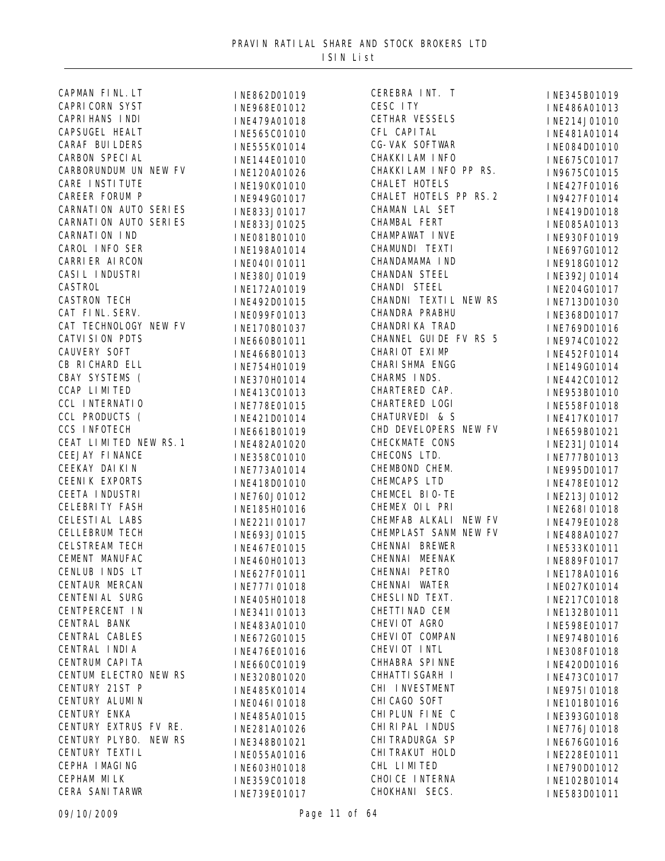| CAPMAN FINL. LT                  |
|----------------------------------|
| <b>CAPRI CORN SYST</b>           |
| <b>CAPRI HANS INDI</b>           |
| <b>CAPSUGEL HEALT</b>            |
| <b>CARAF BUILDERS</b>            |
| <b>CARBON SPECIAL</b>            |
| CARBORUNDUM UN NEW FV            |
| CARE INSTITUTE                   |
| CAREER FORUM P                   |
| <b>CARNATION AUTO SERIES</b>     |
| CARNATION AUTO SERIES            |
| <b>CARNATION IND</b>             |
| CAROL INFO SER                   |
|                                  |
| CARRI ER AI RCON                 |
| CASIL INDUSTRI                   |
| CASTROL                          |
| <b>CASTRON TECH</b>              |
| CAT FINL. SERV.                  |
| CAT TECHNOLOGY NEW FV            |
| <b>CATVI SI ON PDTS</b>          |
| <b>CAUVERY SOFT</b>              |
| CB RICHARD ELL                   |
| CBAY SYSTEMS (                   |
| CCAP LIMITED                     |
| CCL INTERNATIO                   |
| CCL PRODUCTS (                   |
| CCS INFOTECH                     |
| CEAT LIMITED NEW RS. 1           |
| CEEJAY FINANCE                   |
| CEEKAY DAI KI N                  |
| <b>CEENIK EXPORTS</b>            |
| CEETA INDUSTRI                   |
| CELEBRITY FASH                   |
| CELESTI AL LABS                  |
| <b>CELLEBRUM TECH</b>            |
| <b>CELSTREAM TECH</b>            |
|                                  |
| CEMENT MANUFAC<br>CENLUB INDS LT |
|                                  |
| CENTAUR MERCAN                   |
| <b>CENTENI AL SURG</b>           |
| CENTPERCENT IN                   |
| CENTRAL BANK                     |
| CENTRAL CABLES                   |
| CENTRAL INDIA                    |
| CENTRUM CAPI TA                  |
| CENTUM ELECTRO NEW RS            |
| CENTURY 21ST P                   |
| CENTURY ALUMIN                   |
| CENTURY ENKA                     |
| CENTURY EXTRUS FV RE.            |
| CENTURY PLYBO. NEW RS            |
| CENTURY TEXTIL                   |
| CEPHA I MAGING                   |
|                                  |
| CEPHAM MILK                      |

INE862D01019 CEREBRA J<br>INE968E01012 CESC ITY INE968E01012 INE479A01018 CETHAR VESS<br>INE565C01010 CFL CAPITAL INE565C01010 INE555K01014 CG-VAK SOFTWAR<br>INE144E01010 CHAKKILAM INFO INE144E01010 INE120A01026 CHAKKILAM INF INE190K01010 INE949G01017 INE833J01017 INE833J01025 CHAMBAL FERI<br>INEO81B01010 CHAMPAWAT INVE INE081B01010 CHAMPAWAT INVE<br>INE198401014 CHAMUNDI TEXTI INE198A01014 CHAMUNDI TEXTI<br>INFO4OLO1011 CHANDAMAMA IND INEO4OI 01011 CHANDAMAMA IN<br>INE380 I01019 CHANDAN STEEL INE380J01019 CASTROL INE172A01019 INE492D01015 CHANDNI TEXTL<br>INEO99E01013 CHANDRA PRABHU INE099F01013 INE170B01037 CHANDRIKA TRAD INE660B01011 INE466B01013 INE754H01019 INE370H01014 CHARMS INDS.<br>INE413C01013 CHARTERED CAP. INE413C01013 CHARTERED CAP.<br>INE778E01015 CHARTERED LOGI INE778E01015 INE421D01014 CHATURVEDI & S INE661B01019 I NE482A01020 INE358C01010 CHECONS LTD.<br>INE773A01014 CHEMBOND CHEM. INE773A01014 INE418D01010 CHEMCAPS LTD<br>INE760101012 CHEMCEL BIO-TE INE760J01012 INE185H01016 INE221I01017 INE693J01015 INE467E01015 INE460H01013 CHENNAL MEENA<br>INE627E01011 CHENNAL PETRO INE627F01011 CHENNAI PETRO<br>INE777I01018 CHENNAI WATER INE777I01018 CHENNAL WATER<br>INE405H01018 CHESLIND TEXT. INE405H01018 CENTPERCENT IN INE341I01013 INE483A01010 CHEVIOT AGRO<br>INE672C01015 CHEVIOT COMPAN INE672G01015 CHEVIOT COMP<br>INE476E01016 CHEVIOT INTL INE476E01016 INE660C01019 INE320B01020 INE485K01014 CHI INVESTME<br>INEQ46L01018 CHICAGO SOFT I NE046I 01018 INE485A01015 CHIPLUN FINE C<br>INE281A01026 CHIRIPAL INDUS INE281A01026 INE348B01021 INE055A01016 CHITRAKUT H<br>INE603H01018 CHL LIMITED INE603H01018

INE359C01018 CHOICE INTERNATURE<br>INEZ39E01017 CHOKHANI SECS. CEREBRA INT. T INE345B01019 CETHAR VESSELS INE214J01010 CG-VAK SOFTWAR INE084D01010 CHAKKILAM INFO PP RS. IN9675C01015 CHALET HOTELS PP RS.2 IN9427F01014 CHAMAN LAL SET INE419D01018 CHAMBAL FERT INE085A01013 CHANDI STEEL INE204G01017 CHANDNI TEXTIL NEW RS INE713D01030 CHANNEL GUIDE FV RS 5 INE974C01022 CHARIOT EXIMP INE452F01014 CHARI SHMA ENGG INE149G01014 CHARMS INDS. INE442C01012 CHD DEVELOPERS NEW FV INE659B01021 CHECKMATE CONS INE231J01014 CHEMEX OIL PRI INE268I01018 CHEMFAB ALKALI NEW FV INE479E01028 CHEMPLAST SANM NEW FV INE488A01027 CHENNAI BREWER INE533K01011 CHENNAI MEENAK INE889F01017 CHETTINAD CEM INE132B01011 CHHABRA SPINNE INE420D01016 CHHATTI SGARH I INE473C01017 CHI INVESTMENT INE975I01018 CHITRADURGA SP INE676G01016 CHITRAKUT HOLD INE228E01011 CHOICE INTERNA INE102B01014

INE486A01013 INE481A01014 INE675C01017 INE427F01016 INE930F01019 INE697G01012 INE918G01012 INE392J01014 INE368D01017 INE769D01016 CHARTERED CAP. INE953B01010 INE558F01018 INE417K01017 INE777B01013 INE995D01017 **INE478E01012** INE213J01012 INE178A01016 INE027K01014 INE217C01018 INE598E01017 INE974B01016 INE308F01018 INE101B01016 INE393G01018 INE776J01018 INE790D01012 INE583D01011

INE739E01017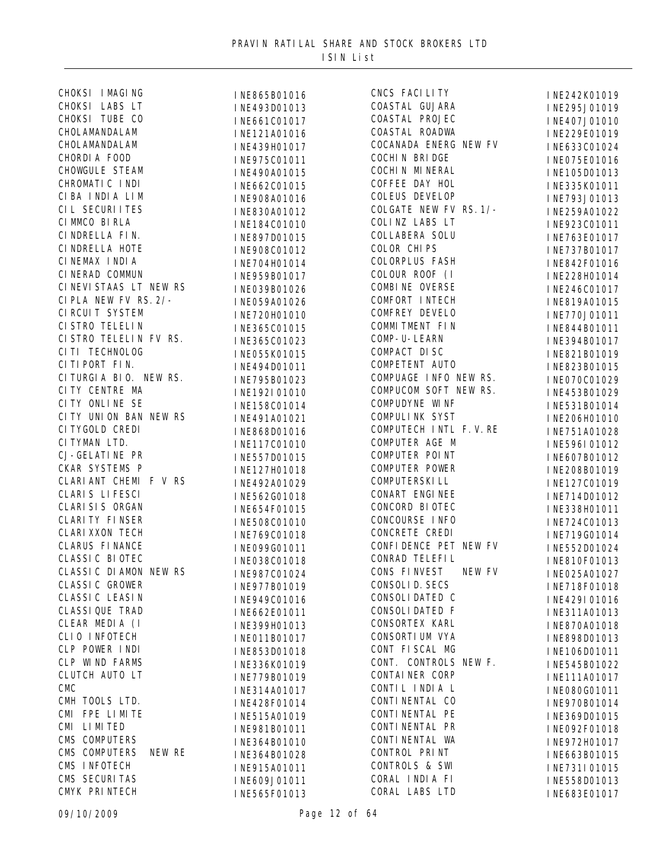| CHOKSI I MAGING         | INE865B01016 | CNCS FACILITY             | INE242K01019 |
|-------------------------|--------------|---------------------------|--------------|
| CHOKSI LABS LT          | INE493D01013 | COASTAL GUJARA            | INE295J01019 |
| CHOKSI TUBE CO          | INE661C01017 | COASTAL PROJEC            | INE407J01010 |
| CHOLAMANDALAM           | INE121A01016 | COASTAL ROADWA            | INE229E01019 |
| CHOLAMANDALAM           | INE439H01017 | COCANADA ENERG NEW FV     | INE633C01024 |
| CHORDIA FOOD            | INE975C01011 | COCHI N BRI DGE           | INE075E01016 |
| CHOWGULE STEAM          | INE490A01015 | COCHI N MI NERAL          | INE105D01013 |
| CHROMATIC INDI          | INE662C01015 | COFFEE DAY HOL            | INE335K01011 |
| CIBA INDIA LIM          | INE908A01016 | <b>COLEUS DEVELOP</b>     | INE793J01013 |
| CIL SECURI I TES        | INE830A01012 | COLGATE NEW FV RS. 1/-    | INE259A01022 |
| CI MMCO BI RLA          | INE184C01010 | COLINZ LABS LT            | INE923C01011 |
| CINDRELLA FIN.          | INE897D01015 | COLLABERA SOLU            | INE763E01017 |
| CI NDRELLA HOTE         | INE908C01012 | <b>COLOR CHIPS</b>        | INE737B01017 |
| CINEMAX INDIA           |              | <b>COLORPLUS FASH</b>     |              |
| CINERAD COMMUN          | INE704H01014 | COLOUR ROOF (I            | INE842F01016 |
| CINEVISTAAS LT NEW RS   | INE959B01017 | COMBI NE OVERSE           | INE228H01014 |
| CIPLA NEW FV RS. 2/-    | INE039B01026 | COMFORT INTECH            | INE246C01017 |
| CI RCUI T SYSTEM        | INE059A01026 | <b>COMFREY DEVELO</b>     | INE819A01015 |
| CI STRO TELELI N        | INE720H01010 | COMMITMENT FIN            | INE770J01011 |
| CI STRO TELELIN FV RS.  | INE365C01015 |                           | INE844B01011 |
|                         | INE365C01023 | COMP- U-LEARN             | INE394B01017 |
| CITI TECHNOLOG          | INE055K01015 | COMPACT DISC              | INE821B01019 |
| CITIPORT FIN.           | INE494D01011 | COMPETENT AUTO            | INE823B01015 |
| CITURGIA BIO. NEW RS.   | INE795B01023 | COMPUAGE INFO NEW RS.     | INE070C01029 |
| CI TY CENTRE MA         | INE192I01010 | COMPUCOM SOFT NEW RS.     | INE453B01029 |
| CITY ONLINE SE          | INE158C01014 | <b>COMPUDYNE WINF</b>     | INE531B01014 |
| CITY UNION BAN NEW RS   | INE491A01021 | COMPULINK SYST            | INE206H01010 |
| CI TYGOLD CREDI         | INE868D01016 | COMPUTECH INTL F.V.RE     | INE751A01028 |
| CITYMAN LTD.            | INE117C01010 | COMPUTER AGE M            | INE596I01012 |
| <b>CJ-GELATINE PR</b>   | INE557D01015 | COMPUTER POINT            | INE607B01012 |
| CKAR SYSTEMS P          | INE127H01018 | <b>COMPUTER POWER</b>     | INE208B01019 |
| CLARIANT CHEMI F V RS   | INE492A01029 | COMPUTERSKI LL            | INE127C01019 |
| <b>CLARIS LIFESCI</b>   | INE562G01018 | CONART ENGINEE            | INE714D01012 |
| CLARI SI S ORGAN        | INE654F01015 | CONCORD BIOTEC            | INE338H01011 |
| <b>CLARI TY FINSER</b>  | INE508C01010 | CONCOURSE INFO            | INE724C01013 |
| <b>CLARI XXON TECH</b>  | INE769C01018 | CONCRETE CREDI            | INE719G01014 |
| <b>CLARUS FINANCE</b>   | INE099G01011 | CONFI DENCE PET NEW FV    | INE552D01024 |
| <b>CLASSI C BI OTEC</b> | INE038C01018 | CONRAD TELEFIL            | INE810F01013 |
| CLASSIC DIAMON NEW RS   | INE987C01024 | CONS FINVEST NEW FV       | INE025A01027 |
| <b>CLASSI C GROWER</b>  | INE977B01019 | CONSOLI D. SECS           | INE718F01018 |
| CLASSI C LEASI N        | INE949C01016 | CONSOLI DATED C           | INE429I01016 |
| <b>CLASSI QUE TRAD</b>  | INE662E01011 | <b>CONSOLIDATED F</b>     | INE311A01013 |
| CLEAR MEDIA (I          | INE399H01013 | CONSORTEX KARL            | INE870A01018 |
| CLIO INFOTECH           | INE011B01017 | CONSORTI UM VYA           | INE898D01013 |
| CLP POWER INDI          | INE853D01018 | CONT FISCAL MG            | INE106D01011 |
| CLP WIND FARMS          | INE336K01019 | CONT. CONTROLS NEW F.     | INE545B01022 |
| CLUTCH AUTO LT          | INE779B01019 | CONTAINER CORP            | INE111A01017 |
| <b>CMC</b>              | INE314A01017 | CONTIL INDIA L            | INE080G01011 |
| CMH TOOLS LTD.          | INE428F01014 | CONTI NENTAL CO           | INE970B01014 |
| CMI FPE LIMITE          | INE515A01019 | CONTI NENTAL PE           | INE369D01015 |
| CMI LIMITED             | INE981B01011 | CONTI NENTAL PR           | INE092F01018 |
| CMS COMPUTERS           | INE364B01010 | CONTI NENTAL WA           | INE972H01017 |
| CMS COMPUTERS<br>NEW RE | INE364B01028 | CONTROL PRINT             | INE663B01015 |
| CMS INFOTECH            |              | <b>CONTROLS &amp; SWI</b> |              |
| CMS SECURITAS           | INE915A01011 | CORAL INDIA FI            | INE731I01015 |
| CMYK PRINTECH           | INE609J01011 | CORAL LABS LTD            | INE558D01013 |
|                         | INE565F01013 |                           | INE683E01017 |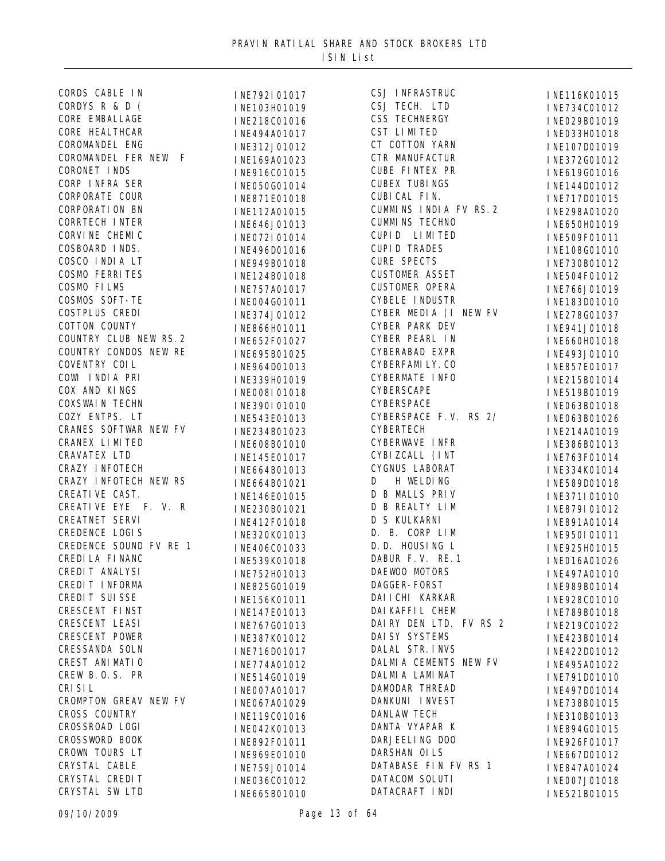| CORDS CABLE IN         | INE792I01017 | CSJ INFRASTRUC         | INE116K01015 |
|------------------------|--------------|------------------------|--------------|
| CORDYS R & D (         | INE103H01019 | CSJ TECH. LTD          | INE734C01012 |
| CORE EMBALLAGE         | INE218C01016 | <b>CSS TECHNERGY</b>   | INE029B01019 |
| CORE HEALTHCAR         | INE494A01017 | CST LIMITED            | INE033H01018 |
| COROMANDEL ENG         | INE312J01012 | CT COTTON YARN         | INE107D01019 |
| COROMANDEL FER NEW F   | INE169A01023 | CTR MANUFACTUR         | INE372G01012 |
| CORONET INDS           | INE916C01015 | CUBE FINTEX PR         | INE619G01016 |
| CORP INFRA SER         | INE050G01014 | <b>CUBEX TUBINGS</b>   | INE144D01012 |
| <b>CORPORATE COUR</b>  | INE871E01018 | CUBI CAL FIN.          | INE717D01015 |
| <b>CORPORATI ON BN</b> | INE112A01015 | CUMMINS INDIA FV RS. 2 | INE298A01020 |
| <b>CORRTECH INTER</b>  | INE646J01013 | <b>CUMMINS TECHNO</b>  | INE650H01019 |
| CORVINE CHEMIC         | INE072I01014 | CUPID LIMITED          | INE509F01011 |
| COSBOARD INDS.         | INE496D01016 | <b>CUPID TRADES</b>    | INE108G01010 |
| COSCO INDIA LT         | INE949B01018 | <b>CURE SPECTS</b>     | INE730B01012 |
| <b>COSMO FERRITES</b>  |              | <b>CUSTOMER ASSET</b>  |              |
| COSMO FILMS            | INE124B01018 | <b>CUSTOMER OPERA</b>  | INE504F01012 |
| COSMOS SOFT-TE         | INE757A01017 | CYBELE INDUSTR         | INE766J01019 |
| COSTPLUS CREDI         | INE004G01011 | CYBER MEDIA (I NEW FV  | INE183D01010 |
| COTTON COUNTY          | INE374J01012 | CYBER PARK DEV         | INE278G01037 |
| COUNTRY CLUB NEW RS. 2 | INE866H01011 | CYBER PEARL IN         | INE941J01018 |
| COUNTRY CONDOS NEW RE  | INE652F01027 | CYBERABAD EXPR         | INE660H01018 |
| COVENTRY COIL          | INE695B01025 |                        | INE493J01010 |
|                        | INE964D01013 | CYBERFAMILY. CO        | INE857E01017 |
| COWI INDIA PRI         | INE339H01019 | CYBERMATE INFO         | INE215B01014 |
| COX AND KINGS          | INE008I01018 | <b>CYBERSCAPE</b>      | INE519B01019 |
| <b>COXSWAIN TECHN</b>  | INE390I01010 | <b>CYBERSPACE</b>      | INE063B01018 |
| COZY ENTPS. LT         | INE543E01013 | CYBERSPACE F.V. RS 2/  | INE063B01026 |
| CRANES SOFTWAR NEW FV  | INE234B01023 | <b>CYBERTECH</b>       | INE214A01019 |
| CRANEX LIMITED         | INE608B01010 | CYBERWAVE INFR         | INE386B01013 |
| CRAVATEX LTD           | INE145E01017 | CYBI ZCALL (INT        | INE763F01014 |
| CRAZY INFOTECH         | INE664B01013 | CYGNUS LABORAT         | INE334K01014 |
| CRAZY INFOTECH NEW RS  | INE664B01021 | H WELDING<br>D         | INE589D01018 |
| CREATIVE CAST.         | INE146E01015 | D B MALLS PRIV         | INE371I01010 |
| CREATIVE EYE F. V. R   | INE230B01021 | D B REALTY LIM         | INE879I01012 |
| CREATNET SERVI         | INE412F01018 | D S KULKARNI           | INE891A01014 |
| <b>CREDENCE LOGIS</b>  | INE320K01013 | D. B. CORP LIM         | INE950I01011 |
| CREDENCE SOUND FV RE 1 | INE406C01033 | D. D. HOUSING L        | INE925H01015 |
| CREDI LA FI NANC       | INE539K01018 | DABUR F.V. RE. 1       | INE016A01026 |
| CREDIT ANALYSI         | INE752H01013 | DAEWOO MOTORS          | INE497A01010 |
| CREDIT INFORMA         | INE825G01019 | DAGGER-FORST           | INE989B01014 |
| CREDIT SUISSE          | INE156K01011 | DAI I CHI KARKAR       | INE928C01010 |
| CRESCENT FINST         | INE147E01013 | DAI KAFFI L CHEM       | INE789B01018 |
| CRESCENT LEASI         | INE767G01013 | DAIRY DEN LTD. FV RS 2 | INE219C01022 |
| CRESCENT POWER         | INE387K01012 | DAI SY SYSTEMS         | INE423B01014 |
| CRESSANDA SOLN         | INE716D01017 | DALAL STR. INVS        | INE422D01012 |
| CREST ANI MATI O       | INE774A01012 | DALMIA CEMENTS NEW FV  | INE495A01022 |
| CREW B.O.S. PR         | INE514G01019 | DALMI A LAMI NAT       | INE791D01010 |
| CRI SI L               | INE007A01017 | DAMODAR THREAD         | INE497D01014 |
| CROMPTON GREAV NEW FV  | INE067A01029 | DANKUNI INVEST         |              |
| CROSS COUNTRY          |              | <b>DANLAW TECH</b>     | INE738B01015 |
| CROSSROAD LOGI         | INE119C01016 | DANTA VYAPAR K         | INE310B01013 |
| CROSSWORD BOOK         | INE042K01013 | DARJEELING DOO         | INE894G01015 |
| CROWN TOURS LT         | INE892F01011 | DARSHAN OILS           | INE926F01017 |
| CRYSTAL CABLE          | INE969E01010 | DATABASE FIN FV RS 1   | INE667D01012 |
| CRYSTAL CREDIT         | INE759J01014 | DATACOM SOLUTI         | INE847A01024 |
| CRYSTAL SW LTD         | INE036C01012 | DATACRAFT INDI         | INE007J01018 |
|                        | INE665B01010 |                        | INE521B01015 |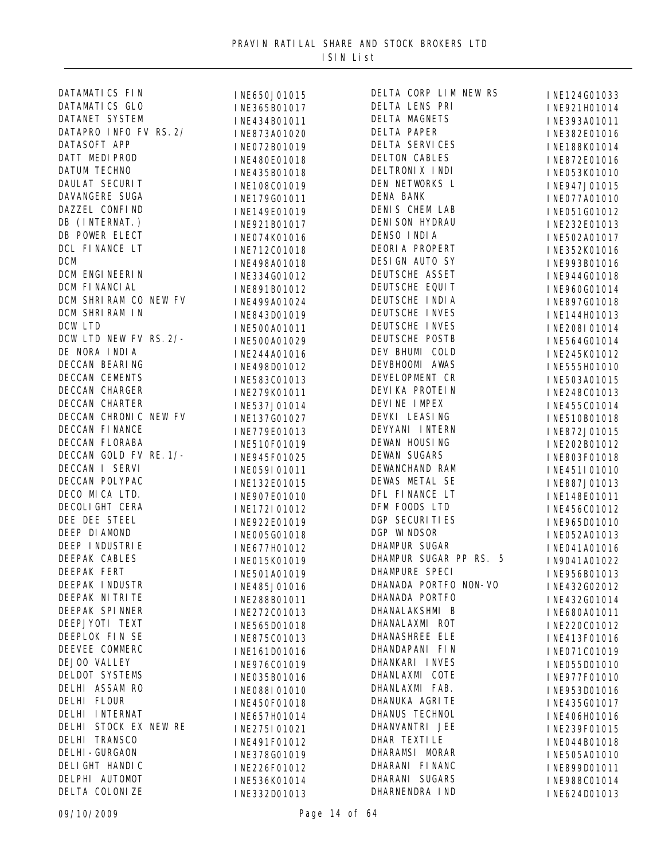| DATAMATICS FIN         | INE650J01015 | DELTA CORP LIM NEW RS  | INE124G01033 |
|------------------------|--------------|------------------------|--------------|
| DATAMATICS GLO         | INE365B01017 | DELTA LENS PRI         | INE921H01014 |
| DATANET SYSTEM         | INE434B01011 | DELTA MAGNETS          | INE393A01011 |
| DATAPRO INFO FV RS. 2/ | INE873A01020 | <b>DELTA PAPER</b>     | INE382E01016 |
| DATASOFT APP           | INE072B01019 | DELTA SERVICES         | INE188K01014 |
| DATT MEDIPROD          | INE480E01018 | <b>DELTON CABLES</b>   | INE872E01016 |
| <b>DATUM TECHNO</b>    | INE435B01018 | DELTRONIX INDI         | INE053K01010 |
| DAULAT SECURIT         | INE108C01019 | DEN NETWORKS L         | INE947J01015 |
| DAVANGERE SUGA         | INE179G01011 | DENA BANK              | INE077A01010 |
| DAZZEL CONFIND         | INE149E01019 | DENIS CHEM LAB         | INE051G01012 |
| DB (INTERNAT.)         | INE921B01017 | DENI SON HYDRAU        | INE232E01013 |
| DB POWER ELECT         | INE074K01016 | DENSO INDIA            | INE502A01017 |
| DCL FINANCE LT         | INE712C01018 | DEORIA PROPERT         | INE352K01016 |
| <b>DCM</b>             | INE498A01018 | DESIGN AUTO SY         | INE993B01016 |
| DCM ENGI NEERI N       |              | DEUTSCHE ASSET         |              |
| DCM FINANCIAL          | INE334G01012 | DEUTSCHE EQUIT         | INE944G01018 |
| DCM SHRIRAM CO NEW FV  | INE891B01012 | DEUTSCHE INDIA         | INE960G01014 |
| DCM SHRIRAM IN         | INE499A01024 | DEUTSCHE INVES         | INE897G01018 |
| DCW LTD                | INE843D01019 | DEUTSCHE INVES         | INE144H01013 |
| DCW LTD NEW FV RS. 2/- | INE500A01011 | DEUTSCHE POSTB         | INE208I01014 |
| DE NORA INDIA          | INE500A01029 | DEV BHUMI COLD         | INE564G01014 |
|                        | INE244A01016 | DEVBHOOMI AWAS         | INE245K01012 |
| DECCAN BEARING         | INE498D01012 |                        | INE555H01010 |
| DECCAN CEMENTS         | INE583C01013 | DEVELOPMENT CR         | INE503A01015 |
| DECCAN CHARGER         | INE279K01011 | DEVI KA PROTEI N       | INE248C01013 |
| DECCAN CHARTER         | INE537J01014 | DEVINE IMPEX           | INE455C01014 |
| DECCAN CHRONIC NEW FV  | INE137G01027 | DEVKI LEASING          | INE510B01018 |
| DECCAN FINANCE         | INE779E01013 | DEVYANI INTERN         | INE872J01015 |
| DECCAN FLORABA         | INE510F01019 | DEWAN HOUSING          | INE202B01012 |
| DECCAN GOLD FV RE. 1/- | INE945F01025 | <b>DEWAN SUGARS</b>    | INE803F01018 |
| DECCAN I SERVI         | INE059I01011 | DEWANCHAND RAM         | INE451I01010 |
| DECCAN POLYPAC         | INE132E01015 | DEWAS METAL SE         | INE887J01013 |
| DECO MICA LTD.         | INE907E01010 | DFL FINANCE LT         | INE148E01011 |
| DECOLI GHT CERA        | INE172I01012 | DFM FOODS LTD          | INE456C01012 |
| DEE DEE STEEL          | INE922E01019 | <b>DGP SECURITIES</b>  | INE965D01010 |
| DEEP DI AMOND          | INE005G01018 | DGP WINDSOR            | INE052A01013 |
| DEEP I NDUSTRI E       | INE677H01012 | DHAMPUR SUGAR          | INE041A01016 |
| DEEPAK CABLES          | INE015K01019 | DHAMPUR SUGAR PP RS. 5 | IN9041A01022 |
| DEEPAK FERT            | INE501A01019 | DHAMPURE SPECI         | INE956B01013 |
| DEEPAK INDUSTR         | INE485J01016 | DHANADA PORTFO NON-VO  | INE432G02012 |
| DEEPAK NI TRI TE       | INE288B01011 | DHANADA PORTFO         | INE432G01014 |
| DEEPAK SPINNER         | INE272C01013 | DHANALAKSHMI B         | INE680A01011 |
| DEEPJYOTI TEXT         | INE565D01018 | DHANALAXMI ROT         | INE220C01012 |
| DEEPLOK FIN SE         | INE875C01013 | DHANASHREE ELE         | INE413F01016 |
| DEEVEE COMMERC         | INE161D01016 | DHANDAPANI FIN         | INE071C01019 |
| DEJOO VALLEY           |              | DHANKARI INVES         |              |
| DELDOT SYSTEMS         | INE976C01019 | DHANLAXMI COTE         | INE055D01010 |
| DELHI ASSAM RO         | INE035B01016 | DHANLAXMI FAB.         | INE977F01010 |
| DELHI FLOUR            | INE088I01010 | DHANUKA AGRI TE        | INE953D01016 |
|                        | INE450F01018 |                        | INE435G01017 |
| DELHI INTERNAT         | INE657H01014 | DHANUS TECHNOL         | INE406H01016 |
| DELHI STOCK EX NEW RE  | INE275I01021 | DHANVANTRI JEE         | INE239F01015 |
| DELHI TRANSCO          | INE491F01012 | DHAR TEXTILE           | INE044B01018 |
| <b>DELHI-GURGAON</b>   | INE378G01019 | DHARAMSI MORAR         | INE505A01010 |
| DELI GHT HANDI C       | INE226F01012 | DHARANI FI NANC        | INE899D01011 |
| DELPHI AUTOMOT         | INE536K01014 | DHARANI SUGARS         | INE988C01014 |
| DELTA COLONIZE         | INE332D01013 | DHARNENDRA IND         | INE624D01013 |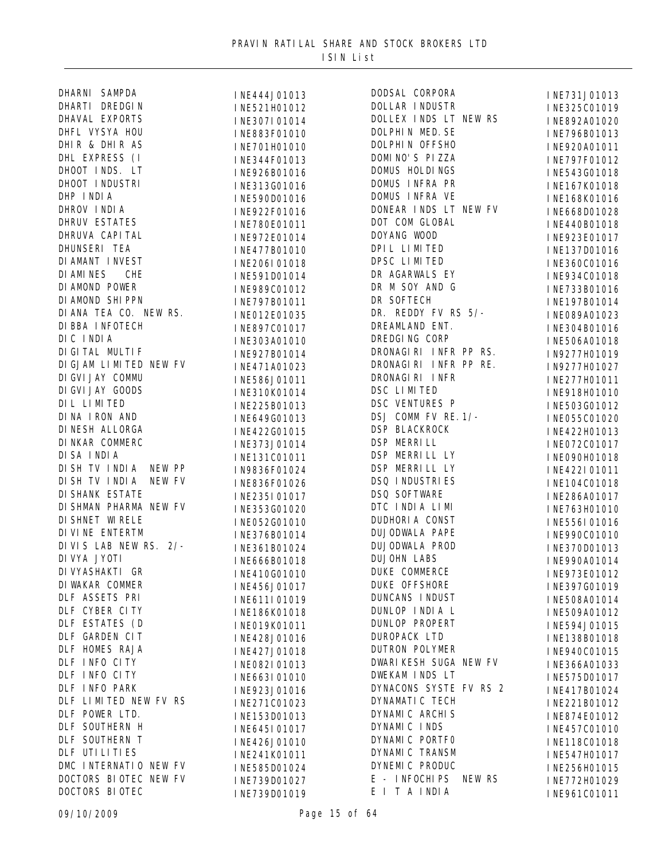|                                                                                                                                                                                                                                                                                |                                                                                               | DODSAL CO         |
|--------------------------------------------------------------------------------------------------------------------------------------------------------------------------------------------------------------------------------------------------------------------------------|-----------------------------------------------------------------------------------------------|-------------------|
|                                                                                                                                                                                                                                                                                |                                                                                               | DOLLAR IN         |
| DHARNI SAMPDA<br>DHARTI DREDGIN<br>DHAVAL EXPORTS<br>DHFL VYSYA HOU<br>DHIR & DHIR AS<br>DHL EXPRESS (I<br>DHOOT INDS. LT<br>DHOOT INDUSTRI<br>DHP INDIA<br>DHROV INDIA<br>DHROV INDIA<br>DHROV INDIA<br>DHROV INDIA<br>DHROV INDIA<br>DHROV INDIA<br>DHROV INDIA<br>DHROV IND | <b>I NE444J01013<br/>I NE521H01012<br/>I NE307I 01014<br/>I NE883F01010<br/>I NE701H01010</b> | DOLLEX IN         |
|                                                                                                                                                                                                                                                                                |                                                                                               | DOLPHIN N         |
|                                                                                                                                                                                                                                                                                |                                                                                               | DOLPHIN 0         |
|                                                                                                                                                                                                                                                                                | INE344F01013                                                                                  | DOMI NO'S         |
|                                                                                                                                                                                                                                                                                | INE926B01016                                                                                  | DOMUS HOI         |
|                                                                                                                                                                                                                                                                                | INE313G01016                                                                                  | DOMUS INF         |
|                                                                                                                                                                                                                                                                                | INE590D01016                                                                                  | DOMUS INF         |
|                                                                                                                                                                                                                                                                                | INE922F01016                                                                                  | DONEAR IN         |
|                                                                                                                                                                                                                                                                                | INE780E01011                                                                                  | DOT COM O         |
|                                                                                                                                                                                                                                                                                | INE972E01014                                                                                  | DOYANG WO         |
|                                                                                                                                                                                                                                                                                | INE477B01010                                                                                  | DPIL LIMI         |
|                                                                                                                                                                                                                                                                                | INE206I01018                                                                                  | DPSC LIMI         |
|                                                                                                                                                                                                                                                                                | INE591D01014                                                                                  | DR AGARWA         |
|                                                                                                                                                                                                                                                                                | INE989C01012                                                                                  | DR M SOY          |
|                                                                                                                                                                                                                                                                                | INE797B01011                                                                                  | DR SOFTEO         |
|                                                                                                                                                                                                                                                                                | INE012E01035                                                                                  | DR. REDDY         |
|                                                                                                                                                                                                                                                                                | INE897C01017                                                                                  | <b>DREAMLANI</b>  |
| DI BBA I NFOTECH<br>DI CINDIA<br>DI GI TAL MULTIF                                                                                                                                                                                                                              | INE303A01010                                                                                  | DREDGI NG         |
|                                                                                                                                                                                                                                                                                | INE927B01014                                                                                  | <b>DRONAGI RI</b> |
| DI GJAM LI MI TED NEW FV                                                                                                                                                                                                                                                       | INE471A01023                                                                                  | <b>DRONAGI RI</b> |
|                                                                                                                                                                                                                                                                                | INE586J01011                                                                                  | <b>DRONAGI RI</b> |
|                                                                                                                                                                                                                                                                                | INE310K01014                                                                                  | DSC LIMIT         |
|                                                                                                                                                                                                                                                                                | INE225B01013                                                                                  | DSC VENTU         |
|                                                                                                                                                                                                                                                                                | INE649G01013                                                                                  | DSJ COMM          |
|                                                                                                                                                                                                                                                                                | INE422G01015                                                                                  | <b>DSP BLACK</b>  |
| DI GVI JAY COMMU<br>DI GVI JAY GOODS<br>DI L LI MI TED<br>DI NA I RON AND<br>DI NESH ALLORGA<br>DI NKAR COMMERC<br>DI SA I NDI A                                                                                                                                               | INE373J01014                                                                                  | <b>DSP MERRI</b>  |
|                                                                                                                                                                                                                                                                                | INE131C01011                                                                                  | <b>DSP MERRI</b>  |
| DISH TV INDIA NEW PP                                                                                                                                                                                                                                                           | IN9836F01024                                                                                  | <b>DSP MERRI</b>  |
| DISH TV INDIA NEW FV                                                                                                                                                                                                                                                           | INE836F01026                                                                                  | DSQ INDUS         |
| DI SHANK ESTATE                                                                                                                                                                                                                                                                | INE235I01017                                                                                  | DSQ SOFTV         |
| DI SHMAN PHARMA NEW FV                                                                                                                                                                                                                                                         | INE353G01020                                                                                  | DTC INDIA         |
|                                                                                                                                                                                                                                                                                | INE052G01010                                                                                  | <b>DUDHORI A</b>  |
| DI SHNET WI RELE<br>DI VI NE ENTERTM<br>DI VI S LAB NEW RS. 2/-                                                                                                                                                                                                                | INE376B01014                                                                                  | <b>DUJODWALA</b>  |
|                                                                                                                                                                                                                                                                                | INE361B01024                                                                                  | <b>DUJODWALA</b>  |
| DI VYA JYOTI                                                                                                                                                                                                                                                                   |                                                                                               | DUJOHN LA         |
| DI VYASHAKTI GR                                                                                                                                                                                                                                                                | I NE666B01018<br>I NE410G01010                                                                | DUKE COMM         |
| DI WAKAR COMMER                                                                                                                                                                                                                                                                |                                                                                               | DUKE OFFS         |
| DLF ASSETS PRI                                                                                                                                                                                                                                                                 | INE456J01017<br>INE611I01019                                                                  | <b>DUNCANS I</b>  |
| DLF CYBER CITY                                                                                                                                                                                                                                                                 |                                                                                               | DUNLOP IN         |
| DLF ESTATES (D                                                                                                                                                                                                                                                                 | INE186K01018<br>INE019K01011                                                                  | <b>DUNLOP PI</b>  |
| DLF GARDEN CIT                                                                                                                                                                                                                                                                 |                                                                                               | <b>DUROPACK</b>   |
| DLF HOMES RAJA                                                                                                                                                                                                                                                                 | INE428J01016                                                                                  | <b>DUTRON PO</b>  |
| DLF INFO CITY                                                                                                                                                                                                                                                                  | INE427J01018                                                                                  | <b>DWARI KESH</b> |
| DLF INFO CITY                                                                                                                                                                                                                                                                  | INE082I01013                                                                                  | <b>DWEKAM IN</b>  |
| DLF INFO PARK                                                                                                                                                                                                                                                                  | INE663I01010                                                                                  | <b>DYNACONS</b>   |
| DLF LIMITED NEW FV RS                                                                                                                                                                                                                                                          | INE923J01016                                                                                  | <b>DYNAMATI O</b> |
| DLF POWER LTD.                                                                                                                                                                                                                                                                 | INE271C01023                                                                                  | DYNAMI C /        |
|                                                                                                                                                                                                                                                                                | INE153D01013                                                                                  |                   |
| DLF SOUTHERN H                                                                                                                                                                                                                                                                 | INE645I01017                                                                                  | DYNAMIC I         |
| DLF SOUTHERN T                                                                                                                                                                                                                                                                 | INE426J01010                                                                                  | DYNAMIC F         |
| DLF UTI LI TI ES                                                                                                                                                                                                                                                               | INE241K01011                                                                                  | DYNAMIC 7         |
| DMC INTERNATIO NEW FV                                                                                                                                                                                                                                                          | INE585D01024                                                                                  | DYNEMIC F         |
| DOCTORS BIOTEC NEW FV                                                                                                                                                                                                                                                          | INE739D01027                                                                                  | E - INFOC         |
| DOCTORS BIOTEC                                                                                                                                                                                                                                                                 | INE739D01019                                                                                  | EI TAI            |

| 444J01013  | DODSAL CORPORA            |
|------------|---------------------------|
| 521H01012  | DOLLAR INDUSTR            |
| 307I01014  | DOLLEX INDS LT            |
| 883F01010  | DOLPHIN MED. SE           |
| 701H01010  | DOLPHIN OFFSHO            |
| 344F01013  | DOMINO'S PIZZA            |
| 926B01016  | DOMUS HOLDINGS            |
| 313G01016  | DOMUS INFRA PR            |
| 590D01016  | DOMUS INFRA VE            |
| 922F01016  | DONEAR INDS LT            |
| 780E01011  | DOT COM GLOBAL            |
| 972E01014  | DOYANG WOOD               |
| 477B01010  | DPIL LIMITED              |
| 206I01018  | DPSC LIMITED              |
| 591D01014  | DR AGARWALS EY            |
| 989C01012  | DR M SOY AND G            |
| 797B01011  | DR SOFTECH                |
| 012E01035  | DR. REDDY FV R            |
| 897C01017  | DREAMLAND ENT.            |
| 303A01010  | DREDGING CORP             |
| 927B01014  | DRONAGI RI INFR           |
| 2471A01023 | DRONAGI RI INFR           |
| 586J01011  | DRONAGI RI INFR           |
| 310K01014  | DSC LIMITED               |
| 225B01013  | DSC VENTURES P            |
| G49G01013  | DSJ COMM FV RE            |
| 422G01015  | DSP BLACKROCK             |
| 373J01014  | DSP MERRILL               |
| [131C01011 | DSP MERRILL LY            |
| 836F01024  | DSP MERRILL LY            |
| E836F01026 | DSQ INDUSTRIES            |
| 235101017  | DSQ SOFTWARE              |
| 353G01020  | DTC INDIA LIMI            |
| 052G01010  | DUDHORI A CONST           |
| 376B01014  | DUJODWALA PAPE            |
| 361B01024  | DUJODWALA PROD            |
| G66B01018  | <b>DUJOHN LABS</b>        |
| 410G01010  | DUKE COMMERCE             |
| £456J01017 | DUKE OFFSHORE             |
| 611101019  | DUNCANS INDUST            |
| 186K01018  | DUNLOP INDIA L            |
| CO19KO1011 | <b>DUNLOP PROPERT</b>     |
| 428J01016  | <b>DUROPACK LTD</b>       |
| 1427J01018 | <b>DUTRON POLYMER</b>     |
| 082101013  | <b>DWARI KESH SUGA</b>    |
| 01010 6631 | DWEKAM INDS LT            |
| 923J01016  | DYNACONS SYSTE            |
| 271C01023  | DYNAMATIC TECH            |
| 153D01013  | DYNAMI C ARCHIS           |
| 645101017  | DYNAMIC INDS              |
| 426J01010  | DYNAMI C PORTFO           |
| 241K01011  | DYNAMI C TRANSM           |
| 585D01024  | DYNEMIC PRODUC            |
|            | <b>I NFOCHI PS</b><br>E - |
| 739D01027  | ЕI<br>T A INDIA           |
| 739D01019  |                           |

| DODOAL COM OMA         | INE/31J01013 |
|------------------------|--------------|
| DOLLAR INDUSTR         | INE325C01019 |
| DOLLEX INDS LT NEW RS  | INE892A01020 |
| DOLPHIN MED. SE        | INE796B01013 |
| DOLPHIN OFFSHO         | INE920A01011 |
| DOMINO'S PIZZA         | INE797F01012 |
| <b>DOMUS HOLDINGS</b>  | INE543G01018 |
| DOMUS INFRA PR         | INE167K01018 |
| DOMUS INFRA VE         | INE168K01016 |
| DONEAR INDS LT NEW FV  |              |
| DOT COM GLOBAL         | INE668D01028 |
| DOYANG WOOD            | INE440B01018 |
| DPIL LIMITED           | INE923E01017 |
|                        | INE137D01016 |
| DPSC LIMITED           | INE360C01016 |
| DR AGARWALS EY         | INE934C01018 |
| DR M SOY AND G         | INE733B01016 |
| DR SOFTECH             | INE197B01014 |
| DR. REDDY FV RS 5/-    | INE089A01023 |
| DREAMLAND ENT.         | INE304B01016 |
| DREDGING CORP          | INE506A01018 |
| DRONAGIRI INFR PP RS.  | IN9277H01019 |
| DRONAGIRI INFR PP RE.  | IN9277H01027 |
| DRONAGI RI INFR        | INE277H01011 |
| DSC LIMITED            | INE918H01010 |
| DSC VENTURES P         | INE503G01012 |
| DSJ COMM FV RE. 1/-    | INE055C01020 |
| <b>DSP BLACKROCK</b>   | INE422H01013 |
| DSP MERRILL            | INE072C01017 |
| DSP MERRILL LY         | INE090H01018 |
| DSP MERRILL LY         | INE422I01011 |
| DSQ INDUSTRIES         | INE104C01018 |
| DSQ SOFTWARE           | INE286A01017 |
| DTC INDIA LIMI         | INE763H01010 |
| <b>DUDHORIA CONST</b>  | INE556I01016 |
| DUJODWALA PAPE         |              |
| DUJODWALA PROD         | INE990C01010 |
| <b>DUJOHN LABS</b>     | INE370D01013 |
| <b>DUKE COMMERCE</b>   | INE990A01014 |
| <b>DUKE OFFSHORE</b>   | INE973E01012 |
|                        | INE397G01019 |
| DUNCANS INDUST         | INE508A01014 |
| DUNLOP INDIA L         | INE509A01012 |
| <b>DUNLOP PROPERT</b>  | INE594J01015 |
| DUROPACK LTD           | INE138B01018 |
| <b>DUTRON POLYMER</b>  | INE940C01015 |
| DWARI KESH SUGA NEW FV | INE366A01033 |
| DWEKAM INDS LT         | INE575D01017 |
| DYNACONS SYSTE FV RS 2 | INE417B01024 |
| DYNAMATIC TECH         | INE221B01012 |
| DYNAMI C ARCHIS        | INE874E01012 |
| DYNAMIC INDS           | INE457C01010 |
| DYNAMIC PORTFO         | INE118C01018 |
| DYNAMI C TRANSM        | INE547H01017 |
| DYNEMIC PRODUC         | INE256H01015 |
| E - INFOCHIPS NEW RS   | INE772H01029 |
| EI TAINDIA             | TRO01CO1011  |

INE731J01013 **INE772H01029** I NE961C01011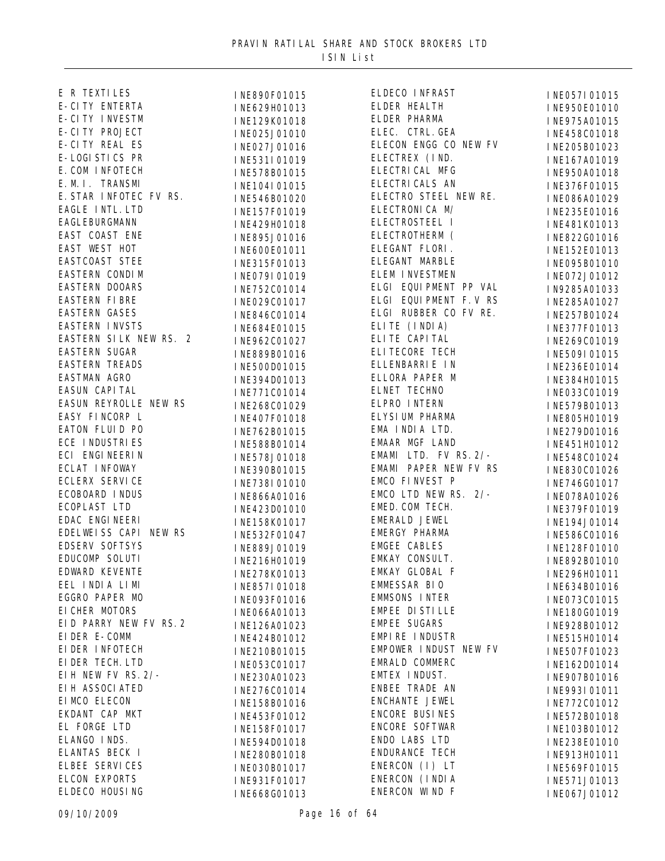| E R TEXTILES                                     | INE890F01015   | ELDECO INFRAST                          |
|--------------------------------------------------|----------------|-----------------------------------------|
| E-CITY ENTERTA                                   | INE629H01013   | ELDER HEALTH                            |
| E-CITY INVESTM                                   | INE129K01018   | ELDER PHARMA                            |
| E-CITY PROJECT                                   | INE025J01010   | ELEC. CTRL. GEA                         |
| E-CITY REAL ES                                   | INE027J01016   | ELECON ENGG CO NEW I                    |
| E-LOGI STICS PR                                  | INE531I01019   | ELECTREX (IND.                          |
| E. COM INFOTECH                                  | INE578B01015   | ELECTRICAL MFG                          |
| E. M. I. TRANSMI                                 | INE104I01015   | ELECTRI CALS AN                         |
| E. STAR INFOTEC FV RS.                           | INE546B01020   | ELECTRO STEEL NEW RI                    |
| EAGLE INTL. LTD                                  | INE157F01019   | ELECTRONICA M/                          |
| EAGLEBURGMANN                                    | INE429H01018   | ELECTROSTEEL I                          |
| EAST COAST ENE                                   | INE895J01016   | ELECTROTHERM (                          |
| EAST WEST HOT                                    | INE600E01011   | ELEGANT FLORI.                          |
| EASTCOAST STEE                                   | INE315F01013   | ELEGANT MARBLE                          |
| EASTERN CONDIM                                   | I NE079I 01019 | ELEM INVESTMEN                          |
| EASTERN DOOARS                                   | INE752C01014   | ELGI EQUIPMENT PP V/                    |
| EASTERN FIBRE                                    | INE029C01017   | ELGI EQUIPMENT F.V I                    |
| EASTERN GASES                                    | INE846C01014   | ELGI RUBBER CO FV RI                    |
| EASTERN INVSTS                                   | INE684E01015   | ELITE (INDIA)                           |
| EASTERN SILK NEW RS. 2                           | INE962C01027   | ELITE CAPITAL                           |
| EASTERN SUGAR                                    | INE889B01016   | ELI TECORE TECH                         |
|                                                  |                | ELLENBARRIE IN                          |
| EASTERN TREADS<br>EASTMAN AGRO<br>EASUN CAPI TAL | I NE500D01015  | ELLORA PAPER M                          |
|                                                  | INE394D01013   | ELNET TECHNO                            |
| EASUN REYROLLE NEW RS                            | INE771C01014   | ELPRO INTERN                            |
| EASY FINCORP L                                   | INE268C01029   | ELYSI UM PHARMA                         |
| EATON FLUID PO                                   | INE407F01018   | EMA INDIA LTD.                          |
| ECE INDUSTRIES                                   | INE762B01015   | EMAAR MGF LAND                          |
| ECI ENGINEERIN                                   | INE588B01014   | EMAMI LTD. FV RS. 2/-                   |
| ECLAT INFOWAY                                    | INE578J01018   | EMAMI PAPER NEW FV I                    |
| <b>ECLERX SERVICE</b>                            | INE390B01015   | EMCO FINVEST P                          |
| ECOBOARD INDUS                                   | INE738I01010   | EMCO LTD NEW RS. 2/-                    |
|                                                  | INE866A01016   | EMED. COM TECH.                         |
| ECOPLAST LTD<br>EDAC ENGI NEERI                  | INE423D01010   | EMERALD JEWEL                           |
| EDELWEISS CAPI NEW RS                            | INE158K01017   | EMERGY PHARMA                           |
| <b>EDSERV SOFTSYS</b>                            | INE532F01047   | <b>EMGEE CABLES</b>                     |
| EDUCOMP SOLUTI                                   | INE889J01019   | EMKAY CONSULT.                          |
| EDWARD KEVENTE                                   | INE216H01019   | EMKAY GLOBAL F                          |
|                                                  | INE278K01013   | EMMESSAR BIO                            |
| EEL INDIA LIMI<br>EGGRO PAPER MO                 | INE857I01018   | <b>EMMSONS INTER</b>                    |
|                                                  | INE093F01016   |                                         |
| EI CHER MOTORS<br>EID PARRY NEW FV RS. 2         | INE066A01013   | EMPEE DI STI LLE<br><b>EMPEE SUGARS</b> |
| EI DER E-COMM                                    | INE126A01023   |                                         |
|                                                  | INE424B01012   | EMPIRE INDUSTR                          |
| EI DER INFOTECH                                  | INE210B01015   | EMPOWER INDUST NEW I                    |
| EI DER TECH. LTD                                 | INE053C01017   | EMRALD COMMERC                          |
| EI H NEW FV RS. 2/-                              | INE230A01023   | EMTEX INDUST.                           |
| EI H ASSOCI ATED                                 | INE276C01014   | ENBEE TRADE AN                          |
| EI MCO ELECON                                    | INE158B01016   | ENCHANTE JEWEL                          |
| EKDANT CAP MKT                                   | INE453F01012   | <b>ENCORE BUSINES</b>                   |
| EL FORGE LTD                                     | INE158F01017   | ENCORE SOFTWAR                          |
| ELANGO INDS.                                     | INE594D01018   | ENDO LABS LTD                           |
| ELANTAS BECK I                                   | INE280B01018   | ENDURANCE TECH                          |
| <b>ELBEE SERVICES</b>                            | INE030B01017   | ENERCON (I) LT                          |
| ELCON EXPORTS                                    | INE931F01017   | ENERCON (INDIA                          |
| ELDECO HOUSING                                   | INE668G01013   | ENERCON WIND F                          |

**INE057I01015** INE950E01010 INE975A01015 ELECTRIC THE THE TREAD INF 205 ROLL 23 INE205B01023 INE167A01019 INE950A01018 E.<br>E. INE086401029 INE086A01029 INE235E01016 ELECTROSTEEL I INE481K01013 INE822G01016 INE152E01013 INE095B01010 ENE072J01012<br>ENE072J01033 ELGI EQUIPMENT PP VAL IN9285A01033 ELGI EQUIPMENT F.V RS INE285A01027 INE257B01024 INE377F01013 INE269C01019 INE509I01015 INE236E01014 INE384H01015 INE033C01019 INE579B01013 INE805H01019 INE279D01016 INE451H01012 - INE548C01024<br>RS. INE830C01026 INE830C01026 INE746G01017 - INE078A01026 INE379F01019 INE194J01014 INE586C01016 INE128F01010 INE892B01010 INE296H01011 INE634B01016 INE073C01015 INE180G01019 INE928B01012 EMPHRES15H01014<br>EMPERICIOS INE507F01023 INE162D01014 **INE907B01016** INE993I01011 INE772C01012 INE572B01018 INE103B01012 INE238E01010 INE913H01011 INE569F01015 INE571J01013 INE067J01012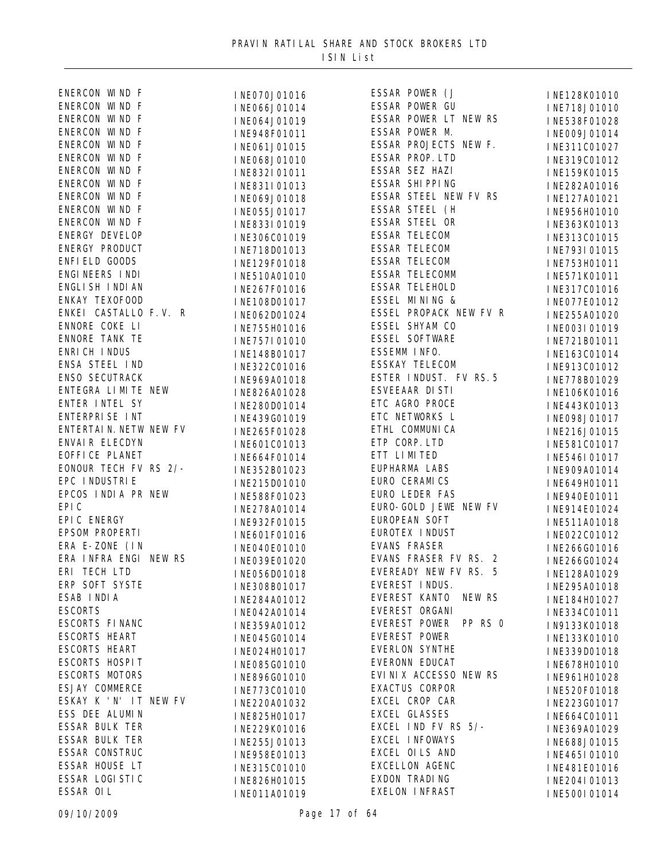| ENERCON WIND F                                                                                                                          | INE070J01016                                                                                                     | <b>ESSAR POW</b>         |
|-----------------------------------------------------------------------------------------------------------------------------------------|------------------------------------------------------------------------------------------------------------------|--------------------------|
| ENERCON WIND F                                                                                                                          | THEORODOLOGY<br>INEO64J01019<br>INEO64J01019<br>INE948F01011<br>ESSAR POW<br>ESSAR POW<br>ESSAR POW<br>ESSAR POW |                          |
| ENERCON WIND F                                                                                                                          |                                                                                                                  |                          |
| ENERCON WIND F                                                                                                                          |                                                                                                                  |                          |
| ENERCON WIND F                                                                                                                          | INE061J01015 ESSAR PRO                                                                                           |                          |
| ENERCON WIND F                                                                                                                          | INE068J01010 ESSAR PRO                                                                                           |                          |
| ENERCON WIND F                                                                                                                          | INE832I01011 ESSAR SEZ                                                                                           |                          |
| ENERCON WIND F                                                                                                                          | INE831I01013 ESSAR SHI                                                                                           |                          |
| ENERCON WIND F                                                                                                                          | INE069J01018 ESSAR STI                                                                                           |                          |
| ENERCON WIND F                                                                                                                          | INE055J01017 ESSAR STI                                                                                           |                          |
| ENERCON WIND F                                                                                                                          | INE833I01019                                                                                                     | <b>ESSAR STE</b>         |
| ENERGY DEVELOP                                                                                                                          | INE306C01019                                                                                                     | <b>ESSAR TEI</b>         |
| ENERGY PRODUCT                                                                                                                          | INE718D01013 ESSAR TEI                                                                                           |                          |
| ENFI ELD GOODS                                                                                                                          | INE129F01018 ESSAR TEI                                                                                           |                          |
| ENGINEERS INDI                                                                                                                          | INE510A01010 ESSAR TEI                                                                                           |                          |
| ENGLI SH I NDI AN                                                                                                                       | INE267F01016 ESSAR TEI                                                                                           |                          |
| ENKAY TEXOFOOD                                                                                                                          | INE108D01017 ESSEL MIN                                                                                           |                          |
| ENKEI CASTALLO F.V. R                                                                                                                   | INE062D01024 ESSEL PRO                                                                                           |                          |
|                                                                                                                                         | INE755H01016 ESSEL SHY                                                                                           |                          |
|                                                                                                                                         | INE757I01010 ESSEL S0I                                                                                           |                          |
|                                                                                                                                         | INE148B01017 ESSEMM IN                                                                                           |                          |
| ENNORE COKE LI<br>ENNORE TANK TE<br>ENRI CH I NDUS<br>ENSA STEEL I ND<br>ENSO SECUTRACK<br>ENTEGRA LI MI TE NEW<br>ENTEGRA LI MI TE NEW | INE322C01016 ESSKAY TI                                                                                           |                          |
|                                                                                                                                         | INE969A01018 ESTER INI                                                                                           |                          |
|                                                                                                                                         | INE826A01028 ESVEEAAR                                                                                            |                          |
| ENTER INTEL SY                                                                                                                          | INE280D01014 ETC AGRO                                                                                            |                          |
| ENTERPRISE INT                                                                                                                          | INE439G01019 ETC NETWO                                                                                           |                          |
| ENTERTAIN. NETW NEW FV                                                                                                                  | INE265F01028 ETHL COM                                                                                            |                          |
| ENVAIR ELECDYN                                                                                                                          | INE601C01013 ETP CORP.                                                                                           |                          |
|                                                                                                                                         | INE664F01014 ETT LIMIT                                                                                           |                          |
| EOFFICE PLANET<br>EONOUR TECH FV RS 2/-                                                                                                 | INE352B01023                                                                                                     | EUPHARMA                 |
|                                                                                                                                         |                                                                                                                  | EURO CERA                |
| EPC INDUSTRIE<br>EPCOS INDIA PR NEW                                                                                                     | INE215D01010<br>INE588F01023                                                                                     | EURO LEDI                |
| EPI C                                                                                                                                   |                                                                                                                  | EURO- GOLI               |
| EPIC<br>EPIC ENERGY<br>EPSOM PROPERTI<br>ERA E-ZONE (IN                                                                                 | INE278A01014                                                                                                     | EUROPEAN                 |
|                                                                                                                                         | INE932F01015                                                                                                     | EUROTEX I                |
|                                                                                                                                         | INE601F01016                                                                                                     | EVANS FRA                |
| ERA INFRA ENGI NEW RS                                                                                                                   | INE040E01010                                                                                                     | EVANS FRA                |
| ERI TECH LTD                                                                                                                            | INE039E01020                                                                                                     | <b>EVEREADY</b>          |
| ERP SOFT SYSTE                                                                                                                          | INE056D01018                                                                                                     | EVEREST I                |
| ESAB INDIA                                                                                                                              | INE308B01017                                                                                                     | EVEREST <b>F</b>         |
| <b>ESCORTS</b>                                                                                                                          | INE284A01012                                                                                                     | EVEREST (                |
| ESCORTS FINANC                                                                                                                          | INE042A01014                                                                                                     | <b>EVEREST I</b>         |
| ESCORTS HEART                                                                                                                           | INE359A01012                                                                                                     | <b>EVEREST I</b>         |
| ESCORTS HEART                                                                                                                           | INE045G01014                                                                                                     | <b>EVERLON S</b>         |
| ESCORTS HOSPIT                                                                                                                          | INE024H01017                                                                                                     |                          |
| ESCORTS MOTORS                                                                                                                          | INE085G01010                                                                                                     | EVERONN H<br>EVI NI X AO |
| ESJAY COMMERCE                                                                                                                          | INE896G01010                                                                                                     | EXACTUS O                |
|                                                                                                                                         | INE773C01010                                                                                                     |                          |
| ESKAY K 'N' IT NEW FV                                                                                                                   | INE220A01032                                                                                                     | EXCEL CRO                |
| ESS DEE ALUMIN                                                                                                                          | INE825H01017                                                                                                     | EXCEL GLA                |
| ESSAR BULK TER                                                                                                                          | INE229K01016                                                                                                     | EXCEL INI                |
| ESSAR BULK TER                                                                                                                          | INE255J01013                                                                                                     | EXCEL INF                |
| ESSAR CONSTRUC                                                                                                                          | INE958E01013                                                                                                     | EXCEL OI I               |
| ESSAR HOUSE LT                                                                                                                          | INE315C01010                                                                                                     | <b>EXCELLON</b>          |
| ESSAR LOGI STI C                                                                                                                        | INE826H01015                                                                                                     | EXDON TRA                |
| ESSAR OIL                                                                                                                               | INFA11101010                                                                                                     | EXELON IN                |

| INE070J01016  | ESSAR POWER (J                 |
|---------------|--------------------------------|
| INE066J01014  | ESSAR POWER GU                 |
| INE064J01019  | ESSAR POWER LT NEW RS          |
| INE948F01011  | ESSAR POWER M.                 |
| INE061J01015  | ESSAR PROJECTS NEW F.          |
| INE068J01010  | ESSAR PROP. LTD                |
| INE832I01011  | ESSAR SEZ HAZI                 |
| INE831I01013  | ESSAR SHIPPING                 |
| INE069J01018  | ESSAR STEEL NEW FV RS          |
| INE055J01017  | ESSAR STEEL (H                 |
| INE833I01019  | ESSAR STEEL OR                 |
| INE306C01019  | <b>ESSAR TELECOM</b>           |
| INE718D01013  | <b>ESSAR TELECOM</b>           |
| INE129F01018  | ESSAR TELECOM                  |
| INE510A01010  | ESSAR TELECOMM                 |
| INE267F01016  | ESSAR TELEHOLD                 |
| INE108D01017  | ESSEL MINING &                 |
| INE062D01024  | ESSEL PROPACK NEW FV R         |
| INE755H01016  | ESSEL SHYAM CO                 |
| INE757I01010  | <b>ESSEL SOFTWARE</b>          |
| INE148B01017  | ESSEMM INFO.                   |
| INE322C01016  | ESSKAY TELECOM                 |
| INE969A01018  | ESTER INDUST. FV RS. 5         |
| INE826A01028  | <b>ESVEEAAR DI STI</b>         |
| INE280D01014  | ETC AGRO PROCE                 |
| INE439G01019  | ETC NETWORKS L                 |
| INE265F01028  | ETHL COMMUNICA                 |
| INE601C01013  | ETP CORP. LTD                  |
| INE664F01014  | ETT LIMITED                    |
| INE352B01023  | EUPHARMA LABS                  |
| INE215D01010  | EURO CERAMICS                  |
| INE588F01023  | EURO LEDER FAS                 |
| INE278A01014  | EURO-GOLD JEWE NEW FV          |
| INE932F01015  | EUROPEAN SOFT                  |
| INE601F01016  | EUROTEX INDUST                 |
| I NE040E01010 | <b>EVANS FRASER</b>            |
| INE039E01020  | EVANS FRASER FV RS.<br>2       |
| INE056D01018  | EVEREADY NEW FV RS.<br>5       |
| INE308B01017  | EVEREST INDUS.                 |
| INE284A01012  | EVEREST KANTO<br><b>NEW RS</b> |
| INE042A01014  | EVEREST ORGANI                 |
| INE359A01012  | EVEREST POWER<br>PP RS 0       |
| INE045G01014  | <b>EVEREST POWER</b>           |
| INE024H01017  | <b>EVERLON SYNTHE</b>          |
| INE085G01010  | EVERONN EDUCAT                 |
| INE896G01010  | EVINIX ACCESSO NEW RS          |
| INE773C01010  | <b>EXACTUS CORPOR</b>          |
| INE220A01032  | EXCEL CROP CAR                 |
| INE825H01017  | <b>EXCEL GLASSES</b>           |
| INE229K01016  | EXCEL IND FV RS 5/-            |
| INE255J01013  | EXCEL INFOWAYS                 |
| INE958E01013  | EXCEL OILS AND                 |
| INE315C01010  | EXCELLON AGENC                 |
| INE826H01015  | EXDON TRADING                  |
| INE011A01019  | <b>EXELON INFRAST</b>          |
|               |                                |

ESSAR POWER (J INE128K01010 INE718J01010 INE538F01028 ESSAR POWER M. INE009J01014 INE311C01027 INE319C01012 INE159K01015 INE282A01016 INE127A01021 INE956H01010 INE363K01013 INE313C01015 INE793I01015 INE753H01011 INE571K01011 INE317C01016 INE077E01012 INE255A01020 **INE003I01019** INE721B01011 INE163C01014 INE913C01012 INE778B01029 **INE106K01016** INE443K01013 INE098J01017 INE216J01015 INE581C01017 INE546I01017 INE909A01014 INE649H01011 INE940E01011 INE914E01024 INE511A01018 INE022C01012 INE266G01016 INE266G01024 INE128A01029 INE295A01018 INE184H01027 INE334C01011 IN9133K01018 INE133K01010 INE339D01018 INE678H01010 INE961H01028 INE520F01018 INE223G01017 INE664C01011 INE369A01029 INE688J01015 INE465I01010 INE481E01016 **INE204I01013** INE500I01014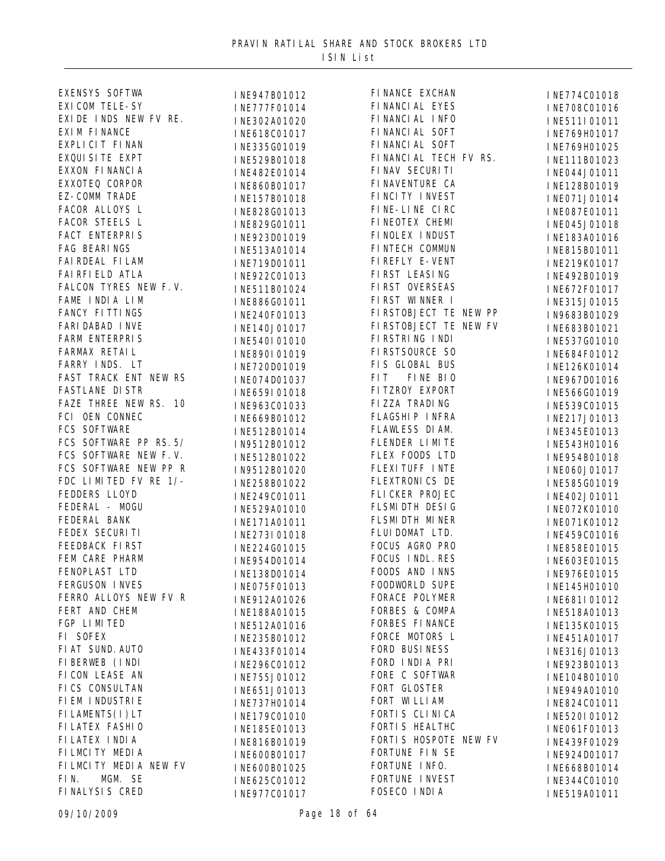| EXENSYS SOFTWA          | INE947B01012 | FI NANCE EXCHAN       | INE774C01018 |
|-------------------------|--------------|-----------------------|--------------|
| <b>EXI COM TELE-SY</b>  | INE777F01014 | FI NANCI AL EYES      | INE708C01016 |
| EXIDE INDS NEW FV RE.   | INE302A01020 | FI NANCI AL INFO      | INE511I01011 |
| EXI M FI NANCE          | INE618C01017 | FI NANCI AL SOFT      | INE769H01017 |
| EXPLICIT FINAN          | INE335G01019 | FI NANCI AL SOFT      | INE769H01025 |
| EXQUI SI TE EXPT        | INE529B01018 | FINANCIAL TECH FV RS. | INE111B01023 |
| EXXON FI NANCI A        | INE482E01014 | FINAV SECURITI        | INE044J01011 |
| EXXOTEQ CORPOR          | INE860B01017 | FI NAVENTURE CA       | INE128B01019 |
| EZ-COMM TRADE           | INE157B01018 | FINCITY INVEST        | INE071J01014 |
| FACOR ALLOYS L          | INE828G01013 | FINE-LINE CIRC        | INE087E01011 |
| FACOR STEELS L          | INE829G01011 | FINEOTEX CHEMI        | INE045J01018 |
| FACT ENTERPRIS          | INE923D01019 | FINOLEX INDUST        | INE183A01016 |
| FAG BEARINGS            | INE513A01014 | FINTECH COMMUN        | INE815B01011 |
| FAI RDEAL FI LAM        | INE719D01011 | FI REFLY E-VENT       |              |
| FAI RFI ELD ATLA        |              | FIRST LEASING         | INE219K01017 |
| FALCON TYRES NEW F.V.   | INE922C01013 | FIRST OVERSEAS        | INE492B01019 |
| FAME INDIA LIM          | INE511B01024 | FIRST WINNER I        | INE672F01017 |
| FANCY FITTINGS          | INE886G01011 | FIRSTOBJECT TE NEW PP | INE315J01015 |
| <b>FARI DABAD I NVE</b> | INE240F01013 | FIRSTOBJECT TE NEW FV | IN9683B01029 |
|                         | INE140J01017 | FI RSTRI NG I NDI     | INE683B01021 |
| FARM ENTERPRIS          | INE540I01010 |                       | INE537G01010 |
| FARMAX RETAIL           | INE890I01019 | FI RSTSOURCE SO       | INE684F01012 |
| FARRY INDS. LT          | INE720D01019 | FIS GLOBAL BUS        | INE126K01014 |
| FAST TRACK ENT NEW RS   | INE074D01037 | FI T<br>FINE BIO      | INE967D01016 |
| <b>FASTLANE DI STR</b>  | INE659I01018 | FITZROY EXPORT        | INE566G01019 |
| FAZE THREE NEW RS. 10   | INE963C01033 | FIZZA TRADING         | INE539C01015 |
| FCI OEN CONNEC          | INE669B01012 | FLAGSHIP INFRA        | INE217J01013 |
| FCS SOFTWARE            | INE512B01014 | FLAWLESS DI AM.       | INE345E01013 |
| FCS SOFTWARE PP RS. 5/  | IN9512B01012 | FLENDER LIMITE        | INE543H01016 |
| FCS SOFTWARE NEW F.V.   | INE512B01022 | FLEX FOODS LTD        | INE954B01018 |
| FCS SOFTWARE NEW PP R   | IN9512B01020 | FLEXI TUFF INTE       | INE060J01017 |
| FDC LIMITED FV RE 1/-   | INE258B01022 | FLEXTRONICS DE        | INE585G01019 |
| FEDDERS LLOYD           | INE249C01011 | FLICKER PROJEC        | INE402J01011 |
| FEDERAL - MOGU          | INE529A01010 | FLSMI DTH DESIG       | INE072K01010 |
| FEDERAL BANK            | INE171A01011 | FLSMI DTH MINER       | INE071K01012 |
| FEDEX SECURITI          | INE273I01018 | FLUI DOMAT LTD.       | INE459C01016 |
| FEEDBACK FIRST          | INE224G01015 | FOCUS AGRO PRO        | INE858E01015 |
| FEM CARE PHARM          | INE954D01014 | FOCUS INDL. RES       | INE603E01015 |
| FENOPLAST LTD           | INE138D01014 | FOODS AND INNS        | INE976E01015 |
| FERGUSON INVES          | INE075F01013 | <b>FOODWORLD SUPE</b> | INE145H01010 |
| FERRO ALLOYS NEW FV R   | INE912A01026 | FORACE POLYMER        | INE681I01012 |
| FERT AND CHEM           | INE188A01015 | FORBES & COMPA        | INE518A01013 |
| FGP LIMITED             | INE512A01016 | FORBES FINANCE        | INE135K01015 |
| FI SOFEX                | INE235B01012 | FORCE MOTORS L        | INE451A01017 |
| FI AT SUND. AUTO        | INE433F01014 | FORD BUSINESS         | INE316J01013 |
| FI BERWEB (INDI         | INE296C01012 | FORD INDIA PRI        | INE923B01013 |
| FICON LEASE AN          | INE755J01012 | FORE C SOFTWAR        | INE104B01010 |
| FICS CONSULTAN          |              | FORT GLOSTER          |              |
| FI EM I NDUSTRI E       | INE651J01013 | FORT WILLIAM          | INE949A01010 |
| FILAMENTS(I)LT          | INE737H01014 | FORTI S CLI NI CA     | INE824C01011 |
| FI LATEX FASHI O        | INE179C01010 | FORTI S HEALTHC       | INE520I01012 |
| FI LATEX I NDI A        | INE185E01013 | FORTIS HOSPOTE NEW FV | INE061F01013 |
| FILMCITY MEDIA          | INE816B01019 | FORTUNE FIN SE        | INE439F01029 |
|                         | INE600B01017 | FORTUNE INFO.         | INE924D01017 |
| FILMCITY MEDIA NEW FV   | INE600B01025 |                       | INE668B01014 |
| MGM. SE<br>FIN.         | INE625C01012 | FORTUNE INVEST        | INE344C01010 |
| FINALYSIS CRED          | INE977C01017 | FOSECO INDIA          | INE519A01011 |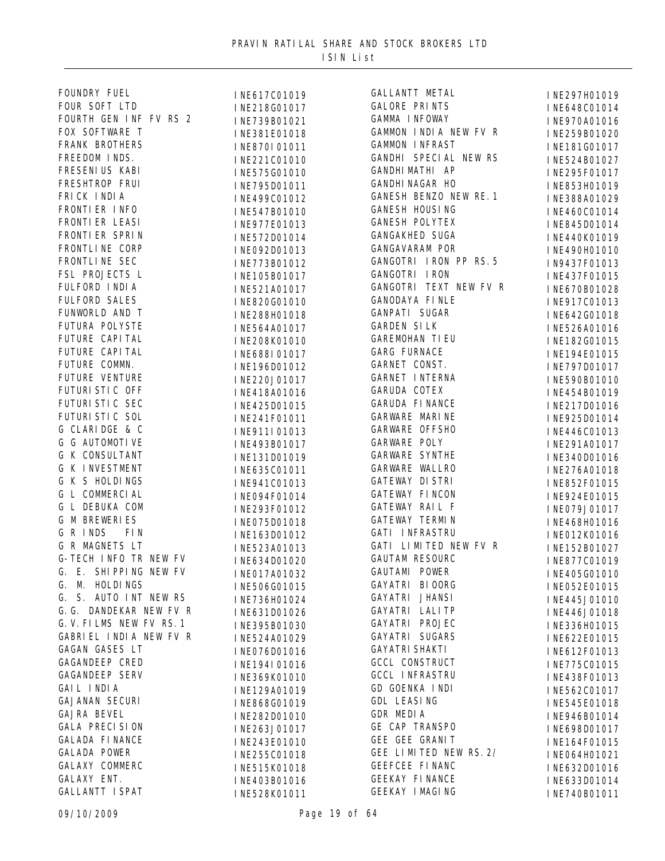| FOUNDRY FUEL             | INE617C01019 | GALLANTT METAL         | INE297H01019 |
|--------------------------|--------------|------------------------|--------------|
| FOUR SOFT LTD            | INE218G01017 | <b>GALORE PRINTS</b>   | INE648C01014 |
| FOURTH GEN INF FV RS 2   | INE739B01021 | GAMMA INFOWAY          | INE970A01016 |
| FOX SOFTWARE T           | INE381E01018 | GAMMON INDIA NEW FV R  | INE259B01020 |
| FRANK BROTHERS           | INE870I01011 | <b>GAMMON INFRAST</b>  | INE181G01017 |
| FREEDOM INDS.            | INE221C01010 | GANDHI SPECIAL NEW RS  | INE524B01027 |
| FRESENI US KABI          | INE575G01010 | GANDHI MATHI AP        | INE295F01017 |
| FRESHTROP FRUI           | INE795D01011 | <b>GANDHI NAGAR HO</b> | INE853H01019 |
| FRICK INDIA              | INE499C01012 | GANESH BENZO NEW RE. 1 | INE388A01029 |
| FRONTI ER INFO           | INE547B01010 | <b>GANESH HOUSING</b>  | INE460C01014 |
| FRONTI ER LEASI          | INE977E01013 | <b>GANESH POLYTEX</b>  | INE845D01014 |
| FRONTI ER SPRIN          | INE572D01014 | <b>GANGAKHED SUGA</b>  | INE440K01019 |
| FRONTLI NE CORP          | INE092D01013 | <b>GANGAVARAM POR</b>  | INE490H01010 |
| FRONTLINE SEC            | INE773B01012 | GANGOTRI IRON PP RS. 5 | IN9437F01013 |
| FSL PROJECTS L           |              | GANGOTRI IRON          |              |
| FULFORD INDIA            | INE105B01017 | GANGOTRI TEXT NEW FV R | INE437F01015 |
| <b>FULFORD SALES</b>     | INE521A01017 | <b>GANODAYA FINLE</b>  | INE670B01028 |
| FUNWORLD AND T           | INE820G01010 | GANPATI SUGAR          | INE917C01013 |
| FUTURA POLYSTE           | INE288H01018 | <b>GARDEN SILK</b>     | INE642G01018 |
|                          | INE564A01017 |                        | INE526A01016 |
| FUTURE CAPI TAL          | INE208K01010 | <b>GAREMOHAN TIEU</b>  | INE182G01015 |
| FUTURE CAPI TAL          | INE688I01017 | GARG FURNACE           | INE194E01015 |
| FUTURE COMMN.            | INE196D01012 | GARNET CONST.          | INE797D01017 |
| FUTURE VENTURE           | INE220J01017 | GARNET INTERNA         | INE590B01010 |
| FUTURI STI C OFF         | INE418A01016 | GARUDA COTEX           | INE454B01019 |
| FUTURI STI C SEC         | INE425D01015 | <b>GARUDA FINANCE</b>  | INE217D01016 |
| FUTURI STI C SOL         | INE241F01011 | GARWARE MARINE         | INE925D01014 |
| G CLARIDGE & C           | INE911I01013 | GARWARE OFFSHO         | INE446C01013 |
| G G AUTOMOTIVE           | INE493B01017 | GARWARE POLY           | INE291A01017 |
| G K CONSULTANT           | INE131D01019 | <b>GARWARE SYNTHE</b>  | INE340D01016 |
| <b>G K INVESTMENT</b>    | INE635C01011 | GARWARE WALLRO         | INE276A01018 |
| G K S HOLDINGS           | INE941C01013 | <b>GATEWAY DISTRI</b>  | INE852F01015 |
| G L COMMERCIAL           | INE094F01014 | GATEWAY FINCON         | INE924E01015 |
| <b>G L DEBUKA COM</b>    | INE293F01012 | GATEWAY RAIL F         | INE079J01017 |
| <b>G M BREWERIES</b>     | INE075D01018 | <b>GATEWAY TERMIN</b>  | INE468H01016 |
| G R INDS<br>FI N         | INE163D01012 | <b>GATI INFRASTRU</b>  | INE012K01016 |
| G R MAGNETS LT           | INE523A01013 | GATI LIMITED NEW FV R  | INE152B01027 |
| G-TECH INFO TR NEW FV    | INE634D01020 | <b>GAUTAM RESOURC</b>  | INE877C01019 |
| G. E. SHIPPING NEW FV    | INE017A01032 | GAUTAMI POWER          | INE405G01010 |
| G. M. HOLDINGS           | INE506G01015 | GAYATRI BIOORG         | INE052E01015 |
| G. S. AUTO INT NEW RS    | INE736H01024 | GAYATRI JHANSI         | INE445J01010 |
| G. G. DANDEKAR NEW FV R  | INE631D01026 | GAYATRI LALITP         | INE446J01018 |
| G. V. FILMS NEW FV RS. 1 | INE395B01030 | GAYATRI PROJEC         | INE336H01015 |
| GABRI EL INDIA NEW FV R  | INE524A01029 | GAYATRI SUGARS         | INE622E01015 |
| GAGAN GASES LT           | INE076D01016 | <b>GAYATRI SHAKTI</b>  | INE612F01013 |
| GAGANDEEP CRED           | INE194I01016 | <b>GCCL CONSTRUCT</b>  | INE775C01015 |
| <b>GAGANDEEP SERV</b>    | INE369K01010 | <b>GCCL INFRASTRU</b>  | INE438F01013 |
| GAIL INDIA               |              | GD GOENKA INDI         |              |
| <b>GAJANAN SECURI</b>    | INE129A01019 | GDL LEASING            | INE562C01017 |
| <b>GAJRA BEVEL</b>       | INE868G01019 | GDR MEDIA              | INE545E01018 |
| <b>GALA PRECISION</b>    | INE282D01010 | GE CAP TRANSPO         | INE946B01014 |
| <b>GALADA FINANCE</b>    | INE263J01017 | GEE GEE GRANIT         | INE698D01017 |
| <b>GALADA POWER</b>      | INE243E01010 | GEE LIMITED NEW RS. 2/ | INE164F01015 |
|                          | INE255C01018 |                        | INE064H01021 |
| GALAXY COMMERC           | INE515K01018 | GEEFCEE FINANC         | INE632D01016 |
| GALAXY ENT.              | INE403B01016 | <b>GEEKAY FINANCE</b>  | INE633D01014 |
| <b>GALLANTT I SPAT</b>   | INE528K01011 | <b>GEEKAY I MAGING</b> | INE740B01011 |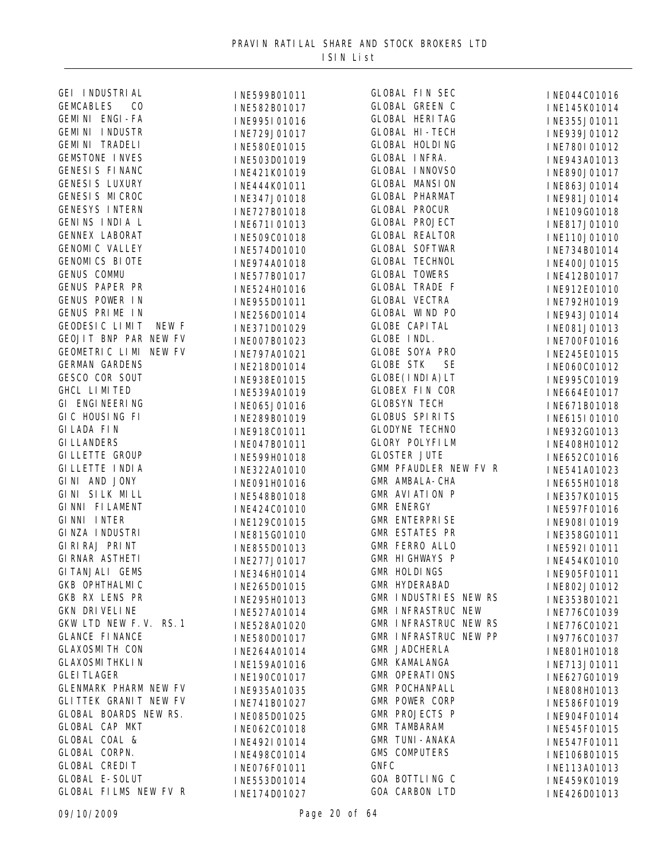| GEI INDUSTRIAL               | INE599B01011 | <b>GLOBAL FIN SEC</b>         | INE044C01016 |
|------------------------------|--------------|-------------------------------|--------------|
| <b>GEMCABLES</b><br>CO       | INE582B01017 | GLOBAL GREEN C                | INE145K01014 |
| GEMINI ENGI-FA               | INE995I01016 | <b>GLOBAL HERITAG</b>         | INE355J01011 |
| GEMINI INDUSTR               | INE729J01017 | <b>GLOBAL HI-TECH</b>         | INE939J01012 |
| <b>GEMINI TRADELI</b>        | INE580E01015 | <b>GLOBAL HOLDING</b>         | INE780I01012 |
| <b>GEMSTONE INVES</b>        | INE503D01019 | <b>GLOBAL INFRA.</b>          | INE943A01013 |
| GENESIS FINANC               | INE421K01019 | <b>GLOBAL INNOVSO</b>         | INE890J01017 |
| <b>GENESIS LUXURY</b>        | INE444K01011 | <b>GLOBAL MANSION</b>         | INE863J01014 |
| GENESIS MICROC               | INE347J01018 | <b>GLOBAL PHARMAT</b>         | INE981J01014 |
| <b>GENESYS INTERN</b>        | INE727B01018 | <b>GLOBAL PROCUR</b>          | INE109G01018 |
| GENINS INDIA L               | INE671I01013 | <b>GLOBAL PROJECT</b>         | INE817J01010 |
| <b>GENNEX LABORAT</b>        | INE509C01018 | <b>GLOBAL REALTOR</b>         | INE110J01010 |
| <b>GENOMI C VALLEY</b>       | INE574D01010 | <b>GLOBAL SOFTWAR</b>         | INE734B01014 |
| <b>GENOMICS BIOTE</b>        |              | <b>GLOBAL TECHNOL</b>         |              |
| GENUS COMMU                  | INE974A01018 | <b>GLOBAL TOWERS</b>          | INE400J01015 |
| GENUS PAPER PR               | INE577B01017 | <b>GLOBAL TRADE F</b>         | INE412B01017 |
| GENUS POWER IN               | INE524H01016 | <b>GLOBAL VECTRA</b>          | INE912E01010 |
| GENUS PRIME IN               | INE955D01011 | <b>GLOBAL WIND PO</b>         | INE792H01019 |
| GEODESIC LIMIT<br>NEW F      | INE256D01014 | <b>GLOBE CAPITAL</b>          | INE943J01014 |
|                              | INE371D01029 | GLOBE INDL.                   | INE081J01013 |
| GEOJIT BNP PAR NEW FV        | INE007B01023 |                               | INE700F01016 |
| GEOMETRIC LIMI NEW FV        | INE797A01021 | GLOBE SOYA PRO                | INE245E01015 |
| <b>GERMAN GARDENS</b>        | INE218D01014 | <b>GLOBE STK</b><br><b>SE</b> | INE060C01012 |
| GESCO COR SOUT               | INE938E01015 | GLOBE(INDIA) LT               | INE995C01019 |
| GHCL LIMITED                 | INE539A01019 | <b>GLOBEX FIN COR</b>         | INE664E01017 |
| GI ENGINEERING               | INE065J01016 | <b>GLOBSYN TECH</b>           | INE671B01018 |
| GIC HOUSING FI               | INE289B01019 | <b>GLOBUS SPIRITS</b>         | INE615I01010 |
| <b>GILADA FIN</b>            | INE918C01011 | <b>GLODYNE TECHNO</b>         | INE932G01013 |
| <b>GI LLANDERS</b>           | INE047B01011 | <b>GLORY POLYFILM</b>         | INE408H01012 |
| <b>GILLETTE GROUP</b>        | INE599H01018 | <b>GLOSTER JUTE</b>           | INE652C01016 |
| GI LLETTE I NDI A            | INE322A01010 | GMM PFAUDLER NEW FV R         | INE541A01023 |
| GINI AND JONY                | INE091H01016 | GMR AMBALA-CHA                | INE655H01018 |
| GINI SILK MILL               | INE548B01018 | <b>GMR AVI ATI ON P</b>       | INE357K01015 |
| GINNI FILAMENT               | INE424C01010 | <b>GMR ENERGY</b>             | INE597F01016 |
| GINNI INTER                  | INE129C01015 | <b>GMR ENTERPRISE</b>         | INE908I01019 |
| GINZA INDUSTRI               | INE815G01010 | <b>GMR ESTATES PR</b>         | INE358G01011 |
| GI RI RAJ PRI NT             | INE855D01013 | <b>GMR FERRO ALLO</b>         | INE592I01011 |
| <b>GI RNAR ASTHETI</b>       | INE277J01017 | GMR HIGHWAYS P                | INE454K01010 |
| GI TANJALI GEMS              | INE346H01014 | GMR HOLDINGS                  | INE905F01011 |
| GKB OPHTHALMIC               | INE265D01015 | <b>GMR HYDERABAD</b>          | INE802J01012 |
| GKB RX LENS PR               | INE295H01013 | GMR INDUSTRIES NEW RS         | INE353B01021 |
| GKN DRIVELINE                | INE527A01014 | GMR INFRASTRUC NEW            | INE776C01039 |
| GKW LTD NEW F.V. RS. 1       | INE528A01020 | GMR INFRASTRUC NEW RS         | INE776C01021 |
| <b>GLANCE FINANCE</b>        | INE580D01017 | GMR INFRASTRUC NEW PP         | IN9776C01037 |
| <b>GLAXOSMITH CON</b>        | INE264A01014 | GMR JADCHERLA                 | INE801H01018 |
| <b>GLAXOSMI THKLI N</b>      | INE159A01016 | GMR KAMALANGA                 | INE713J01011 |
| <b>GLEI TLAGER</b>           | INE190C01017 | <b>GMR OPERATIONS</b>         | INE627G01019 |
| <b>GLENMARK PHARM NEW FV</b> | INE935A01035 | GMR POCHANPALL                | INE808H01013 |
| <b>GLITTEK GRANIT NEW FV</b> | INE741B01027 | GMR POWER CORP                | INE586F01019 |
| GLOBAL BOARDS NEW RS.        | INE085D01025 | GMR PROJECTS P                | INE904F01014 |
| GLOBAL CAP MKT               |              | <b>GMR TAMBARAM</b>           |              |
| GLOBAL COAL &                | INE062C01018 | <b>GMR TUNI-ANAKA</b>         | INE545F01015 |
| GLOBAL CORPN.                | INE492I01014 | <b>GMS COMPUTERS</b>          | INE547F01011 |
| <b>GLOBAL CREDIT</b>         | INE498C01014 | <b>GNFC</b>                   | INE106B01015 |
| <b>GLOBAL E-SOLUT</b>        | INE076F01011 | GOA BOTTLING C                | INE113A01013 |
| GLOBAL FILMS NEW FV R        | INE553D01014 | GOA CARBON LTD                | INE459K01019 |
|                              | INE174D01027 |                               | INE426D01013 |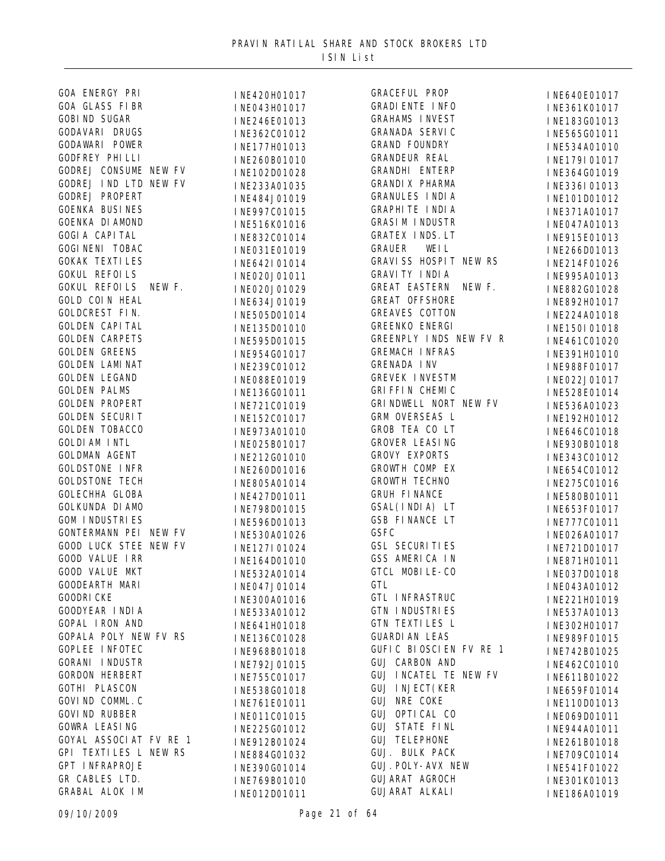| GOA ENERGY PRI               | INE420H01017 | GRACEFUL PROP                               | INE640E01017                 |
|------------------------------|--------------|---------------------------------------------|------------------------------|
| GOA GLASS FIBR               | INE043H01017 | <b>GRADI ENTE INFO</b>                      | INE361K01017                 |
| <b>GOBI ND SUGAR</b>         | INE246E01013 | <b>GRAHAMS INVEST</b>                       | INE183G01013                 |
| GODAVARI DRUGS               | INE362C01012 | GRANADA SERVIC                              | INE565G01011                 |
| GODAWARI POWER               | INE177H01013 | <b>GRAND FOUNDRY</b>                        | INE534A01010                 |
| <b>GODFREY PHILLI</b>        | INE260B01010 | GRANDEUR REAL                               | INE179I01017                 |
| GODREJ CONSUME NEW FV        | INE102D01028 | GRANDHI ENTERP                              | INE364G01019                 |
| GODREJ IND LTD NEW FV        | INE233A01035 | GRANDI X PHARMA                             | INE336I01013                 |
| GODREJ PROPERT               | INE484J01019 | <b>GRANULES INDIA</b>                       | INE101D01012                 |
| <b>GOENKA BUSINES</b>        | INE997C01015 | <b>GRAPHI TE I NDI A</b>                    | INE371A01017                 |
| <b>GOENKA DI AMOND</b>       | INE516K01016 | <b>GRASIM INDUSTR</b>                       | INE047A01013                 |
| <b>GOGIA CAPITAL</b>         | INE832C01014 | GRATEX INDS. LT                             | INE915E01013                 |
| <b>GOGI NENI TOBAC</b>       | INE031E01019 | WEI L<br><b>GRAUER</b>                      | INE266D01013                 |
| <b>GOKAK TEXTILES</b>        | INE642I01014 | GRAVISS HOSPIT NEW RS                       | INE214F01026                 |
| <b>GOKUL REFOILS</b>         | INE020J01011 | GRAVI TY INDIA                              | INE995A01013                 |
| GOKUL REFOILS NEW F.         | INE020J01029 | GREAT EASTERN NEW F.                        | INE882G01028                 |
| <b>GOLD COIN HEAL</b>        |              | <b>GREAT OFFSHORE</b>                       | INE892H01017                 |
| GOLDCREST FIN.               | INE634J01019 | <b>GREAVES COTTON</b>                       |                              |
| <b>GOLDEN CAPITAL</b>        | INE505D01014 | GREENKO ENERGI                              | INE224A01018                 |
| <b>GOLDEN CARPETS</b>        | INE135D01010 | GREENPLY INDS NEW FV R                      | INE150I01018                 |
| <b>GOLDEN GREENS</b>         | INE595D01015 | <b>GREMACH INFRAS</b>                       | INE461C01020                 |
| <b>GOLDEN LAMINAT</b>        | INE954G01017 |                                             | INE391H01010                 |
| <b>GOLDEN LEGAND</b>         | INE239C01012 | <b>GRENADA INV</b><br><b>GREVEK INVESTM</b> | INE988F01017                 |
| <b>GOLDEN PALMS</b>          | INE088E01019 |                                             | INE022J01017                 |
|                              | INE136G01011 | GRI FFI N CHEMIC                            | INE528E01014                 |
| <b>GOLDEN PROPERT</b>        | INE721C01019 | GRI NDWELL NORT NEW FV                      | INE536A01023                 |
| <b>GOLDEN SECURIT</b>        | INE152C01017 | GRM OVERSEAS L                              | INE192H01012                 |
| GOLDEN TOBACCO               | INE973A01010 | GROB TEA CO LT                              | INE646C01018                 |
| <b>GOLDI AM INTL</b>         | INE025B01017 | GROVER LEASING                              | INE930B01018                 |
| GOLDMAN AGENT                | INE212G01010 | <b>GROVY EXPORTS</b>                        | INE343C01012                 |
| <b>GOLDSTONE INFR</b>        | INE260D01016 | GROWTH COMP EX                              | INE654C01012                 |
| <b>GOLDSTONE TECH</b>        | INE805A01014 | GROWTH TECHNO                               | INE275C01016                 |
| GOLECHHA GLOBA               | INE427D01011 | <b>GRUH FINANCE</b>                         | INE580B01011                 |
| GOLKUNDA DI AMO              | INE798D01015 | GSAL(INDIA) LT                              | INE653F01017                 |
| <b>GOM INDUSTRIES</b>        | INE596D01013 | GSB FINANCE LT                              | INE777C01011                 |
| GONTERMANN PEI NEW FV        | INE530A01026 | <b>GSFC</b>                                 | INE026A01017                 |
| <b>GOOD LUCK STEE NEW FV</b> | INE127I01024 | <b>GSL SECURITIES</b>                       | INE721D01017                 |
| GOOD VALUE IRR               | INE164D01010 | GSS AMERICA IN                              | INE871H01011                 |
| GOOD VALUE MKT               | INE532A01014 | GTCL MOBILE-CO                              | INE037D01018                 |
| GOODEARTH MARI               | INE047J01014 | <b>GTL</b>                                  | INE043A01012                 |
| <b>GOODRI CKE</b>            | INE300A01016 | GTL INFRASTRUC                              | INE221H01019                 |
| GOODYEAR INDIA               | INE533A01012 | GTN INDUSTRIES                              | INE537A01013                 |
| GOPAL IRON AND               | INE641H01018 | GTN TEXTILES L                              | INE302H01017                 |
| GOPALA POLY NEW FV RS        | INE136C01028 | <b>GUARDI AN LEAS</b>                       | INE989F01015                 |
| <b>GOPLEE INFOTEC</b>        | INE968B01018 | GUFIC BIOSCIEN FV RE 1                      | INE742B01025                 |
| <b>GORANI INDUSTR</b>        | INE792J01015 | GUJ CARBON AND                              | INE462C01010                 |
| <b>GORDON HERBERT</b>        | INE755C01017 | GUJ INCATEL TE NEW FV                       | INE611B01022                 |
| GOTHI PLASCON                | INE538G01018 | <b>GUJ INJECT (KER</b>                      | INE659F01014                 |
| GOVI ND COMML. C             | INE761E01011 | GUJ NRE COKE                                |                              |
| <b>GOVI ND RUBBER</b>        |              | GUJ OPTICAL CO                              | INE110D01013<br>INE069D01011 |
| <b>GOWRA LEASING</b>         | INE011C01015 | <b>GUJ STATE FINL</b>                       |                              |
| GOYAL ASSOCIAT FV RE 1       | INE225G01012 | <b>GUJ TELEPHONE</b>                        | INE944A01011                 |
| GPI TEXTILES L NEW RS        | INE912B01024 | GUJ. BULK PACK                              | INE261B01018                 |
| GPT INFRAPROJE               | INE884G01032 | GUJ. POLY-AVX NEW                           | INE709C01014                 |
| GR CABLES LTD.               | INE390G01014 | GUJARAT AGROCH                              | INE541F01022                 |
| GRABAL ALOK IM               | INE769B01010 | GUJARAT ALKALI                              | INE301K01013                 |
|                              | INE012D01011 |                                             | INE186A01019                 |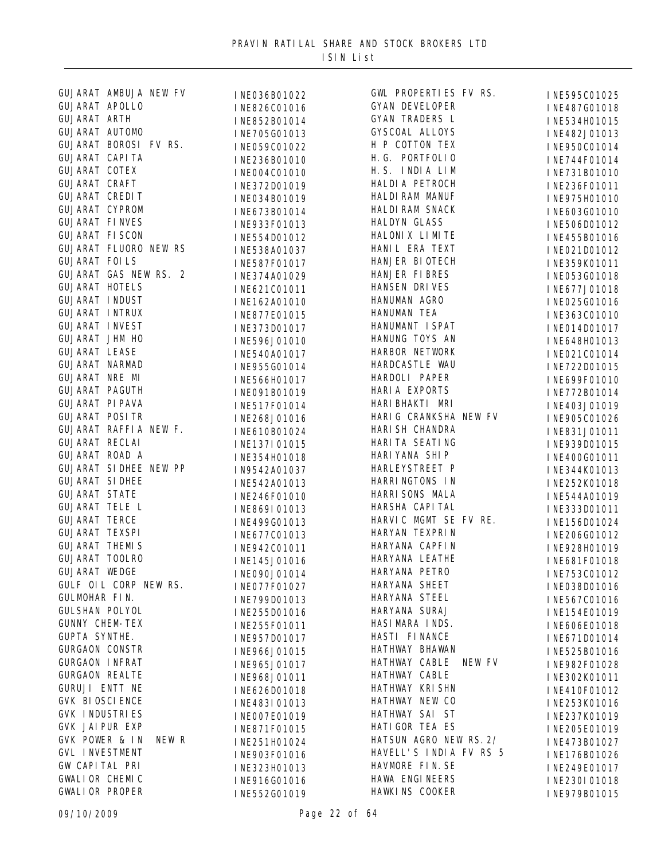| GUJARAT AMBUJA NEW FV        | INE036B01022 | GWL PROPERTIES FV RS.   | INE595C01025 |
|------------------------------|--------------|-------------------------|--------------|
| GUJARAT APOLLO               | INE826C01016 | GYAN DEVELOPER          | INE487G01018 |
| <b>GUJARAT ARTH</b>          | INE852B01014 | GYAN TRADERS L          | INE534H01015 |
| GUJARAT AUTOMO               | INE705G01013 | GYSCOAL ALLOYS          | INE482J01013 |
| GUJARAT BOROSI FV RS.        | INE059C01022 | H P COTTON TEX          | INE950C01014 |
| <b>GUJARAT CAPITA</b>        | INE236B01010 | H. G. PORTFOLIO         | INE744F01014 |
| GUJARAT COTEX                | INE004C01010 | H.S. INDIA LIM          | INE731B01010 |
| GUJARAT CRAFT                | INE372D01019 | HALDI A PETROCH         | INE236F01011 |
| <b>GUJARAT CREDIT</b>        | INE034B01019 | HALDI RAM MANUF         | INE975H01010 |
| GUJARAT CYPROM               | INE673B01014 | HALDI RAM SNACK         | INE603G01010 |
| <b>GUJARAT FINVES</b>        | INE933F01013 | HALDYN GLASS            | INE506D01012 |
| <b>GUJARAT FISCON</b>        | INE554D01012 | HALONIX LIMITE          | INE455B01016 |
| GUJARAT FLUORO NEW RS        | INE538A01037 | HANI L ERA TEXT         | INE021D01012 |
| <b>GUJARAT FOILS</b>         | INE587F01017 | HANJER BIOTECH          | INE359K01011 |
| GUJARAT GAS NEW RS. 2        |              | HANJER FIBRES           |              |
| <b>GUJARAT HOTELS</b>        | INE374A01029 | HANSEN DRIVES           | INE053G01018 |
| <b>GUJARAT INDUST</b>        | INE621C01011 | HANUMAN AGRO            | INE677J01018 |
| <b>GUJARAT INTRUX</b>        | INE162A01010 | HANUMAN TEA             | INE025G01016 |
|                              | INE877E01015 | HANUMANT I SPAT         | INE363C01010 |
| <b>GUJARAT INVEST</b>        | INE373D01017 |                         | INE014D01017 |
| GUJARAT JHM HO               | INE596J01010 | HANUNG TOYS AN          | INE648H01013 |
| <b>GUJARAT LEASE</b>         | INE540A01017 | HARBOR NETWORK          | INE021C01014 |
| GUJARAT NARMAD               | INE955G01014 | HARDCASTLE WAU          | INE722D01015 |
| GUJARAT NRE MI               | INE566H01017 | HARDOLI PAPER           | INE699F01010 |
| <b>GUJARAT PAGUTH</b>        | INE091B01019 | HARI A EXPORTS          | INE772B01014 |
| <b>GUJARAT PI PAVA</b>       | INE517F01014 | HARI BHAKTI MRI         | INE403J01019 |
| <b>GUJARAT POSITR</b>        | INE268J01016 | HARI G CRANKSHA NEW FV  | INE905C01026 |
| GUJARAT RAFFIA NEW F.        | INE610B01024 | HARI SH CHANDRA         | INE831J01011 |
| <b>GUJARAT RECLAI</b>        | INE137I01015 | HARI TA SEATI NG        | INE939D01015 |
| <b>GUJARAT ROAD A</b>        | INE354H01018 | HARI YANA SHI P         | INE400G01011 |
| <b>GUJARAT SIDHEE NEW PP</b> | IN9542A01037 | HARLEYSTREET P          | INE344K01013 |
| <b>GUJARAT SIDHEE</b>        | INE542A01013 | HARRI NGTONS IN         | INE252K01018 |
| <b>GUJARAT STATE</b>         | INE246F01010 | HARRI SONS MALA         | INE544A01019 |
| <b>GUJARAT TELE L</b>        | INE869I01013 | HARSHA CAPI TAL         | INE333D01011 |
| <b>GUJARAT TERCE</b>         | INE499G01013 | HARVIC MGMT SE FV RE.   | INE156D01024 |
| <b>GUJARAT TEXSPI</b>        | INE677C01013 | HARYAN TEXPRIN          | INE206G01012 |
| <b>GUJARAT THEMIS</b>        | INE942C01011 | HARYANA CAPFIN          | INE928H01019 |
| <b>GUJARAT TOOLRO</b>        | INE145J01016 | HARYANA LEATHE          | INE681F01018 |
| <b>GUJARAT WEDGE</b>         | INE090J01014 | HARYANA PETRO           | INE753C01012 |
| GULF OIL CORP NEW RS.        | INE077F01027 | HARYANA SHEET           | INE038D01016 |
| GULMOHAR FIN.                | INE799D01013 | HARYANA STEEL           | INE567C01016 |
| <b>GULSHAN POLYOL</b>        | INE255D01016 | HARYANA SURAJ           | INE154E01019 |
| <b>GUNNY CHEM-TEX</b>        | INE255F01011 | HASI MARA INDS.         | INE606E01018 |
| <b>GUPTA SYNTHE.</b>         | INE957D01017 | HASTI FINANCE           | INE671D01014 |
| <b>GURGAON CONSTR</b>        | INE966J01015 | HATHWAY BHAWAN          | INE525B01016 |
| <b>GURGAON INFRAT</b>        | INE965J01017 | HATHWAY CABLE<br>NEW FV | INE982F01028 |
| <b>GURGAON REALTE</b>        | INE968J01011 | HATHWAY CABLE           | INE302K01011 |
| GURUJI ENTT NE               | INE626D01018 | HATHWAY KRISHN          |              |
| <b>GVK BIOSCIENCE</b>        |              | HATHWAY NEW CO          | INE410F01012 |
| <b>GVK INDUSTRIES</b>        | INE483I01013 | HATHWAY SAI ST          | INE253K01016 |
| GVK JAI PUR EXP              | INE007E01019 | HATI GOR TEA ES         | INE237K01019 |
| GVK POWER & IN<br>NEW R      | INE871F01015 | HATSUN AGRO NEW RS. 2/  | INE205E01019 |
| <b>GVL INVESTMENT</b>        | INE251H01024 | HAVELL'S INDIA FV RS 5  | INE473B01027 |
| GW CAPITAL PRI               | INE903F01016 | HAVMORE FIN. SE         | INE176B01026 |
| GWALI OR CHEMIC              | INE323H01013 | HAWA ENGINEERS          | INE249E01017 |
| <b>GWALIOR PROPER</b>        | INE916G01016 | HAWKINS COOKER          | INE230I01018 |
|                              | INE552G01019 |                         | INE979B01015 |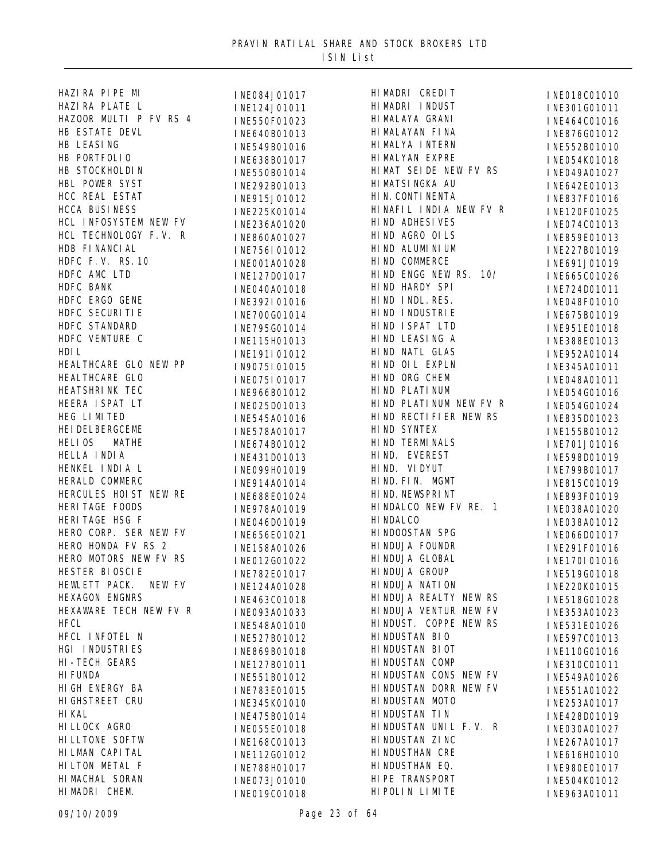| HAZIRA PIPE MI                                                                                                                                                                                                                                             | I NE084J01017<br>I NE124J01011<br>I NE550F01023<br>I NE640B01013<br>I NE549B01016<br>I NE638B01017                                                                                                                                                         | HI MADRI (        |
|------------------------------------------------------------------------------------------------------------------------------------------------------------------------------------------------------------------------------------------------------------|------------------------------------------------------------------------------------------------------------------------------------------------------------------------------------------------------------------------------------------------------------|-------------------|
| HAZI RA PLATE L                                                                                                                                                                                                                                            |                                                                                                                                                                                                                                                            | HI MADRI I        |
| HAZOOR MULTI P FV RS 4                                                                                                                                                                                                                                     |                                                                                                                                                                                                                                                            | HI MALAYA         |
| HAZOUR MULLE<br>HB ESTATE DEVL<br>HB LEASING<br>HB PORTFOLIO<br>HB FORTFOLIO<br>HB STOCKHOLDIN<br>HBL POWER SYST<br>HCC REAL ESTAT<br>HCC REAL ESTAT<br>HCCA BUSINESS<br>HCCA BUSINESS<br>HCCA BUSINESS<br>HCCA BUSINESS<br>HERE PORTFOLIO<br>HERE PORTFOL |                                                                                                                                                                                                                                                            | <b>HI MALAYAN</b> |
|                                                                                                                                                                                                                                                            |                                                                                                                                                                                                                                                            | HI MALYA I        |
|                                                                                                                                                                                                                                                            |                                                                                                                                                                                                                                                            | HI MALYAN         |
|                                                                                                                                                                                                                                                            |                                                                                                                                                                                                                                                            | HIMAT SEI         |
|                                                                                                                                                                                                                                                            |                                                                                                                                                                                                                                                            | HI MATSI NO       |
|                                                                                                                                                                                                                                                            |                                                                                                                                                                                                                                                            | HIN. CONTI        |
|                                                                                                                                                                                                                                                            |                                                                                                                                                                                                                                                            | HINAFIL I         |
| HCL INFOSYSTEM NEW FV                                                                                                                                                                                                                                      | INE236A01020                                                                                                                                                                                                                                               | HI ND ADHE        |
| HCL TECHNOLOGY F.V. R                                                                                                                                                                                                                                      | I NE860A01027<br>I NE756I 01012                                                                                                                                                                                                                            | HI ND AGRO        |
|                                                                                                                                                                                                                                                            |                                                                                                                                                                                                                                                            | HIND ALUM         |
|                                                                                                                                                                                                                                                            | INE001A01028                                                                                                                                                                                                                                               | HIND COMM         |
|                                                                                                                                                                                                                                                            | INE127D01017                                                                                                                                                                                                                                               | HI ND ENGO        |
|                                                                                                                                                                                                                                                            | INE040A01018                                                                                                                                                                                                                                               | HI ND HARI        |
|                                                                                                                                                                                                                                                            | INE392I01016                                                                                                                                                                                                                                               | HIND INDI         |
|                                                                                                                                                                                                                                                            | INE700G01014                                                                                                                                                                                                                                               | HIND INDU         |
|                                                                                                                                                                                                                                                            | INE795G01014                                                                                                                                                                                                                                               | HIND ISPA         |
|                                                                                                                                                                                                                                                            | INE115H01013                                                                                                                                                                                                                                               | HIND LEAS         |
| HDB FINANCIAL<br>HDFC F.V. RS. 10<br>HDFC AMC LTD<br>HDFC BANK<br>HDFC ERGO GENE<br>HDFC SECURITIE<br>HDFC STANDARD<br>HDFC VENTURE C<br>HDIL                                                                                                              | INE191I01012                                                                                                                                                                                                                                               | HI ND NATI        |
| HEALTHCARE GLO NEW PP                                                                                                                                                                                                                                      |                                                                                                                                                                                                                                                            | HIND OIL          |
| HEALTHCARE GLO                                                                                                                                                                                                                                             |                                                                                                                                                                                                                                                            | HI ND ORG         |
|                                                                                                                                                                                                                                                            |                                                                                                                                                                                                                                                            | HIND PLAT         |
|                                                                                                                                                                                                                                                            |                                                                                                                                                                                                                                                            | HIND PLAT         |
|                                                                                                                                                                                                                                                            |                                                                                                                                                                                                                                                            | HI ND RECT        |
|                                                                                                                                                                                                                                                            |                                                                                                                                                                                                                                                            | HIND SYNT         |
|                                                                                                                                                                                                                                                            |                                                                                                                                                                                                                                                            | HI ND TERN        |
| HEALTHCARE GLO<br>HEATSHRI NK TEC<br>HEERA I SPAT LT<br>HEG LI MI TED<br>HEI DELBERGCEME<br>HELI OS MATHE<br>HELLA I NDI A<br>HENKEL I NDI A L<br>HENKEL I NDI A L<br>HERALD COMMERC                                                                       | I NE191101012<br>I N9075I 01015<br>I NE075I 01017<br>I NE966B01012<br>I NE545A01018<br>I NE545A01016<br>I NE578A01017<br>I NE674B01012<br>I NE699H01019<br>I NE099H01019<br>I NE914A01014<br>I NE978A01019<br>I NE978A01019<br>I NE668E01024<br>I NE646D01 | HI ND. EVE        |
|                                                                                                                                                                                                                                                            |                                                                                                                                                                                                                                                            | HIND. VII         |
|                                                                                                                                                                                                                                                            |                                                                                                                                                                                                                                                            | HI ND. FI N.      |
| HERCULES HOIST NEW RE                                                                                                                                                                                                                                      |                                                                                                                                                                                                                                                            | HI ND. NEWS       |
| HERI TAGE FOODS                                                                                                                                                                                                                                            |                                                                                                                                                                                                                                                            | HI NDALCO         |
|                                                                                                                                                                                                                                                            |                                                                                                                                                                                                                                                            | HI NDALCO         |
| HERI TAGE FOODS<br>HERI TAGE HSG F<br>HERO CORP. SER NEW FV<br>HERO HONDA FV BS 3                                                                                                                                                                          |                                                                                                                                                                                                                                                            | HI NDOOSTA        |
| HERO HONDA FV RS 2                                                                                                                                                                                                                                         |                                                                                                                                                                                                                                                            | HI NDUJA B        |
| HERO MOTORS NEW FV RS                                                                                                                                                                                                                                      |                                                                                                                                                                                                                                                            | HI NDUJA (        |
| HESTER BIOSCIE                                                                                                                                                                                                                                             | INE782E01017 HINDUJA O                                                                                                                                                                                                                                     |                   |
| HEWLETT PACK.<br>NEW FV                                                                                                                                                                                                                                    | INE124A01028                                                                                                                                                                                                                                               | HI NDUJA N        |
| HEXAGON ENGNRS                                                                                                                                                                                                                                             | INE463C01018                                                                                                                                                                                                                                               | HI NDUJA F        |
| HEXAWARE TECH NEW FV R                                                                                                                                                                                                                                     | INE093A01033                                                                                                                                                                                                                                               | HI NDUJA \        |
| <b>HFCL</b>                                                                                                                                                                                                                                                | INE548A01010                                                                                                                                                                                                                                               | HI NDUST.         |
| HFCL INFOTEL N                                                                                                                                                                                                                                             | INE527B01012                                                                                                                                                                                                                                               | HI NDUSTAN        |
| HGI INDUSTRIES                                                                                                                                                                                                                                             | INE869B01018                                                                                                                                                                                                                                               | <b>HI NDUSTAN</b> |
| HI-TECH GEARS                                                                                                                                                                                                                                              | INE127B01011                                                                                                                                                                                                                                               | <b>HI NDUSTAN</b> |
| <b>HI FUNDA</b>                                                                                                                                                                                                                                            | INE551B01012                                                                                                                                                                                                                                               | HI NDUSTAN        |
| HI GH ENERGY BA                                                                                                                                                                                                                                            | INE783E01015                                                                                                                                                                                                                                               | <b>HI NDUSTAN</b> |
| HI GHSTREET CRU                                                                                                                                                                                                                                            | INE345K01010                                                                                                                                                                                                                                               | HI NDUSTAN        |
| HI KAL                                                                                                                                                                                                                                                     | INE475B01014                                                                                                                                                                                                                                               | HI NDUSTAN        |
| HI LLOCK AGRO                                                                                                                                                                                                                                              | INE055E01018                                                                                                                                                                                                                                               | HI NDUSTAN        |
| HI LLTONE SOFTW                                                                                                                                                                                                                                            | INE168C01013                                                                                                                                                                                                                                               | HI NDUSTAN        |
| HI LMAN CAPI TAL                                                                                                                                                                                                                                           | INE112G01012                                                                                                                                                                                                                                               | HI NDUSTHA        |
| HI LTON METAL F                                                                                                                                                                                                                                            | INE788H01017                                                                                                                                                                                                                                               | HI NDUSTHA        |
| HI MACHAL SORAN                                                                                                                                                                                                                                            | INE073J01010                                                                                                                                                                                                                                               | HIPE TRAN         |
| HI MADRI CHEM.                                                                                                                                                                                                                                             | INE019C01018                                                                                                                                                                                                                                               | HI POLINI         |
|                                                                                                                                                                                                                                                            |                                                                                                                                                                                                                                                            |                   |

RI CREDIT INE018C01010<br>RI INDUST INE301C01011 {I\_I\_NDUST}}<br>{I\_NE301G01011}}<br>{I\_NE464C01016}} YA GRANI INE464C01016<br>YAN FINA INE876C01012 INE876G01012 (A INTERN INE552B01010)<br>AN EXPRE INFO54K01018 INE054K01018 SEIDE NEW FV RS<br>SINGKA AU TNE642E01013 INE642E01013 DNTI NENTA FRIESS INESSAFO1016 L INDIA NEW FV R INE120F01025<br>ADHESIVES INFOZ4C01013 ADHESIVES INE074C01013<br>AGRO OLLS INE859E01013 INE859E01013 NLUMINIUM INE227B01019<br>COMMERCE INF691 IO1019 INE691J01019 HIND ENGG NEW RS. 10/ INE665C01026 INE724D01011 NDL. RES. INE048F01010<br>NDUSTRIE INE675B01019 SPAT LTD INE951E01018<br>EASING A INE388E01013 HIND LEASING A INE388E01013 ATL GLAS INE952A01014<br>DIL EXPLN INE345A01011 JILEXPLN INE345A01011<br>DRGCHEM INFO48A01011 RG CHEM INE048A01011<br>PLATINUM INE054C01016 INE054G01016 PLATINUM NEW FV R INE054G01024 RECTIFIER NEW RS INE835D01023<br>SYNTEX INF155B01012 HIND SYNTEX INE155B01012 INE701J01016 EVEREST INE598D01019<br>VIDYUT INE799B01017 INE799B01017 FIN. MGMT INE815C01019<br>NEWSPRINT INE893E01019 INE893F01019 LO NEW FV RE. 1 INE038A01020 HINDALCO INE038A01012 SIAN SPG INE066D01017<br>JAFOUNDR INE291F01016 INE291F01016 JA GLOBAL INE170I01016<br>JA GROUP INE519CO1018 JAGROUP INE519G01018<br>JANATION INE220K01015 INE220K01015 JA REALTY NEW RS INE518G01028 JA VENTUR NEW FV INE353A01023 FT. COPPE NEW RS INE531E01026<br>FIAN BIO INE597C01013 HINDUSTAN BIO INE597C01013 TAN BIOT INE110G01016<br>TAN COMP INE310C01011 INE310C01011 STAN CONS NEW FV INE549A01026 FTAN DORR NEW FV INE551A01022<br>FTAN MOTO INE253A01017 INE253A01017  $JNE428D01019$ 5TAN UNIL F.V. R INE030A01027<br>5TAN ZINC INE267A01017 TAN ZINC INE267A01017<br>THAN CRESTHAN INE616H01010 THAN CRE INE616H01010<br>THAN EQ. INE980E01017 THAN EQ. I NE980E01017<br>TRANSPORT I NE504K01012 RANSPORT INE504K01012<br>N LIMITE INF963A01011 INE963A01011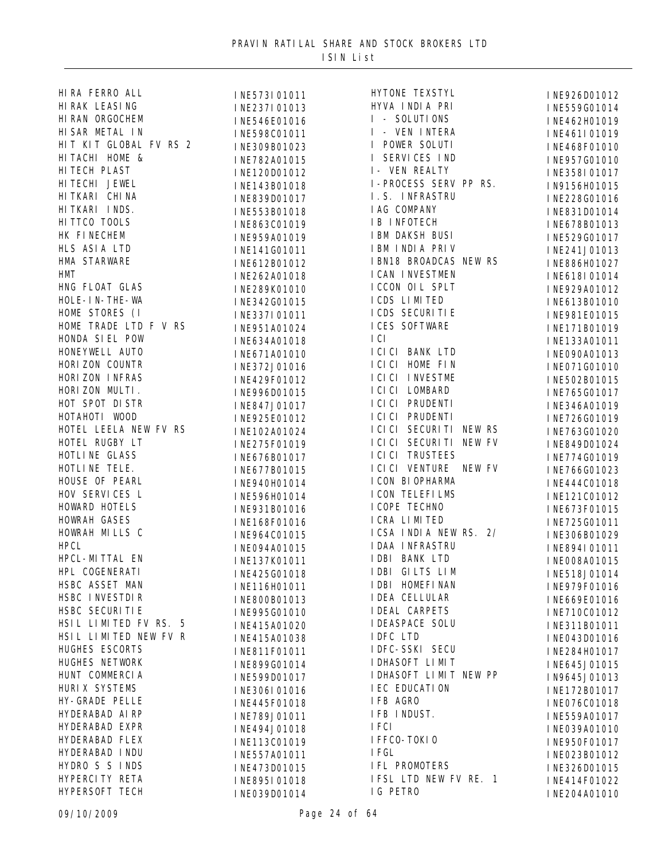| HIRA FERRO ALL                          | INE573I01011 | HYTONE TEXSTYL          | INE926D01012 |
|-----------------------------------------|--------------|-------------------------|--------------|
| HI RAK LEASING                          | INE237I01013 | HYVA INDIA PRI          | INE559G01014 |
| HI RAN ORGOCHEM                         | INE546E01016 | I - SOLUTIONS           | INE462H01019 |
| HI SAR METAL IN                         | INE598C01011 | I - VEN INTERA          | INE461I01019 |
| HIT KIT GLOBAL FV RS 2                  | INE309B01023 | I POWER SOLUTI          | INE468F01010 |
| HI TACHI HOME &                         | INE782A01015 | I SERVICES IND          | INE957G01010 |
| HI TECH PLAST                           | INE120D01012 | I- VEN REALTY           | INE358I01017 |
| HI TECHI JEWEL                          | INE143B01018 | I-PROCESS SERV PP RS.   | IN9156H01015 |
| HI TKARI CHI NA                         | INE839D01017 | I.S. INFRASTRU          | INE228G01016 |
| HITKARI INDS.                           | INE553B01018 | I AG COMPANY            | INE831D01014 |
| HI TTCO TOOLS                           | INE863C01019 | <b>IB INFOTECH</b>      | INE678B01013 |
| HK FINECHEM                             | INE959A01019 | I BM DAKSH BUSI         | INE529G01017 |
| HLS ASIA LTD                            | INE141G01011 | IBM INDIA PRIV          | INE241J01013 |
| HMA STARWARE                            | INE612B01012 | IBN18 BROADCAS NEW RS   | INE886H01027 |
| HMT                                     | INE262A01018 | I CAN I NVESTMEN        | INE618I01014 |
| HNG FLOAT GLAS                          | INE289K01010 | ICCON OIL SPLT          | INE929A01012 |
| HOLE-IN-THE-WA                          | INE342G01015 | I CDS LIMITED           | INE613B01010 |
| HOME STORES (I                          |              | I CDS SECURI TI E       |              |
| HOME TRADE LTD F V RS                   | INE337I01011 | I CES SOFTWARE          | INE981E01015 |
| HONDA SIEL POW                          | INE951A01024 | I CI                    | INE171B01019 |
| HONEYWELL AUTO                          | INE634A01018 | I CI CI BANK LTD        | INE133A01011 |
| HORIZON COUNTR                          | INE671A01010 | I CI CI HOME FIN        | INE090A01013 |
| HORIZON INFRAS                          | INE372J01016 | I CI CI I NVESTME       | INE071G01010 |
| HORIZON MULTI.                          | INE429F01012 | I CI CI LOMBARD         | INE502B01015 |
| HOT SPOT DISTR                          | INE996D01015 | I CI CI PRUDENTI        | INE765G01017 |
| HOTAHOTI WOOD                           | INE847J01017 | I CI CI PRUDENTI        | INE346A01019 |
|                                         | INE925E01012 | I CI CI SECURITI NEW RS | INE726G01019 |
| HOTEL LEELA NEW FV RS<br>HOTEL RUGBY LT | INE102A01024 |                         | INE763G01020 |
|                                         | INE275F01019 | I CI CI SECURITI NEW FV | INE849D01024 |
| HOTLI NE GLASS                          | INE676B01017 | I CI CI TRUSTEES        | INE774G01019 |
| HOTLINE TELE.                           | INE677B01015 | I CI CI VENTURE NEW FV  | INE766G01023 |
| HOUSE OF PEARL                          | INE940H01014 | I CON BI OPHARMA        | INE444C01018 |
| HOV SERVICES L                          | INE596H01014 | I CON TELEFILMS         | INE121C01012 |
| HOWARD HOTELS                           | INE931B01016 | I COPE TECHNO           | INE673F01015 |
| HOWRAH GASES                            | INE168F01016 | I CRA LIMITED           | INE725G01011 |
| HOWRAH MILLS C                          | INE964C01015 | ICSA INDIA NEW RS. 2/   | INE306B01029 |
| <b>HPCL</b>                             | INE094A01015 | <b>IDAA INFRASTRU</b>   | INE894I01011 |
| HPCL-MITTAL EN                          | INE137K01011 | I DBI BANK LTD          | INE008A01015 |
| HPL COGENERATI                          | INE425G01018 | IDBI GILTS LIM          | INE518J01014 |
| HSBC ASSET MAN                          | INE116H01011 | I DBI HOMEFI NAN        | INE979F01016 |
| HSBC INVESTDIR                          | INE800B01013 | <b>IDEA CELLULAR</b>    | INE669E01016 |
| HSBC SECURITIE                          | INE995G01010 | <b>I DEAL CARPETS</b>   | INE710C01012 |
| HSIL LIMITED FV RS. 5                   | INE415A01020 | <b>IDEASPACE SOLU</b>   | INE311B01011 |
| HSIL LIMITED NEW FV R                   | INE415A01038 | IDFC LTD                | INE043D01016 |
| HUGHES ESCORTS                          | INE811F01011 | <b>IDFC-SSKI SECU</b>   | INE284H01017 |
| HUGHES NETWORK                          | INE899G01014 | I DHASOFT LIMIT         | INE645J01015 |
| HUNT COMMERCIA                          | INE599D01017 | I DHASOFT LIMIT NEW PP  | IN9645J01013 |
| HURI X SYSTEMS                          | INE306I01016 | I EC EDUCATI ON         | INE172B01017 |
| HY-GRADE PELLE                          | INE445F01018 | IFB AGRO                | INE076C01018 |
| HYDERABAD AIRP                          | INE789J01011 | IFB INDUST.             | INE559A01017 |
| HYDERABAD EXPR                          | INE494J01018 | I FCI                   | INE039A01010 |
| HYDERABAD FLEX                          | INE113C01019 | I FFCO-TOKIO            | INE950F01017 |
| HYDERABAD INDU                          | INE557A01011 | I FGL                   | INE023B01012 |
| HYDRO S S INDS                          | INE473D01015 | IFL PROMOTERS           | INE326D01015 |
| HYPERCI TY RETA                         | INE895I01018 | IFSL LTD NEW FV RE. 1   | INE414F01022 |
| HYPERSOFT TECH                          | INE039D01014 | IG PETRO                | INE204A01010 |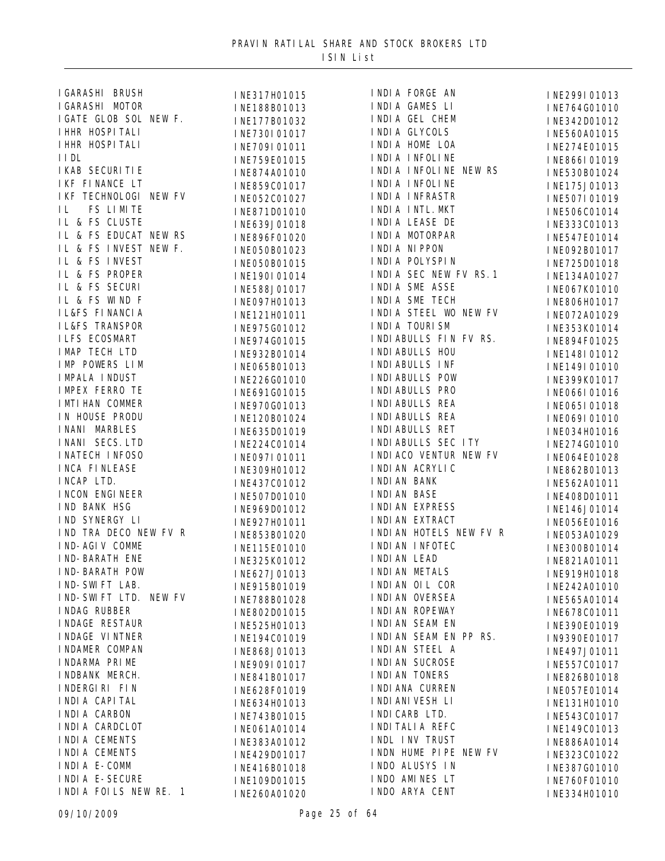| I GARASHI BRUSH                         | INE317H01015 | INDIA FORGE AN                     | INE299I01013 |
|-----------------------------------------|--------------|------------------------------------|--------------|
| I GARASHI MOTOR                         | INE188B01013 | INDIA GAMES LI                     | INE764G01010 |
| I GATE GLOB SOL NEW F.                  | INE177B01032 | INDIA GEL CHEM                     | INE342D01012 |
| I HHR HOSPI TALI                        | INE730I01017 | INDIA GLYCOLS                      | INE560A01015 |
| I HHR HOSPI TALI                        | INE709I01011 | I NDI A HOME LOA                   | INE274E01015 |
| I I DL                                  | INE759E01015 | I NDI A I NFOLI NE                 | INE866I01019 |
| I KAB SECURI TI E                       | INE874A01010 | INDIA INFOLINE NEW RS              | INE530B01024 |
| IKF FINANCE LT                          | INE859C01017 | I NDI A I NFOLI NE                 | INE175J01013 |
| IKF TECHNOLOGI NEW FV                   | INE052C01027 | I NDI A I NFRASTR                  | INE507I01019 |
| FS LIMITE<br>IL                         | INE871D01010 | I NDI A I NTL. MKT                 | INE506C01014 |
| IL & FS CLUSTE                          | INE639J01018 | INDIA LEASE DE                     | INE333C01013 |
| IL & FS EDUCAT NEW RS                   | INE896F01020 | I NDI A MOTORPAR                   | INE547E01014 |
| IL & FS INVEST NEW F.                   | INE050B01023 | I NDI A NI PPON                    | INE092B01017 |
| IL & FS INVEST                          | INE050B01015 | I NDI A POLYSPI N                  | INE725D01018 |
| IL & FS PROPER                          | INE190I01014 | INDIA SEC NEW FV RS. 1             | INE134A01027 |
| IL & FS SECURI                          | INE588J01017 | INDIA SME ASSE                     | INE067K01010 |
| IL & FS WIND F                          | INE097H01013 | INDIA SME TECH                     | INE806H01017 |
| <b>IL&amp;FS FINANCIA</b>               | INE121H01011 | INDIA STEEL WO NEW FV              | INE072A01029 |
| <b>IL&amp;FS TRANSPOR</b>               | INE975G01012 | I NDI A TOURI SM                   | INE353K01014 |
| <b>ILFS ECOSMART</b>                    | INE974G01015 | INDIABULLS FIN FV RS.              | INE894F01025 |
| I MAP TECH LTD                          | INE932B01014 | I NDI ABULLS HOU                   | INE148I01012 |
| IMP POWERS LIM                          | INE065B01013 | I NDI ABULLS INF                   | INE149I01010 |
| <b>IMPALA INDUST</b>                    | INE226G01010 | I NDI ABULLS POW                   | INE399K01017 |
| <b>IMPEX FERRO TE</b>                   |              | I NDI ABULLS PRO                   |              |
| I MTI HAN COMMER                        | INE691G01015 | I NDI ABULLS REA                   | INE066I01016 |
| IN HOUSE PRODU                          | INE970G01013 | I NDI ABULLS REA                   | INE065I01018 |
| I NANI MARBLES                          | INE120B01024 | I NDI ABULLS RET                   | INE069I01010 |
| INANI SECS. LTD                         | INE635D01019 | I NDI ABULLS SEC ITY               | INE034H01016 |
| I NATECH I NFOSO                        | INE224C01014 | I NDI ACO VENTUR NEW FV            | INE274G01010 |
| <b>INCA FINLEASE</b>                    | INE097I01011 | I NDI AN ACRYLI C                  | INE064E01028 |
| INCAP LTD.                              | INE309H01012 | I NDI AN BANK                      | INE862B01013 |
| I NCON ENGI NEER                        | INE437C01012 | I NDI AN BASE                      | INE562A01011 |
| IND BANK HSG                            | INE507D01010 | I NDI AN EXPRESS                   | INE408D01011 |
| IND SYNERGY LI                          | INE969D01012 | I NDI AN EXTRACT                   | INE146J01014 |
| IND TRA DECO NEW FV R                   | INE927H01011 | INDIAN HOTELS NEW FV R             | INE056E01016 |
| I ND-AGI V COMME                        | INE853B01020 | I NDI AN I NFOTEC                  | INE053A01029 |
| I ND-BARATH ENE                         | INE115E01010 | I NDI AN LEAD                      | INE300B01014 |
| <b>IND-BARATH POW</b>                   | INE325K01012 | I NDI AN METALS                    | INE821A01011 |
|                                         | INE627J01013 |                                    | INE919H01018 |
| IND-SWIFT LAB.<br>IND-SWIFT LTD. NEW FV | INE915B01019 | INDIAN OIL COR<br>I NDI AN OVERSEA | INE242A01010 |
|                                         | INE788B01028 |                                    | INE565A01014 |
| INDAG RUBBER                            | INE802D01015 | I NDI AN ROPEWAY                   | INE678C01011 |
| I NDAGE RESTAUR                         | INE525H01013 | I NDI AN SEAM EN                   | INE390E01019 |
| I NDAGE VI NTNER                        | INE194C01019 | INDIAN SEAM EN PP RS.              | IN9390E01017 |
| I NDAMER COMPAN                         | INE868J01013 | I NDI AN STEEL A                   | INE497J01011 |
| I NDARMA PRIME                          | INE909I01017 | I NDI AN SUCROSE                   | INE557C01017 |
| I NDBANK MERCH.                         | INE841B01017 | I NDI AN TONERS                    | INE826B01018 |
| INDERGIRI FIN                           | INE628F01019 | I NDI ANA CURREN                   | INE057E01014 |
| I NDI A CAPI TAL                        | INE634H01013 | I NDI ANI VESH LI                  | INE131H01010 |
| I NDI A CARBON                          | INE743B01015 | I NDI CARB LTD.                    | INE543C01017 |
| INDIA CARDCLOT                          | INE061A01014 | I NDI TALI A REFC                  | INE149C01013 |
| INDIA CEMENTS                           | INE383A01012 | INDL INV TRUST                     | INE886A01014 |
| I NDI A CEMENTS                         | INE429D01017 | INDN HUME PIPE NEW FV              | INE323C01022 |
| I NDI A E-COMM                          | INE416B01018 | INDO ALUSYS IN                     | INE387G01010 |
| I NDI A E-SECURE                        | INE109D01015 | INDO AMINES LT                     | INE760F01010 |
| INDIA FOILS NEW RE. 1                   | INE260A01020 | INDO ARYA CENT                     | INE334H01010 |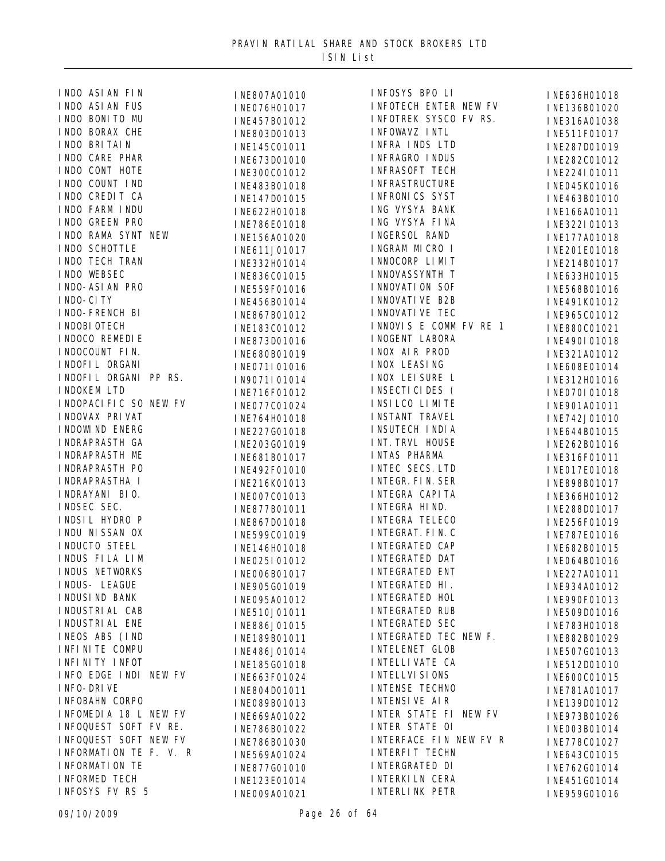| INDO ASIAN FIN          | INE807A01010                 | INFOSYS BPO LI               | INE636H01018                 |
|-------------------------|------------------------------|------------------------------|------------------------------|
| INDO ASIAN FUS          | INE076H01017                 | <b>INFOTECH ENTER NEW FV</b> | INE136B01020                 |
| INDO BONITO MU          | INE457B01012                 | INFOTREK SYSCO FV RS.        | INE316A01038                 |
| INDO BORAX CHE          | INE803D01013                 | INFOWAVZ INTL                | INE511F01017                 |
| I NDO BRI TAI N         | INE145C01011                 | INFRA INDS LTD               | INE287D01019                 |
| INDO CARE PHAR          | INE673D01010                 | INFRAGRO INDUS               | INE282C01012                 |
| INDO CONT HOTE          | INE300C01012                 | <b>INFRASOFT TECH</b>        | INE224I01011                 |
| INDO COUNT IND          | INE483B01018                 | <b>I NFRASTRUCTURE</b>       | INE045K01016                 |
| INDO CREDIT CA          | INE147D01015                 | I NFRONICS SYST              | INE463B01010                 |
| INDO FARM INDU          | INE622H01018                 | ING VYSYA BANK               | INE166A01011                 |
| INDO GREEN PRO          | INE786E01018                 | ING VYSYA FINA               | INE322I01013                 |
| INDO RAMA SYNT NEW      | INE156A01020                 | INGERSOL RAND                | INE177A01018                 |
| INDO SCHOTTLE           | INE611J01017                 | INGRAM MICRO I               | INE201E01018                 |
| I NDO TECH TRAN         |                              | I NNOCORP LIMIT              |                              |
| INDO WEBSEC             | INE332H01014                 | I NNOVASSYNTH T              | INE214B01017                 |
| I NDO-ASI AN PRO        | INE836C01015                 | I NNOVATI ON SOF             | INE633H01015                 |
| I NDO-CI TY             | INE559F01016                 | I NNOVATI VE B2B             | INE568B01016                 |
| I NDO-FRENCH BI         | INE456B01014                 | I NNOVATI VE TEC             | INE491K01012                 |
| I NDOBI OTECH           | INE867B01012                 | INNOVIS E COMM FV RE 1       | INE965C01012                 |
| I NDOCO REMEDI E        | INE183C01012                 | I NOGENT LABORA              | INE880C01021                 |
|                         | INE873D01016                 |                              | INE490I01018                 |
| I NDOCOUNT FIN.         | INE680B01019                 | INOX AIR PROD                | INE321A01012                 |
| I NDOFI L ORGANI        | INE071I01016                 | I NOX LEASI NG               | INE608E01014                 |
| INDOFIL ORGANI PP RS.   | IN9071I01014                 | I NOX LEI SURE L             | INE312H01016                 |
| I NDOKEM LTD            | INE716F01012                 | I NSECTI CI DES (            | I NEO70I 01018               |
| I NDOPACI FIC SO NEW FV | INE077C01024                 | INSILCO LIMITE               | INE901A01011                 |
| I NDOVAX PRI VAT        | INE764H01018                 | <b>INSTANT TRAVEL</b>        | INE742J01010                 |
| I NDOWI ND ENERG        | INE227G01018                 | I NSUTECH I NDI A            | INE644B01015                 |
| I NDRAPRASTH GA         | INE203G01019                 | INT. TRVL HOUSE              | INE262B01016                 |
| I NDRAPRASTH ME         | INE681B01017                 | INTAS PHARMA                 | INE316F01011                 |
| I NDRAPRASTH PO         | INE492F01010                 | INTEC SECS. LTD              | INE017E01018                 |
| I NDRAPRASTHA I         | INE216K01013                 | INTEGR. FIN. SER             | INE898B01017                 |
| I NDRAYANI BIO.         | INE007C01013                 | INTEGRA CAPITA               | INE366H01012                 |
| INDSEC SEC.             | INE877B01011                 | I NTEGRA HI ND.              | INE288D01017                 |
| INDSIL HYDRO P          | INE867D01018                 | INTEGRA TELECO               | INE256F01019                 |
| I NDU NI SSAN OX        | INE599C01019                 | I NTEGRAT. FI N. C           | INE787E01016                 |
| INDUCTO STEEL           | INE146H01018                 | INTEGRATED CAP               | INE682B01015                 |
| INDUS FILA LIM          | INE025I01012                 | <b>INTEGRATED DAT</b>        | INE064B01016                 |
| INDUS NETWORKS          | INE006B01017                 | INTEGRATED ENT               | INE227A01011                 |
| INDUS- LEAGUE           | INE905G01019                 | INTEGRATED HI.               | INE934A01012                 |
| I NDUSI ND BANK         | INE095A01012                 | <b>INTEGRATED HOL</b>        | INE990F01013                 |
| I NDUSTRI AL CAB        | INE510J01011                 | INTEGRATED RUB               | INE509D01016                 |
| I NDUSTRI AL ENE        | INE886J01015                 | <b>INTEGRATED SEC</b>        | INE783H01018                 |
| INEOS ABS (IND          | INE189B01011                 | INTEGRATED TEC NEW F.        | INE882B01029                 |
| I NFI NI TE COMPU       | INE486J01014                 | <b>INTELENET GLOB</b>        | INE507G01013                 |
| I NFI NI TY I NFOT      | INE185G01018                 | I NTELLI VATE CA             | INE512D01010                 |
| INFO EDGE INDI NEW FV   | INE663F01024                 | I NTELLVI SI ONS             | INE600C01015                 |
| I NFO-DRIVE             | INE804D01011                 | INTENSE TECHNO               | INE781A01017                 |
| INFOBAHN CORPO          | INE089B01013                 | I NTENSI VE AIR              | INE139D01012                 |
| INFOMEDIA 18 L NEW FV   | INE669A01022                 | INTER STATE FI NEW FV        | INE973B01026                 |
| INFOQUEST SOFT FV RE.   |                              | INTER STATE OI               |                              |
| INFOQUEST SOFT NEW FV   | INE786B01022<br>INE786B01030 | INTERFACE FIN NEW FV R       | INE003B01014<br>INE778C01027 |
| INFORMATION TE F. V. R  |                              | <b>INTERFIT TECHN</b>        |                              |
| I NFORMATI ON TE        | INE569A01024                 | INTERGRATED DI               | INE643C01015                 |
| INFORMED TECH           | INE877G01010                 | I NTERKI LN CERA             | INE762G01014                 |
| INFOSYS FV RS 5         | INE123E01014                 | I NTERLI NK PETR             | INE451G01014                 |
|                         | INE009A01021                 |                              | INE959G01016                 |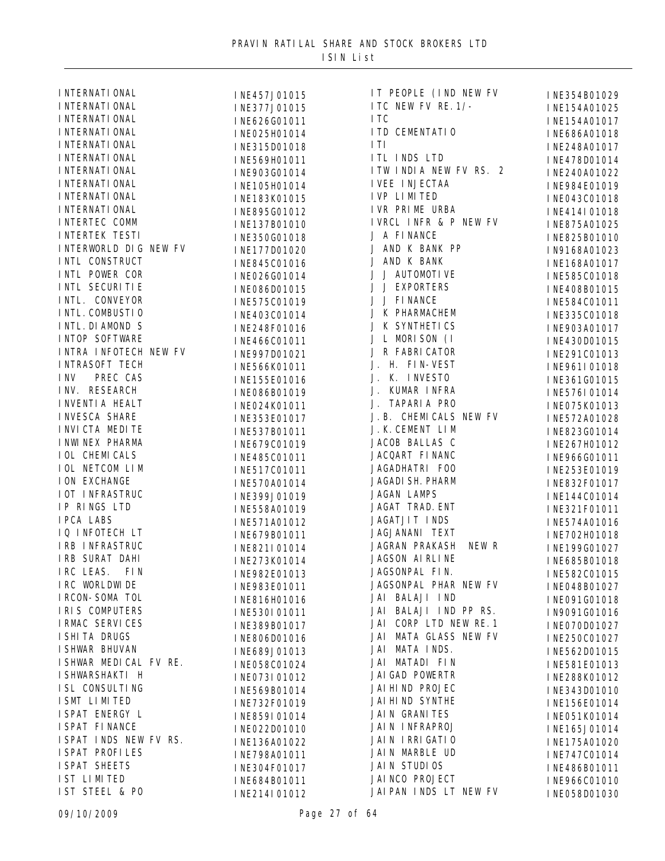| <b>I NTERNATI ONAL</b>                                                                                       |  |
|--------------------------------------------------------------------------------------------------------------|--|
| <b>I NTERNATI ONAL</b>                                                                                       |  |
| I NTERNATI ONAL                                                                                              |  |
| I NTERNATI ONAL                                                                                              |  |
| <b>I NTERNATI ONAL</b>                                                                                       |  |
| <b>I NTERNATI ONAL</b>                                                                                       |  |
| <b>I NTERNATI ONAL</b>                                                                                       |  |
| <b>I NTERNATI ONAL</b>                                                                                       |  |
| <b>I NTERNATI ONAL</b>                                                                                       |  |
| <b>I NTERNATI ONAL</b>                                                                                       |  |
| <b>INTERTEC COMM</b>                                                                                         |  |
| <b>INTERTEK TESTI</b>                                                                                        |  |
| INTERWORLD DIG NEW FV                                                                                        |  |
| INTL CONSTRUCT                                                                                               |  |
| INTL POWER COR                                                                                               |  |
| INTL SECURITIE                                                                                               |  |
| INTL. CONVEYOR                                                                                               |  |
| INTL. COMBUSTIO                                                                                              |  |
| INTL. DI AMOND S                                                                                             |  |
| <b>INTOP SOFTWARE</b>                                                                                        |  |
| INTRA INFOTECH NEW FV                                                                                        |  |
| <b>INTRASOFT TECH</b>                                                                                        |  |
| INV PREC CAS                                                                                                 |  |
| INV. RESEARCH                                                                                                |  |
| <b>INVENTIA HEALT</b>                                                                                        |  |
| <b>INVESCA SHARE</b>                                                                                         |  |
| I NVI CTA MEDI TE                                                                                            |  |
| I NWI NEX PHARMA                                                                                             |  |
| <b>IOL CHEMICALS</b>                                                                                         |  |
| IOL NETCOM LIM                                                                                               |  |
| <b>ION EXCHANGE</b>                                                                                          |  |
| <b>IOT INFRASTRUC</b>                                                                                        |  |
| IP RINGS LTD                                                                                                 |  |
| <b>IPCA LABS</b>                                                                                             |  |
| IQ INFOTECH LT                                                                                               |  |
| IRB INFRASTRUC                                                                                               |  |
| IRB SURAT DAHI                                                                                               |  |
| IRC LEAS.<br>FI <sub>N</sub>                                                                                 |  |
| IRC WORLDWIDE                                                                                                |  |
| I RCON-SOMA TOL                                                                                              |  |
| IRIS COMPUTERS                                                                                               |  |
| I RMAC SERVI CES                                                                                             |  |
|                                                                                                              |  |
| I SHI TA DRUGS                                                                                               |  |
| I SHWAR BHUVAN                                                                                               |  |
| I SHWAR MEDICAL FV RE.                                                                                       |  |
| I SHWARSHAKTI H                                                                                              |  |
| I SL CONSULTI NG                                                                                             |  |
| I SMT LI MI TED                                                                                              |  |
|                                                                                                              |  |
|                                                                                                              |  |
|                                                                                                              |  |
| THE HEARY LAND SPAT ENERGY LAND FOR THE MANCE<br>I SPAT I NDS NEW FV RS.<br>I SPAT PROFILES<br>I SPAT SHEETS |  |
|                                                                                                              |  |
| IST LIMITED                                                                                                  |  |
| IST STEEL & PO                                                                                               |  |

| INE457J01015 | IT PEOPLE (IND NEW FV   | INE354B01029 |
|--------------|-------------------------|--------------|
| INE377J01015 | ITC NEW FV RE. 1/-      | INE154A01025 |
| INE626G01011 | I TC                    | INE154A01017 |
| INE025H01014 | I TD CEMENTATIO         | INE686A01018 |
| INE315D01018 | ITI                     | INE248A01017 |
| INE569H01011 | ITL INDS LTD            | INE478D01014 |
| INE903G01014 | I TW INDIA NEW FV RS. 2 | INE240A01022 |
| INE105H01014 | I VEE I NJECTAA         | INE984E01019 |
| INE183K01015 | I VP LI MI TED          | INE043C01018 |
| INE895G01012 | I VR PRIME URBA         | INE414I01018 |
| INE137B01010 | IVRCL INFR & P NEW FV   | INE875A01025 |
| INE350G01018 | J A FINANCE             | INE825B01010 |
| INE177D01020 | J AND K BANK PP         | IN9168A01023 |
| INE845C01016 | J AND K BANK            | INE168A01017 |
| INE026G01014 | J J AUTOMOTIVE          | INE585C01018 |
| INE086D01015 | J J EXPORTERS           | INE408B01015 |
| INE575C01019 | J J FINANCE             | INE584C01011 |
| INE403C01014 | J K PHARMACHEM          | INE335C01018 |
| INE248F01016 | J K SYNTHETICS          | INE903A01017 |
| INE466C01011 | J L MORISON (I          | INE430D01015 |
| INE997D01021 | J R FABRICATOR          | INE291C01013 |
| INE566K01011 | J. H. FIN-VEST          | INE961I01018 |
| INE155E01016 | J. K. INVESTO           | INE361G01015 |
| INE086B01019 | J. KUMAR INFRA          | INE576I01014 |
| INE024K01011 | J. TAPARIA PRO          | INE075K01013 |
| INE353E01017 | J. B. CHEMICALS NEW FV  | INE572A01028 |
| INE537B01011 | J. K. CEMENT LIM        | INE823G01014 |
| INE679C01019 | JACOB BALLAS C          | INE267H01012 |
| INE485C01011 | JACQART FINANC          | INE966G01011 |
| INE517C01011 | JAGADHATRI FOO          | INE253E01019 |
| INE570A01014 | JAGADI SH. PHARM        | INE832F01017 |
| INE399J01019 | JAGAN LAMPS             | INE144C01014 |
| INE558A01019 | JAGAT TRAD. ENT         | INE321F01011 |
| INE571A01012 | JAGATJIT INDS           | INE574A01016 |
| INE679B01011 | JAGJANANI TEXT          | INE702H01018 |
| INE821I01014 | JAGRAN PRAKASH<br>NEW R | INE199G01027 |
| INE273K01014 | JAGSON AI RLINE         | INE685B01018 |
| INE982E01013 | JAGSONPAL FIN.          | INE582C01015 |
| INE983E01011 | JAGSONPAL PHAR NEW FV   | INE048B01027 |
| INE816H01016 | JAI BALAJI IND          | INE091G01018 |
| INE530I01011 | JAI BALAJI IND PP RS.   | IN9091G01016 |
| INE389B01017 | JAI CORP LTD NEW RE. 1  | INE070D01027 |
| INE806D01016 | JAI MATA GLASS NEW FV   | INE250C01027 |
| INE689J01013 | JAI MATA INDS.          | INE562D01015 |
| INE058C01024 | JAI MATADI FIN          | INE581E01013 |
| INE073I01012 | JAI GAD POWERTR         | INE288K01012 |
| INE569B01014 | JAI HI ND PROJEC        | INE343D01010 |
| INE732F01019 | JAI HI ND SYNTHE        | INE156E01014 |
| INE859I01014 | JAIN GRANITES           | INE051K01014 |
| INE022D01010 | JAIN INFRAPROJ          | INE165J01014 |
| INE136A01022 | JAIN IRRIGATIO          | INE175A01020 |
| INE798A01011 | JAIN MARBLE UD          | INE747C01014 |
| INE304F01017 | JAIN STUDIOS            | INE486B01011 |
| INE684B01011 | JAI NCO PROJECT         | INE966C01010 |
| INE214I01012 | JAIPAN INDS LT NEW FV   | INE058D01030 |
|              |                         |              |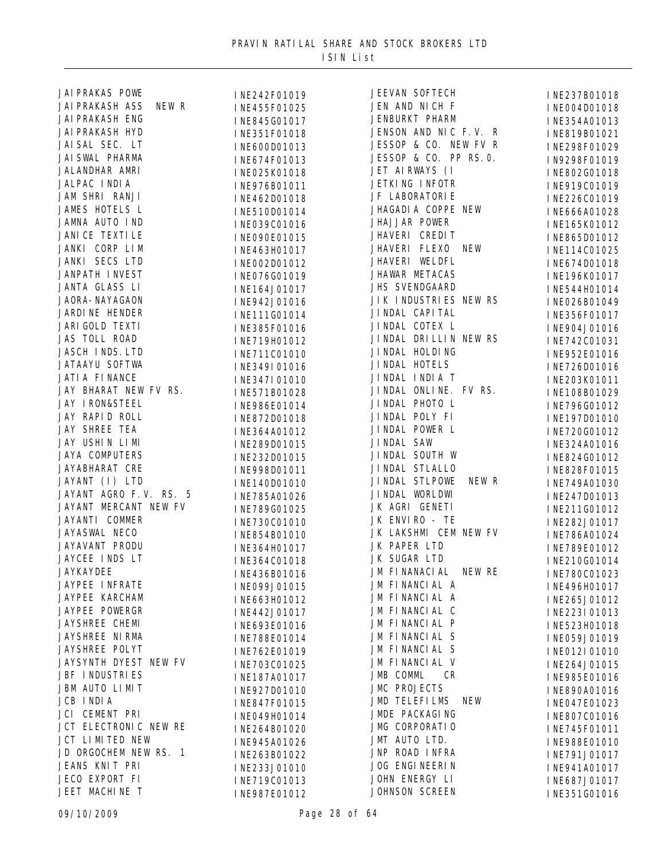| JAI PRAKAS POWE                 | INE242F01019 | <b>JEEVAN SOFTECH</b>       | INE237B01018 |
|---------------------------------|--------------|-----------------------------|--------------|
| <b>JAI PRAKASH ASS</b><br>NEW R | INE455F01025 | JEN AND NICH F              | INE004D01018 |
| <b>JAI PRAKASH ENG</b>          | INE845G01017 | JENBURKT PHARM              | INE354A01013 |
| <b>JAI PRAKASH HYD</b>          | INE351F01018 | JENSON AND NIC F.V. R       | INE819B01021 |
| JAI SAL SEC. LT                 | INE600D01013 | JESSOP & CO. NEW FV R       | INE298F01029 |
| JAI SWAL PHARMA                 | INE674F01013 | JESSOP & CO. PP RS. O.      | IN9298F01019 |
| JALANDHAR AMRI                  | INE025K01018 | JET AIRWAYS (I              | INE802G01018 |
| JALPAC INDIA                    | INE976B01011 | JETKING INFOTR              | INE919C01019 |
| JAM SHRI RANJI                  | INE462D01018 | JF LABORATORI E             | INE226C01019 |
| JAMES HOTELS L                  | INE510D01014 | JHAGADI A COPPE NEW         | INE666A01028 |
| JAMNA AUTO IND                  | INE039C01016 | JHAJJAR POWER               | INE165K01012 |
| JANI CE TEXTI LE                |              | JHAVERI CREDIT              |              |
| JANKI CORP LIM                  | INE090E01015 | JHAVERI FLEXO<br><b>NEW</b> | INE865D01012 |
| JANKI SECS LTD                  | INE463H01017 | JHAVERI WELDFL              | INE114C01025 |
| JANPATH INVEST                  | INE002D01012 | JHAWAR METACAS              | INE674D01018 |
| JANTA GLASS LI                  | INE076G01019 | JHS SVENDGAARD              | INE196K01017 |
| JAORA-NAYAGAON                  | INE164J01017 | JIK INDUSTRIES NEW RS       | INE544H01014 |
| <b>JARDI NE HENDER</b>          | INE942J01016 | JI NDAL CAPI TAL            | INE026B01049 |
|                                 | INE111G01014 | JINDAL COTEX L              | INE356F01017 |
| JARI GOLD TEXTI                 | INE385F01016 |                             | INE904J01016 |
| JAS TOLL ROAD                   | INE719H01012 | JINDAL DRILLIN NEW RS       | INE742C01031 |
| JASCH INDS. LTD                 | INE711C01010 | JI NDAL HOLDI NG            | INE952E01016 |
| JATAAYU SOFTWA                  | INE349I01016 | JI NDAL HOTELS              | INE726D01016 |
| JATI A FI NANCE                 | INE347I01010 | JINDAL INDIA T              | INE203K01011 |
| JAY BHARAT NEW FV RS.           | INE571B01028 | JINDAL ONLINE. FV RS.       | INE108B01029 |
| <b>JAY I RON&amp;STEEL</b>      | INE986E01014 | JINDAL PHOTO L              | INE796G01012 |
| JAY RAPID ROLL                  | INE872D01018 | JINDAL POLY FI              | INE197D01010 |
| JAY SHREE TEA                   | INE364A01012 | JINDAL POWER L              | INE720G01012 |
| JAY USHIN LIMI                  | INE289D01015 | JINDAL SAW                  | INE324A01016 |
| <b>JAYA COMPUTERS</b>           | INE232D01015 | JINDAL SOUTH W              | INE824G01012 |
| JAYABHARAT CRE                  | INE998D01011 | JI NDAL STLALLO             | INE828F01015 |
| JAYANT (I) LTD                  | INE140D01010 | JI NDAL STLPOWE<br>NEW R    | INE749A01030 |
| JAYANT AGRO F.V. RS. 5          | INE785A01026 | JI NDAL WORLDWI             | INE247D01013 |
| JAYANT MERCANT NEW FV           | INE789G01025 | JK AGRI GENETI              | INE211G01012 |
| JAYANTI COMMER                  | INE730C01010 | JK ENVIRO - TE              | INE282J01017 |
| JAYASWAL NECO                   | INE854B01010 | JK LAKSHMI CEM NEW FV       | INE786A01024 |
| JAYAVANT PRODU                  | INE364H01017 | JK PAPER LTD                | INE789E01012 |
| JAYCEE INDS LT                  | INE364C01018 | JK SUGAR LTD                | INE210G01014 |
| <b>JAYKAYDEE</b>                | INE436B01016 | JM FINANACIAL NEW RE        | INE780C01023 |
| <b>JAYPEE INFRATE</b>           | INE099J01015 | JM FINANCIAL A              | INE496H01017 |
| JAYPEE KARCHAM                  | INE663H01012 | JM FINANCIAL A              | INE265J01012 |
| <b>JAYPEE POWERGR</b>           | INE442J01017 | JM FINANCIAL C              | INE223I01013 |
| JAYSHREE CHEMI                  | INE693E01016 | JM FINANCIAL P              | INE523H01018 |
| JAYSHREE NI RMA                 | INE788E01014 | JM FINANCIAL S              | INE059J01019 |
| JAYSHREE POLYT                  | INE762E01019 | JM FINANCIAL S              | INE012I01010 |
| JAYSYNTH DYEST NEW FV           | INE703C01025 | JM FINANCIAL V              | INE264J01015 |
| <b>JBF INDUSTRIES</b>           | INE187A01017 | JMB COMML<br>CR             | INE985E01016 |
| JBM AUTO LIMIT                  |              | JMC PROJECTS                |              |
| JCB INDIA                       | INE927D01010 | <b>JMD TELEFILMS</b><br>NEW | INE890A01016 |
| JCI CEMENT PRI                  | INE847F01015 | JMDE PACKAGING              | INE047E01023 |
| JCT ELECTRONIC NEW RE           | INE049H01014 | JMG CORPORATIO              | INE807C01016 |
| JCT LIMITED NEW                 | INE264B01020 | JMT AUTO LTD.               | INE745F01011 |
| JD ORGOCHEM NEW RS. 1           | INE945A01026 | JNP ROAD INFRA              | INE988E01010 |
| JEANS KNIT PRI                  | INE263B01022 | JOG ENGINEERIN              | INE791J01017 |
| JECO EXPORT FI                  | INE233J01010 |                             | INE941A01017 |
|                                 | INE719C01013 | JOHN ENERGY LI              | INE687J01017 |
| JEET MACHINE T                  | INE987E01012 | JOHNSON SCREEN              | INE351G01016 |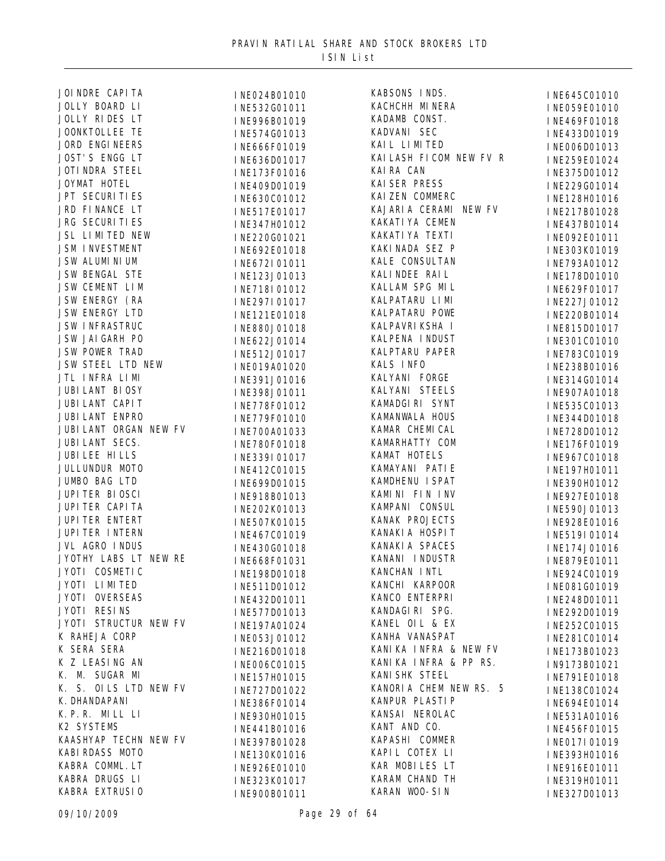| JOI NDRE CAPI TA       | INE024B01010 | KABSONS INDS.            | INE645C01010 |
|------------------------|--------------|--------------------------|--------------|
| JOLLY BOARD LI         | INE532G01011 | KACHCHH MINERA           | INE059E01010 |
| JOLLY RIDES LT         | INE996B01019 | KADAMB CONST.            | INE469F01018 |
| JOONKTOLLEE TE         | INE574G01013 | KADVANI SEC              | INE433D01019 |
| <b>JORD ENGINEERS</b>  | INE666F01019 | KAI L LI MI TED          | INE006D01013 |
| JOST'S ENGG LT         | INE636D01017 | KAI LASH FI COM NEW FV R | INE259E01024 |
| <b>JOTI NDRA STEEL</b> | INE173F01016 | KAI RA CAN               | INE375D01012 |
| JOYMAT HOTEL           | INE409D01019 | <b>KAI SER PRESS</b>     | INE229G01014 |
| JPT SECURI TI ES       | INE630C01012 | KAI ZEN COMMERC          | INE128H01016 |
| JRD FINANCE LT         | INE517E01017 | KAJARIA CERAMI NEW FV    | INE217B01028 |
| <b>JRG SECURITIES</b>  | INE347H01012 | KAKATI YA CEMEN          | INE437B01014 |
| JSL LIMITED NEW        | INE220G01021 | KAKATI YA TEXTI          | INE092E01011 |
| <b>JSM INVESTMENT</b>  | INE692E01018 | KAKI NADA SEZ P          | INE303K01019 |
| JSW ALUMI NI UM        | INE672I01011 | KALE CONSULTAN           | INE793A01012 |
| JSW BENGAL STE         | INE123J01013 | KALI NDEE RAI L          | INE178D01010 |
| JSW CEMENT LIM         | INE718I01012 | KALLAM SPG MIL           | INE629F01017 |
| JSW ENERGY (RA         | INE297I01017 | KALPATARU LI MI          | INE227J01012 |
| JSW ENERGY LTD         | INE121E01018 | KALPATARU POWE           | INE220B01014 |
| <b>JSW INFRASTRUC</b>  | INE880J01018 | KALPAVRI KSHA I          | INE815D01017 |
| JSW JAI GARH PO        | INE622J01014 | KALPENA INDUST           | INE301C01010 |
| <b>JSW POWER TRAD</b>  | INE512J01017 | KALPTARU PAPER           | INE783C01019 |
| JSW STEEL LTD NEW      |              | KALS INFO                |              |
| JTL INFRA LIMI         | INE019A01020 | KALYANI FORGE            | INE238B01016 |
| JUBI LANT BI OSY       | INE391J01016 | KALYANI STEELS           | INE314G01014 |
| JUBI LANT CAPI T       | INE398J01011 | KAMADGIRI SYNT           | INE907A01018 |
| <b>JUBI LANT ENPRO</b> | INE778F01012 | KAMANWALA HOUS           | INE535C01013 |
| JUBI LANT ORGAN NEW FV | INE779F01010 | KAMAR CHEMICAL           | INE344D01018 |
| JUBI LANT SECS.        | INE700A01033 | KAMARHATTY COM           | INE728D01012 |
| JUBI LEE HI LLS        | INE780F01018 | KAMAT HOTELS             | INE176F01019 |
| JULLUNDUR MOTO         | INE339I01017 |                          | INE967C01018 |
|                        | INE412C01015 | KAMAYANI PATIE           | INE197H01011 |
| JUMBO BAG LTD          | INE699D01015 | KAMDHENU I SPAT          | INE390H01012 |
| JUPI TER BI OSCI       | INE918B01013 | KAMINI FIN INV           | INE927E01018 |
| JUPI TER CAPI TA       | INE202K01013 | KAMPANI CONSUL           | INE590J01013 |
| JUPI TER ENTERT        | INE507K01015 | KANAK PROJECTS           | INE928E01016 |
| JUPI TER INTERN        | INE467C01019 | KANAKI A HOSPIT          | INE519I01014 |
| JVL AGRO INDUS         | INE430G01018 | KANAKI A SPACES          | INE174J01016 |
| JYOTHY LABS LT NEW RE  | INE668F01031 | KANANI INDUSTR           | INE879E01011 |
| JYOTI COSMETIC         | INE198D01018 | KANCHAN INTL             | INE924C01019 |
| JYOTI LIMITED          | INE511D01012 | KANCHI KARPOOR           | INE081G01019 |
| JYOTI OVERSEAS         | INE432D01011 | KANCO ENTERPRI           | INE248D01011 |
| JYOTI RESINS           | INE577D01013 | KANDAGIRI SPG.           | INE292D01019 |
| JYOTI STRUCTUR NEW FV  | INE197A01024 | KANEL OIL & EX           | INE252C01015 |
| K RAHEJA CORP          | INE053J01012 | KANHA VANASPAT           | INE281C01014 |
| K SERA SERA            | INE216D01018 | KANIKA INFRA & NEW FV    | INE173B01023 |
| K Z LEASING AN         | INE006C01015 | KANIKA INFRA & PP RS.    | IN9173B01021 |
| K. M. SUGAR MI         | INE157H01015 | KANI SHK STEEL           | INE791E01018 |
| K. S. OILS LTD NEW FV  | INE727D01022 | KANORIA CHEM NEW RS. 5   | INE138C01024 |
| K. DHANDAPANI          | INE386F01014 | KANPUR PLASTIP           | INE694E01014 |
| K.P.R. MILL LI         | INE930H01015 | KANSAI NEROLAC           | INE531A01016 |
| K2 SYSTEMS             | INE441B01016 | KANT AND CO.             | INE456F01015 |
| KAASHYAP TECHN NEW FV  | INE397B01028 | KAPASHI COMMER           | INE017I01019 |
| KABI RDASS MOTO        | INE130K01016 | KAPIL COTEX LI           | INE393H01016 |
| KABRA COMML. LT        | INE926E01010 | KAR MOBILES LT           | INE916E01011 |
| KABRA DRUGS LI         | INE323K01017 | KARAM CHAND TH           | INE319H01011 |
| KABRA EXTRUSIO         | INE900B01011 | KARAN WOO-SIN            | INE327D01013 |
|                        |              |                          |              |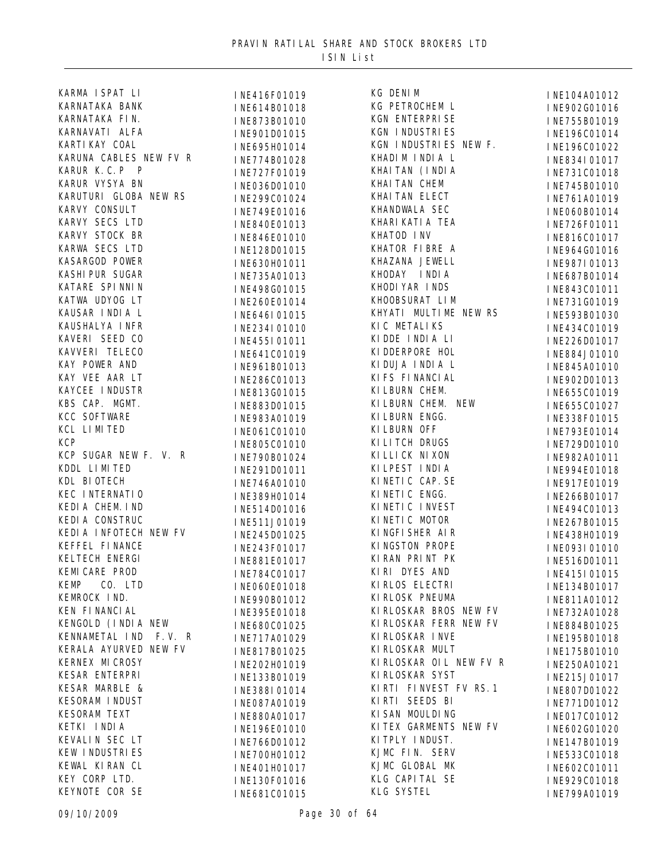| KARMA ISPAT LI         | INE416F01019 | KG DENIM               | INE104A01012 |
|------------------------|--------------|------------------------|--------------|
| KARNATAKA BANK         | INE614B01018 | KG PETROCHEM L         | INE902G01016 |
| KARNATAKA FIN.         | INE873B01010 | KGN ENTERPRISE         | INE755B01019 |
| KARNAVATI ALFA         | INE901D01015 | <b>KGN INDUSTRIES</b>  | INE196C01014 |
| KARTI KAY COAL         | INE695H01014 | KGN INDUSTRIES NEW F.  | INE196C01022 |
| KARUNA CABLES NEW FV R | INE774B01028 | KHADIM INDIA L         | INE834I01017 |
| KARUR K.C.P P          | INE727F01019 | KHAI TAN (I NDI A      | INE731C01018 |
| KARUR VYSYA BN         | INE036D01010 | KHAI TAN CHEM          | INE745B01010 |
| KARUTURI GLOBA NEW RS  | INE299C01024 | KHAI TAN ELECT         | INE761A01019 |
| KARVY CONSULT          | INE749E01016 | KHANDWALA SEC          | INE060B01014 |
| KARVY SECS LTD         | INE840E01013 | KHARI KATI A TEA       | INE726F01011 |
| KARVY STOCK BR         | INE846E01010 | KHATOD INV             | INE816C01017 |
| KARWA SECS LTD         | INE128D01015 | KHATOR FIBRE A         | INE964G01016 |
| KASARGOD POWER         | INE630H01011 | KHAZANA JEWELL         | INE987I01013 |
| KASHI PUR SUGAR        |              | KHODAY INDIA           |              |
| KATARE SPINNIN         | INE735A01013 | KHODI YAR INDS         | INE687B01014 |
| KATWA UDYOG LT         | INE498G01015 | KHOOBSURAT LIM         | INE843C01011 |
| KAUSAR INDIA L         | INE260E01014 | KHYATI MULTIME NEW RS  | INE731G01019 |
| KAUSHALYA INFR         | INE646I01015 | KI C METALI KS         | INE593B01030 |
|                        | INE234I01010 |                        | INE434C01019 |
| KAVERI SEED CO         | INE455I01011 | KIDDE INDIA LI         | INE226D01017 |
| KAVVERI TELECO         | INE641C01019 | KI DDERPORE HOL        | INE884J01010 |
| KAY POWER AND          | INE961B01013 | KIDUJA INDIA L         | INE845A01010 |
| KAY VEE AAR LT         | INE286C01013 | KI FS FI NANCI AL      | INE902D01013 |
| KAYCEE INDUSTR         | INE813G01015 | KI LBURN CHEM.         | INE655C01019 |
| KBS CAP. MGMT.         | INE883D01015 | KI LBURN CHEM. NEW     | INE655C01027 |
| KCC SOFTWARE           | INE983A01019 | KI LBURN ENGG.         | INE338F01015 |
| KCL LIMITED            | INE061C01010 | KI LBURN OFF           | INE793E01014 |
| <b>KCP</b>             | INE805C01010 | KI LI TCH DRUGS        | INE729D01010 |
| KCP SUGAR NEW F. V. R  | INE790B01024 | KI LLI CK NI XON       | INE982A01011 |
| KDDL LIMITED           | INE291D01011 | KI LPEST INDIA         | INE994E01018 |
| KDL BIOTECH            | INE746A01010 | KINETIC CAP. SE        | INE917E01019 |
| KEC INTERNATIO         | INE389H01014 | KINETIC ENGG.          | INE266B01017 |
| KEDIA CHEM. IND        | INE514D01016 | KINETIC INVEST         | INE494C01013 |
| KEDI A CONSTRUC        | INE511J01019 | KINETIC MOTOR          | INE267B01015 |
| KEDIA INFOTECH NEW FV  | INE245D01025 | KINGFISHER AIR         | INE438H01019 |
| KEFFEL FINANCE         | INE243F01017 | KINGSTON PROPE         | INE093I01010 |
| KELTECH ENERGI         | INE881E01017 | KIRAN PRINT PK         | INE516D01011 |
| KEMI CARE PROD         | INE784C01017 | KIRI DYES AND          | INE415I01015 |
| <b>KEMP</b><br>CO. LTD | INE060E01018 | KI RLOS ELECTRI        | INE134B01017 |
| KEMROCK IND.           | INE990B01012 | KI RLOSK PNEUMA        | INE811A01012 |
| KEN FI NANCI AL        | INE395E01018 | KIRLOSKAR BROS NEW FV  | INE732A01028 |
| KENGOLD (INDIA NEW     | INE680C01025 | KI RLOSKAR FERR NEW FV | INE884B01025 |
| KENNAMETAL IND F.V. R  | INE717A01029 | KI RLOSKAR I NVE       | INE195B01018 |
| KERALA AYURVED NEW FV  |              | KI RLOSKAR MULT        |              |
| <b>KERNEX MI CROSY</b> | INE817B01025 | KIRLOSKAR OIL NEW FV R | INE175B01010 |
| KESAR ENTERPRI         | INE202H01019 | KI RLOSKAR SYST        | INE250A01021 |
| KESAR MARBLE &         | INE133B01019 | KIRTI FINVEST FV RS. 1 | INE215J01017 |
| <b>KESORAM INDUST</b>  | INE388I01014 | KIRTI SEEDS BI         | INE807D01022 |
|                        | INE087A01019 |                        | INE771D01012 |
| <b>KESORAM TEXT</b>    | INE880A01017 | KI SAN MOULDING        | INE017C01012 |
| KETKI INDIA            | INE196E01010 | KITEX GARMENTS NEW FV  | INE602G01020 |
| KEVALIN SEC LT         | INE766D01012 | KI TPLY I NDUST.       | INE147B01019 |
| KEW INDUSTRIES         | INE700H01012 | KJMC FIN. SERV         | INE533C01018 |
| KEWAL KIRAN CL         | INE401H01017 | KJMC GLOBAL MK         | INE602C01011 |
| KEY CORP LTD.          | INE130F01016 | KLG CAPITAL SE         | INE929C01018 |
| KEYNOTE COR SE         | INE681C01015 | KLG SYSTEL             | INE799A01019 |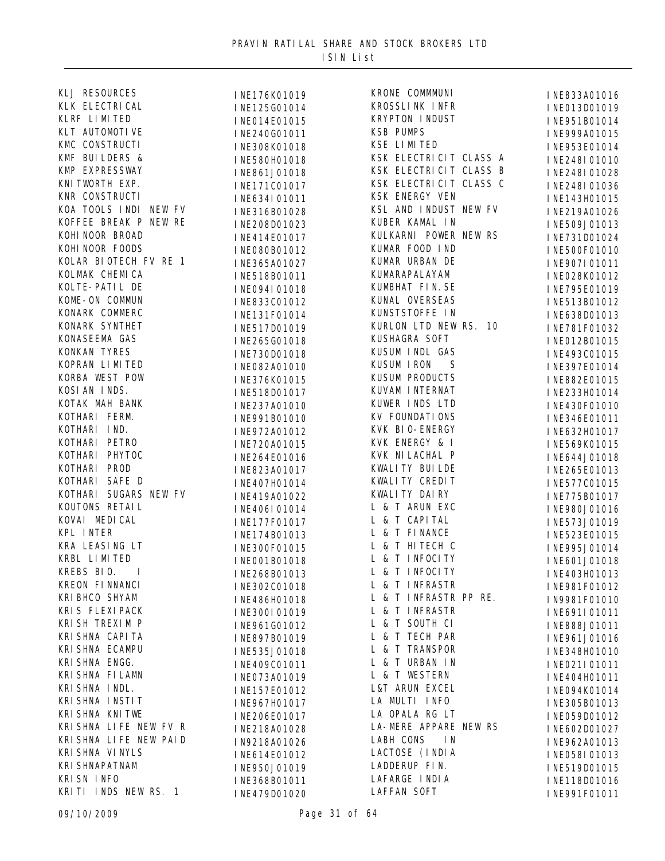| KLJ RESOURCES          | INE176K01019 | KRONE COMMMUNI          | INE833A01016 |
|------------------------|--------------|-------------------------|--------------|
| KLK ELECTRI CAL        | INE125G01014 | KROSSLINK INFR          | INE013D01019 |
| KLRF LIMITED           | INE014E01015 | KRYPTON INDUST          | INE951B01014 |
| KLT AUTOMOTI VE        | INE240G01011 | <b>KSB PUMPS</b>        | INE999A01015 |
| KMC CONSTRUCTI         | INE308K01018 | KSE LIMITED             | INE953E01014 |
| KMF BUILDERS &         | INE580H01018 | KSK ELECTRICIT CLASS A  | INE248I01010 |
| KMP EXPRESSWAY         | INE861J01018 | KSK ELECTRICIT CLASS B  | INE248I01028 |
| KNI TWORTH EXP.        | INE171C01017 | KSK ELECTRICIT CLASS C  | INE248I01036 |
| KNR CONSTRUCTI         | INE634I01011 | KSK ENERGY VEN          | INE143H01015 |
| KOA TOOLS INDI NEW FV  | INE316B01028 | KSL AND INDUST NEW FV   | INE219A01026 |
| KOFFEE BREAK P NEW RE  | INE208D01023 | KUBER KAMAL IN          | INE509J01013 |
| KOHI NOOR BROAD        | INE414E01017 | KULKARNI POWER NEW RS   | INE731D01024 |
| KOHI NOOR FOODS        | INE080B01012 | KUMAR FOOD IND          | INE500F01010 |
| KOLAR BIOTECH FV RE 1  | INE365A01027 | KUMAR URBAN DE          | INE907I01011 |
| KOLMAK CHEMICA         | INE518B01011 | KUMARAPALAYAM           | INE028K01012 |
| KOLTE-PATIL DE         | INE094I01018 | KUMBHAT FIN. SE         | INE795E01019 |
| KOME-ON COMMUN         | INE833C01012 | KUNAL OVERSEAS          | INE513B01012 |
| KONARK COMMERC         | INE131F01014 | KUNSTSTOFFE IN          | INE638D01013 |
| KONARK SYNTHET         | INE517D01019 | KURLON LTD NEW RS. 10   | INE781F01032 |
| KONASEEMA GAS          | INE265G01018 | KUSHAGRA SOFT           | INE012B01015 |
| KONKAN TYRES           | INE730D01018 | KUSUM INDL GAS          |              |
| KOPRAN LIMITED         |              | <b>KUSUM I RON</b><br>S | INE493C01015 |
| KORBA WEST POW         | INE082A01010 | KUSUM PRODUCTS          | INE397E01014 |
| KOSI AN INDS.          | INE376K01015 | KUVAM I NTERNAT         | INE882E01015 |
| KOTAK MAH BANK         | INE518D01017 | KUWER INDS LTD          | INE233H01014 |
| KOTHARI FERM.          | INE237A01010 | <b>KV FOUNDATIONS</b>   | INE430F01010 |
| KOTHARI IND.           | INE991B01010 | KVK BI 0- ENERGY        | INE346E01011 |
| KOTHARI PETRO          | INE972A01012 | KVK ENERGY & I          | INE632H01017 |
|                        | INE720A01015 |                         | INE569K01015 |
| KOTHARI PHYTOC         | INE264E01016 | KVK NI LACHAL P         | INE644J01018 |
| KOTHARI PROD           | INE823A01017 | KWALI TY BUI LDE        | INE265E01013 |
| KOTHARI SAFE D         | INE407H01014 | KWALITY CREDIT          | INE577C01015 |
| KOTHARI SUGARS NEW FV  | INE419A01022 | KWALI TY DAI RY         | INE775B01017 |
| KOUTONS RETAIL         | INE406I01014 | L & T ARUN EXC          | INE980J01016 |
| KOVAI MEDICAL          | INE177F01017 | L & T CAPITAL           | INE573J01019 |
| KPL INTER              | INE174B01013 | L & T FINANCE           | INE523E01015 |
| KRA LEASING LT         | INE300F01015 | L & T HITECH C          | INE995J01014 |
| KRBL LIMITED           | INE001B01018 | L & T INFOCITY          | INE601J01018 |
| KREBS BIO.<br><b>I</b> | INE268B01013 | L & T INFOCITY          | INE403H01013 |
| KREON FI NNANCI        | INE302C01018 | L & T INFRASTR          | INE981F01012 |
| KRI BHCO SHYAM         | INE486H01018 | L & T INFRASTR PP RE.   | IN9981F01010 |
| KRIS FLEXIPACK         | INE300I01019 | L & T INFRASTR          | INE691I01011 |
| KRI SH TREXI M P       | INE961G01012 | L & T SOUTH CI          | INE888J01011 |
| KRI SHNA CAPI TA       | INE897B01019 | L & T TECH PAR          | INE961J01016 |
| KRI SHNA ECAMPU        | INE535J01018 | L & T TRANSPOR          | INE348H01010 |
| KRI SHNA ENGG.         | INE409C01011 | L & T URBAN IN          | INE021I01011 |
| KRI SHNA FI LAMN       | INE073A01019 | L & T WESTERN           | INE404H01011 |
| KRI SHNA I NDL.        | INE157E01012 | L&T ARUN EXCEL          | INE094K01014 |
| KRI SHNA INSTIT        | INE967H01017 | LA MULTI INFO           | INE305B01013 |
| KRI SHNA KNI TWE       | INE206E01017 | LA OPALA RG LT          | INE059D01012 |
| KRI SHNA LIFE NEW FV R | INE218A01028 | LA-MERE APPARE NEW RS   | INE602D01027 |
| KRI SHNA LIFE NEW PAID | IN9218A01026 | LABH CONS<br>I N        | INE962A01013 |
| KRI SHNA VI NYLS       | INE614E01012 | LACTOSE (INDIA          | INE058I01013 |
| <b>KRI SHNAPATNAM</b>  | INE950J01019 | LADDERUP FIN.           | INE519D01015 |
| KRI SN INFO            | INE368B01011 | LAFARGE INDIA           | INE118D01016 |
| KRITI INDS NEW RS. 1   | INE479D01020 | <b>LAFFAN SOFT</b>      | INE991F01011 |
|                        |              |                         |              |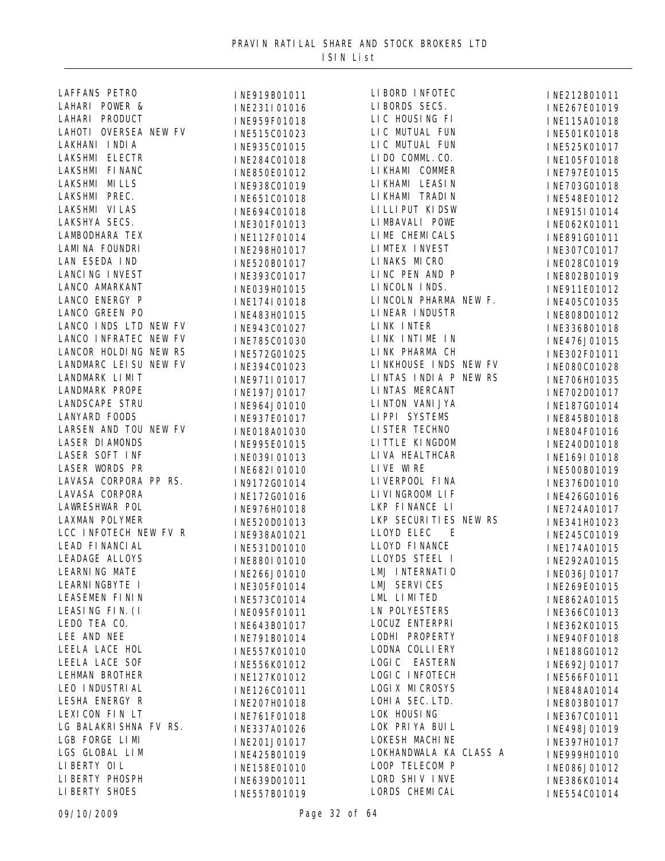| LAFFANS PETRO          | INE919B01011 | LIBORD INFOTEC         | INE212B01011 |
|------------------------|--------------|------------------------|--------------|
| LAHARI POWER &         | INE231I01016 | LIBORDS SECS.          | INE267E01019 |
| LAHARI PRODUCT         | INE959F01018 | LIC HOUSING FI         | INE115A01018 |
| LAHOTI OVERSEA NEW FV  | INE515C01023 | LIC MUTUAL FUN         | INE501K01018 |
| LAKHANI INDIA          | INE935C01015 | LIC MUTUAL FUN         | INE525K01017 |
| LAKSHMI ELECTR         | INE284C01018 | LIDO COMML. CO.        | INE105F01018 |
| LAKSHMI FI NANC        | INE850E01012 | LI KHAMI COMMER        | INE797E01015 |
| LAKSHMI MILLS          | INE938C01019 | LI KHAMI LEASI N       | INE703G01018 |
| LAKSHMI PREC.          | INE651C01018 | LI KHAMI TRADI N       | INE548E01012 |
| LAKSHMI VI LAS         | INE694C01018 | LI LLI PUT KI DSW      | INE915I01014 |
| LAKSHYA SECS.          | INE301F01013 | LIMBAVALI POWE         | INE062K01011 |
| LAMBODHARA TEX         | INE112F01014 | LIME CHEMICALS         | INE891G01011 |
| LAMINA FOUNDRI         | INE298H01017 | LIMTEX INVEST          | INE307C01017 |
| LAN ESEDA IND          | INE520B01017 | LINAKS MICRO           | INE028C01019 |
| LANCI NG INVEST        |              | LINC PEN AND P         |              |
| LANCO AMARKANT         | INE393C01017 | LINCOLN INDS.          | INE802B01019 |
| LANCO ENERGY P         | INE039H01015 | LINCOLN PHARMA NEW F.  | INE911E01012 |
| LANCO GREEN PO         | INE174I01018 | LINEAR INDUSTR         | INE405C01035 |
| LANCO INDS LTD NEW FV  | INE483H01015 | LINK INTER             | INE808D01012 |
| LANCO INFRATEC NEW FV  | INE943C01027 | LINK INTIME IN         | INE336B01018 |
| LANCOR HOLDING NEW RS  | INE785C01030 |                        | INE476J01015 |
|                        | INE572G01025 | LINK PHARMA CH         | INE302F01011 |
| LANDMARC LEI SU NEW FV | INE394C01023 | LINKHOUSE INDS NEW FV  | INE080C01028 |
| LANDMARK LIMIT         | INE971I01017 | LINTAS INDIA P NEW RS  | INE706H01035 |
| <b>LANDMARK PROPE</b>  | INE197J01017 | LINTAS MERCANT         | INE702D01017 |
| LANDSCAPE STRU         | INE964J01010 | LI NTON VANI JYA       | INE187G01014 |
| LANYARD FOODS          | INE937E01017 | LIPPI SYSTEMS          | INE845B01018 |
| LARSEN AND TOU NEW FV  | INE018A01030 | LI STER TECHNO         | INE804F01016 |
| LASER DI AMONDS        | INE995E01015 | LITTLE KINGDOM         | INE240D01018 |
| LASER SOFT INF         | INE039I01013 | LIVA HEALTHCAR         | INE169I01018 |
| LASER WORDS PR         | INE682I01010 | LIVE WIRE              | INE500B01019 |
| LAVASA CORPORA PP RS.  | IN9172G01014 | LI VERPOOL FI NA       | INE376D01010 |
| LAVASA CORPORA         | INE172G01016 | LI VI NGROOM LI F      | INE426G01016 |
| LAWRESHWAR POL         | INE976H01018 | LKP FINANCE LI         | INE724A01017 |
| <b>LAXMAN POLYMER</b>  | INE520D01013 | LKP SECURITIES NEW RS  | INE341H01023 |
| LCC INFOTECH NEW FV R  | INE938A01021 | LLOYD ELEC<br>E        | INE245C01019 |
| LEAD FINANCIAL         | INE531D01010 | LLOYD FINANCE          | INE174A01015 |
| <b>LEADAGE ALLOYS</b>  | INE880I01010 | LLOYDS STEEL I         | INE292A01015 |
| LEARNING MATE          | INE266J01010 | LMJ INTERNATIO         | INE036J01017 |
| LEARNI NGBYTE I        | INE305F01014 | <b>LMJ SERVICES</b>    | INE269E01015 |
| LEASEMEN FININ         | INE573C01014 | LML LIMITED            | INE862A01015 |
| LEASING FIN. (I        | INE095F01011 | <b>LN POLYESTERS</b>   | INE366C01013 |
| LEDO TEA CO.           | INE643B01017 | LOCUZ ENTERPRI         | INE362K01015 |
| LEE AND NEE            | INE791B01014 | LODHI PROPERTY         | INE940F01018 |
| LEELA LACE HOL         | INE557K01010 | LODNA COLLI ERY        | INE188G01012 |
| <b>LEELA LACE SOF</b>  | INE556K01012 | LOGIC EASTERN          | INE692J01017 |
| LEHMAN BROTHER         | INE127K01012 | LOGIC INFOTECH         | INE566F01011 |
| LEO I NDUSTRI AL       | INE126C01011 | LOGIX MICROSYS         | INE848A01014 |
| LESHA ENERGY R         | INE207H01018 | LOHIA SEC. LTD.        | INE803B01017 |
| LEXICON FIN LT         | INE761F01018 | LOK HOUSING            | INE367C01011 |
| LG BALAKRI SHNA FV RS. | INE337A01026 | LOK PRIYA BUIL         | INE498J01019 |
| LGB FORGE LIMI         | INE201J01017 | LOKESH MACHINE         | INE397H01017 |
| LGS GLOBAL LIM         |              | LOKHANDWALA KA CLASS A |              |
| LI BERTY OI L          | INE425B01019 | LOOP TELECOM P         | INE999H01010 |
| LI BERTY PHOSPH        | INE158E01010 | LORD SHIV INVE         | INE086J01012 |
| LI BERTY SHOES         | INE639D01011 | LORDS CHEMICAL         | INE386K01014 |
|                        | INE557B01019 |                        | INE554C01014 |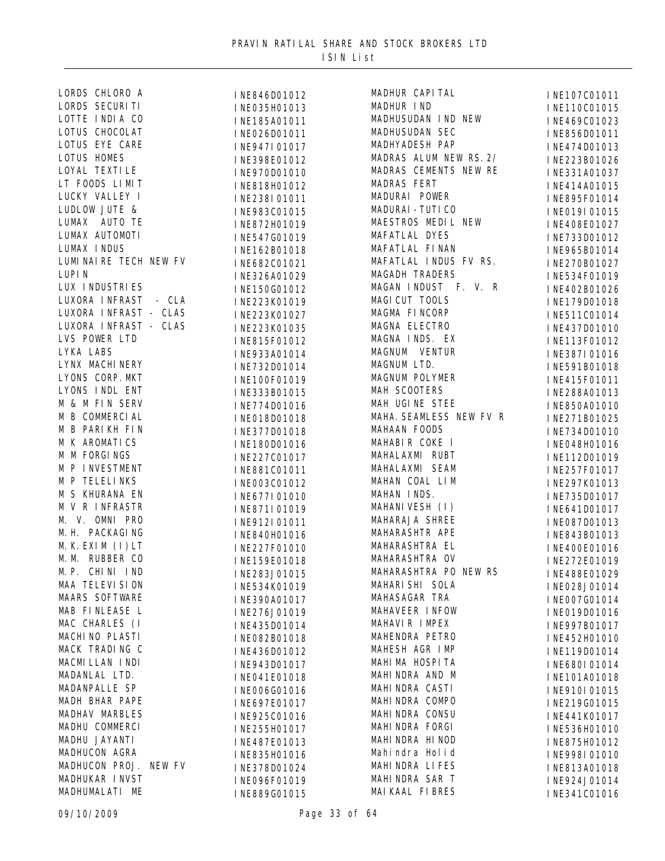| LORDS CHLORO A           | INE846D01012 | MADHUR CAPITAL        |
|--------------------------|--------------|-----------------------|
| LORDS SECURITI           | INE035H01013 | MADHUR IND            |
| LOTTE INDIA CO           | INE185A01011 | MADHUSUDAN IND        |
| LOTUS CHOCOLAT           | INE026D01011 | MADHUSUDAN SEC        |
| LOTUS EYE CARE           | INE947I01017 | MADHYADESH PAP        |
| <b>LOTUS HOMES</b>       | INE398E01012 | MADRAS ALUM NE        |
| LOYAL TEXTI LE           | INE970D01010 | MADRAS CEMENTS        |
| LT FOODS LIMIT           | INE818H01012 | <b>MADRAS FERT</b>    |
| LUCKY VALLEY I           | INE238I01011 | MADURAI POWER         |
| LUDLOW JUTE &            | INE983C01015 | MADURAI - TUTI CO     |
| LUMAX AUTO TE            | INE872H01019 | MAESTROS MEDIL        |
| LUMAX AUTOMOTI           | INE547G01019 | MAFATLAL DYES         |
| LUMAX INDUS              | INE162B01018 | MAFATLAL FINAN        |
| LUMI NAI RE TECH NEW FV  | INE682C01021 | MAFATLAL INDUS        |
| LUPI N                   | INE326A01029 | <b>MAGADH TRADERS</b> |
| LUX INDUSTRIES           | INE150G01012 | MAGAN INDUST          |
| LUXORA INFRAST - CLA     |              | MAGI CUT TOOLS        |
| LUXORA INFRAST - CLAS    | INE223K01019 | MAGMA FINCORP         |
| LUXORA INFRAST - CLAS    | INE223K01027 | MAGNA ELECTRO         |
| LVS POWER LTD            | INE223K01035 | MAGNA INDS. EX        |
| LYKA LABS                | INE815F01012 | MAGNUM VENTUR         |
| LYNX MACHI NERY          | INE933A01014 | MAGNUM LTD.           |
|                          | INE732D01014 |                       |
| LYONS CORP. MKT          | INE100F01019 | MAGNUM POLYMER        |
| LYONS INDL ENT           | INE333B01015 | MAH SCOOTERS          |
| M & M FIN SERV           | INE774D01016 | MAH UGINE STEE        |
| M B COMMERCIAL           | INE018D01018 | MAHA. SEAMLESS        |
| M B PARIKH FIN           | INE377D01018 | MAHAAN FOODS          |
| M K AROMATICS            | INE180D01016 | MAHABIR COKE I        |
| M M FORGINGS             | INE227C01017 | MAHALAXMI RUBT        |
| M P INVESTMENT           | INE881C01011 | MAHALAXMI SEAM        |
| M P TELELINKS            | INE003C01012 | MAHAN COAL LIN        |
| M S KHURANA EN           | INE677I01010 | MAHAN INDS.           |
| M V R INFRASTR           | INE871I01019 | MAHANI VESH (I)       |
| M. V. OMNI PRO           | INE912I01011 | MAHARAJA SHREE        |
| M. H. PACKAGING          | INE840H01016 | MAHARASHTR APE        |
| M. K. EXIM (I) LT        | INE227F01010 | MAHARASHTRA EL        |
| M. M. RUBBER CO          | INE159E01018 | MAHARASHTRA OV        |
| M. P. CHINI IND          | INE283J01015 | MAHARASHTRA PO        |
| MAA TELEVI SI ON         | INE534K01019 | MAHARI SHI SOLA       |
| <b>MAARS SOFTWARE</b>    | INE390A01017 | MAHASAGAR TRA         |
| MAB FINLEASE L           | INE276J01019 | MAHAVEER INFOW        |
| MAC CHARLES (I           | INE435D01014 | MAHAVIR IMPEX         |
| MACHI NO PLASTI          | INE082B01018 | MAHENDRA PETRO        |
| MACK TRADING C           | INE436D01012 | MAHESH AGR IMP        |
| MACMILLAN INDI           | INE943D01017 | MAHI MA HOSPI TA      |
| MADANLAL LTD.            | INE041E01018 | MAHI NDRA AND M       |
| MADANPALLE SP            | INE006G01016 | MAHI NDRA CASTI       |
| MADH BHAR PAPE           | INE697E01017 | MAHI NDRA COMPO       |
| <b>MADHAV MARBLES</b>    |              | MAHI NDRA CONSU       |
| MADHU COMMERCI           | INE925C01016 | MAHI NDRA FORGI       |
| MADHU JAYANTI            | INE255H01017 | MAHI NDRA HI NOD      |
| MADHUCON AGRA            | INE487E01013 | Mahindra Holid        |
| MADHUCON PROJ.<br>NEW FV | INE835H01016 | MAHI NDRA LI FES      |
| MADHUKAR INVST           | INE378D01024 | MAHINDRA SAR T        |
|                          | INE096F01019 |                       |
| MADHUMALATI ME           | INE889G01015 | MAI KAAL FI BRES      |

| MADHUR CAPITAL                                  |
|-------------------------------------------------|
| MADHUR IND                                      |
| MADHUSUDAN IND NEW                              |
| MADHUSUDAN SEC                                  |
| MADHYADESH PAP                                  |
| MADRAS ALUM NEW RS. 2/                          |
| MADRAS CEMENTS NEW RE                           |
| MADRAS FERT                                     |
| MADURAI POWER                                   |
| MADURAI - TUTI CO                               |
| MAESTROS MEDIL NEW                              |
| MAFATLAL DYES                                   |
| MAFATLAL FINAN                                  |
| MAFATLAL INDUS FV RS.                           |
| <b>MAGADH TRADERS</b>                           |
| MAGAN INDUST F. V. R                            |
| MAGI CUT TOOLS                                  |
| MAGMA FINCORP                                   |
|                                                 |
| MAGNA IINCON<br>MAGNA ELECTRO<br>MAGNA INDS. EX |
|                                                 |
| MAGNUM VENTUR                                   |
| MAGNUM LTD.                                     |
| MAGNUM POLYMER                                  |
| MAH SCOOTERS                                    |
| MAH UGINE STEE                                  |
| MAHA. SEAMLESS NEW FV R                         |
| MAHAAN FOODS                                    |
| MAHABIR COKE I                                  |
| MAHALAXMI RUBT                                  |
| MAHALAXMI SEAM                                  |
| MAHAN COAL LIM                                  |
| MAHAN INDS.                                     |
| MAHANI VESH (I)                                 |
| MAHARAJA SHREE                                  |
| MAHARASHTR APE                                  |
| MAHARASHTRA EL                                  |
| MAHARASHTRA OV                                  |
| MAHARASHTRA PO NEW RS                           |
| MAHARI SHI SOLA                                 |
| MAHASAGAR TRA                                   |
| MAHAVEER INFOW                                  |
| MAHAVIR IMPEX                                   |
| MAHENDRA PETRO                                  |
| MAHESH AGR IMP                                  |
| MAHI MA HOSPI TA                                |
| MAHINDRA AND M                                  |
| MAHINDRA CASTI                                  |
| MAHINDRA COMPO                                  |
| MAHINDRA CONSU                                  |
| MAHINDRA FORGI                                  |
| MAHI NDRA HI NOD                                |
| Mahindra Holid                                  |
| MAHINDRA LIFES                                  |
| MAHINDRA SAR T                                  |
|                                                 |
| MAIKAAI EIRRES                                  |

INE107C01011 INE110C01015 INE469C01023 INE856D01011 INE474D01013 INE223B01026 INE331A01037 INE414A01015 INE895F01014 INE019I01015 INE408E01027 INE733D01012 INE965B01014 INE270B01027 INE534F01019 INE402B01026 INE179D01018 INE511C01014 INE437D01010 INE113F01012 INE387I01016 INE591B01018 INE415F01011 INE288A01013 INE850A01010 INE271B01025 INE734D01010 INE048H01016 INE112D01019 INE257F01017 INE297K01013 INE735D01017 INE641D01017 INE087D01013 INE843B01013 INE400E01016 INE272E01019 INE488E01029 INE028J01014 INE007G01014 INE019D01016 INE997B01017 INE452H01010 INE119D01014 INE680I01014 INE101A01018 INE910I01015 INE219G01015 INE441K01017 INE536H01010 INE875H01012 INE998I01010 INE813A01018 I NE924J01014 INE341C01016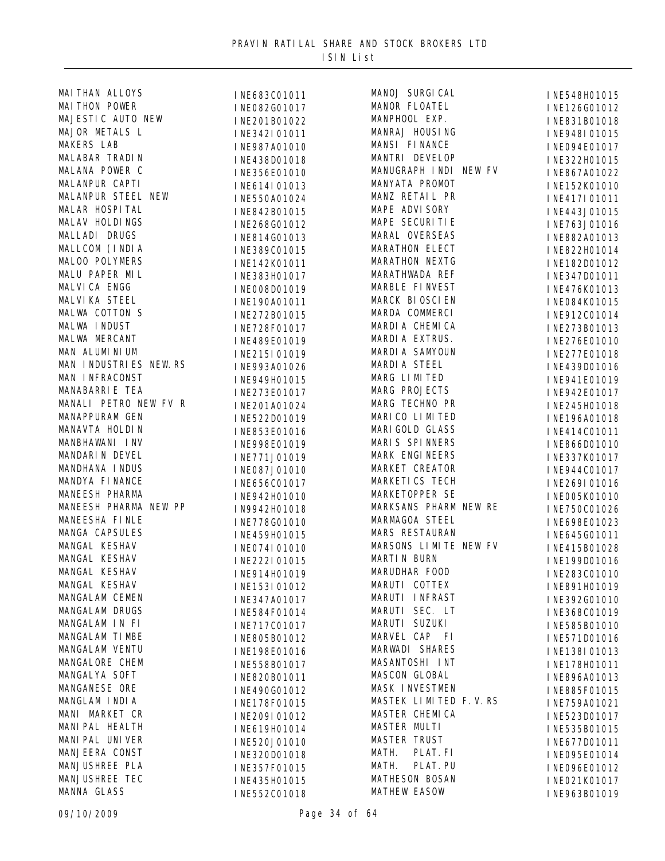| MAI THAN ALLOYS        | INE683C01011 | MANOJ SURGI CAL       | INE548H01015 |
|------------------------|--------------|-----------------------|--------------|
| <b>MAI THON POWER</b>  | INE082G01017 | MANOR FLOATEL         | INE126G01012 |
| MAJESTIC AUTO NEW      | INE201B01022 | MANPHOOL EXP.         | INE831B01018 |
| MAJOR METALS L         | INE342I01011 | MANRAJ HOUSING        | INE948I01015 |
| <b>MAKERS LAB</b>      | INE987A01010 | MANSI FINANCE         | INE094E01017 |
| MALABAR TRADIN         | INE438D01018 | MANTRI DEVELOP        | INE322H01015 |
| MALANA POWER C         | INE356E01010 | MANUGRAPH INDI NEW FV | INE867A01022 |
| MALANPUR CAPTI         | INE614I01013 | MANYATA PROMOT        | INE152K01010 |
| MALANPUR STEEL NEW     | INE550A01024 | MANZ RETAIL PR        | INE417I01011 |
| MALAR HOSPITAL         | INE842B01015 | MAPE ADVI SORY        | INE443J01015 |
| MALAV HOLDINGS         | INE268G01012 | MAPE SECURITIE        | INE763J01016 |
| MALLADI DRUGS          | INE814G01013 | MARAL OVERSEAS        | INE882A01013 |
| MALLCOM (INDIA         | INE389C01015 | <b>MARATHON ELECT</b> | INE822H01014 |
| MALOO POLYMERS         | INE142K01011 | MARATHON NEXTG        | INE182D01012 |
| MALU PAPER MIL         | INE383H01017 | MARATHWADA REF        | INE347D01011 |
| MALVICA ENGG           | INE008D01019 | MARBLE FINVEST        | INE476K01013 |
| <b>MALVI KA STEEL</b>  | INE190A01011 | MARCK BIOSCIEN        | INE084K01015 |
| MALWA COTTON S         |              | MARDA COMMERCI        |              |
| MALWA INDUST           | INE272B01015 | MARDIA CHEMICA        | INE912C01014 |
| MALWA MERCANT          | INE728F01017 | MARDIA EXTRUS.        | INE273B01013 |
| MAN ALUMINIUM          | INE489E01019 | MARDI A SAMYOUN       | INE276E01010 |
| MAN INDUSTRIES NEW. RS | INE215I01019 | MARDI A STEEL         | INE277E01018 |
| MAN INFRACONST         | INE993A01026 | MARG LIMITED          | INE439D01016 |
| MANABARRIE TEA         | INE949H01015 | MARG PROJECTS         | INE941E01019 |
|                        | INE273E01017 |                       | INE942E01017 |
| MANALI PETRO NEW FV R  | INE201A01024 | MARG TECHNO PR        | INE245H01018 |
| MANAPPURAM GEN         | INE522D01019 | MARI CO LI MI TED     | INE196A01018 |
| MANAVTA HOLDIN         | INE853E01016 | MARI GOLD GLASS       | INE414C01011 |
| MANBHAWANI INV         | INE998E01019 | MARIS SPINNERS        | INE866D01010 |
| MANDARIN DEVEL         | INE771J01019 | MARK ENGINEERS        | INE337K01017 |
| MANDHANA INDUS         | INE087J01010 | MARKET CREATOR        | INE944C01017 |
| MANDYA FINANCE         | INE656C01017 | MARKETI CS TECH       | INE269I01016 |
| MANEESH PHARMA         | INE942H01010 | MARKETOPPER SE        | INE005K01010 |
| MANEESH PHARMA NEW PP  | IN9942H01018 | MARKSANS PHARM NEW RE | INE750C01026 |
| MANEESHA FINLE         | INE778G01010 | MARMAGOA STEEL        | INE698E01023 |
| MANGA CAPSULES         | INE459H01015 | MARS RESTAURAN        | INE645G01011 |
| MANGAL KESHAV          | INE074I01010 | MARSONS LIMITE NEW FV | INE415B01028 |
| MANGAL KESHAV          | INE222I01015 | MARTIN BURN           | INE199D01016 |
| MANGAL KESHAV          | INE914H01019 | MARUDHAR FOOD         | INE283C01010 |
| MANGAL KESHAV          | INE153I01012 | MARUTI COTTEX         | INE891H01019 |
| MANGALAM CEMEN         | INE347A01017 | MARUTI INFRAST        | INE392G01010 |
| MANGALAM DRUGS         | INE584F01014 | MARUTI SEC. LT        | INE368C01019 |
| MANGALAM IN FI         | INE717C01017 | MARUTI SUZUKI         | INE585B01010 |
| MANGALAM TIMBE         | INE805B01012 | MARVEL CAP FI         | INE571D01016 |
| MANGALAM VENTU         | INE198E01016 | MARWADI SHARES        | INE138I01013 |
| MANGALORE CHEM         | INE558B01017 | MASANTOSHI INT        | INE178H01011 |
| MANGALYA SOFT          | INE820B01011 | MASCON GLOBAL         | INE896A01013 |
| MANGANESE ORE          | INE490G01012 | MASK INVESTMEN        | INE885F01015 |
| MANGLAM INDIA          | INE178F01015 | MASTEK LIMITED F.V.RS | INE759A01021 |
| MANI MARKET CR         | INE209I01012 | MASTER CHEMICA        | INE523D01017 |
| MANI PAL HEALTH        | INE619H01014 | MASTER MULTI          | INE535B01015 |
| MANI PAL UNI VER       | INE520J01010 | <b>MASTER TRUST</b>   | INE677D01011 |
| MANJEERA CONST         | INE320D01018 | MATH.<br>PLAT. FI     | INE095E01014 |
| MANJUSHREE PLA         | INE357F01015 | MATH.<br>PLAT. PU     | INE096E01012 |
| MANJUSHREE TEC         | INE435H01015 | <b>MATHESON BOSAN</b> | INE021K01017 |
| MANNA GLASS            | INE552C01018 | <b>MATHEW EASOW</b>   | INE963B01019 |
|                        |              |                       |              |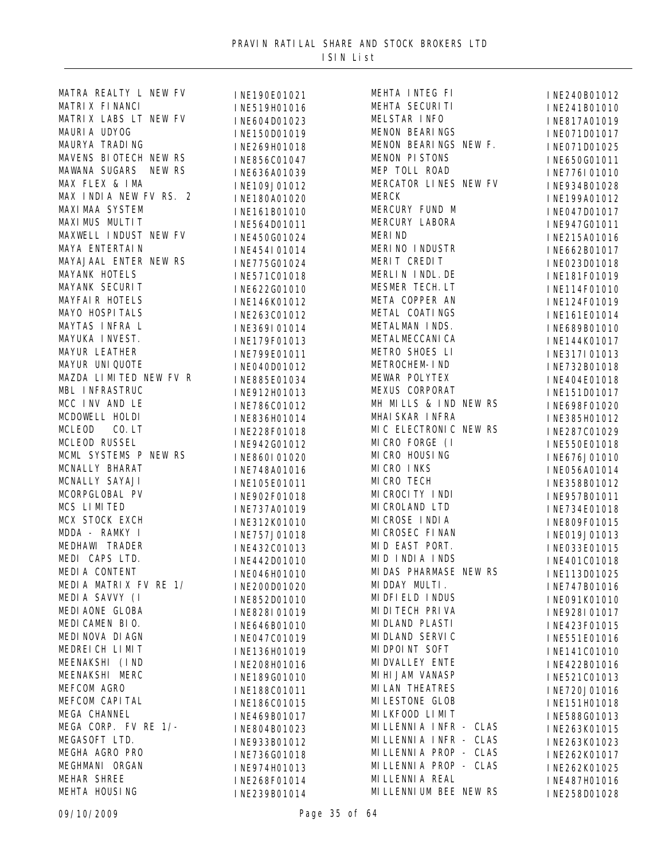| MATRA REALTY L NEW FV  | INE190E01021   | MEHTA INTEG FI         |
|------------------------|----------------|------------------------|
| MATRIX FINANCI         | INE519H01016   | MEHTA SECURITI         |
| MATRIX LABS LT NEW FV  | INE604D01023   | MELSTAR INFO           |
| MAURIA UDYOG           | INE150D01019   | MENON BEARINGS         |
| MAURYA TRADING         | INE269H01018   | MENON BEARINGS N       |
| MAVENS BIOTECH NEW RS  | INE856C01047   | MENON PISTONS          |
| MAWANA SUGARS NEW RS   | INE636A01039   | MEP TOLL ROAD          |
| MAX FLEX & IMA         |                | MERCATOR LINES N       |
| MAX INDIA NEW FV RS. 2 | INE109J01012   | <b>MERCK</b>           |
| <b>MAXI MAA SYSTEM</b> | INE180A01020   | MERCURY FUND M         |
| MAXIMUS MULTIT         | INE161B01010   | MERCURY LABORA         |
| MAXWELL INDUST NEW FV  | INE564D01011   | <b>MERIND</b>          |
| MAYA ENTERTAIN         | INE450G01024   | MERINO INDUSTR         |
|                        | INE454I01014   |                        |
| MAYAJAAL ENTER NEW RS  | INE775G01024   | MERIT CREDIT           |
| MAYANK HOTELS          | INE571C01018   | MERLIN INDL. DE        |
| MAYANK SECURIT         | INE622G01010   | MESMER TECH. LT        |
| <b>MAYFAIR HOTELS</b>  | INE146K01012   | META COPPER AN         |
| MAYO HOSPITALS         | INE263C01012   | METAL COATINGS         |
| MAYTAS INFRA L         | INE369I01014   | METALMAN INDS.         |
| MAYUKA INVEST.         | INE179F01013   | METALMECCANI CA        |
| <b>MAYUR LEATHER</b>   | INE799E01011   | METRO SHOES LI         |
| MAYUR UNIQUOTE         | INE040D01012   | METROCHEM- I ND        |
| MAZDA LIMITED NEW FV R | INE885E01034   | MEWAR POLYTEX          |
| MBL INFRASTRUC         | INE912H01013   | MEXUS CORPORAT         |
| MCC INV AND LE         | INE786C01012   | MH MILLS & IND N       |
| MCDOWELL HOLDI         | INE836H01014   | MHAI SKAR INFRA        |
| MCLEOD<br>$CO.$ LT     | INE228F01018   | MIC ELECTRONIC N       |
| <b>MCLEOD RUSSEL</b>   | INE942G01012   | MICRO FORGE (I         |
| MCML SYSTEMS P NEW RS  | I NE860I 01020 | MI CRO HOUSING         |
| MCNALLY BHARAT         | INE748A01016   | MI CRO INKS            |
| MCNALLY SAYAJI         | INE105E01011   | MI CRO TECH            |
| MCORPGLOBAL PV         | INE902F01018   | MI CROCI TY INDI       |
| MCS LIMITED            | INE737A01019   | MI CROLAND LTD         |
| MCX STOCK EXCH         | INE312K01010   | MI CROSE INDIA         |
| MDDA - RAMKY I         | INE757J01018   | MI CROSEC FI NAN       |
| MEDHAWI TRADER         | INE432C01013   | MID EAST PORT.         |
| MEDI CAPS LTD.         | INE442D01010   | MID INDIA INDS         |
| MEDIA CONTENT          | INE046H01010   | MIDAS PHARMASE N       |
| MEDIA MATRIX FV RE 1/  | INE200D01020   | MIDDAY MULTI.          |
| MEDIA SAVVY (I         | INE852D01010   | MI DFI ELD I NDUS      |
| MEDI AONE GLOBA        | INE828I01019   | MI DI TECH PRI VA      |
| MEDICAMEN BIO.         | INE646B01010   | MI DLAND PLASTI        |
| MEDI NOVA DI AGN       | INE047C01019   | MI DLAND SERVIC        |
| MEDREICH LIMIT         | INE136H01019   | MI DPOI NT SOFT        |
| MEENAKSHI (IND         | INE208H01016   | MI DVALLEY ENTE        |
| MEENAKSHI MERC         | INE189G01010   | MI HI JAM VANASP       |
| MEFCOM AGRO            |                | <b>MI LAN THEATRES</b> |
| MEFCOM CAPITAL         | INE188C01011   | MI LESTONE GLOB        |
| MEGA CHANNEL           | INE186C01015   | MI LKFOOD LI MI T      |
| MEGA CORP. FV RE 1/-   | INE469B01017   | MILLENNIA INFR-        |
| MEGASOFT LTD.          | INE804B01023   | MILLENNIA INFR-        |
| MEGHA AGRO PRO         | INE933B01012   | MI LLENNI A PROP -     |
| MEGHMANI ORGAN         | INE736G01018   | MI LLENNI A PROP -     |
| MEHAR SHREE            | INE974H01013   | MI LLENNI A REAL       |
|                        | INE268F01014   |                        |
| MEHTA HOUSING          | INE239B01014   | MI LLENNI UM BEE N     |

INE240B01012 INE241B01010 INE817A01019 INE071D01017<br>NEW F. INFO71D01025 INE071D01025 INE650G01011 MEP TOLL ROAD INE776I01010 INE934B01028 INE199A01012 INE047D01017 INE947G01011 INE215A01016 INE662B01017 INE023D01018 INE181F01019 INE114F01010 INE124F01019 INE161E01014 INE689B01010 INE144K01017 INE317I01013 INE732B01018 INE404E01018 INE151D01017<br>NEW RS<br>INEGORE01020 INE698F01020 INE385H01012<br>NEW RS INF287C01029 INE 287C01029 INE550E01018 INE676J01010 INE056A01014 INE358B01012 INE957B01011 INE734E01018 INE809F01015 INE019J01013 INE033E01015 INE401C01018<br>NEW RS INF113D01025 INE113D01025 INE747B01016 INE091K01010 INE928I01017 INE423F01015 INE551E01016 INE141C01010 INE422B01016 INE521C01013 INE720J01016 INE151H01018 INE588G01013<br>CLAS INF263K01015 CLAS INE263K01015<br>CLAS INE263K01023 CLAS INE263K01023<br>CLAS INE262K01017 CLAS INE262K01017<br>CLAS INE262K01025 INE262K01025 INE487H01016<br>NEW RS 1NE258D01028 INE258D01028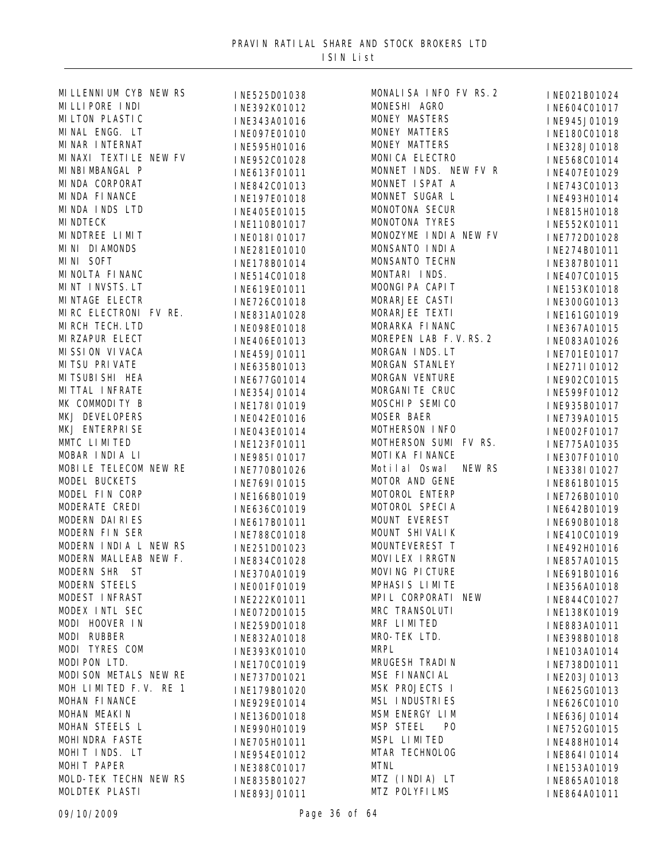| MILLENNIUM CYB NEW RS   | INE525D01038 | MONALISA INFO FV RS. 2      | INE021B01024 |
|-------------------------|--------------|-----------------------------|--------------|
| MILLIPORE INDI          | INE392K01012 | MONESHI AGRO                | INE604C01017 |
| MILTON PLASTIC          | INE343A01016 | MONEY MASTERS               | INE945J01019 |
| MINAL ENGG. LT          | INE097E01010 | MONEY MATTERS               | INE180C01018 |
| MI NAR I NTERNAT        | INE595H01016 | MONEY MATTERS               | INE328J01018 |
| MI NAXI TEXTI LE NEW FV | INE952C01028 | MONICA ELECTRO              | INE568C01014 |
| MI NBI MBANGAL P        | INE613F01011 | MONNET INDS. NEW FV R       | INE407E01029 |
| MINDA CORPORAT          | INE842C01013 | MONNET ISPAT A              | INE743C01013 |
| MI NDA FI NANCE         | INE197E01018 | MONNET SUGAR L              | INE493H01014 |
| MINDA INDS LTD          |              | MONOTONA SECUR              |              |
| <b>MI NDTECK</b>        | INE405E01015 | MONOTONA TYRES              | INE815H01018 |
| MINDTREE LIMIT          | INE110B01017 | MONOZYME INDIA NEW FV       | INE552K01011 |
| MINI DIAMONDS           | INE018I01017 | MONSANTO INDIA              | INE772D01028 |
| MINI SOFT               | INE281E01010 | MONSANTO TECHN              | INE274B01011 |
| MI NOLTA FI NANC        | INE178B01014 | MONTARI INDS.               | INE387B01011 |
| MINT INVSTS. LT         | INE514C01018 | MOONGIPA CAPIT              | INE407C01015 |
| MINTAGE ELECTR          | INE619E01011 | MORARJEE CASTI              | INE153K01018 |
|                         | INE726C01018 |                             | INE300G01013 |
| MIRC ELECTRONI FV RE.   | INE831A01028 | MORARJEE TEXTI              | INE161G01019 |
| MIRCH TECH. LTD         | INE098E01018 | MORARKA FINANC              | INE367A01015 |
| MI RZAPUR ELECT         | INE406E01013 | MOREPEN LAB F.V.RS.2        | INE083A01026 |
| MI SSI ON VI VACA       | INE459J01011 | MORGAN INDS. LT             | INE701E01017 |
| <b>MITSU PRIVATE</b>    | INE635B01013 | MORGAN STANLEY              | INE271I01012 |
| MI TSUBI SHI HEA        | INE677G01014 | MORGAN VENTURE              | INE902C01015 |
| <b>MITTAL INFRATE</b>   | INE354J01014 | MORGANI TE CRUC             | INE599F01012 |
| MK COMMODITY B          | INE178I01019 | MOSCHIP SEMICO              | INE935B01017 |
| MKJ DEVELOPERS          | INE042E01016 | <b>MOSER BAER</b>           | INE739A01015 |
| MKJ ENTERPRISE          | INE043E01014 | MOTHERSON INFO              | INE002F01017 |
| MMTC LIMITED            | INE123F01011 | MOTHERSON SUMI FV RS.       | INE775A01035 |
| MOBAR INDIA LI          | INE985I01017 | MOTI KA FI NANCE            | INE307F01010 |
| MOBILE TELECOM NEW RE   | INE770B01026 | Motilal Oswal NEW RS        | INE338I01027 |
| MODEL BUCKETS           | INE769I01015 | MOTOR AND GENE              | INE861B01015 |
| MODEL FIN CORP          | INE166B01019 | MOTOROL ENTERP              | INE726B01010 |
| MODERATE CREDI          | INE636C01019 | MOTOROL SPECIA              | INE642B01019 |
| MODERN DAIRIES          | INE617B01011 | MOUNT EVEREST               | INE690B01018 |
| MODERN FIN SER          | INE788C01018 | MOUNT SHIVALIK              | INE410C01019 |
| MODERN INDIA L NEW RS   | INE251D01023 | MOUNTEVEREST T              | INE492H01016 |
| MODERN MALLEAB NEW F.   | INE834C01028 | MOVI LEX I RRGTN            | INE857A01015 |
| MODERN SHR ST           | INE370A01019 | MOVING PICTURE              | INE691B01016 |
| MODERN STEELS           | INE001F01019 | MPHASIS LIMITE              | INE356A01018 |
| MODEST INFRAST          | INE222K01011 | MPIL CORPORATI NEW          | INE844C01027 |
| MODEX INTL SEC          | INE072D01015 | MRC TRANSOLUTI              | INE138K01019 |
| MODI HOOVER IN          | INE259D01018 | MRF LIMITED                 | INE883A01011 |
| MODI RUBBER             | INE832A01018 | MRO-TEK LTD.                | INE398B01018 |
| MODI TYRES COM          | INE393K01010 | <b>MRPL</b>                 | INE103A01014 |
| MODI PON LTD.           | INE170C01019 | MRUGESH TRADIN              | INE738D01011 |
| MODI SON METALS NEW RE  | INE737D01021 | MSE FI NANCI AL             | INE203J01013 |
| MOH LIMITED F.V. RE 1   | INE179B01020 | MSK PROJECTS I              | INE625G01013 |
| MOHAN FINANCE           | INE929E01014 | MSL INDUSTRIES              | INE626C01010 |
| MOHAN MEAKIN            | INE136D01018 | MSM ENERGY LIM              | INE636J01014 |
| MOHAN STEELS L          |              | MSP STEEL<br>P <sub>0</sub> | INE752G01015 |
| MOHINDRA FASTE          | INE990H01019 | MSPL LIMITED                |              |
| MOHIT INDS. LT          | INE705H01011 | MTAR TECHNOLOG              | INE488H01014 |
| MOHIT PAPER             | INE954E01012 | <b>MTNL</b>                 | INE864I01014 |
| MOLD-TEK TECHN NEW RS   | INE388C01017 | MTZ (INDIA) LT              | INE153A01019 |
| MOLDTEK PLASTI          | INE835B01027 | MTZ POLYFILMS               | INE865A01018 |
|                         | INE893J01011 |                             | INE864A01011 |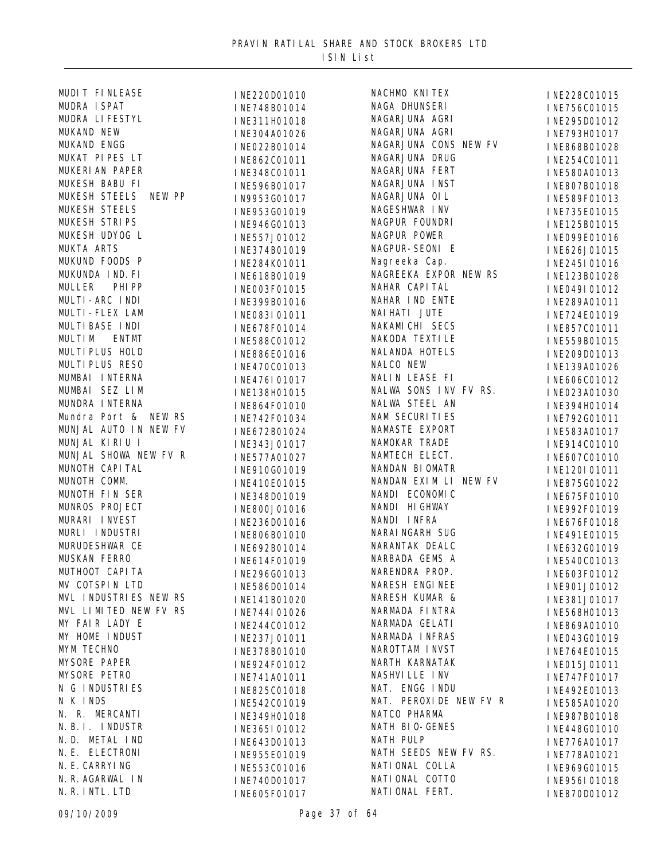| MUDIT FINLEASE        | INE220D01010 | NACHMO KNITEX          | INE228C01015 |
|-----------------------|--------------|------------------------|--------------|
| MUDRA I SPAT          | INE748B01014 | NAGA DHUNSERI          | INE756C01015 |
| MUDRA LI FESTYL       | INE311H01018 | NAGARJUNA AGRI         | INE295D01012 |
| MUKAND NEW            | INE304A01026 | NAGARJUNA AGRI         | INE793H01017 |
| MUKAND ENGG           | INE022B01014 | NAGARJUNA CONS NEW FV  | INE868B01028 |
| MUKAT PIPES LT        | INE862C01011 | NAGARJUNA DRUG         | INE254C01011 |
| MUKERI AN PAPER       | INE348C01011 | NAGARJUNA FERT         | INE580A01013 |
| MUKESH BABU FI        | INE596B01017 | NAGARJUNA INST         | INE807B01018 |
| MUKESH STEELS NEW PP  | IN9953G01017 | NAGARJUNA OIL          | INE589F01013 |
| <b>MUKESH STEELS</b>  | INE953G01019 | NAGESHWAR INV          | INE735E01015 |
| MUKESH STRIPS         | INE946G01013 | NAGPUR FOUNDRI         | INE125B01015 |
| MUKESH UDYOG L        | INE557J01012 | NAGPUR POWER           | INE099E01016 |
| MUKTA ARTS            | INE374B01019 | NAGPUR-SEONI E         | INE626J01015 |
| MUKUND FOODS P        |              | Nagreeka Cap.          |              |
| MUKUNDA IND. FI       | INE284K01011 | NAGREEKA EXPOR NEW RS  | INE245I01016 |
| MULLER PHIPP          | INE618B01019 | NAHAR CAPI TAL         | INE123B01028 |
| MULTI-ARC INDI        | INE003F01015 | NAHAR IND ENTE         | INE049I01012 |
| MULTI-FLEX LAM        | INE399B01016 | NAI HATI JUTE          | INE289A01011 |
| MULTI BASE INDI       | INE083I01011 | NAKAMI CHI SECS        | INE724E01019 |
| <b>ENTMT</b>          | INE678F01014 | NAKODA TEXTI LE        | INE857C01011 |
| <b>MULTIM</b>         | INE588C01012 |                        | INE559B01015 |
| MULTI PLUS HOLD       | INE886E01016 | NALANDA HOTELS         | INE209D01013 |
| MULTI PLUS RESO       | INE470C01013 | NALCO NEW              | INE139A01026 |
| MUMBAI INTERNA        | INE476I01017 | NALIN LEASE FI         | INE606C01012 |
| MUMBAI SEZ LIM        | INE138H01015 | NALWA SONS INV FV RS.  | INE023A01030 |
| MUNDRA INTERNA        | INE864F01010 | NALWA STEEL AN         | INE394H01014 |
| Mundra Port & NEW RS  | INE742F01034 | NAM SECURITIES         | INE792G01011 |
| MUNJAL AUTO IN NEW FV | INE672B01024 | NAMASTE EXPORT         | INE583A01017 |
| MUNJAL KIRIU I        | INE343J01017 | NAMOKAR TRADE          | INE914C01010 |
| MUNJAL SHOWA NEW FV R | INE577A01027 | NAMTECH ELECT.         | INE607C01010 |
| MUNOTH CAPITAL        | INE910G01019 | NANDAN BIOMATR         | INE120I01011 |
| MUNOTH COMM.          | INE410E01015 | NANDAN EXIM LI NEW FV  | INE875G01022 |
| MUNOTH FIN SER        | INE348D01019 | NANDI ECONOMIC         | INE675F01010 |
| MUNROS PROJECT        | INE800J01016 | NANDI HIGHWAY          | INE992F01019 |
| MURARI INVEST         | INE236D01016 | NANDI INFRA            | INE676F01018 |
| MURLI INDUSTRI        | INE806B01010 | NARAI NGARH SUG        | INE491E01015 |
| MURUDESHWAR CE        | INE692B01014 | NARANTAK DEALC         | INE632G01019 |
| MUSKAN FERRO          | INE614F01019 | NARBADA GEMS A         | INE540C01013 |
| MUTHOOT CAPI TA       | INE296G01013 | NARENDRA PROP.         | INE603F01012 |
| MV COTSPIN LTD        | INE586D01014 | NARESH ENGINEE         | INE901J01012 |
| MVL INDUSTRIES NEW RS | INE141B01020 | NARESH KUMAR &         | INE381J01017 |
| MVL LIMITED NEW FV RS | INE744I01026 | NARMADA FINTRA         | INE568H01013 |
| MY FAIR LADY E        | INE244C01012 | NARMADA GELATI         | INE869A01010 |
| MY HOME INDUST        | INE237J01011 | NARMADA INFRAS         | INE043G01019 |
| MYM TECHNO            | INE378B01010 | NAROTTAM INVST         | INE764E01015 |
| MYSORE PAPER          | INE924F01012 | NARTH KARNATAK         | INE015J01011 |
| MYSORE PETRO          | INE741A01011 | NASHVI LLE INV         | INE747F01017 |
| N G INDUSTRIES        | INE825C01018 | NAT. ENGG INDU         | INE492E01013 |
| N K INDS              | INE542C01019 | NAT. PEROXIDE NEW FV R | INE585A01020 |
| N. R. MERCANTI        | INE349H01018 | NATCO PHARMA           | INE987B01018 |
| N. B. I. INDUSTR      |              | NATH BIO-GENES         |              |
| N.D. METAL IND        | INE365I01012 | NATH PULP              | INE448G01010 |
| N. E. ELECTRONI       | INE643D01013 | NATH SEEDS NEW FV RS.  | INE776A01017 |
| N. E. CARRYI NG       | INE955E01019 | NATI ONAL COLLA        | INE778A01021 |
| N. R. AGARWAL IN      | INE553C01016 | NATI ONAL COTTO        | INE969G01015 |
| N. R. INTL. LTD       | INE740D01017 | NATI ONAL FERT.        | INE956I01018 |
|                       | INE605F01017 |                        | INE870D01012 |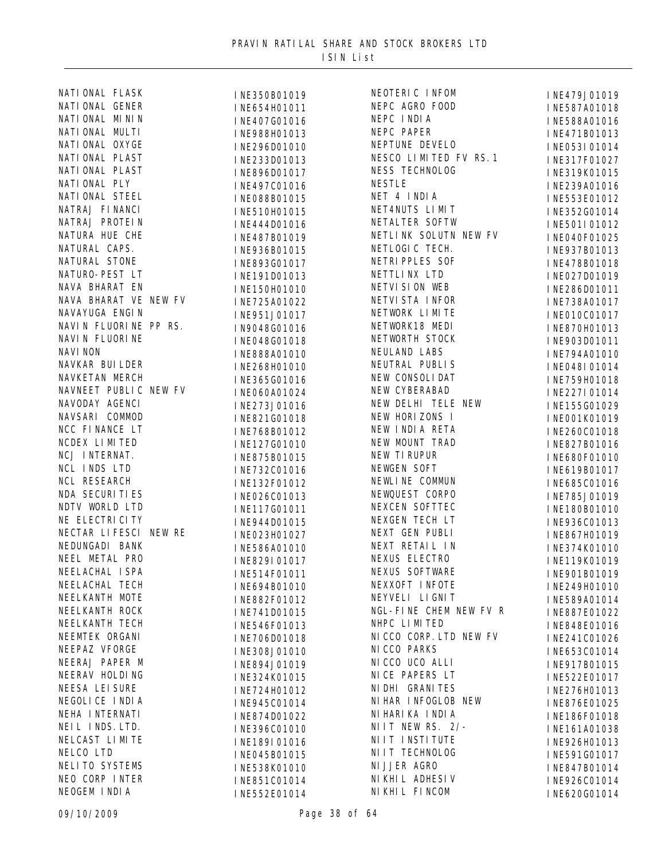| NATI ONAL FLASK       | INE350B01019 | NEOTERIC INFOM          | INE479J01019 |
|-----------------------|--------------|-------------------------|--------------|
| NATI ONAL GENER       | INE654H01011 | NEPC AGRO FOOD          | INE587A01018 |
| NATI ONAL MININ       | INE407G01016 | NEPC INDIA              | INE588A01016 |
| NATI ONAL MULTI       | INE988H01013 | NEPC PAPER              | INE471B01013 |
| NATI ONAL OXYGE       | INE296D01010 | NEPTUNE DEVELO          | INE053I01014 |
| NATI ONAL PLAST       | INE233D01013 | NESCO LIMITED FV RS. 1  | INE317F01027 |
| NATI ONAL PLAST       | INE896D01017 | NESS TECHNOLOG          | INE319K01015 |
| NATI ONAL PLY         | INE497C01016 | <b>NESTLE</b>           | INE239A01016 |
| NATI ONAL STEEL       | INE088B01015 | NET 4 INDIA             | INE553E01012 |
| NATRAJ FI NANCI       | INE510H01015 | NET4NUTS LIMIT          | INE352G01014 |
| NATRAJ PROTEIN        | INE444D01016 | NETALTER SOFTW          | INE501I01012 |
| NATURA HUE CHE        | INE487B01019 | NETLINK SOLUTN NEW FV   | INE040F01025 |
| NATURAL CAPS.         | INE936B01015 | NETLOGIC TECH.          | INE937B01013 |
| NATURAL STONE         |              | NETRI PPLES SOF         |              |
| NATURO-PEST LT        | INE893G01017 | NETTLI NX LTD           | INE478B01018 |
| NAVA BHARAT EN        | INE191D01013 | NETVI SI ON WEB         | INE027D01019 |
| NAVA BHARAT VE NEW FV | INE150H01010 | NETVI STA I NFOR        | INE286D01011 |
| NAVAYUGA ENGIN        | INE725A01022 | NETWORK LIMITE          | INE738A01017 |
| NAVIN FLUORINE PP RS. | INE951J01017 | NETWORK18 MEDI          | INE010C01017 |
|                       | IN9048G01016 |                         | INE870H01013 |
| NAVI N FLUORI NE      | INE048G01018 | NETWORTH STOCK          | INE903D01011 |
| <b>NAVI NON</b>       | INE888A01010 | NEULAND LABS            | INE794A01010 |
| NAVKAR BUI LDER       | INE268H01010 | NEUTRAL PUBLIS          | INE048I01014 |
| NAVKETAN MERCH        | INE365G01016 | NEW CONSOLIDAT          | INE759H01018 |
| NAVNEET PUBLIC NEW FV | INE060A01024 | NEW CYBERABAD           | INE227I01014 |
| NAVODAY AGENCI        | INE273J01016 | NEW DELHI TELE NEW      | INE155G01029 |
| NAVSARI COMMOD        | INE821G01018 | NEW HORIZONS I          | INE001K01019 |
| NCC FINANCE LT        | INE768B01012 | NEW INDIA RETA          | INE260C01018 |
| NCDEX LIMITED         | INE127G01010 | NEW MOUNT TRAD          | INE827B01016 |
| NCJ INTERNAT.         | INE875B01015 | NEW TI RUPUR            | INE680F01010 |
| NCL INDS LTD          | INE732C01016 | NEWGEN SOFT             | INE619B01017 |
| NCL RESEARCH          | INE132F01012 | NEWLINE COMMUN          | INE685C01016 |
| <b>NDA SECURITIES</b> | INE026C01013 | NEWQUEST CORPO          | INE785J01019 |
| NDTV WORLD LTD        | INE117G01011 | NEXCEN SOFTTEC          | INE180B01010 |
| NE ELECTRI CI TY      | INE944D01015 | NEXGEN TECH LT          | INE936C01013 |
| NECTAR LIFESCI NEW RE | INE023H01027 | NEXT GEN PUBLI          | INE867H01019 |
| NEDUNGADI BANK        | INE586A01010 | NEXT RETAIL IN          | INE374K01010 |
| NEEL METAL PRO        | INE829I01017 | NEXUS ELECTRO           | INE119K01019 |
| NEELACHAL ISPA        | INE514F01011 | <b>NEXUS SOFTWARE</b>   | INE901B01019 |
| NEELACHAL TECH        | INE694B01010 | NEXXOFT INFOTE          | INE249H01010 |
| NEELKANTH MOTE        | INE882F01012 | NEYVELI LI GNI T        | INE589A01014 |
| NEELKANTH ROCK        | INE741D01015 | NGL-FINE CHEM NEW FV R  | INE887E01022 |
| NEELKANTH TECH        | INE546F01013 | NHPC LIMITED            | INE848E01016 |
| NEEMTEK ORGANI        | INE706D01018 | NI CCO CORP. LTD NEW FV | INE241C01026 |
| NEEPAZ VFORGE         | INE308J01010 | NI CCO PARKS            | INE653C01014 |
| NEERAJ PAPER M        | INE894J01019 | NI CCO UCO ALLI         | INE917B01015 |
| NEERAV HOLDING        | INE324K01015 | NICE PAPERS LT          | INE522E01017 |
| NEESA LEI SURE        | INE724H01012 | NI DHI GRANI TES        | INE276H01013 |
| NEGOLI CE I NDI A     | INE945C01014 | NI HAR I NFOGLOB NEW    | INE876E01025 |
| NEHA INTERNATI        | INE874D01022 | NI HARI KA I NDI A      | INE186F01018 |
| NEIL INDS. LTD.       | INE396C01010 | NIIT NEW RS. 2/-        | INE161A01038 |
| NELCAST LIMITE        | INE189I01016 | NIIT INSTITUTE          | INE926H01013 |
| NELCO LTD             | INE045B01015 | NIIT TECHNOLOG          | INE591G01017 |
| <b>NELITO SYSTEMS</b> | INE538K01010 | NI JJER AGRO            | INE847B01014 |
| NEO CORP INTER        | INE851C01014 | NI KHI L ADHESI V       | INE926C01014 |
| NEOGEM INDIA          | INE552E01014 | NI KHI L FI NCOM        | INE620G01014 |
|                       |              |                         |              |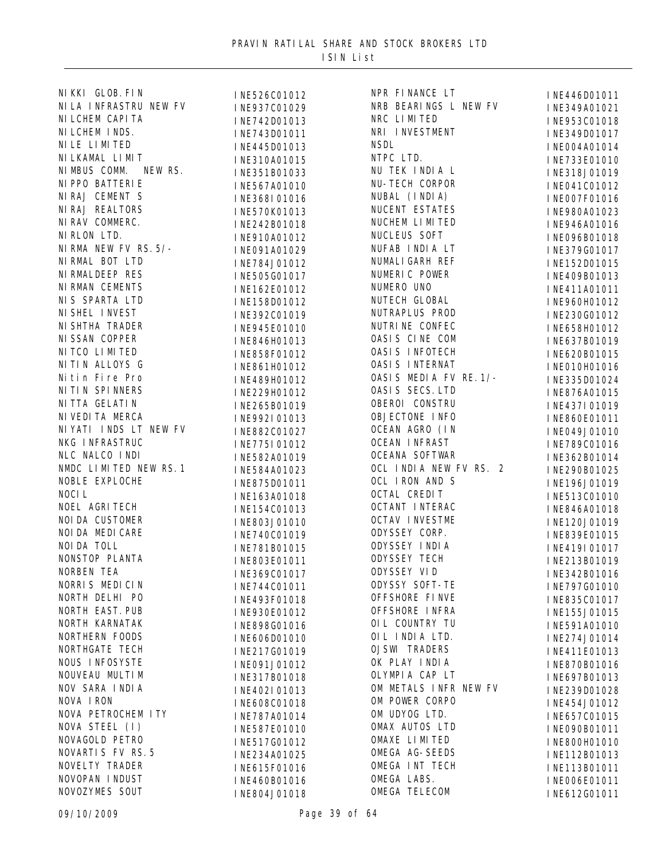| NI KKI GLOB. FI N        | INE526C01012 | NPR FINANCE LT         | INE446D01011                 |
|--------------------------|--------------|------------------------|------------------------------|
| NI LA INFRASTRU NEW FV   | INE937C01029 | NRB BEARINGS L NEW FV  | INE349A01021                 |
| NI LCHEM CAPI TA         | INE742D01013 | NRC LIMITED            | INE953C01018                 |
| NI LCHEM INDS.           | INE743D01011 | NRI INVESTMENT         | INE349D01017                 |
| NI LE LI MI TED          | INE445D01013 | <b>NSDL</b>            | INE004A01014                 |
| NI LKAMAL LI MIT         | INE310A01015 | NTPC LTD.              | INE733E01010                 |
| NI MBUS COMM.<br>NEW RS. | INE351B01033 | NU TEK INDIA L         | INE318J01019                 |
| NI PPO BATTERI E         | INE567A01010 | NU-TECH CORPOR         | INE041C01012                 |
| NIRAJ CEMENT S           | INE368I01016 | NUBAL (INDIA)          | INE007F01016                 |
| <b>NI RAJ REALTORS</b>   | INE570K01013 | NUCENT ESTATES         | INE980A01023                 |
| NI RAV COMMERC.          | INE242B01018 | NUCHEM LIMITED         | INE946A01016                 |
| NI RLON LTD.             | INE910A01012 | NUCLEUS SOFT           | INE096B01018                 |
| NI RMA NEW FV RS. 5/-    | INE091A01029 | NUFAB INDIA LT         | INE379G01017                 |
| NI RMAL BOT LTD          | INE784J01012 | NUMALI GARH REF        | INE152D01015                 |
| NI RMALDEEP RES          | INE505G01017 | NUMERIC POWER          | INE409B01013                 |
| NI RMAN CEMENTS          | INE162E01012 | NUMERO UNO             | INE411A01011                 |
| NIS SPARTA LTD           |              | NUTECH GLOBAL          |                              |
| NI SHEL I NVEST          | INE158D01012 | NUTRAPLUS PROD         | INE960H01012<br>INE230G01012 |
| NI SHTHA TRADER          | INE392C01019 | NUTRI NE CONFEC        |                              |
| NI SSAN COPPER           | INE945E01010 | OASIS CINE COM         | INE658H01012                 |
| NI TCO LI MI TED         | INE846H01013 | <b>OASIS INFOTECH</b>  | INE637B01019                 |
| NITIN ALLOYS G           | INE858F01012 | <b>OASIS INTERNAT</b>  | INE620B01015                 |
| Nitin Fire Pro           | INE861H01012 | OASIS MEDIA FV RE. 1/- | INE010H01016                 |
| NI TI N SPI NNERS        | INE489H01012 | OASIS SECS. LTD        | INE335D01024                 |
| NI TTA GELATI N          | INE229H01012 | OBEROI CONSTRU         | INE876A01015                 |
|                          | INE265B01019 |                        | INE437I01019                 |
| NI VEDI TA MERCA         | INE992I01013 | OBJECTONE INFO         | INE860E01011                 |
| NI YATI INDS LT NEW FV   | INE882C01027 | OCEAN AGRO (IN         | INE049J01010                 |
| NKG INFRASTRUC           | INE775I01012 | <b>OCEAN INFRAST</b>   | INE789C01016                 |
| NLC NALCO INDI           | INE582A01019 | <b>OCEANA SOFTWAR</b>  | INE362B01014                 |
| NMDC LIMITED NEW RS. 1   | INE584A01023 | OCL INDIA NEW FV RS. 2 | INE290B01025                 |
| NOBLE EXPLOCHE           | INE875D01011 | OCL IRON AND S         | INE196J01019                 |
| NOCIL                    | INE163A01018 | OCTAL CREDIT           | INE513C01010                 |
| NOEL AGRITECH            | INE154C01013 | OCTANT INTERAC         | INE846A01018                 |
| NOI DA CUSTOMER          | INE803J01010 | <b>OCTAV INVESTME</b>  | INE120J01019                 |
| NOI DA MEDI CARE         | INE740C01019 | ODYSSEY CORP.          | INE839E01015                 |
| NOI DA TOLL              | INE781B01015 | ODYSSEY INDIA          | INE419I01017                 |
| NONSTOP PLANTA           | INE803E01011 | <b>ODYSSEY TECH</b>    | INE213B01019                 |
| NORBEN TEA               | INE369C01017 | ODYSSEY VID            | INE342B01016                 |
| NORRIS MEDICIN           | INE744C01011 | <b>ODYSSY SOFT-TE</b>  | INE797G01010                 |
| NORTH DELHI PO           | INE493F01018 | OFFSHORE FINVE         | INE835C01017                 |
| NORTH EAST. PUB          | INE930E01012 | OFFSHORE INFRA         | INE155J01015                 |
| NORTH KARNATAK           | INE898G01016 | OIL COUNTRY TU         | INE591A01010                 |
| NORTHERN FOODS           | INE606D01010 | OIL INDIA LTD.         | INE274J01014                 |
| NORTHGATE TECH           | INE217G01019 | <b>OJSWI TRADERS</b>   | INE411E01013                 |
| NOUS INFOSYSTE           | INE091J01012 | OK PLAY INDIA          | INE870B01016                 |
| NOUVEAU MULTIM           | INE317B01018 | OLYMPIA CAP LT         | INE697B01013                 |
| NOV SARA INDIA           | INE402I01013 | OM METALS INFR NEW FV  | INE239D01028                 |
| NOVA IRON                | INE608C01018 | OM POWER CORPO         | INE454J01012                 |
| NOVA PETROCHEM I TY      | INE787A01014 | OM UDYOG LTD.          | INE657C01015                 |
| NOVA STEEL (I)           | INE587E01010 | OMAX AUTOS LTD         | INE090B01011                 |
| NOVAGOLD PETRO           | INE517G01012 | OMAXE LIMITED          | INE800H01010                 |
| <b>NOVARTIS FV RS. 5</b> | INE234A01025 | OMEGA AG-SEEDS         | INE112B01013                 |
| NOVELTY TRADER           | INE615F01016 | OMEGA INT TECH         | INE113B01011                 |
| NOVOPAN INDUST           | INE460B01016 | OMEGA LABS.            | INE006E01011                 |
| NOVOZYMES SOUT           | INE804J01018 | OMEGA TELECOM          | INE612G01011                 |
|                          |              |                        |                              |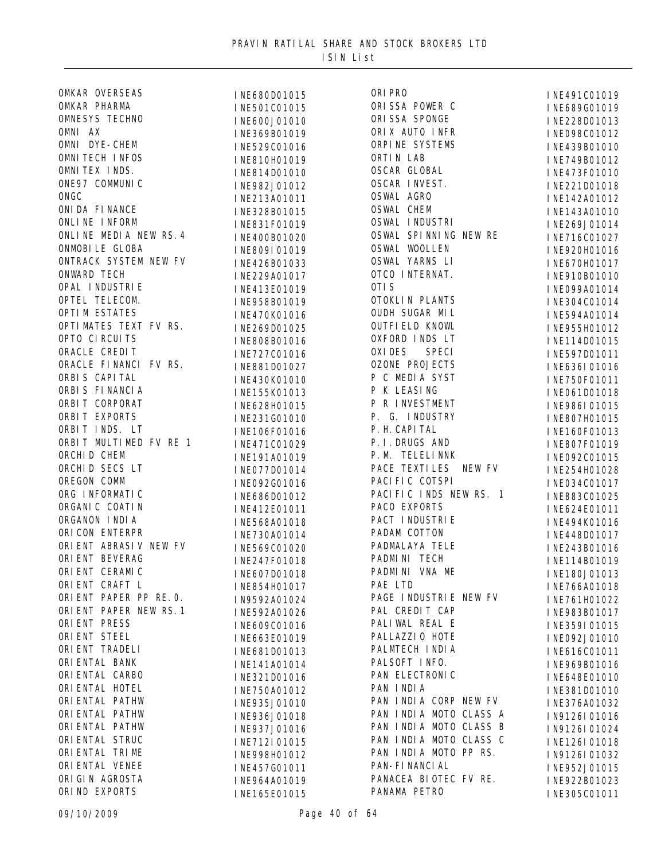| OMKAR OVERSEAS          |
|-------------------------|
| OMKAR PHARMA            |
| <b>OMNESYS TECHNO</b>   |
| OMNI AX                 |
| OMNI DYE-CHEM           |
| <b>OMNI TECH INFOS</b>  |
| OMNITEX INDS.           |
| ONE97 COMMUNIC          |
| ONGC                    |
| ONI DA FI NANCE         |
| ONLINE INFORM           |
| ONLINE MEDIA NEW RS. 4  |
| ONMOBILE GLOBA          |
| ONTRACK SYSTEM NEW FV   |
| <b>ONWARD TECH</b>      |
| OPAL INDUSTRIE          |
| OPTEL TELECOM.          |
| <b>OPTIM ESTATES</b>    |
| OPTIMATES TEXT FV RS.   |
| OPTO CIRCUITS           |
| ORACLE CREDIT           |
| ORACLE FINANCI FV RS.   |
| ORBIS CAPITAL           |
| ORBIS FINANCIA          |
| ORBIT CORPORAT          |
| ORBIT EXPORTS           |
|                         |
| ORBIT INDS. LT          |
| ORBIT MULTIMED FV RE 1  |
| ORCHI D CHEM            |
| ORCHID SECS LT          |
| OREGON COMM             |
| ORG INFORMATIC          |
| ORGANI C COATIN         |
| ORGANON INDIA           |
| ORI CON ENTERPR         |
| ORI ENT ABRASIV NEW FV  |
| ORI ENT BEVERAG         |
| ORI ENT CERAMIC         |
| ORI ENT CRAFT L         |
| ORIENT PAPER PP RE. O.  |
| ORIENT PAPER NEW RS. 1  |
| ORI ENT PRESS           |
| ORI ENT STEEL           |
| ORI ENT TRADELI         |
| ORI ENTAL BANK          |
| ORI ENTAL CARBO         |
| ORI ENTAL HOTEL         |
| ORI ENTAL PATHW         |
| ORI ENTAL PATHW         |
| ORI ENTAL PATHW         |
| ORI ENTAL STRUC         |
| ORI ENTAL TRIME         |
| ORI ENTAL VENEE         |
| ORI GIN AGROSTA         |
| EVDODTC<br><b>T NIN</b> |

**INE680D01015** INE501C01015 INE600J01010 INE369B01019 INE529C01016 INE810H01019 INE814D01010 INE982J01012 INE213A01011 INE328B01015 INE831F01019 INE400B01020 **INE809I01019** INE426B01033 INE229A01017 **INE413E01019** INE958B01019 INE470K01016 INE269D01025 INE808B01016 INE727C01016 INE881D01027 INE430K01010 INE155K01013 INE628H01015 INE231G01010 INE106F01016 INE471C01029 INE191A01019 INE077D01014 INE092G01016 INE686D01012 INE412E01011 INE568A01018 INE730A01014 INE569C01020 INE247F01018 INE607D01018 INE854H01017 IN9592A01024 INE592A01026 INE609C01016 INE663E01019 INE681D01013 INE141A01014 INE321D01016 INE750A01012 INE935J01010 INE936J01018 INE937J01016 INE712I01015 INE998H01012 INE457G01011 **INE964A01019** ORIND EXPORTS **INE165E01015** PANAMA PETRO

| ORI PRO                                       |
|-----------------------------------------------|
| ORISSA POWER C                                |
| ORI SSA SPONGE                                |
| ORIX AUTO INFR                                |
| ORPINE SYSTEMS                                |
| ORTIN LAB                                     |
| <b>OSCAR GLOBAL</b>                           |
| OSCAR INVEST.                                 |
| <b>OSWAL AGRO</b>                             |
| <b>OSWAL CHEM</b>                             |
| <b>OSWAL INDUSTRI</b>                         |
| OSWAL SPINNING NEW RE                         |
| <b>OSWAL WOOLLEN</b>                          |
| <b>OSWAL YARNS LI</b>                         |
| OTCO INTERNAT.                                |
| OTI S                                         |
| OTOKLI N PLANTS                               |
| <b>OUDH SUGAR MIL</b>                         |
| <b>OUTFIELD KNOWL</b>                         |
| OXFORD INDS LT                                |
| OXI DES SPECI                                 |
| <b>OZONE PROJECTS</b>                         |
| P C MEDIA SYST                                |
|                                               |
| P K LEASING                                   |
| P R INVESTMENT                                |
| P. G. INDUSTRY                                |
| P. H. CAPI TAL                                |
| P. I. DRUGS AND                               |
| P. M. TELELINNK                               |
| PACE TEXTILES NEW FV                          |
| PACI FI C COTSPI                              |
| PACIFIC INDS NEW RS. 1                        |
| PACO EXPORTS                                  |
| PACT INDUSTRIE                                |
| PADAM COTTON                                  |
| PADMALAYA TELE                                |
| PADMINI TECH                                  |
| PADMINI VNA<br>ME                             |
| PAE LTD                                       |
| PAGE INDUSTRIE NEW FV                         |
| PAL CREDIT CAP                                |
| PALIWAL REAL E                                |
| PALLAZZI 0 HOTE                               |
| PALMTECH INDIA                                |
| PALSOFT INFO.                                 |
| PAN ELECTRONIC                                |
| PAN INDIA                                     |
| PAN INDIA CORP NEW FV                         |
| PAN INDIA MOTO CLASS A                        |
|                                               |
| B                                             |
| PAN INDIA MOTO CLASS<br>$\overline{C}$        |
| PAN INDIA MOTO CLASS<br>PAN INDIA MOTO PP RS. |
| PAN-FI NANCI AL                               |
| PANACEA BIOTEC FV RE.                         |

INE491C01019 INE689G01019 INE228D01013 INE098C01012 INE439B01010 INE749B01012 INE473F01010 INE221D01018 INE142A01012 INE143A01010 INE269J01014 INE716C01027 INE920H01016 INE670H01017 INE910B01010 OTIS INE099A01014 INE304C01014 INE594A01014 INE955H01012 INE114D01015 INE597D01011 **INE636I01016** I NE750F01011 I NE061D01018 **INE986I01015** INE807H01015 INE160F01013 INE807F01019 INE092C01015 INE254H01028 INE034C01017 INE883C01025 INE624E01011 **INE494K01016** INE448D01017 INE243B01016 INE114B01019 INE180J01013 INE766A01018 INE761H01022 INE983B01017 **INE359I01015** INE092J01010 INE616C01011 INE969B01016 **INE648E01010** INE381D01010 INE376A01032 IN9126I01016 IN9126I01024 INE126I01018 IN9126I01032 INE952J01015 **INE922B01023** INE305C01011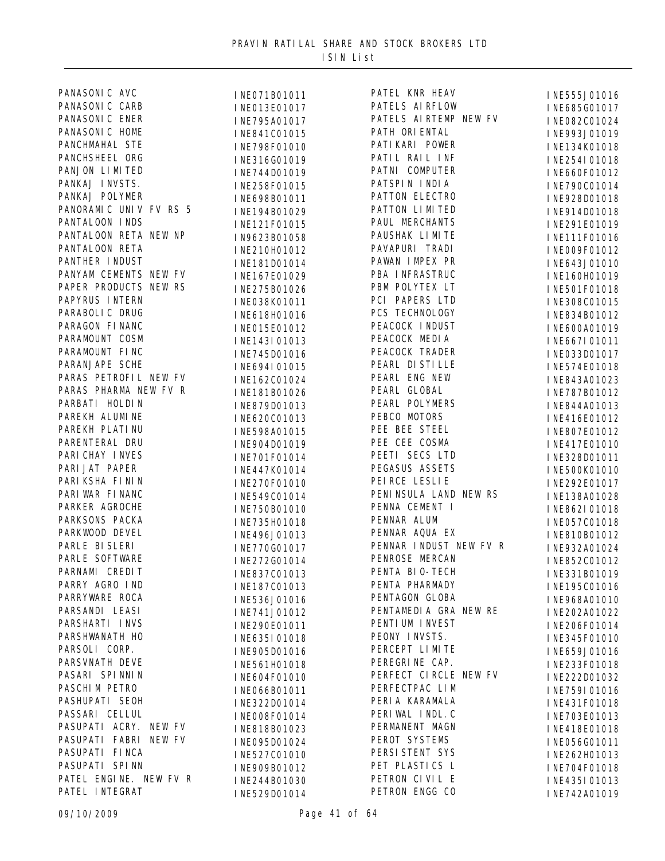| PANASONI C AVC         | INE071B01011 | PATEL KNR HEAV         | INE555J01016 |
|------------------------|--------------|------------------------|--------------|
| PANASONI C CARB        | INE013E01017 | PATELS AIRFLOW         | INE685G01017 |
| PANASONI C ENER        | INE795A01017 | PATELS AIRTEMP NEW FV  | INE082C01024 |
| PANASONI C HOME        | INE841C01015 | PATH ORI ENTAL         | INE993J01019 |
| PANCHMAHAL STE         | INE798F01010 | PATI KARI POWER        | INE134K01018 |
| PANCHSHEEL ORG         | INE316G01019 | PATIL RAIL INF         | INE254I01018 |
| PANJON LIMITED         | INE744D01019 | PATNI COMPUTER         | INE660F01012 |
| PANKAJ INVSTS.         | INE258F01015 | PATSPIN INDIA          | INE790C01014 |
| PANKAJ POLYMER         | INE698B01011 | PATTON ELECTRO         | INE928D01018 |
| PANORAMIC UNIV FV RS 5 | INE194B01029 | PATTON LIMITED         | INE914D01018 |
| PANTALOON INDS         | INE121F01015 | PAUL MERCHANTS         | INE291E01019 |
| PANTALOON RETA NEW NP  | IN9623B01058 | PAUSHAK LIMITE         | INE111F01016 |
| PANTALOON RETA         | INE210H01012 | PAVAPURI TRADI         | INE009F01012 |
| PANTHER INDUST         | INE181D01014 | PAWAN IMPEX PR         | INE643J01010 |
| PANYAM CEMENTS NEW FV  |              | PBA INFRASTRUC         |              |
| PAPER PRODUCTS NEW RS  | INE167E01029 | PBM POLYTEX LT         | INE160H01019 |
| PAPYRUS INTERN         | INE275B01026 | PCI PAPERS LTD         | INE501F01018 |
| PARABOLI C DRUG        | INE038K01011 | PCS TECHNOLOGY         | INE308C01015 |
| PARAGON FINANC         | INE618H01016 | PEACOCK INDUST         | INE834B01012 |
| PARAMOUNT COSM         | INE015E01012 | PEACOCK MEDIA          | INE600A01019 |
| PARAMOUNT FINC         | INE143I01013 | PEACOCK TRADER         | INE667I01011 |
| PARANJAPE SCHE         | INE745D01016 | PEARL DI STI LLE       | INE033D01017 |
| PARAS PETROFIL NEW FV  | INE694I01015 | PEARL ENG NEW          | INE574E01018 |
| PARAS PHARMA NEW FV R  | INE162C01024 | PEARL GLOBAL           | INE843A01023 |
| PARBATI HOLDIN         | INE181B01026 | PEARL POLYMERS         | INE787B01012 |
|                        | INE879D01013 |                        | INE844A01013 |
| PAREKH ALUMINE         | INE620C01013 | PEBCO MOTORS           | INE416E01012 |
| PAREKH PLATI NU        | INE598A01015 | PEE BEE STEEL          | INE807E01012 |
| PARENTERAL DRU         | INE904D01019 | PEE CEE COSMA          | INE417E01010 |
| PARI CHAY I NVES       | INE701F01014 | PEETI SECS LTD         | INE328D01011 |
| PARI JAT PAPER         | INE447K01014 | PEGASUS ASSETS         | INE500K01010 |
| PARI KSHA FI NI N      | INE270F01010 | PEI RCE LESLI E        | INE292E01017 |
| PARI WAR FI NANC       | INE549C01014 | PENINSULA LAND NEW RS  | INE138A01028 |
| PARKER AGROCHE         | INE750B01010 | PENNA CEMENT I         | INE862I01018 |
| PARKSONS PACKA         | INE735H01018 | PENNAR ALUM            | INE057C01018 |
| PARKWOOD DEVEL         | INE496J01013 | PENNAR AQUA EX         | INE810B01012 |
| PARLE BI SLERI         | INE770G01017 | PENNAR INDUST NEW FV R | INE932A01024 |
| PARLE SOFTWARE         | INE272G01014 | PENROSE MERCAN         | INE852C01012 |
| PARNAMI CREDIT         | INE837C01013 | PENTA BIO-TECH         | INE331B01019 |
| PARRY AGRO IND         | INE187C01013 | PENTA PHARMADY         | INE195C01016 |
| PARRYWARE ROCA         | INE536J01016 | PENTAGON GLOBA         | INE968A01010 |
| PARSANDI LEASI         | INE741J01012 | PENTAMEDIA GRA NEW RE  | INE202A01022 |
| PARSHARTI INVS         | INE290E01011 | PENTI UM INVEST        | INE206F01014 |
| PARSHWANATH HO         | INE635I01018 | PEONY INVSTS.          | INE345F01010 |
| PARSOLI CORP.          | INE905D01016 | PERCEPT LIMITE         | INE659J01016 |
| PARSVNATH DEVE         | INE561H01018 | PEREGRINE CAP.         | INE233F01018 |
| PASARI SPINNIN         | INE604F01010 | PERFECT CIRCLE NEW FV  | INE222D01032 |
| PASCHIM PETRO          | INE066B01011 | PERFECTPAC LIM         | INE759I01016 |
| PASHUPATI SEOH         | INE322D01014 | PERIA KARAMALA         | INE431F01018 |
| PASSARI CELLUL         | INE008F01014 | PERIWAL INDL. C        | INE703E01013 |
| PASUPATI ACRY. NEW FV  | INE818B01023 | PERMANENT MAGN         | INE418E01018 |
| PASUPATI FABRI NEW FV  | INE095D01024 | PEROT SYSTEMS          | INE056G01011 |
| PASUPATI FINCA         | INE527C01010 | PERSI STENT SYS        | INE262H01013 |
| PASUPATI SPINN         | INE909B01012 | PET PLASTICS L         | INE704F01018 |
| PATEL ENGINE. NEW FV R | INE244B01030 | PETRON CIVIL E         | INE435I01013 |
| PATEL INTEGRAT         | INE529D01014 | PETRON ENGG CO         | INE742A01019 |
|                        |              |                        |              |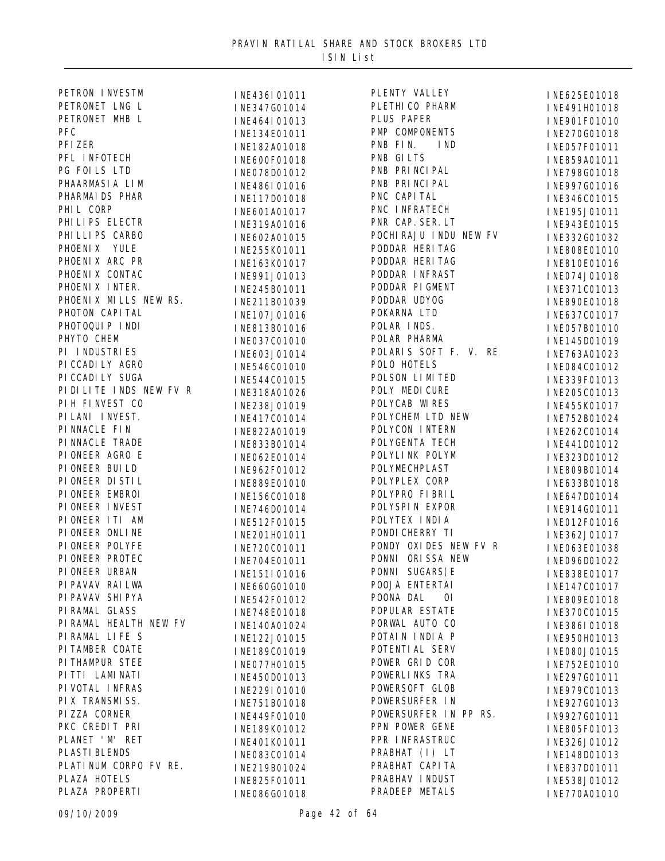| PETRON INVESTM         | INE436I01011 | PLENTY VALLEY           | INE625E01018 |
|------------------------|--------------|-------------------------|--------------|
| PETRONET LNG L         | INE347G01014 | PLETHI CO PHARM         | INE491H01018 |
| PETRONET MHB L         | INE464I01013 | PLUS PAPER              | INE901F01010 |
| PFC                    | INE134E01011 | PMP COMPONENTS          | INE270G01018 |
| PFI ZER                | INE182A01018 | PNB FIN.<br>I ND        | INE057F01011 |
| PFL INFOTECH           | INE600F01018 | PNB GILTS               | INE859A01011 |
| PG FOILS LTD           | INE078D01012 | PNB PRI NCI PAL         | INE798G01018 |
| PHAARMASIA LIM         | INE486I01016 | PNB PRI NCI PAL         | INE997G01016 |
| PHARMAI DS PHAR        | INE117D01018 | PNC CAPI TAL            | INE346C01015 |
| PHIL CORP              | INE601A01017 | PNC INFRATECH           | INE195J01011 |
| PHI LI PS ELECTR       | INE319A01016 | PNR CAP. SER. LT        | INE943E01015 |
| PHI LLI PS CARBO       | INE602A01015 | POCHI RAJU I NDU NEW FV | INE332G01032 |
| PHOENIX YULE           | INE255K01011 | PODDAR HERITAG          | INE808E01010 |
| PHOENIX ARC PR         |              | PODDAR HERITAG          |              |
| PHOENIX CONTAC         | INE163K01017 | PODDAR INFRAST          | INE810E01016 |
| PHOENIX INTER.         | INE991J01013 | PODDAR PIGMENT          | INE074J01018 |
| PHOENIX MILLS NEW RS.  | INE245B01011 | PODDAR UDYOG            | INE371C01013 |
|                        | INE211B01039 |                         | INE890E01018 |
| PHOTON CAPI TAL        | INE107J01016 | POKARNA LTD             | INE637C01017 |
| PHOTOQUIP INDI         | INE813B01016 | POLAR INDS.             | INE057B01010 |
| PHYTO CHEM             | INE037C01010 | POLAR PHARMA            | INE145D01019 |
| PI INDUSTRIES          | INE603J01014 | POLARIS SOFT F. V. RE   | INE763A01023 |
| PI CCADI LY AGRO       | INE546C01010 | POLO HOTELS             | INE084C01012 |
| PI CCADI LY SUGA       | INE544C01015 | POLSON LIMITED          | INE339F01013 |
| PIDILITE INDS NEW FV R | INE318A01026 | POLY MEDICURE           | INE205C01013 |
| PIH FINVEST CO         | INE238J01019 | POLYCAB WIRES           | INE455K01017 |
| PI LANI I NVEST.       | INE417C01014 | POLYCHEM LTD NEW        | INE752B01024 |
| PI NNACLE FI N         | INE822A01019 | POLYCON INTERN          | INE262C01014 |
| PI NNACLE TRADE        | INE833B01014 | POLYGENTA TECH          | INE441D01012 |
| PIONEER AGRO E         | INE062E01014 | POLYLINK POLYM          | INE323D01012 |
| PI ONEER BUI LD        | INE962F01012 | POLYMECHPLAST           | INE809B01014 |
| PI ONEER DI STI L      | INE889E01010 | POLYPLEX CORP           | INE633B01018 |
| PI ONEER EMBROI        | INE156C01018 | POLYPRO FIBRIL          | INE647D01014 |
| PI ONEER INVEST        | INE746D01014 | POLYSPIN EXPOR          | INE914G01011 |
| PIONEER ITI AM         | INE512F01015 | POLYTEX INDIA           | INE012F01016 |
| PI ONEER ONLI NE       | INE201H01011 | PONDI CHERRY TI         | INE362J01017 |
| PI ONEER POLYFE        | INE720C01011 | PONDY OXIDES NEW FV R   | INE063E01038 |
| PI ONEER PROTEC        | INE704E01011 | PONNI ORISSA NEW        | INE096D01022 |
| PI ONEER URBAN         | INE151I01016 | PONNI SUGARS (E         | INE838E01017 |
| PI PAVAV RAI LWA       | INE660G01010 | POOJA ENTERTAI          | INE147C01017 |
| PI PAVAV SHI PYA       | INE542F01012 | POONA DAL<br>0I         | INE809E01018 |
| PI RAMAL GLASS         | INE748E01018 | POPULAR ESTATE          | INE370C01015 |
| PI RAMAL HEALTH NEW FV | INE140A01024 | PORWAL AUTO CO          | INE386I01018 |
| PIRAMAL LIFE S         | INE122J01015 | POTAIN INDIA P          | INE950H01013 |
| PI TAMBER COATE        | INE189C01019 | POTENTI AL SERV         | INE080J01015 |
| PITHAMPUR STEE         |              | POWER GRID COR          |              |
| PITTI LAMINATI         | INE077H01015 | POWERLINKS TRA          | INE752E01010 |
| PI VOTAL INFRAS        | INE450D01013 | POWERSOFT GLOB          | INE297G01011 |
| PI X TRANSMI SS.       | INE229I01010 | POWERSURFER IN          | INE979C01013 |
|                        | INE751B01018 | POWERSURFER IN PP RS.   | INE927G01013 |
| PIZZA CORNER           | INE449F01010 |                         | IN9927G01011 |
| PKC CREDIT PRI         | INE189K01012 | PPN POWER GENE          | INE805F01013 |
| PLANET ' M' RET        | INE401K01011 | PPR INFRASTRUC          | INE326J01012 |
| PLASTI BLENDS          | INE083C01014 | PRABHAT (I) LT          | INE148D01013 |
| PLATI NUM CORPO FV RE. | INE219B01024 | PRABHAT CAPI TA         | INE837D01011 |
| PLAZA HOTELS           | INE825F01011 | PRABHAV INDUST          | INE538J01012 |
| PLAZA PROPERTI         | INE086G01018 | PRADEEP METALS          | INE770A01010 |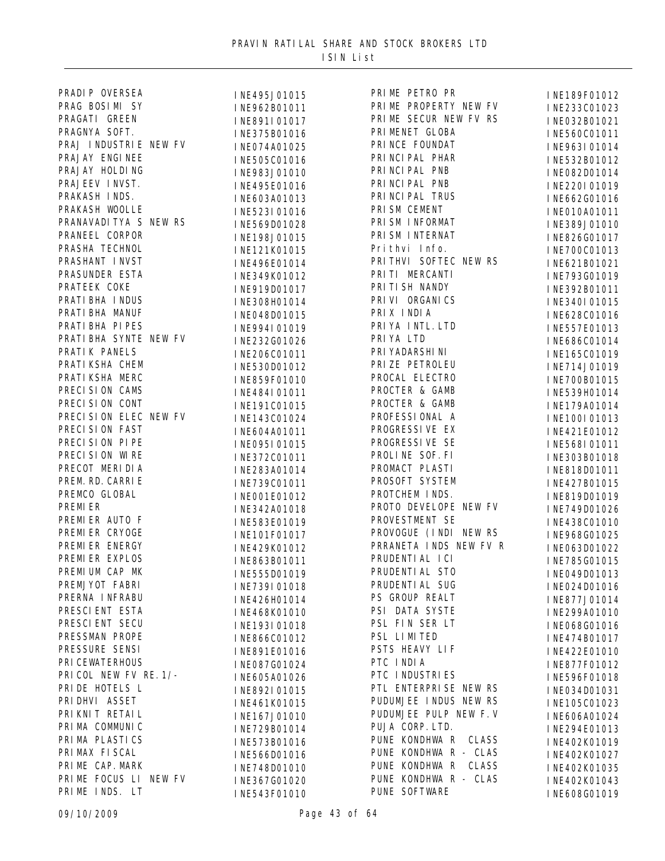| PRADI P OVERSEA        | INE495J01015                 | PRIME PETRO PR          | INE189F01012 |
|------------------------|------------------------------|-------------------------|--------------|
| PRAG BOSIMI SY         | INE962B01011                 | PRIME PROPERTY NEW FV   | INE233C01023 |
| PRAGATI GREEN          | INE891I01017                 | PRIME SECUR NEW FV RS   | INE032B01021 |
| PRAGNYA SOFT.          | INE375B01016                 | PRI MENET GLOBA         | INE560C01011 |
| PRAJ INDUSTRIE NEW FV  | INE074A01025                 | PRINCE FOUNDAT          | INE963I01014 |
| PRAJAY ENGINEE         | INE505C01016                 | PRI NCI PAL PHAR        | INE532B01012 |
| PRAJAY HOLDING         | INE983J01010                 | PRI NCI PAL PNB         | INE082D01014 |
| PRAJEEV INVST.         | INE495E01016                 | PRI NCI PAL PNB         | INE220I01019 |
| PRAKASH INDS.          | INE603A01013                 | PRI NCI PAL TRUS        | INE662G01016 |
| PRAKASH WOOLLE         | INE523I01016                 | PRI SM CEMENT           | INE010A01011 |
| PRANAVADI TYA S NEW RS | INE569D01028                 | PRI SM I NFORMAT        | INE389J01010 |
| PRANEEL CORPOR         | INE198J01015                 | PRI SM INTERNAT         | INE826G01017 |
| PRASHA TECHNOL         | INE121K01015                 | Prithvi Info.           | INE700C01013 |
| PRASHANT INVST         | INE496E01014                 | PRITHVI SOFTEC NEW RS   | INE621B01021 |
| PRASUNDER ESTA         | INE349K01012                 | PRITI MERCANTI          | INE793G01019 |
| PRATEEK COKE           | INE919D01017                 | PRI TI SH NANDY         | INE392B01011 |
| PRATI BHA I NDUS       | INE308H01014                 | PRI VI ORGANI CS        | INE340I01015 |
| PRATI BHA MANUF        |                              | PRIX INDIA              |              |
| PRATI BHA PI PES       | INE048D01015<br>INE994I01019 | PRI YA INTL. LTD        | INE628C01016 |
| PRATI BHA SYNTE NEW FV |                              | PRIYA LTD               | INE557E01013 |
| PRATIK PANELS          | INE232G01026                 | PRI YADARSHI NI         | INE686C01014 |
| PRATI KSHA CHEM        | INE206C01011                 | PRI ZE PETROLEU         | INE165C01019 |
| PRATI KSHA MERC        | INE530D01012                 | PROCAL ELECTRO          | INE714J01019 |
| PRECISION CAMS         | INE859F01010                 | PROCTER & GAMB          | INE700B01015 |
| PRECISION CONT         | INE484I01011                 | PROCTER & GAMB          | INE539H01014 |
| PRECISION ELEC NEW FV  | INE191C01015                 |                         | INE179A01014 |
|                        | INE143C01024                 | PROFESSI ONAL A         | INE100I01013 |
| PRECISION FAST         | INE604A01011                 | PROGRESSI VE EX         | INE421E01012 |
| PRECISION PIPE         | INE095I01015                 | PROGRESSIVE SE          | INE568I01011 |
| PRECISION WIRE         | INE372C01011                 | PROLINE SOF. FI         | INE303B01018 |
| PRECOT MERIDIA         | INE283A01014                 | PROMACT PLASTI          | INE818D01011 |
| PREM. RD. CARRI E      | INE739C01011                 | PROSOFT SYSTEM          | INE427B01015 |
| PREMCO GLOBAL          | INE001E01012                 | PROTCHEM INDS.          | INE819D01019 |
| PREMI ER               | INE342A01018                 | PROTO DEVELOPE NEW FV   | INE749D01026 |
| PREMIER AUTO F         | INE583E01019                 | PROVESTMENT SE          | INE438C01010 |
| PREMIER CRYOGE         | INE101F01017                 | PROVOGUE (INDI NEW RS   | INE968G01025 |
| PREMIER ENERGY         | INE429K01012                 | PRRANETA INDS NEW FV R  | INE063D01022 |
| PREMIER EXPLOS         | INE863B01011                 | PRUDENTI AL I CI        | INE785G01015 |
| PREMIUM CAP MK         | INE555D01019                 | PRUDENTI AL STO         | INE049D01013 |
| PREMJYOT FABRI         | INE739I01018                 | PRUDENTI AL SUG         | INE024D01016 |
| PRERNA INFRABU         | INE426H01014                 | PS GROUP REALT          | INE877J01014 |
| PRESCI ENT ESTA        | INE468K01010                 | PSI DATA SYSTE          | INE299A01010 |
| PRESCI ENT SECU        | INE193I01018                 | PSL FIN SER LT          | INE068G01016 |
| PRESSMAN PROPE         | INE866C01012                 | PSL LIMITED             | INE474B01017 |
| PRESSURE SENSI         | INE891E01016                 | PSTS HEAVY LIF          | INE422E01010 |
| PRI CEWATERHOUS        | INE087G01024                 | PTC INDIA               | INE877F01012 |
| PRICOL NEW FV RE. 1/-  | INE605A01026                 | PTC INDUSTRIES          | INE596F01018 |
| PRI DE HOTELS L        | INE892I01015                 | PTL ENTERPRISE NEW RS   | INE034D01031 |
| PRI DHVI ASSET         | INE461K01015                 | PUDUMJEE INDUS NEW RS   | INE105C01023 |
| PRI KNI T RETAI L      | INE167J01010                 | PUDUMJEE PULP NEW F.V   | INE606A01024 |
| PRI MA COMMUNI C       | INE729B01014                 | PUJA CORP. LTD.         | INE294E01013 |
| PRI MA PLASTI CS       | INE573B01016                 | PUNE KONDHWA R<br>CLASS | INE402K01019 |
| PRI MAX FI SCAL        | INE566D01016                 | PUNE KONDHWA R - CLAS   | INE402K01027 |
| PRIME CAP. MARK        | INE748D01010                 | PUNE KONDHWA R<br>CLASS | INE402K01035 |
| PRIME FOCUS LI NEW FV  | INE367G01020                 | PUNE KONDHWA R - CLAS   | INE402K01043 |
| PRIME INDS. LT         | INE543F01010                 | PUNE SOFTWARE           | INE608G01019 |
|                        |                              |                         |              |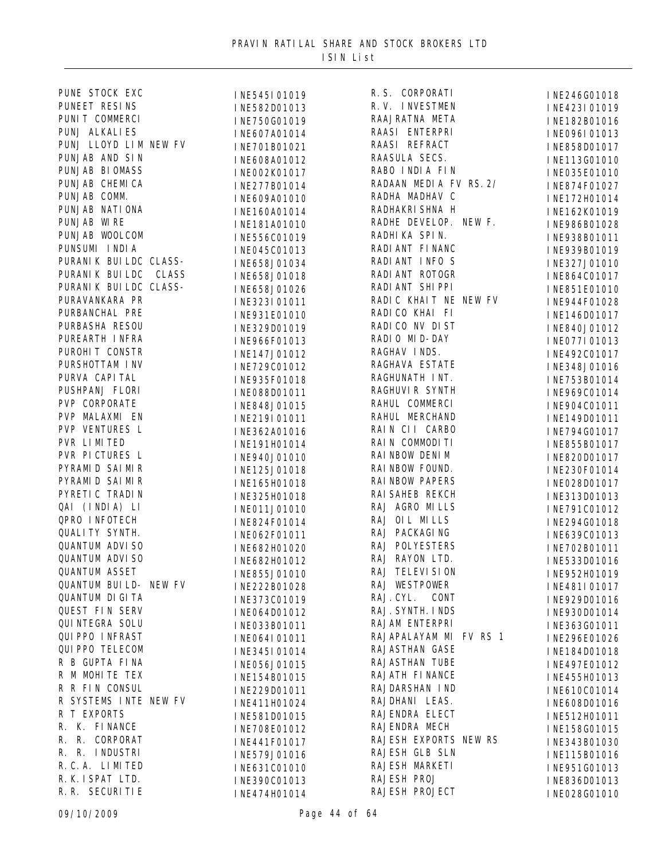| PUNE STOCK EXC          | INE545I01019 | R. S. CORPORATI        | INE246G01018 |
|-------------------------|--------------|------------------------|--------------|
| PUNEET RESINS           | INE582D01013 | R.V. INVESTMEN         | INE423I01019 |
| PUNIT COMMERCI          | INE750G01019 | RAAJRATNA META         | INE182B01016 |
| PUNJ ALKALIES           | INE607A01014 | RAASI ENTERPRI         | INE096I01013 |
| PUNJ LLOYD LIM NEW FV   | INE701B01021 | RAASI REFRACT          | INE858D01017 |
| PUNJAB AND SIN          | INE608A01012 | RAASULA SECS.          | INE113G01010 |
| PUNJAB BIOMASS          | INE002K01017 | RABO INDIA FIN         | INE035E01010 |
| PUNJAB CHEMICA          | INE277B01014 | RADAAN MEDIA FV RS. 2/ | INE874F01027 |
| PUNJAB COMM.            | INE609A01010 | RADHA MADHAV C         | INE172H01014 |
| PUNJAB NATI ONA         | INE160A01014 | RADHAKRI SHNA H        | INE162K01019 |
| PUNJAB WIRE             | INE181A01010 | RADHE DEVELOP. NEW F.  | INE986B01028 |
| PUNJAB WOOLCOM          | INE556C01019 | RADHIKA SPIN.          | INE938B01011 |
| PUNSUMI INDIA           | INE045C01013 | RADI ANT FINANC        | INE939B01019 |
| PURANI K BUI LDC CLASS- | INE658J01034 | RADI ANT INFO S        | INE327J01010 |
| PURANI K BUI LDC CLASS  |              | RADI ANT ROTOGR        |              |
| PURANI K BUI LDC CLASS- | INE658J01018 | RADI ANT SHI PPI       | INE864C01017 |
| PURAVANKARA PR          | INE658J01026 | RADIC KHAIT NE NEW FV  | INE851E01010 |
| PURBANCHAL PRE          | INE323I01011 | RADI CO KHAI FI        | INE944F01028 |
| PURBASHA RESOU          | INE931E01010 | RADI CO NV DI ST       | INE146D01017 |
| PUREARTH INFRA          | INE329D01019 | RADIO MID-DAY          | INE840J01012 |
| PUROHIT CONSTR          | INE966F01013 | RAGHAV INDS.           | INE077I01013 |
| PURSHOTTAM INV          | INE147J01012 | RAGHAVA ESTATE         | INE492C01017 |
| PURVA CAPI TAL          | INE729C01012 |                        | INE348J01016 |
|                         | INE935F01018 | RAGHUNATH INT.         | INE753B01014 |
| PUSHPANJ FLORI          | INE088D01011 | RAGHUVI R SYNTH        | INE969C01014 |
| PVP CORPORATE           | INE848J01015 | RAHUL COMMERCI         | INE904C01011 |
| PVP MALAXMI EN          | INE219I01011 | RAHUL MERCHAND         | INE149D01011 |
| PVP VENTURES L          | INE362A01016 | RAIN CII CARBO         | INE794G01017 |
| PVR LIMITED             | INE191H01014 | RAIN COMMODITI         | INE855B01017 |
| PVR PICTURES L          | INE940J01010 | RAI NBOW DENI M        | INE820D01017 |
| PYRAMI D SAI MIR        | INE125J01018 | RAI NBOW FOUND.        | INE230F01014 |
| PYRAMI D SAI MIR        | INE165H01018 | <b>RAI NBOW PAPERS</b> | INE028D01017 |
| PYRETI C TRADIN         | INE325H01018 | RAI SAHEB REKCH        | INE313D01013 |
| QAI (INDIA) LI          | INE011J01010 | RAJ AGRO MILLS         | INE791C01012 |
| QPRO INFOTECH           | INE824F01014 | RAJ OIL MILLS          | INE294G01018 |
| <b>QUALITY SYNTH.</b>   | INE062F01011 | RAJ PACKAGING          | INE639C01013 |
| <b>QUANTUM ADVISO</b>   | INE682H01020 | RAJ POLYESTERS         | INE702B01011 |
| <b>QUANTUM ADVISO</b>   | INE682H01012 | RAJ RAYON LTD.         | INE533D01016 |
| <b>QUANTUM ASSET</b>    | INE855J01010 | RAJ TELEVI SI ON       | INE952H01019 |
| QUANTUM BUI LD- NEW FV  | INE222B01028 | RAJ WESTPOWER          | INE481I01017 |
| <b>QUANTUM DIGITA</b>   | INE373C01019 | RAJ. CYL.<br>CONT      | INE929D01016 |
| <b>QUEST FIN SERV</b>   | INE064D01012 | RAJ. SYNTH. I NDS      | INE930D01014 |
| <b>QUI NTEGRA SOLU</b>  | INE033B01011 | RAJAM ENTERPRI         | INE363G01011 |
| <b>QUI PPO INFRAST</b>  | INE064I01011 | RAJAPALAYAM MI FV RS 1 | INE296E01026 |
| <b>QUI PPO TELECOM</b>  | INE345I01014 | <b>RAJASTHAN GASE</b>  | INE184D01018 |
| R B GUPTA FINA          | INE056J01015 | <b>RAJASTHAN TUBE</b>  | INE497E01012 |
| R M MOHITE TEX          | INE154B01015 | RAJATH FINANCE         | INE455H01013 |
| R R FIN CONSUL          | INE229D01011 | RAJDARSHAN IND         | INE610C01014 |
| R SYSTEMS INTE NEW FV   | INE411H01024 | RAJDHANI LEAS.         | INE608D01016 |
| R T EXPORTS             |              | RAJENDRA ELECT         |              |
| R. K. FINANCE           | INE581D01015 | RAJENDRA MECH          | INE512H01011 |
| R. R.<br>CORPORAT       | INE708E01012 | RAJESH EXPORTS NEW RS  | INE158G01015 |
| R. R. INDUSTRI          | INE441F01017 | RAJESH GLB SLN         | INE343B01030 |
| R. C. A. LIMITED        | INE579J01016 | RAJESH MARKETI         | INE115B01016 |
| R. K. I SPAT LTD.       | INE631C01010 | RAJESH PROJ            | INE951G01013 |
| R. R. SECURITIE         | INE390C01013 | RAJESH PROJECT         | INE836D01013 |
|                         | INE474H01014 |                        | INE028G01010 |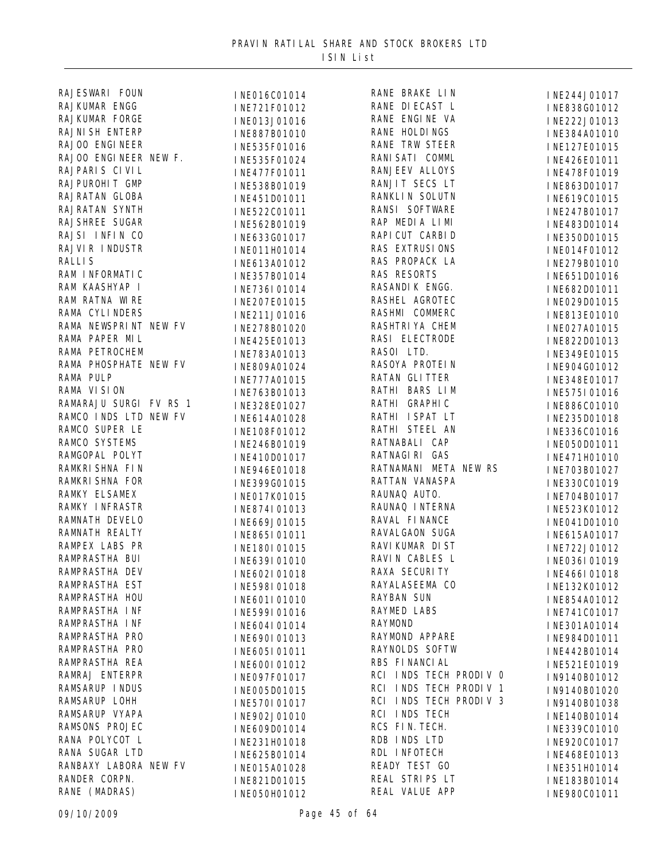| RAJESWARI FOUN         | INE016C01014 | RANE BRAKE LIN                    | INE244J01017 |
|------------------------|--------------|-----------------------------------|--------------|
| RAJKUMAR ENGG          | INE721F01012 | RANE DI ECAST L                   | INE838G01012 |
| RAJKUMAR FORGE         | INE013J01016 | RANE ENGINE VA                    | INE222J01013 |
| <b>RAJNI SH ENTERP</b> | INE887B01010 | RANE HOLDINGS                     | INE384A01010 |
| RAJOO ENGINEER         | INE535F01016 | <b>RANE TRW STEER</b>             | INE127E01015 |
| RAJOO ENGINEER NEW F.  | INE535F01024 | RANI SATI COMML                   | INE426E01011 |
| RAJPARIS CIVIL         | INE477F01011 | <b>RANJEEV ALLOYS</b>             | INE478F01019 |
| RAJPUROHIT GMP         | INE538B01019 | RANJIT SECS LT                    | INE863D01017 |
| RAJRATAN GLOBA         | INE451D01011 | RANKLI N SOLUTN                   | INE619C01015 |
| RAJRATAN SYNTH         | INE522C01011 | RANSI SOFTWARE                    | INE247B01017 |
| <b>RAJSHREE SUGAR</b>  | INE562B01019 | RAP MEDIA LIMI                    | INE483D01014 |
| RAJSI INFIN CO         | INE633G01017 | RAPI CUT CARBI D                  | INE350D01015 |
| RAJVIR INDUSTR         |              | RAS EXTRUSIONS                    |              |
| <b>RALLIS</b>          | INE011H01014 | RAS PROPACK LA                    | INE014F01012 |
| RAM I NFORMATI C       | INE613A01012 | <b>RAS RESORTS</b>                | INE279B01010 |
| RAM KAASHYAP I         | INE357B01014 | RASANDI K ENGG.                   | INE651D01016 |
| RAM RATNA WIRE         | INE736I01014 | RASHEL AGROTEC                    | INE682D01011 |
| RAMA CYLINDERS         | INE207E01015 |                                   | INE029D01015 |
|                        | INE211J01016 | RASHMI COMMERC<br>RASHTRI YA CHEM | INE813E01010 |
| RAMA NEWSPRINT NEW FV  | INE278B01020 |                                   | INE027A01015 |
| RAMA PAPER MIL         | INE425E01013 | RASI ELECTRODE                    | INE822D01013 |
| RAMA PETROCHEM         | INE783A01013 | RASOI LTD.                        | INE349E01015 |
| RAMA PHOSPHATE NEW FV  | INE809A01024 | RASOYA PROTEIN                    | INE904G01012 |
| RAMA PULP              | INE777A01015 | RATAN GLITTER                     | INE348E01017 |
| RAMA VISION            | INE763B01013 | RATHI BARS LIM                    | INE575I01016 |
| RAMARAJU SURGI FV RS 1 | INE328E01027 | RATHI GRAPHIC                     | INE886C01010 |
| RAMCO INDS LTD NEW FV  | INE614A01028 | RATHI ISPAT LT                    | INE235D01018 |
| RAMCO SUPER LE         | INE108F01012 | RATHI STEEL AN                    | INE336C01016 |
| RAMCO SYSTEMS          | INE246B01019 | RATNABALI CAP                     | INE050D01011 |
| RAMGOPAL POLYT         | INE410D01017 | RATNAGI RI GAS                    | INE471H01010 |
| RAMKRI SHNA FIN        | INE946E01018 | RATNAMANI META NEW RS             | INE703B01027 |
| RAMKRI SHNA FOR        | INE399G01015 | RATTAN VANASPA                    | INE330C01019 |
| <b>RAMKY ELSAMEX</b>   | INE017K01015 | RAUNAQ AUTO.                      | INE704B01017 |
| <b>RAMKY INFRASTR</b>  | INE874I01013 | RAUNAQ INTERNA                    | INE523K01012 |
| RAMNATH DEVELO         | INE669J01015 | RAVAL FINANCE                     | INE041D01010 |
| RAMNATH REALTY         | INE865I01011 | RAVALGAON SUGA                    | INE615A01017 |
| RAMPEX LABS PR         | INE180I01015 | RAVI KUMAR DI ST                  | INE722J01012 |
| RAMPRASTHA BUI         | INE639I01010 | RAVIN CABLES L                    | INE036I01019 |
| RAMPRASTHA DEV         | INE602I01018 | <b>RAXA SECURITY</b>              | INE466I01018 |
| RAMPRASTHA EST         | INE598I01018 | RAYALASEEMA CO                    | INE132K01012 |
| RAMPRASTHA HOU         | INE601I01010 | <b>RAYBAN SUN</b>                 | INE854A01012 |
| RAMPRASTHA INF         | INE599I01016 | <b>RAYMED LABS</b>                | INE741C01017 |
| RAMPRASTHA INF         | INE604I01014 | <b>RAYMOND</b>                    | INE301A01014 |
| RAMPRASTHA PRO         | INE690I01013 | RAYMOND APPARE                    | INE984D01011 |
| RAMPRASTHA PRO         | INE605I01011 | RAYNOLDS SOFTW                    | INE442B01014 |
| RAMPRASTHA REA         | INE600I01012 | RBS FINANCIAL                     | INE521E01019 |
| RAMRAJ ENTERPR         |              | RCI INDS TECH PRODIV O            |              |
| RAMSARUP INDUS         | INE097F01017 | RCI INDS TECH PRODIV 1            | IN9140B01012 |
| RAMSARUP LOHH          | INE005D01015 | RCI INDS TECH PRODIV 3            | IN9140B01020 |
| RAMSARUP VYAPA         | INE570I01017 | RCI INDS TECH                     | IN9140B01038 |
| RAMSONS PROJEC         | INE902J01010 | RCS FIN. TECH.                    | INE140B01014 |
| RANA POLYCOT L         | INE609D01014 | RDB INDS LTD                      | INE339C01010 |
|                        | INE231H01018 |                                   | INE920C01017 |
| RANA SUGAR LTD         | INE625B01014 | RDL INFOTECH                      | INE468E01013 |
| RANBAXY LABORA NEW FV  | INE015A01028 | READY TEST GO                     | INE351H01014 |
| RANDER CORPN.          | INE821D01015 | REAL STRIPS LT                    | INE183B01014 |
| RANE (MADRAS)          | INE050H01012 | REAL VALUE APP                    | INE980C01011 |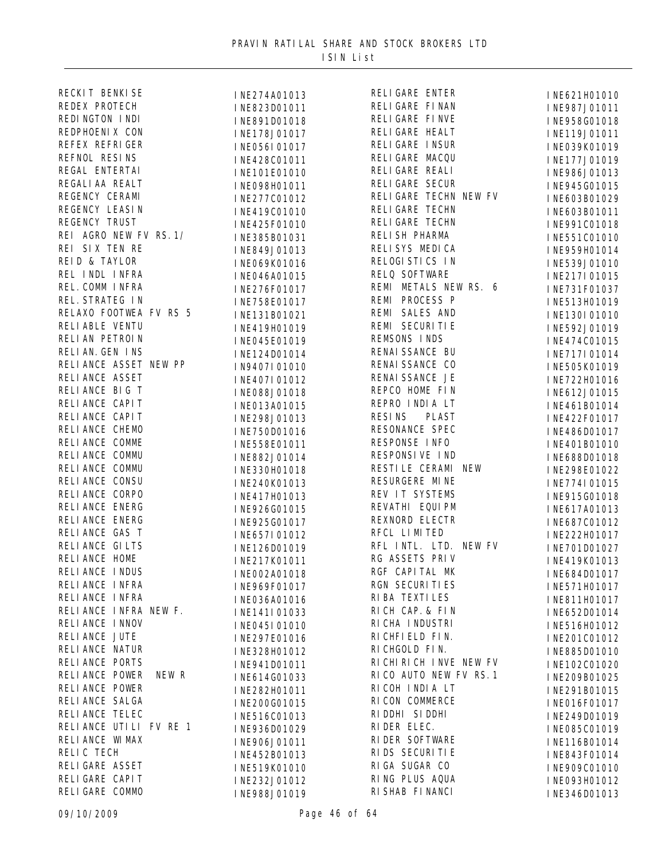| RECKIT BENKISE          | INE274A01013 | <b>RELIGARE ENTER</b>            | INE621H01010                 |
|-------------------------|--------------|----------------------------------|------------------------------|
| REDEX PROTECH           | INE823D01011 | RELI GARE FI NAN                 | INE987J01011                 |
| REDINGTON INDI          | INE891D01018 | RELI GARE FI NVE                 | INE958G01018                 |
| REDPHOENIX CON          | INE178J01017 | RELI GARE HEALT                  | INE119J01011                 |
| REFEX REFRIGER          | INE056I01017 | RELI GARE I NSUR                 | INE039K01019                 |
| REFNOL RESINS           | INE428C01011 | RELI GARE MACQU                  | INE177J01019                 |
| REGAL ENTERTAI          | INE101E01010 | RELI GARE REALI                  | INE986J01013                 |
| REGALI AA REALT         | INE098H01011 | <b>RELIGARE SECUR</b>            | INE945G01015                 |
| REGENCY CERAMI          | INE277C01012 | RELIGARE TECHN NEW FV            | INE603B01029                 |
| REGENCY LEASIN          | INE419C01010 | RELI GARE TECHN                  | INE603B01011                 |
| REGENCY TRUST           | INE425F01010 | RELI GARE TECHN                  | INE991C01018                 |
| REI AGRO NEW FV RS. 1/  | INE385B01031 | RELI SH PHARMA                   | INE551C01010                 |
| REI SIX TEN RE          | INE849J01013 | RELISYS MEDICA                   | INE959H01014                 |
| REID & TAYLOR           | INE069K01016 | RELOGI STICS IN                  | INE539J01010                 |
| REL INDL INFRA          | INE046A01015 | RELQ SOFTWARE                    | INE217I01015                 |
| REL. COMM INFRA         | INE276F01017 | REMI METALS NEW RS. 6            | INE731F01037                 |
| REL. STRATEG IN         | INE758E01017 | REMI PROCESS P                   | INE513H01019                 |
| RELAXO FOOTWEA FV RS 5  | INE131B01021 | REMI SALES AND                   | INE130I01010                 |
| RELIABLE VENTU          | INE419H01019 | REMI SECURITIE                   | INE592J01019                 |
| RELIAN PETROIN          | INE045E01019 | REMSONS INDS                     | INE474C01015                 |
| RELIAN. GEN INS         | INE124D01014 | RENAI SSANCE BU                  | INE717I01014                 |
| RELIANCE ASSET NEW PP   |              | RENAI SSANCE CO                  |                              |
| RELI ANCE ASSET         | IN9407I01010 | RENAI SSANCE JE                  | INE505K01019                 |
| RELIANCE BIG T          | INE407I01012 | REPCO HOME FIN                   | INE722H01016<br>INE612J01015 |
| RELI ANCE CAPI T        | INE088J01018 | REPRO INDIA LT                   |                              |
| RELI ANCE CAPI T        | INE013A01015 | <b>RESINS</b><br><b>PLAST</b>    | INE461B01014                 |
| RELIANCE CHEMO          | INE298J01013 | RESONANCE SPEC                   | INE422F01017                 |
| RELIANCE COMME          | INE750D01016 | RESPONSE INFO                    | INE486D01017                 |
| RELIANCE COMMU          | INE558E01011 | RESPONSI VE IND                  | INE401B01010                 |
| RELIANCE COMMU          | INE882J01014 | RESTILE CERAMI NEW               | INE688D01018                 |
| RELI ANCE CONSU         | INE330H01018 | RESURGERE MINE                   | INE298E01022                 |
| RELIANCE CORPO          | INE240K01013 | REV IT SYSTEMS                   | INE774I01015                 |
|                         | INE417H01013 |                                  | INE915G01018                 |
| RELI ANCE ENERG         | INE926G01015 | REVATHI EQUIPM<br>REXNORD ELECTR | INE617A01013                 |
| RELIANCE ENERG          | INE925G01017 |                                  | INE687C01012                 |
| RELIANCE GAS T          | INE657I01012 | RFCL LIMITED                     | INE222H01017                 |
| RELI ANCE GILTS         | INE126D01019 | RFL INTL. LTD. NEW FV            | INE701D01027                 |
| RELI ANCE HOME          | INE217K01011 | RG ASSETS PRIV                   | INE419K01013                 |
| RELIANCE INDUS          | INE002A01018 | RGF CAPITAL MK                   | INE684D01017                 |
| RELI ANCE INFRA         | INE969F01017 | RGN SECURITIES                   | INE571H01017                 |
| RELI ANCE INFRA         | INE036A01016 | RI BA TEXTI LES                  | INE811H01017                 |
| RELIANCE INFRA NEW F.   | INE141I01033 | RICH CAP. & FIN                  | INE652D01014                 |
| RELI ANCE I NNOV        | INE045I01010 | RI CHA I NDUSTRI                 | INE516H01012                 |
| RELIANCE JUTE           | INE297E01016 | RI CHFI ELD FI N.                | INE201C01012                 |
| RELIANCE NATUR          | INE328H01012 | RI CHGOLD FIN.                   | INE885D01010                 |
| RELIANCE PORTS          | INE941D01011 | RI CHI RI CH I NVE NEW FV        | INE102C01020                 |
| RELIANCE POWER<br>NEW R | INE614G01033 | RICO AUTO NEW FV RS. 1           | INE209B01025                 |
| RELI ANCE POWER         | INE282H01011 | RICOH INDIA LT                   | INE291B01015                 |
| RELI ANCE SALGA         | INE200G01015 | RI CON COMMERCE                  | INE016F01017                 |
| RELI ANCE TELEC         | INE516C01013 | RI DDHI SI DDHI                  | INE249D01019                 |
| RELIANCE UTILI FV RE 1  | INE936D01029 | RIDER ELEC.                      | INE085C01019                 |
| RELI ANCE WI MAX        | INE906J01011 | RI DER SOFTWARE                  | INE116B01014                 |
| RELIC TECH              | INE452B01013 | RI DS SECURI TI E                | INE843F01014                 |
| RELI GARE ASSET         | INE519K01010 | RIGA SUGAR CO                    | INE909C01010                 |
| RELI GARE CAPI T        | INE232J01012 | RING PLUS AQUA                   | INE093H01012                 |
| RELI GARE COMMO         | INE988J01019 | RI SHAB FI NANCI                 | INE346D01013                 |
|                         |              |                                  |                              |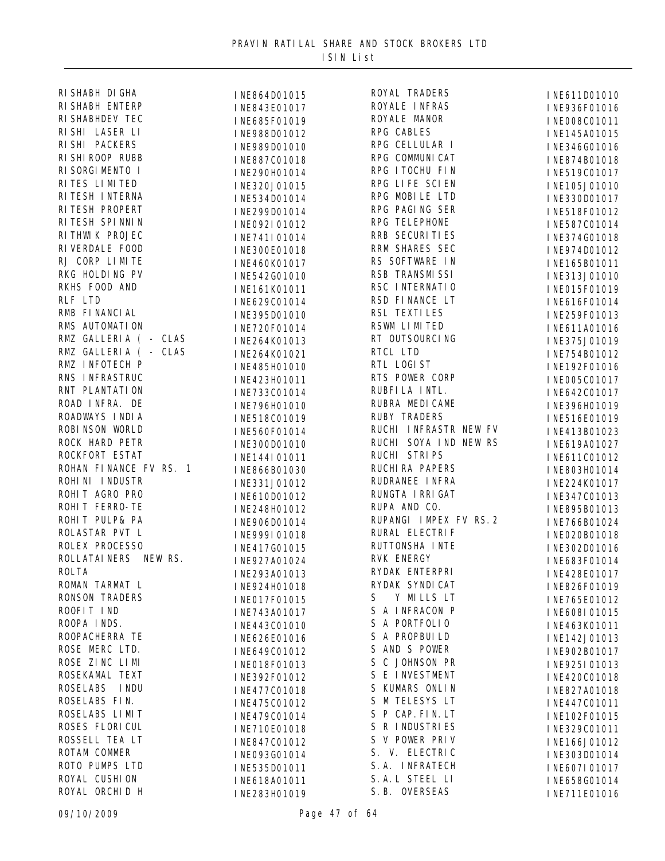| RI SHABH DI GHA                  | INE864D01015                 | ROYAL TRADERS          | INE611D01010                 |
|----------------------------------|------------------------------|------------------------|------------------------------|
| RI SHABH ENTERP                  | INE843E01017                 | ROYALE INFRAS          | INE936F01016                 |
| RI SHABHDEV TEC                  | INE685F01019                 | ROYALE MANOR           | INE008C01011                 |
| RI SHI LASER LI                  | INE988D01012                 | RPG CABLES             | INE145A01015                 |
| RI SHI PACKERS                   | INE989D01010                 | RPG CELLULAR I         | INE346G01016                 |
| RI SHI ROOP RUBB                 | INE887C01018                 | RPG COMMUNI CAT        | INE874B01018                 |
| RI SORGI MENTO I                 | INE290H01014                 | RPG ITOCHU FIN         | INE519C01017                 |
| RITES LIMITED                    | INE320J01015                 | RPG LIFE SCIEN         | INE105J01010                 |
| RITESH INTERNA                   | INE534D01014                 | RPG MOBILE LTD         | INE330D01017                 |
| RITESH PROPERT                   | INE299D01014                 | RPG PAGING SER         | INE518F01012                 |
| RITESH SPINNIN                   | INE092I01012                 | RPG TELEPHONE          | INE587C01014                 |
| RITHWIK PROJEC                   | INE741I01014                 | RRB SECURI TI ES       | INE374G01018                 |
| RI VERDALE FOOD                  | INE300E01018                 | RRM SHARES SEC         | INE974D01012                 |
| RJ CORP LIMITE                   |                              | RS SOFTWARE IN         |                              |
| RKG HOLDING PV                   | INE460K01017<br>INE542G01010 | RSB TRANSMISSI         | INE165B01011<br>INE313J01010 |
| RKHS FOOD AND                    |                              | RSC INTERNATIO         |                              |
| RLF LTD                          | INE161K01011                 | RSD FINANCE LT         | INE015F01019                 |
| RMB FI NANCI AL                  | INE629C01014                 | RSL TEXTILES           | INE616F01014                 |
| RMS AUTOMATION                   | INE395D01010                 | RSWM LIMITED           | INE259F01013                 |
| RMZ GALLERIA ( - CLAS            | INE720F01014                 | RT OUTSOURCING         | INE611A01016                 |
| RMZ GALLERIA ( - CLAS            | INE264K01013                 | RTCL LTD               | INE375J01019                 |
|                                  | INE264K01021                 | RTL LOGIST             | INE754B01012                 |
| RMZ INFOTECH P<br>RNS INFRASTRUC | INE485H01010                 | RTS POWER CORP         | INE192F01016                 |
| RNT PLANTATION                   | INE423H01011                 | RUBFI LA INTL.         | INE005C01017                 |
|                                  | INE733C01014                 |                        | INE642C01017                 |
| ROAD INFRA. DE                   | INE796H01010                 | RUBRA MEDICAME         | INE396H01019                 |
| ROADWAYS INDIA                   | INE518C01019                 | <b>RUBY TRADERS</b>    | INE516E01019                 |
| ROBI NSON WORLD                  | INE560F01014                 | RUCHI INFRASTR NEW FV  | INE413B01023                 |
| ROCK HARD PETR                   | INE300D01010                 | RUCHI SOYA IND NEW RS  | INE619A01027                 |
| ROCKFORT ESTAT                   | INE144I01011                 | RUCHI STRIPS           | INE611C01012                 |
| ROHAN FINANCE FV RS. 1           | INE866B01030                 | RUCHI RA PAPERS        | INE803H01014                 |
| ROHINI INDUSTR                   | INE331J01012                 | RUDRANEE INFRA         | INE224K01017                 |
| ROHIT AGRO PRO                   | INE610D01012                 | RUNGTA I RRI GAT       | INE347C01013                 |
| ROHIT FERRO-TE                   | INE248H01012                 | RUPA AND CO.           | INE895B01013                 |
| ROHIT PULP& PA                   | INE906D01014                 | RUPANGI IMPEX FV RS. 2 | INE766B01024                 |
| ROLASTAR PVT L                   | INE999I01018                 | RURAL ELECTRIF         | INE020B01018                 |
| ROLEX PROCESSO                   | INE417G01015                 | RUTTONSHA INTE         | INE302D01016                 |
| <b>ROLLATAI NERS</b><br>NEW RS.  | INE927A01024                 | <b>RVK ENERGY</b>      | INE683F01014                 |
| <b>ROLTA</b>                     | INE293A01013                 | RYDAK ENTERPRI         | INE428E01017                 |
| ROMAN TARMAT L                   | INE924H01018                 | RYDAK SYNDI CAT        | INE826F01019                 |
| <b>RONSON TRADERS</b>            | INE017F01015                 | Y MILLS LT<br>S        | INE765E01012                 |
| ROOFIT IND                       | INE743A01017                 | S A INFRACON P         | INE608I01015                 |
| ROOPA INDS.                      | INE443C01010                 | S A PORTFOLIO          | INE463K01011                 |
| ROOPACHERRA TE                   | INE626E01016                 | S A PROPBUILD          | INE142J01013                 |
| ROSE MERC LTD.                   | INE649C01012                 | S AND S POWER          | INE902B01017                 |
| ROSE ZINC LIMI                   | INE018F01013                 | S C JOHNSON PR         | INE925I01013                 |
| ROSEKAMAL TEXT                   | INE392F01012                 | S E INVESTMENT         | INE420C01018                 |
| ROSELABS INDU                    | INE477C01018                 | S KUMARS ONLIN         | INE827A01018                 |
| ROSELABS FIN.                    | INE475C01012                 | S M TELESYS LT         | INE447C01011                 |
| ROSELABS LIMIT                   | INE479C01014                 | S P CAP. FIN. LT       | INE102F01015                 |
| ROSES FLORI CUL                  | INE710E01018                 | S R INDUSTRIES         | INE329C01011                 |
| ROSSELL TEA LT                   | INE847C01012                 | S V POWER PRIV         | INE166J01012                 |
| ROTAM COMMER                     | INE093G01014                 | S. V. ELECTRIC         | INE303D01014                 |
| ROTO PUMPS LTD                   | INE535D01011                 | S. A. INFRATECH        | INE607I01017                 |
| ROYAL CUSHION                    | INE618A01011                 | S. A. L STEEL LI       | INE658G01014                 |
| ROYAL ORCHID H                   | INE283H01019                 | S. B. OVERSEAS         | INE711E01016                 |
|                                  |                              |                        |                              |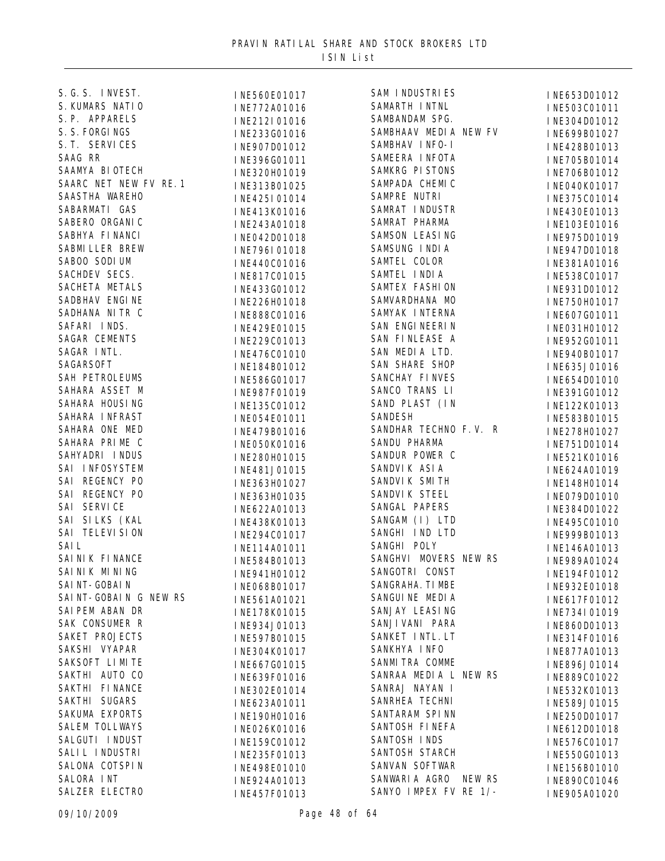| S. G. S. INVEST.       | INE560E01017                 | SAM INDUSTRIES         | INE653D01012 |
|------------------------|------------------------------|------------------------|--------------|
| S. KUMARS NATIO        | INE772A01016                 | SAMARTH INTNL          | INE503C01011 |
| S. P. APPARELS         | INE212I01016                 | SAMBANDAM SPG.         | INE304D01012 |
| S. S. FORGINGS         | INE233G01016                 | SAMBHAAV MEDIA NEW FV  | INE699B01027 |
| S. T. SERVICES         | INE907D01012                 | SAMBHAV INFO-I         | INE428B01013 |
| SAAG RR                | INE396G01011                 | SAMEERA INFOTA         | INE705B01014 |
| SAAMYA BI OTECH        | INE320H01019                 | SAMKRG PISTONS         | INE706B01012 |
| SAARC NET NEW FV RE. 1 | INE313B01025                 | SAMPADA CHEMIC         | INE040K01017 |
| SAASTHA WAREHO         | INE425I01014                 | SAMPRE NUTRI           | INE375C01014 |
| SABARMATI GAS          | INE413K01016                 | SAMRAT INDUSTR         | INE430E01013 |
| SABERO ORGANIC         | INE243A01018                 | SAMRAT PHARMA          | INE103E01016 |
| SABHYA FI NANCI        | INE042D01018                 | <b>SAMSON LEASING</b>  | INE975D01019 |
| <b>SABMI LLER BREW</b> | INE796I01018                 | SAMSUNG INDIA          | INE947D01018 |
| SABOO SODI UM          | INE440C01016                 | SAMTEL COLOR           | INE381A01016 |
| SACHDEV SECS.          | INE817C01015                 | SAMTEL INDIA           | INE538C01017 |
| SACHETA METALS         | INE433G01012                 | SAMTEX FASHION         | INE931D01012 |
| SADBHAV ENGINE         | INE226H01018                 | SAMVARDHANA MO         | INE750H01017 |
| SADHANA NITR C         | INE888C01016                 | SAMYAK INTERNA         | INE607G01011 |
| SAFARI INDS.           | INE429E01015                 | SAN ENGI NEERI N       | INE031H01012 |
| SAGAR CEMENTS          | INE229C01013                 | SAN FINLEASE A         | INE952G01011 |
| SAGAR INTL.            | INE476C01010                 | SAN MEDIA LTD.         | INE940B01017 |
| SAGARSOFT              | INE184B01012                 | <b>SAN SHARE SHOP</b>  | INE635J01016 |
| SAH PETROLEUMS         |                              | SANCHAY FINVES         |              |
| SAHARA ASSET M         | INE586G01017<br>INE987F01019 | SANCO TRANS LI         | INE654D01010 |
| SAHARA HOUSING         |                              | SAND PLAST (IN         | INE391G01012 |
| SAHARA INFRAST         | INE135C01012                 | <b>SANDESH</b>         | INE122K01013 |
| SAHARA ONE MED         | INE054E01011                 | SANDHAR TECHNO F.V. R  | INE583B01015 |
| SAHARA PRIME C         | INE479B01016                 | SANDU PHARMA           | INE278H01027 |
| SAHYADRI INDUS         | INE050K01016                 | SANDUR POWER C         | INE751D01014 |
| SAI INFOSYSTEM         | INE280H01015                 | SANDVI K ASI A         | INE521K01016 |
| SAI REGENCY PO         | INE481J01015                 |                        | INE624A01019 |
|                        | INE363H01027                 | SANDVI K SMITH         | INE148H01014 |
| SAI REGENCY PO         | INE363H01035                 | SANDVI K STEEL         | INE079D01010 |
| SAI SERVICE            | INE622A01013                 | SANGAL PAPERS          | INE384D01022 |
| SAI SILKS (KAL         | INE438K01013                 | SANGAM (I) LTD         | INE495C01010 |
| SAI TELEVI SI ON       | INE294C01017                 | SANGHI IND LTD         | INE999B01013 |
| SAI L                  | INE114A01011                 | SANGHI POLY            | INE146A01013 |
| SAI NI K FI NANCE      | INE584B01013                 | SANGHVI MOVERS NEW RS  | INE989A01024 |
| SAINIK MINING          | INE941H01012                 | SANGOTRI CONST         | INE194F01012 |
| SAI NT-GOBAI N         | INE068B01017                 | SANGRAHA. TI MBE       | INE932E01018 |
| SAINT-GOBAIN G NEW RS  | INE561A01021                 | SANGUI NE MEDI A       | INE617F01012 |
| SAI PEM ABAN DR        | INE178K01015                 | SANJAY LEASING         | INE734I01019 |
| SAK CONSUMER R         | INE934J01013                 | SANJI VANI PARA        | INE860D01013 |
| <b>SAKET PROJECTS</b>  | INE597B01015                 | SANKET INTL. LT        | INE314F01016 |
| SAKSHI VYAPAR          | INE304K01017                 | SANKHYA INFO           | INE877A01013 |
| SAKSOFT LIMITE         | INE667G01015                 | <b>SANMI TRA COMME</b> | INE896J01014 |
| SAKTHI AUTO CO         | INE639F01016                 | SANRAA MEDIA L NEW RS  | INE889C01022 |
| SAKTHI FINANCE         | INE302E01014                 | SANRAJ NAYAN I         | INE532K01013 |
| SAKTHI SUGARS          | INE623A01011                 | SANRHEA TECHNI         | INE589J01015 |
| SAKUMA EXPORTS         | INE190H01016                 | SANTARAM SPINN         | INE250D01017 |
| <b>SALEM TOLLWAYS</b>  | INE026K01016                 | SANTOSH FINEFA         | INE612D01018 |
| SALGUTI INDUST         | INE159C01012                 | SANTOSH INDS           | INE576C01017 |
| SALIL INDUSTRI         | INE235F01013                 | SANTOSH STARCH         | INE550G01013 |
| SALONA COTSPIN         | INE498E01010                 | SANVAN SOFTWAR         | INE156B01010 |
| SALORA INT             | INE924A01013                 | SANWARIA AGRO NEW RS   | INE890C01046 |
| SALZER ELECTRO         | INE457F01013                 | SANYO IMPEX FV RE 1/-  | INE905A01020 |
|                        |                              |                        |              |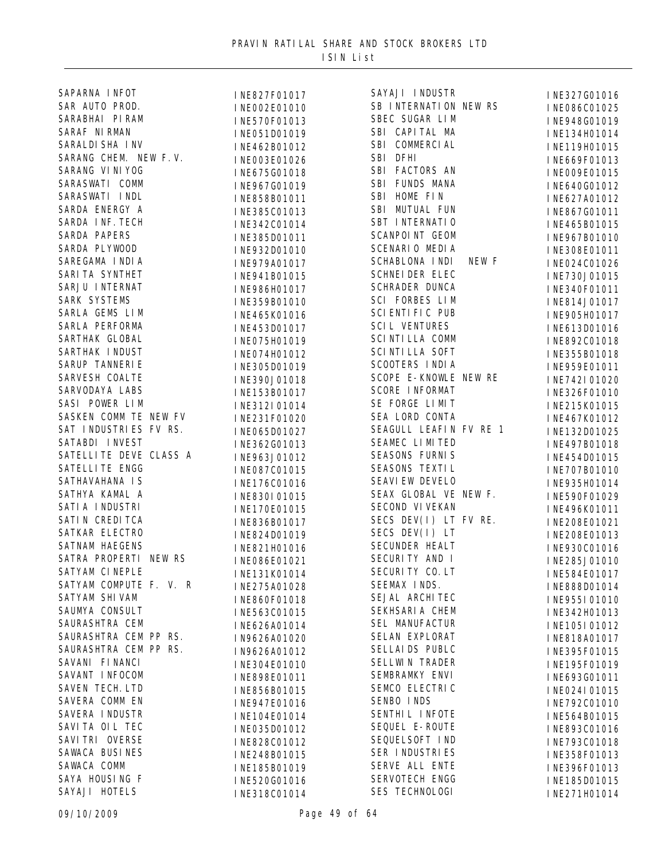| SAPARNA INFOT          | INE827F01017 | SAYAJI INDUSTR                 | INE327G01016 |
|------------------------|--------------|--------------------------------|--------------|
| SAR AUTO PROD.         | INE002E01010 | SB INTERNATION NEW RS          | INE086C01025 |
| SARABHAI PIRAM         | INE570F01013 | SBEC SUGAR LIM                 | INE948G01019 |
| SARAF NI RMAN          | INE051D01019 | SBI CAPITAL MA                 | INE134H01014 |
| SARALDI SHA I NV       | INE462B01012 | SBI COMMERCIAL                 | INE119H01015 |
| SARANG CHEM. NEW F.V.  | INE003E01026 | SBI DFHI                       | INE669F01013 |
| SARANG VI NI YOG       | INE675G01018 | SBI FACTORS AN                 | INE009E01015 |
| SARASWATI COMM         | INE967G01019 | SBI FUNDS MANA                 | INE640G01012 |
| SARASWATI INDL         | INE858B01011 | SBI HOME FIN                   | INE627A01012 |
| SARDA ENERGY A         | INE385C01013 | SBI MUTUAL FUN                 | INE867G01011 |
| SARDA INF. TECH        | INE342C01014 | SBT INTERNATIO                 | INE465B01015 |
| <b>SARDA PAPERS</b>    | INE385D01011 | <b>SCANPOINT GEOM</b>          | INE967B01010 |
| SARDA PLYWOOD          | INE932D01010 | <b>SCENARIO MEDIA</b>          | INE308E01011 |
| SAREGAMA I NDI A       |              | <b>SCHABLONA INDI</b><br>NEW F |              |
| SARI TA SYNTHET        | INE979A01017 | <b>SCHNEI DER ELEC</b>         | INE024C01026 |
| SARJU INTERNAT         | INE941B01015 | <b>SCHRADER DUNCA</b>          | INE730J01015 |
| SARK SYSTEMS           | INE986H01017 | SCI FORBES LIM                 | INE340F01011 |
| SARLA GEMS LIM         | INE359B01010 | <b>SCI ENTI FI C PUB</b>       | INE814J01017 |
| SARLA PERFORMA         | INE465K01016 | <b>SCIL VENTURES</b>           | INE905H01017 |
| SARTHAK GLOBAL         | INE453D01017 |                                | INE613D01016 |
|                        | INE075H01019 | <b>SCI NTI LLA COMM</b>        | INE892C01018 |
| SARTHAK INDUST         | INE074H01012 | <b>SCI NTI LLA SOFT</b>        | INE355B01018 |
| SARUP TANNERIE         | INE305D01019 | SCOOTERS INDIA                 | INE959E01011 |
| SARVESH COALTE         | INE390J01018 | SCOPE E-KNOWLE NEW RE          | INE742I01020 |
| SARVODAYA LABS         | INE153B01017 | <b>SCORE INFORMAT</b>          | INE326F01010 |
| SASI POWER LIM         | INE312I01014 | SE FORGE LIMIT                 | INE215K01015 |
| SASKEN COMM TE NEW FV  | INE231F01020 | SEA LORD CONTA                 | INE467K01012 |
| SAT INDUSTRIES FV RS.  | INE065D01027 | SEAGULL LEAFIN FV RE 1         | INE132D01025 |
| SATABDI INVEST         | INE362G01013 | SEAMEC LIMITED                 | INE497B01018 |
| SATELLITE DEVE CLASS A | INE963J01012 | <b>SEASONS FURNIS</b>          | INE454D01015 |
| <b>SATELLITE ENGG</b>  | INE087C01015 | SEASONS TEXTIL                 | INE707B01010 |
| SATHAVAHANA IS         | INE176C01016 | <b>SEAVI EW DEVELO</b>         | INE935H01014 |
| SATHYA KAMAL A         | INE830I01015 | SEAX GLOBAL VE NEW F.          | INE590F01029 |
| SATI A I NDUSTRI       | INE170E01015 | SECOND VI VEKAN                | INE496K01011 |
| SATI N CREDI TCA       | INE836B01017 | SECS DEV(I) LT FV RE.          | INE208E01021 |
| SATKAR ELECTRO         | INE824D01019 | SECS DEV $(I)$ LT              | INE208E01013 |
| <b>SATNAM HAEGENS</b>  | INE821H01016 | <b>SECUNDER HEALT</b>          | INE930C01016 |
| SATRA PROPERTI NEW RS  | INE086E01021 | SECURITY AND I                 | INE285J01010 |
| SATYAM CINEPLE         | INE131K01014 | SECURITY CO. LT                | INE584E01017 |
| SATYAM COMPUTE F. V. R | INE275A01028 | SEEMAX INDS.                   | INE888D01014 |
| <b>SATYAM SHI VAM</b>  | INE860F01018 | SEJAL ARCHITEC                 | INE955I01010 |
| SAUMYA CONSULT         | INE563C01015 | SEKHSARI A CHEM                | INE342H01013 |
| SAURASHTRA CEM         | INE626A01014 | SEL MANUFACTUR                 | INE105I01012 |
| SAURASHTRA CEM PP RS.  | IN9626A01020 | SELAN EXPLORAT                 | INE818A01017 |
| SAURASHTRA CEM PP RS.  |              | SELLAI DS PUBLC                |              |
| SAVANI FI NANCI        | IN9626A01012 | <b>SELLWIN TRADER</b>          | INE395F01015 |
| SAVANT INFOCOM         | INE304E01010 | SEMBRAMKY ENVI                 | INE195F01019 |
| <b>SAVEN TECH. LTD</b> | INE898E01011 | SEMCO ELECTRIC                 | INE693G01011 |
| SAVERA COMM EN         | INE856B01015 | SENBO INDS                     | INE024I01015 |
|                        | INE947E01016 |                                | INE792C01010 |
| SAVERA I NDUSTR        | INE104E01014 | SENTHI L INFOTE                | INE564B01015 |
| SAVITA OIL TEC         | INE035D01012 | SEQUEL E-ROUTE                 | INE893C01016 |
| SAVI TRI OVERSE        | INE828C01012 | SEQUELSOFT IND                 | INE793C01018 |
| SAWACA BUSINES         | INE248B01015 | SER INDUSTRIES                 | INE358F01013 |
| SAWACA COMM            | INE185B01019 | SERVE ALL ENTE                 | INE396F01013 |
| SAYA HOUSING F         | INE520G01016 | SERVOTECH ENGG                 | INE185D01015 |
| SAYAJI HOTELS          | INE318C01014 | SES TECHNOLOGI                 | INE271H01014 |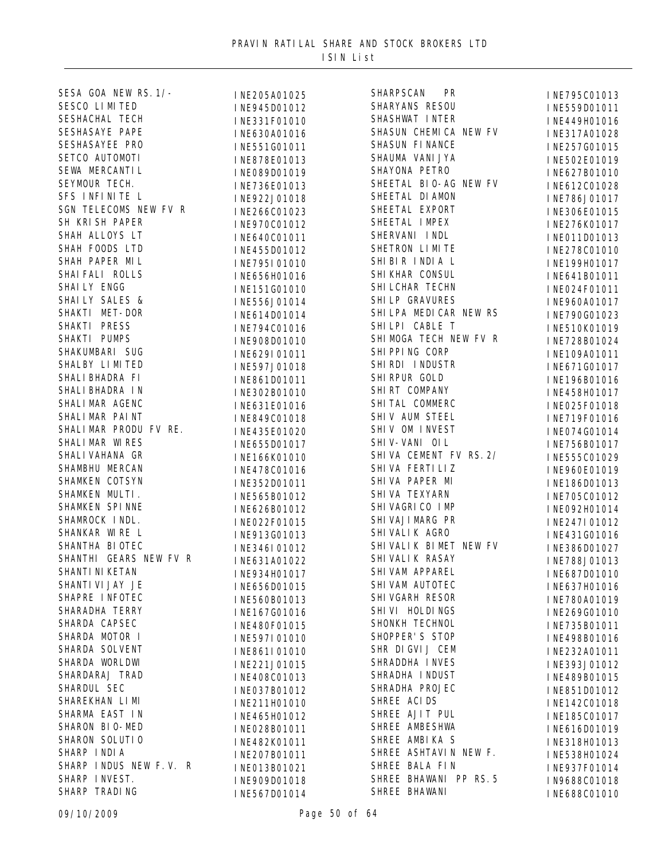| SESA GOA NEW RS. 1/-   | INE205A01025 | <b>SHARPSCAN</b><br><b>PR</b> | INE795C01013 |
|------------------------|--------------|-------------------------------|--------------|
| SESCO LIMITED          | INE945D01012 | SHARYANS RESOU                | INE559D01011 |
| SESHACHAL TECH         | INE331F01010 | SHASHWAT INTER                | INE449H01016 |
| SESHASAYE PAPE         | INE630A01016 | SHASUN CHEMICA NEW FV         | INE317A01028 |
| SESHASAYEE PRO         | INE551G01011 | SHASUN FINANCE                | INE257G01015 |
| SETCO AUTOMOTI         | INE878E01013 | SHAUMA VANI JYA               | INE502E01019 |
| SEWA MERCANTI L        | INE089D01019 | SHAYONA PETRO                 | INE627B01010 |
| SEYMOUR TECH.          | INE736E01013 | SHEETAL BIO-AG NEW FV         | INE612C01028 |
| SFS INFINITE L         | INE922J01018 | SHEETAL DI AMON               | INE786J01017 |
| SGN TELECOMS NEW FV R  | INE266C01023 | SHEETAL EXPORT                | INE306E01015 |
| SH KRISH PAPER         | INE970C01012 | SHEETAL IMPEX                 | INE276K01017 |
| SHAH ALLOYS LT         | INE640C01011 | SHERVANI INDL                 | INE011D01013 |
| SHAH FOODS LTD         | INE455D01012 | SHETRON LIMITE                | INE278C01010 |
| SHAH PAPER MIL         | INE795I01010 | SHIBIR INDIA L                | INE199H01017 |
| SHAI FALI ROLLS        |              | SHI KHAR CONSUL               |              |
| SHAILY ENGG            | INE656H01016 | SHI LCHAR TECHN               | INE641B01011 |
| SHAILY SALES &         | INE151G01010 | SHI LP GRAVURES               | INE024F01011 |
| SHAKTI MET-DOR         | INE556J01014 | SHI LPA MEDI CAR NEW RS       | INE960A01017 |
| SHAKTI PRESS           | INE614D01014 | SHILPI CABLE T                | INE790G01023 |
| SHAKTI PUMPS           | INE794C01016 | SHI MOGA TECH NEW FV R        | INE510K01019 |
|                        | INE908D01010 |                               | INE728B01024 |
| SHAKUMBARI SUG         | INE629I01011 | SHI PPI NG CORP               | INE109A01011 |
| SHALBY LIMITED         | INE597J01018 | SHIRDI INDUSTR                | INE671G01017 |
| SHALI BHADRA FI        | INE861D01011 | SHI RPUR GOLD                 | INE196B01016 |
| SHALI BHADRA IN        | INE302B01010 | SHIRT COMPANY                 | INE458H01017 |
| SHALI MAR AGENC        | INE631E01016 | SHITAL COMMERC                | INE025F01018 |
| SHALI MAR PAINT        | INE849C01018 | SHIV AUM STEEL                | INE719F01016 |
| SHALIMAR PRODU FV RE.  | INE435E01020 | SHIV OM INVEST                | INE074G01014 |
| SHALI MAR WI RES       | INE655D01017 | SHI V-VANI OIL                | INE756B01017 |
| SHALI VAHANA GR        | INE166K01010 | SHIVA CEMENT FV RS. 2/        | INE555C01029 |
| SHAMBHU MERCAN         | INE478C01016 | SHI VA FERTI LIZ              | INE960E01019 |
| SHAMKEN COTSYN         | INE352D01011 | SHIVA PAPER MI                | INE186D01013 |
| SHAMKEN MULTI.         | INE565B01012 | SHI VA TEXYARN                | INE705C01012 |
| SHAMKEN SPINNE         | INE626B01012 | SHI VAGRI CO I MP             | INE092H01014 |
| SHAMROCK INDL.         | INE022F01015 | SHI VAJI MARG PR              | INE247I01012 |
| SHANKAR WIRE L         | INE913G01013 | SHI VALI KAGRO                | INE431G01016 |
| SHANTHA BI OTEC        | INE346I01012 | SHIVALIK BIMET NEW FV         | INE386D01027 |
| SHANTHI GEARS NEW FV R | INE631A01022 | SHI VALI K RASAY              | INE788J01013 |
| SHANTI NI KETAN        | INE934H01017 | SHI VAM APPAREL               | INE687D01010 |
| SHANTI VI JAY JE       | INE656D01015 | SHI VAM AUTOTEC               | INE637H01016 |
| SHAPRE INFOTEC         | INE560B01013 | SHI VGARH RESOR               | INE780A01019 |
| SHARADHA TERRY         | INE167G01016 | SHI VI HOLDI NGS              | INE269G01010 |
| SHARDA CAPSEC          | INE480F01015 | SHONKH TECHNOL                | INE735B01011 |
| SHARDA MOTOR I         | INE597I01010 | SHOPPER'S STOP                | INE498B01016 |
| SHARDA SOLVENT         | INE861I01010 | SHR DIGVIJ CEM                | INE232A01011 |
| SHARDA WORLDWI         | INE221J01015 | SHRADDHA INVES                | INE393J01012 |
| SHARDARAJ TRAD         | INE408C01013 | SHRADHA INDUST                | INE489B01015 |
| SHARDUL SEC            | INE037B01012 | SHRADHA PROJEC                | INE851D01012 |
| SHAREKHAN LI MI        | INE211H01010 | SHREE ACIDS                   | INE142C01018 |
| SHARMA EAST IN         | INE465H01012 | SHREE AJIT PUL                | INE185C01017 |
| SHARON BIO-MED         | INE028B01011 | SHREE AMBESHWA                | INE616D01019 |
| SHARON SOLUTIO         | INE482K01011 | SHREE AMBIKA S                | INE318H01013 |
| SHARP INDIA            | INE207B01011 | SHREE ASHTAVIN NEW F.         | INE538H01024 |
| SHARP INDUS NEW F.V. R | INE013B01021 | SHREE BALA FIN                | INE937F01014 |
| SHARP INVEST.          | INE909D01018 | SHREE BHAWANI PP RS. 5        | IN9688C01018 |
| SHARP TRADING          | INE567D01014 | SHREE BHAWANI                 | INE688C01010 |
|                        |              |                               |              |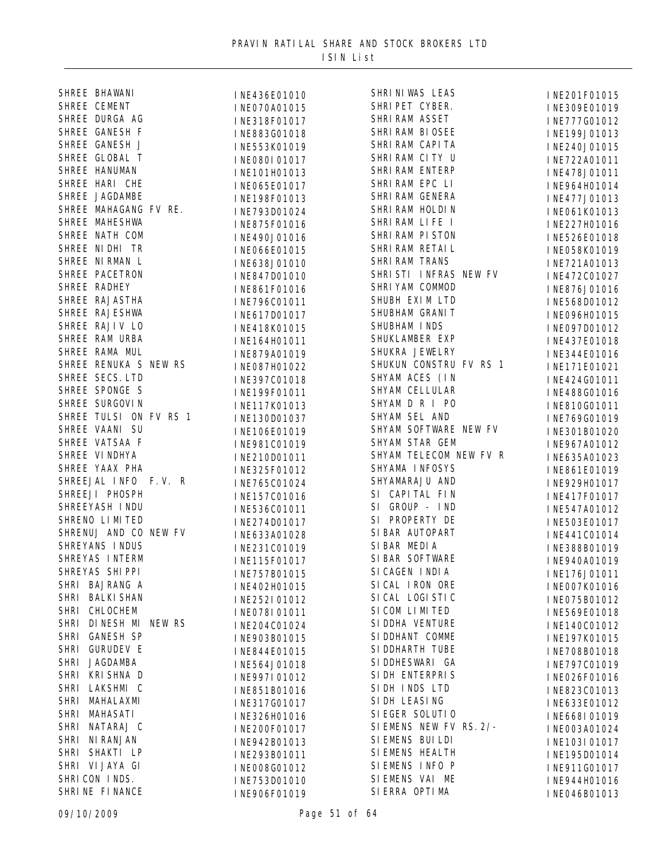| SHREE BHAWANI          | INE436E01010 | SHRI NI WAS LEAS        | INE201F01015 |
|------------------------|--------------|-------------------------|--------------|
| SHREE CEMENT           | INE070A01015 | SHRIPET CYBER.          | INE309E01019 |
| SHREE DURGA AG         | INE318F01017 | SHRI RAM ASSET          | INE777G01012 |
| SHREE GANESH F         | INE883G01018 | SHRI RAM BI OSEE        | INE199J01013 |
| SHREE GANESH J         | INE553K01019 | SHRI RAM CAPI TA        | INE240J01015 |
| SHREE GLOBAL T         | INE080I01017 | SHRI RAM CITY U         | INE722A01011 |
| SHREE HANUMAN          | INE101H01013 | SHRI RAM ENTERP         | INE478J01011 |
| SHREE HARI CHE         | INE065E01017 | SHRI RAM EPC LI         | INE964H01014 |
| SHREE JAGDAMBE         | INE198F01013 | SHRI RAM GENERA         | INE477J01013 |
| SHREE MAHAGANG FV RE.  | INE793D01024 | SHRI RAM HOLDI N        | INE061K01013 |
| SHREE MAHESHWA         | INE875F01016 | SHRI RAM LIFE I         | INE227H01016 |
| SHREE NATH COM         | INE490J01016 | SHRI RAM PI STON        | INE526E01018 |
| SHREE NI DHI TR        | INE066E01015 | SHRI RAM RETAI L        | INE058K01019 |
| SHREE NIRMAN L         | INE638J01010 | SHRI RAM TRANS          | INE721A01013 |
| SHREE PACETRON         | INE847D01010 | SHRISTI INFRAS NEW FV   | INE472C01027 |
| SHREE RADHEY           | INE861F01016 | SHRIYAM COMMOD          | INE876J01016 |
| SHREE RAJASTHA         | INE796C01011 | SHUBH EXIM LTD          | INE568D01012 |
| SHREE RAJESHWA         |              | SHUBHAM GRANIT          | INE096H01015 |
| SHREE RAJIV LO         | INE617D01017 | SHUBHAM INDS            |              |
| SHREE RAM URBA         | INE418K01015 | SHUKLAMBER EXP          | INE097D01012 |
| SHREE RAMA MUL         | INE164H01011 | SHUKRA JEWELRY          | INE437E01018 |
| SHREE RENUKA S NEW RS  | INE879A01019 | SHUKUN CONSTRU FV RS 1  | INE344E01016 |
| SHREE SECS. LTD        | INE087H01022 | SHYAM ACES (IN          | INE171E01021 |
| SHREE SPONGE S         | INE397C01018 |                         | INE424G01011 |
| SHREE SURGOVI N        | INE199F01011 | SHYAM CELLULAR          | INE488G01016 |
|                        | INE117K01013 | SHYAM D R I PO          | INE810G01011 |
| SHREE TULSI ON FV RS 1 | INE130D01037 | SHYAM SEL AND           | INE769G01019 |
| SHREE VAANI SU         | INE106E01019 | SHYAM SOFTWARE NEW FV   | INE301B01020 |
| SHREE VATSAA F         | INE981C01019 | SHYAM STAR GEM          | INE967A01012 |
| SHREE VI NDHYA         | INE210D01011 | SHYAM TELECOM NEW FV R  | INE635A01023 |
| SHREE YAAX PHA         | INE325F01012 | SHYAMA INFOSYS          | INE861E01019 |
| SHREEJAL INFO F.V. R   | INE765C01024 | SHYAMARAJU AND          | INE929H01017 |
| SHREEJI PHOSPH         | INE157C01016 | SI CAPITAL FIN          | INE417F01017 |
| SHREEYASH INDU         | INE536C01011 | SI GROUP - IND          | INE547A01012 |
| SHRENO LIMITED         | INE274D01017 | SI PROPERTY DE          | INE503E01017 |
| SHRENUJ AND CO NEW FV  | INE633A01028 | SI BAR AUTOPART         | INE441C01014 |
| SHREYANS INDUS         | INE231C01019 | SI BAR MEDIA            | INE388B01019 |
| SHREYAS INTERM         | INE115F01017 | SI BAR SOFTWARE         | INE940A01019 |
| SHREYAS SHIPPI         | INE757B01015 | SI CAGEN I NDI A        | INE176J01011 |
| SHRI BAJRANG A         | INE402H01015 | SI CAL IRON ORE         | INE007K01016 |
| SHRI BALKI SHAN        | INE252I01012 | SI CAL LOGI STI C       | INE075B01012 |
| SHRI CHLOCHEM          | INE078I01011 | SI COM LI MI TED        | INE569E01018 |
| SHRI DINESH MI NEW RS  | INE204C01024 | SI DDHA VENTURE         | INE140C01012 |
| SHRI GANESH SP         | INE903B01015 | SI DDHANT COMME         | INE197K01015 |
| SHRI GURUDEV E         | INE844E01015 | SI DDHARTH TUBE         | INE708B01018 |
| SHRI JAGDAMBA          | INE564J01018 | SI DDHESWARI GA         | INE797C01019 |
| SHRI KRISHNA D         | INE997I01012 | SI DH ENTERPRIS         | INE026F01016 |
| SHRI LAKSHMI C         | INE851B01016 | SIDH INDS LTD           | INE823C01013 |
| SHRI MAHALAXMI         | INE317G01017 | SI DH LEASI NG          | INE633E01012 |
| SHRI MAHASATI          | INE326H01016 | SI EGER SOLUTI 0        | INE668I01019 |
| SHRI NATARAJ C         | INE200F01017 | SI EMENS NEW FV RS. 2/- | INE003A01024 |
| SHRI NI RANJAN         | INE942B01013 | SI EMENS BUI LDI        | INE103I01017 |
| SHRI SHAKTI LP         | INE293B01011 | SI EMENS HEALTH         | INE195D01014 |
| SHRI VI JAYA GI        | INE008G01012 | SIEMENS INFO P          | INE911G01017 |
| SHRICON INDS.          | INE753D01010 | SI EMENS VAI ME         | INE944H01016 |
| SHRINE FINANCE         | INE906F01019 | SI ERRA OPTI MA         | INE046B01013 |
|                        |              |                         |              |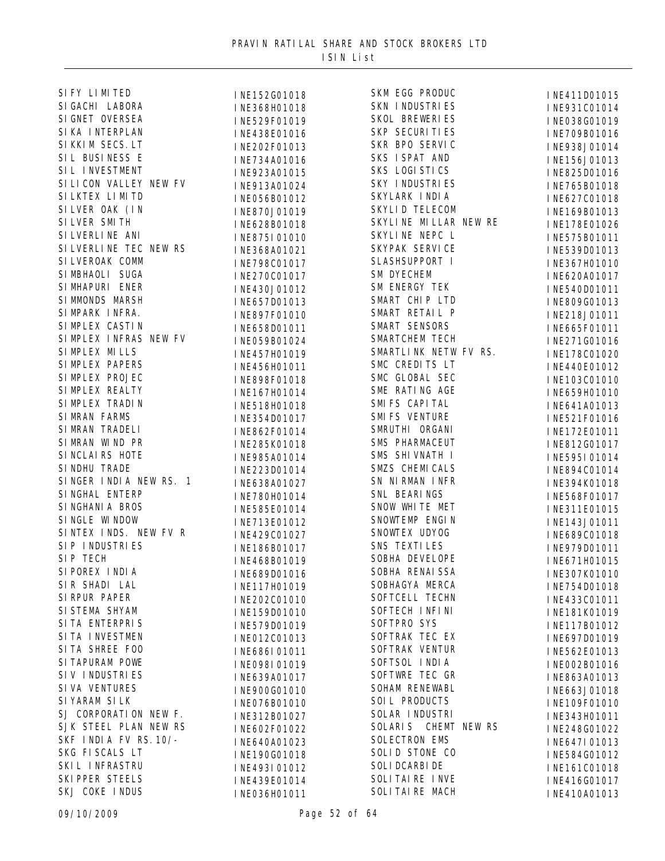| SI FY LI MI TED         |
|-------------------------|
| SI GACHI LABORA         |
| SI GNET OVERSEA         |
| SI KA INTERPLAN         |
| SI KKI M SECS. LT       |
| SIL BUSINESS E          |
| SIL INVESTMENT          |
| SI LI CON VALLEY NEW FV |
| SI LKTEX LI MI TD       |
| SILVER OAK (IN          |
| SI LVER SMITH           |
| SI LVERLI NE ANI        |
| SI LVERLI NE TEC NEW RS |
| SI LVEROAK COMM         |
|                         |
| SIMBHAOLI SUGA          |
| SIMHAPURI ENER          |
| SI MMONDS MARSH         |
| SIMPARK INFRA.          |
| SI MPLEX CASTIN         |
| SIMPLEX INFRAS NEW FV   |
| SIMPLEX MILLS           |
| SIMPLEX PAPERS          |
| SIMPLEX PROJEC          |
| SIMPLEX REALTY          |
| SI MPLEX TRADIN         |
| SIMRAN FARMS            |
| SIMRAN TRADELI          |
| SIMRAN WIND PR          |
| SI NCLAIRS HOTE         |
| SI NDHU TRADE           |
| SINGER INDIA NEW RS. 1  |
| SINGHAL ENTERP          |
| SI NGHANI A BROS        |
| SINGLE WINDOW           |
| SINTEX INDS. NEW FV R   |
| SIP INDUSTRIES          |
| SIP TECH                |
| SI POREX INDIA          |
| SIR SHADI LAL           |
| SI RPUR PAPER           |
| SI STEMA SHYAM          |
| SI TA ENTERPRIS         |
| SITA INVESTMEN          |
| SITA SHREE FOO          |
| <b>SI TAPURAM POWE</b>  |
|                         |
| SIV INDUSTRIES          |
| SI VA VENTURES          |
| SI YARAM SI LK          |
| SJ CORPORATION NEW F.   |
| SJK STEEL PLAN NEW RS   |
| SKF INDIA FV RS. 10/-   |
| SKG FISCALS LT          |
| SKI L INFRASTRU         |
| SKI PPER STEELS         |
| SKJ COKE INDUS          |

| INE152G01018                 | SKM EGG PRODUC        | INE411D01015                 |
|------------------------------|-----------------------|------------------------------|
| INE368H01018                 | <b>SKN INDUSTRIES</b> | INE931C01014                 |
| INE529F01019                 | SKOL BREWERIES        | INE038G01019                 |
| INE438E01016                 | SKP SECURI TI ES      | INE709B01016                 |
| INE202F01013                 | SKR BPO SERVIC        | INE938J01014                 |
| INE734A01016                 | SKS ISPAT AND         | INE156J01013                 |
| INE923A01015                 | SKS LOGI STICS        | INE825D01016                 |
| INE913A01024                 | SKY INDUSTRIES        | INE765B01018                 |
| INE056B01012                 | SKYLARK INDIA         | INE627C01018                 |
| INE870J01019                 | SKYLID TELECOM        | INE169B01013                 |
| INE628B01018                 | SKYLINE MILLAR NEW RE | INE178E01026                 |
| INE875I01010                 | SKYLINE NEPC L        | INE575B01011                 |
| INE368A01021                 | SKYPAK SERVICE        | INE539D01013                 |
| INE798C01017                 | SLASHSUPPORT I        | INE367H01010                 |
| INE270C01017                 | <b>SM DYECHEM</b>     | INE620A01017                 |
|                              | <b>SM ENERGY TEK</b>  |                              |
| INE430J01012<br>INE657D01013 | SMART CHIP LTD        | INE540D01011<br>INE809G01013 |
|                              | SMART RETAIL P        | INE218J01011                 |
| INE897F01010<br>INE658D01011 | SMART SENSORS         |                              |
|                              | <b>SMARTCHEM TECH</b> | INE665F01011                 |
| INE059B01024                 | SMARTLINK NETW FV RS. | INE271G01016                 |
| INE457H01019                 | SMC CREDITS LT        | INE178C01020                 |
| INE456H01011                 | SMC GLOBAL SEC        | INE440E01012                 |
| INE898F01018                 | SME RATING AGE        | INE103C01010                 |
| INE167H01014                 | SMI FS CAPI TAL       | INE659H01010                 |
| INE518H01018                 | <b>SMI FS VENTURE</b> | INE641A01013                 |
| INE354D01017                 | SMRUTHI ORGANI        | INE521F01016                 |
| INE862F01014                 | SMS PHARMACEUT        | INE172E01011                 |
| INE285K01018                 | SMS SHI VNATH I       | INE812G01017                 |
| INE985A01014                 | SMZS CHEMICALS        | INE595I01014                 |
| INE223D01014                 | SN NIRMAN INFR        | INE894C01014                 |
| INE638A01027                 | SNL BEARINGS          | INE394K01018                 |
| INE780H01014                 | SNOW WHITE MET        | INE568F01017                 |
| INE585E01014                 | SNOWTEMP ENGIN        | INE311E01015                 |
| INE713E01012                 | SNOWTEX UDYOG         | INE143J01011                 |
| INE429C01027                 | SNS TEXTI LES         | INE689C01018                 |
| INE186B01017                 | SOBHA DEVELOPE        | INE979D01011                 |
| INE468B01019                 | SOBHA RENAI SSA       | INE671H01015                 |
| INE689D01016                 | SOBHAGYA MERCA        | INE307K01010                 |
| INE117H01019                 | SOFTCELL TECHN        | INE754D01018                 |
| INE202C01010                 | SOFTECH INFINI        | INE433C01011                 |
| INE159D01010                 | SOFTPRO SYS           | INE181K01019                 |
| INE579D01019                 | SOFTRAK TEC EX        | INE117B01012                 |
| INE012C01013                 | SOFTRAK VENTUR        | INE697D01019                 |
| INE686I01011                 | SOFTSOL INDIA         | INE562E01013                 |
| I NE098I 01019               | SOFTWRE TEC GR        | INE002B01016                 |
| INE639A01017                 | SOHAM RENEWABL        | INE863A01013                 |
| INE900G01010                 | SOIL PRODUCTS         | INE663J01018                 |
| INE076B01010                 | SOLAR INDUSTRI        | INE109F01010                 |
| INE312B01027                 | SOLARIS CHEMT NEW RS  | INE343H01011                 |
| INE602F01022                 | <b>SOLECTRON EMS</b>  | INE248G01022                 |
| INE640A01023                 | SOLID STONE CO        | INE647I01013                 |
| INE190G01018                 | <b>SOLI DCARBI DE</b> | INE584G01012                 |
| INE493I01012                 | SOLITAIRE INVE        | INE161C01018                 |
| INE439E01014                 | SOLITAIRE MACH        | INE416G01017                 |
| INE036H01011                 |                       | INE410A01013                 |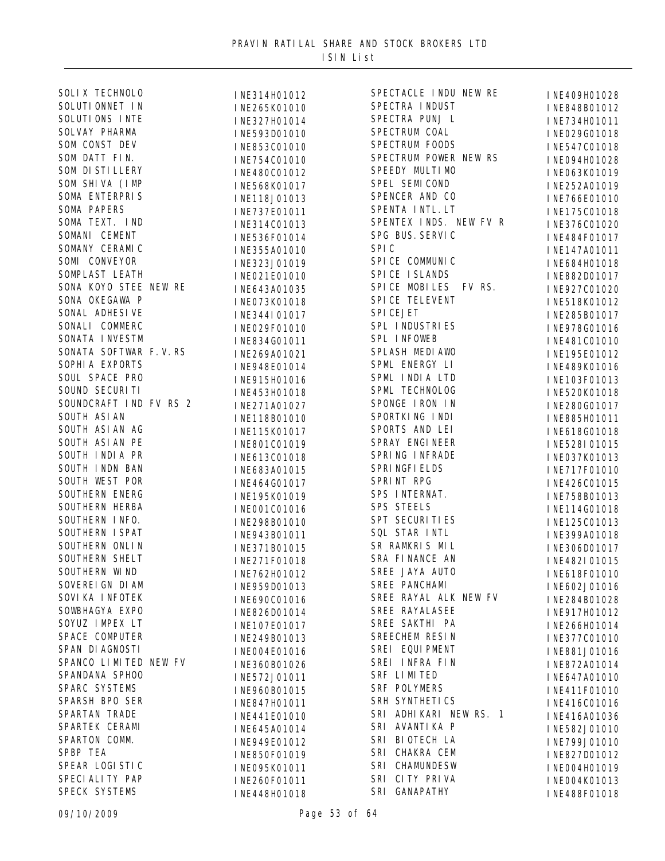| <b>SOLIX TECHNOLO</b>  | INE314H01012 | SPECTACLE INDU NEW RE  | INE409H01028 |
|------------------------|--------------|------------------------|--------------|
| SOLUTI ONNET IN        | INE265K01010 | SPECTRA INDUST         | INE848B01012 |
| SOLUTIONS INTE         | INE327H01014 | SPECTRA PUNJ L         | INE734H01011 |
| SOLVAY PHARMA          | INE593D01010 | SPECTRUM COAL          | INE029G01018 |
| SOM CONST DEV          | INE853C01010 | SPECTRUM FOODS         | INE547C01018 |
| SOM DATT FIN.          | INE754C01010 | SPECTRUM POWER NEW RS  | INE094H01028 |
| SOM DI STI LLERY       | INE480C01012 | SPEEDY MULTIMO         | INE063K01019 |
| SOM SHIVA (IMP         | INE568K01017 | SPEL SEMICOND          | INE252A01019 |
| SOMA ENTERPRIS         | INE118J01013 | SPENCER AND CO         | INE766E01010 |
| <b>SOMA PAPERS</b>     | INE737E01011 | SPENTA INTL. LT        | INE175C01018 |
| SOMA TEXT. IND         | INE314C01013 | SPENTEX INDS. NEW FV R | INE376C01020 |
| SOMANI CEMENT          | INE536F01014 | SPG BUS. SERVIC        | INE484F01017 |
| SOMANY CERAMIC         | INE355A01010 | SPI <sub>C</sub>       | INE147A01011 |
| SOMI CONVEYOR          | INE323J01019 | SPI CE COMMUNI C       | INE684H01018 |
| SOMPLAST LEATH         | INE021E01010 | SPICE ISLANDS          | INE882D01017 |
| SONA KOYO STEE NEW RE  | INE643A01035 | SPICE MOBILES FV RS.   | INE927C01020 |
| SONA OKEGAWA P         | INE073K01018 | SPI CE TELEVENT        | INE518K01012 |
| SONAL ADHESI VE        | INE344I01017 | SPI CEJET              | INE285B01017 |
| SONALI COMMERC         |              | SPL INDUSTRIES         |              |
| SONATA INVESTM         | INE029F01010 | SPL INFOWEB            | INE978G01016 |
| SONATA SOFTWAR F.V.RS  | INE834G01011 | SPLASH MEDIAWO         | INE481C01010 |
| SOPHI A EXPORTS        | INE269A01021 | SPML ENERGY LI         | INE195E01012 |
| SOUL SPACE PRO         | INE948E01014 | SPML INDIA LTD         | INE489K01016 |
| SOUND SECURITI         | INE915H01016 | SPML TECHNOLOG         | INE103F01013 |
| SOUNDCRAFT IND FV RS 2 | INE453H01018 | SPONGE IRON IN         | INE520K01018 |
| SOUTH ASI AN           | INE271A01027 | SPORTKING INDI         | INE280G01017 |
|                        | INE118B01010 |                        | INE885H01011 |
| SOUTH ASI AN AG        | INE115K01017 | SPORTS AND LEI         | INE618G01018 |
| SOUTH ASI AN PE        | INE801C01019 | SPRAY ENGINEER         | INE528I01015 |
| SOUTH INDIA PR         | INE613C01018 | SPRING INFRADE         | INE037K01013 |
| SOUTH INDN BAN         | INE683A01015 | SPRI NGFI ELDS         | INE717F01010 |
| SOUTH WEST POR         | INE464G01017 | SPRINT RPG             | INE426C01015 |
| SOUTHERN ENERG         | INE195K01019 | SPS INTERNAT.          | INE758B01013 |
| SOUTHERN HERBA         | INE001C01016 | <b>SPS STEELS</b>      | INE114G01018 |
| SOUTHERN INFO.         | INE298B01010 | <b>SPT SECURITIES</b>  | INE125C01013 |
| SOUTHERN I SPAT        | INE943B01011 | SQL STAR INTL          | INE399A01018 |
| SOUTHERN ONLIN         | INE371B01015 | SR RAMKRIS MIL         | INE306D01017 |
| <b>SOUTHERN SHELT</b>  | INE271F01018 | SRA FINANCE AN         | INE482I01015 |
| SOUTHERN WIND          | INE762H01012 | SREE JAYA AUTO         | INE618F01010 |
| SOVEREI GN DI AM       | INE959D01013 | SREE PANCHAMI          | INE602J01016 |
| SOVI KA I NFOTEK       | INE690C01016 | SREE RAYAL ALK NEW FV  | INE284B01028 |
| SOWBHAGYA EXPO         | INE826D01014 | SREE RAYALASEE         | INE917H01012 |
| SOYUZ IMPEX LT         | INE107E01017 | SREE SAKTHI PA         | INE266H01014 |
| SPACE COMPUTER         | INE249B01013 | SREECHEM RESIN         | INE377C01010 |
| SPAN DI AGNOSTI        | INE004E01016 | SREI EQUI PMENT        | INE881J01016 |
| SPANCO LIMITED NEW FV  | INE360B01026 | SREI INFRA FIN         | INE872A01014 |
| SPANDANA SPHOO         | INE572J01011 | SRF LIMITED            | INE647A01010 |
| SPARC SYSTEMS          | INE960B01015 | SRF POLYMERS           | INE411F01010 |
| SPARSH BPO SER         | INE847H01011 | SRH SYNTHETICS         | INE416C01016 |
| SPARTAN TRADE          | INE441E01010 | SRI ADHIKARI NEW RS. 1 | INE416A01036 |
| SPARTEK CERAMI         | INE645A01014 | SRI AVANTIKA P         | INE582J01010 |
| SPARTON COMM.          | INE949E01012 | SRI BIOTECH LA         | INE799J01010 |
| SPBP TEA               | INE850F01019 | SRI CHAKRA CEM         | INE827D01012 |
| SPEAR LOGI STI C       | INE095K01011 | SRI CHAMUNDESW         | INE004H01019 |
| SPECI ALI TY PAP       | INE260F01011 | SRI CITY PRIVA         | INE004K01013 |
| SPECK SYSTEMS          | INE448H01018 | SRI GANAPATHY          | INE488F01018 |
|                        |              |                        |              |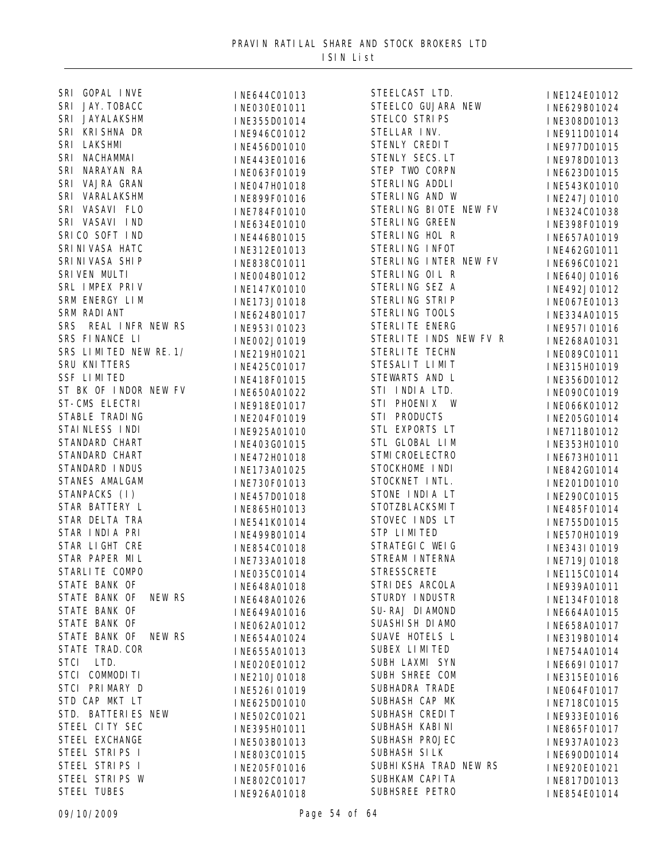| SRI GOPAL INVE          | INE644C01013 | STEELCAST LTD.         | INE124E01012 |
|-------------------------|--------------|------------------------|--------------|
| SRI JAY. TOBACC         | INE030E01011 | STEELCO GUJARA NEW     | INE629B01024 |
| SRI JAYALAKSHM          | INE355D01014 | STELCO STRIPS          | INE308D01013 |
| SRI KRISHNA DR          | INE946C01012 | STELLAR INV.           | INE911D01014 |
| SRI LAKSHMI             | INE456D01010 | STENLY CREDIT          | INE977D01015 |
| SRI NACHAMMAI           | INE443E01016 | STENLY SECS. LT        | INE978D01013 |
| SRI NARAYAN RA          | INE063F01019 | STEP TWO CORPN         | INE623D01015 |
| SRI VAJRA GRAN          | INE047H01018 | STERLING ADDLI         | INE543K01010 |
| SRI VARALAKSHM          | INE899F01016 | STERLING AND W         | INE247J01010 |
| SRI VASAVI FLO          | INE784F01010 | STERLING BIOTE NEW FV  | INE324C01038 |
| SRI VASAVI IND          | INE634E01010 | STERLING GREEN         | INE398F01019 |
| SRICO SOFT IND          | INE446B01015 | STERLING HOL R         | INE657A01019 |
| SRI NI VASA HATC        | INE312E01013 | STERLING INFOT         | INE462G01011 |
| SRI NI VASA SHI P       | INE838C01011 | STERLING INTER NEW FV  | INE696C01021 |
| SRIVEN MULTI            |              | STERLING OIL R         |              |
| SRL IMPEX PRIV          | INE004B01012 | STERLING SEZ A         | INE640J01016 |
| SRM ENERGY LIM          | INE147K01010 | STERLING STRIP         | INE492J01012 |
| SRM RADI ANT            | INE173J01018 | STERLING TOOLS         | INE067E01013 |
| SRS REAL INFR NEW RS    | INE624B01017 | STERLITE ENERG         | INE334A01015 |
|                         | INE953I01023 |                        | INE957I01016 |
| SRS FINANCE LI          | INE002J01019 | STERLITE INDS NEW FV R | INE268A01031 |
| SRS LIMITED NEW RE. 1/  | INE219H01021 | STERLITE TECHN         | INE089C01011 |
| SRU KNI TTERS           | INE425C01017 | STESALIT LIMIT         | INE315H01019 |
| <b>SSF LIMITED</b>      | INE418F01015 | STEWARTS AND L         | INE356D01012 |
| ST BK OF INDOR NEW FV   | INE650A01022 | STI INDIA LTD.         | INE090C01019 |
| ST-CMS ELECTRI          | INE918E01017 | STI PHOENIX W          | INE066K01012 |
| STABLE TRADING          | INE204F01019 | STI PRODUCTS           | INE205G01014 |
| STAINLESS INDI          | INE925A01010 | STL EXPORTS LT         | INE711B01012 |
| STANDARD CHART          | INE403G01015 | STL GLOBAL LIM         | INE353H01010 |
| STANDARD CHART          | INE472H01018 | STMI CROELECTRO        | INE673H01011 |
| STANDARD INDUS          | INE173A01025 | STOCKHOME INDI         | INE842G01014 |
| STANES AMALGAM          | INE730F01013 | STOCKNET INTL.         | INE201D01010 |
| STANPACKS (I)           | INE457D01018 | STONE INDIA LT         | INE290C01015 |
| STAR BATTERY L          | INE865H01013 | STOTZBLACKSMIT         | INE485F01014 |
| STAR DELTA TRA          | INE541K01014 | STOVEC INDS LT         | INE755D01015 |
| STAR INDIA PRI          | INE499B01014 | STP LIMITED            | INE570H01019 |
| STAR LIGHT CRE          | INE854C01018 | STRATEGIC WEIG         | INE343I01019 |
| STAR PAPER MIL          | INE733A01018 | STREAM INTERNA         | INE719J01018 |
| STARLITE COMPO          | INE035C01014 | <b>STRESSCRETE</b>     | INE115C01014 |
| STATE BANK OF           | INE648A01018 | STRI DES ARCOLA        | INE939A01011 |
| STATE BANK OF<br>NEW RS | INE648A01026 | STURDY INDUSTR         | INE134F01018 |
| STATE BANK OF           | INE649A01016 | SU-RAJ DIAMOND         | INE664A01015 |
| STATE BANK OF           | INE062A01012 | SUASHI SH DI AMO       | INE658A01017 |
| STATE BANK OF<br>NEW RS | INE654A01024 | SUAVE HOTELS L         | INE319B01014 |
| STATE TRAD. COR         | INE655A01013 | SUBEX LIMITED          | INE754A01014 |
| STCI LTD.               | INE020E01012 | SUBH LAXMI SYN         | INE669I01017 |
| STCI COMMODITI          | INE210J01018 | SUBH SHREE COM         | INE315E01016 |
| STCI PRIMARY D          | INE526I01019 | SUBHADRA TRADE         | INE064F01017 |
| STD CAP MKT LT          | INE625D01010 | SUBHASH CAP MK         | INE718C01015 |
| STD. BATTERIES NEW      |              | SUBHASH CREDIT         |              |
| STEEL CITY SEC          | INE502C01021 | SUBHASH KABI NI        | INE933E01016 |
| STEEL EXCHANGE          | INE395H01011 | SUBHASH PROJEC         | INE865F01017 |
| STEEL STRIPS I          | INE503B01013 | SUBHASH SILK           | INE937A01023 |
| STEEL STRIPS I          | INE803C01015 | SUBHIKSHA TRAD NEW RS  | INE690D01014 |
| STEEL STRIPS W          | INE205F01016 |                        | INE920E01021 |
|                         | INE802C01017 | SUBHKAM CAPI TA        | INE817D01013 |
| <b>STEEL TUBES</b>      | INE926A01018 | SUBHSREE PETRO         | INE854E01014 |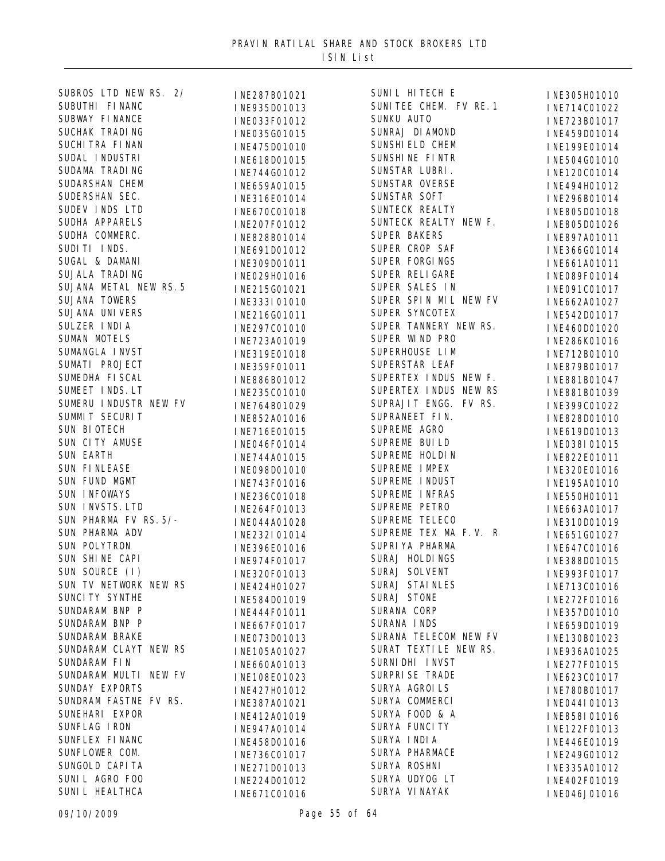| SUBROS LTD NEW RS. 2/  | INE287B01021                 | SUNIL HITECH E         | INE305H01010                 |
|------------------------|------------------------------|------------------------|------------------------------|
| SUBUTHI FINANC         | INE935D01013                 | SUNITEE CHEM. FV RE. 1 | INE714C01022                 |
| SUBWAY FINANCE         | INE033F01012                 | SUNKU AUTO             | INE723B01017                 |
| SUCHAK TRADING         | INE035G01015                 | SUNRAJ DI AMOND        | INE459D01014                 |
| SUCHI TRA FI NAN       | INE475D01010                 | SUNSHI ELD CHEM        | INE199E01014                 |
| SUDAL INDUSTRI         | INE618D01015                 | SUNSHINE FINTR         | INE504G01010                 |
| SUDAMA TRADING         | INE744G01012                 | SUNSTAR LUBRI.         | INE120C01014                 |
| SUDARSHAN CHEM         | INE659A01015                 | SUNSTAR OVERSE         | INE494H01012                 |
| SUDERSHAN SEC.         | INE316E01014                 | SUNSTAR SOFT           | INE296B01014                 |
| SUDEV INDS LTD         | INE670C01018                 | SUNTECK REALTY         | INE805D01018                 |
| SUDHA APPARELS         | INE207F01012                 | SUNTECK REALTY NEW F.  | INE805D01026                 |
| SUDHA COMMERC.         | INE828B01014                 | <b>SUPER BAKERS</b>    | INE897A01011                 |
| SUDITI INDS.           | INE691D01012                 | SUPER CROP SAF         | INE366G01014                 |
| SUGAL & DAMANI         | INE309D01011                 | SUPER FORGINGS         | INE661A01011                 |
| SUJALA TRADING         | INE029H01016                 | SUPER RELIGARE         | INE089F01014                 |
| SUJANA METAL NEW RS. 5 | INE215G01021                 | SUPER SALES IN         | INE091C01017                 |
| SUJANA TOWERS          | INE333I01010                 | SUPER SPIN MIL NEW FV  | INE662A01027                 |
| <b>SUJANA UNIVERS</b>  | INE216G01011                 | SUPER SYNCOTEX         | INE542D01017                 |
| SULZER INDIA           | INE297C01010                 | SUPER TANNERY NEW RS.  | INE460D01020                 |
| SUMAN MOTELS           | INE723A01019                 | SUPER WIND PRO         | INE286K01016                 |
| SUMANGLA INVST         | INE319E01018                 | SUPERHOUSE LIM         | INE712B01010                 |
| SUMATI PROJECT         | INE359F01011                 | SUPERSTAR LEAF         | INE879B01017                 |
| SUMEDHA FI SCAL        | INE886B01012                 | SUPERTEX INDUS NEW F.  | INE881B01047                 |
| SUMEET INDS. LT        | INE235C01010                 | SUPERTEX INDUS NEW RS  | INE881B01039                 |
| SUMERU INDUSTR NEW FV  | INE764B01029                 | SUPRAJIT ENGG. FV RS.  | INE399C01022                 |
| SUMMIT SECURIT         | INE852A01016                 | SUPRANEET FIN.         | INE828D01010                 |
| SUN BIOTECH            | INE716E01015                 | SUPREME AGRO           | INE619D01013                 |
| SUN CITY AMUSE         | INE046F01014                 | SUPREME BUILD          | INE038I01015                 |
| <b>SUN EARTH</b>       | INE744A01015                 | SUPREME HOLDIN         | INE822E01011                 |
| SUN FINLEASE           | INE098D01010                 | SUPREME IMPEX          | INE320E01016                 |
| SUN FUND MGMT          | INE743F01016                 | SUPREME INDUST         | INE195A01010                 |
| SUN INFOWAYS           | INE236C01018                 | SUPREME INFRAS         | INE550H01011                 |
| SUN INVSTS. LTD        | INE264F01013                 | SUPREME PETRO          | INE663A01017                 |
| SUN PHARMA FV RS. 5/-  | INE044A01028                 | SUPREME TELECO         | INE310D01019                 |
| SUN PHARMA ADV         | INE232I01014                 | SUPREME TEX MA F.V. R  | INE651G01027                 |
| SUN POLYTRON           | INE396E01016                 | SUPRIYA PHARMA         | INE647C01016                 |
| SUN SHINE CAPI         | INE974F01017                 | SURAJ HOLDINGS         | INE388D01015                 |
| SUN SOURCE (I)         | INE320F01013                 | SURAJ SOLVENT          | INE993F01017                 |
| SUN TV NETWORK NEW RS  | INE424H01027                 | SURAJ STAINLES         | INE713C01016                 |
| SUNCI TY SYNTHE        | INE584D01019                 | SURAJ STONE            | INE272F01016                 |
| SUNDARAM BNP P         |                              | SURANA CORP            |                              |
| SUNDARAM BNP P         | INE444F01011<br>INE667F01017 | SURANA INDS            | INE357D01010<br>INE659D01019 |
| SUNDARAM BRAKE         | INE073D01013                 | SURANA TELECOM NEW FV  |                              |
| SUNDARAM CLAYT NEW RS  |                              | SURAT TEXTILE NEW RS.  | INE130B01023                 |
| SUNDARAM FIN           | INE105A01027                 | SURNI DHI INVST        | INE936A01025                 |
| SUNDARAM MULTI NEW FV  | INE660A01013                 | SURPRI SE TRADE        | INE277F01015                 |
| SUNDAY EXPORTS         | INE108E01023                 | SURYA AGROILS          | INE623C01017                 |
| SUNDRAM FASTNE FV RS.  | INE427H01012                 | SURYA COMMERCI         | INE780B01017                 |
| SUNEHARI EXPOR         | INE387A01021                 | SURYA FOOD & A         | INE044I01013                 |
| SUNFLAG IRON           | INE412A01019                 | SURYA FUNCI TY         | INE858I01016                 |
| SUNFLEX FINANC         | INE947A01014                 | SURYA INDIA            | INE122F01013                 |
| SUNFLOWER COM.         | INE458D01016                 | SURYA PHARMACE         | INE446E01019                 |
| SUNGOLD CAPI TA        | INE736C01017                 | SURYA ROSHNI           | INE249G01012                 |
| SUNIL AGRO FOO         | INE271D01013                 | SURYA UDYOG LT         | INE335A01012                 |
| SUNI L HEALTHCA        | INE224D01012                 | SURYA VI NAYAK         | INE402F01019                 |
|                        | INE671C01016                 |                        | INE046J01016                 |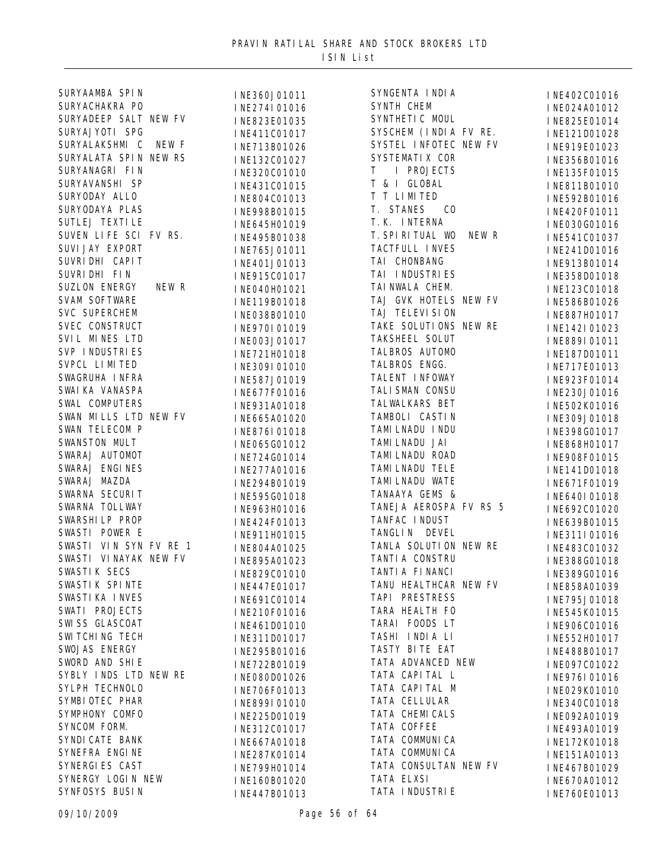| SURYAAMBA SPIN         | INE360J01011 | SYNGENTA I NDI A            | INE402C01016 |
|------------------------|--------------|-----------------------------|--------------|
| SURYACHAKRA PO         | INE274I01016 | SYNTH CHEM                  | INE024A01012 |
| SURYADEEP SALT NEW FV  | INE823E01035 | SYNTHETI C MOUL             | INE825E01014 |
| SURYAJYOTI SPG         | INE411C01017 | SYSCHEM (INDIA FV RE.       | INE121D01028 |
| SURYALAKSHMI C NEW F   | INE713B01026 | SYSTEL INFOTEC NEW FV       | INE919E01023 |
| SURYALATA SPIN NEW RS  | INE132C01027 | SYSTEMATI X COR             | INE356B01016 |
| SURYANAGRI FIN         | INE320C01010 | I PROJECTS<br>T             | INE135F01015 |
| SURYAVANSHI SP         | INE431C01015 | T & I GLOBAL                | INE811B01010 |
| SURYODAY ALLO          | INE804C01013 | T T LIMITED                 | INE592B01016 |
| SURYODAYA PLAS         | INE998B01015 | T. STANES<br>C <sub>0</sub> | INE420F01011 |
| SUTLEJ TEXTI LE        | INE645H01019 | T. K. INTERNA               | INE030G01016 |
| SUVEN LIFE SCI FV RS.  | INE495B01038 | T. SPIRITUAL WO NEW R       | INE541C01037 |
| SUVI JAY EXPORT        | INE765J01011 | TACTFULL INVES              | INE241D01016 |
| SUVRI DHI CAPI T       | INE401J01013 | TAI CHONBANG                | INE913B01014 |
| SUVRI DHI FIN          | INE915C01017 | TAI INDUSTRIES              | INE358D01018 |
| SUZLON ENERGY<br>NEW R | INE040H01021 | TAI NWALA CHEM.             | INE123C01018 |
| <b>SVAM SOFTWARE</b>   | INE119B01018 | TAJ GVK HOTELS NEW FV       | INE586B01026 |
| <b>SVC SUPERCHEM</b>   |              | TAJ TELEVI SI ON            | INE887H01017 |
| SVEC CONSTRUCT         | INE038B01010 | TAKE SOLUTIONS NEW RE       |              |
| SVIL MINES LTD         | INE970I01019 | TAKSHEEL SOLUT              | INE142I01023 |
| SVP INDUSTRIES         | INE003J01017 | TALBROS AUTOMO              | INE889I01011 |
| SVPCL LIMITED          | INE721H01018 | TALBROS ENGG.               | INE187D01011 |
| SWAGRUHA INFRA         | INE309I01010 | TALENT INFOWAY              | INE717E01013 |
| SWAI KA VANASPA        | INE587J01019 | TALI SMAN CONSU             | INE923F01014 |
| SWAL COMPUTERS         | INE677F01016 | TALWALKARS BET              | INE230J01016 |
| SWAN MILLS LTD NEW FV  | INE931A01018 |                             | INE502K01016 |
|                        | INE665A01020 | TAMBOLI CASTIN              | INE309J01018 |
| SWAN TELECOM P         | INE876I01018 | TAMI LNADU I NDU            | INE398G01017 |
| SWANSTON MULT          | INE065G01012 | TAMI LNADU JAI              | INE868H01017 |
| SWARAJ AUTOMOT         | INE724G01014 | TAMI LNADU ROAD             | INE908F01015 |
| SWARAJ ENGINES         | INE277A01016 | TAMI LNADU TELE             | INE141D01018 |
| SWARAJ MAZDA           | INE294B01019 | TAMI LNADU WATE             | INE671F01019 |
| SWARNA SECURIT         | INE595G01018 | TANAAYA GEMS &              | INE640I01018 |
| SWARNA TOLLWAY         | INE963H01016 | TANEJA AEROSPA FV RS 5      | INE692C01020 |
| SWARSHILP PROP         | INE424F01013 | TANFAC INDUST               | INE639B01015 |
| SWASTI POWER E         | INE911H01015 | TANGLI N DEVEL              | INE311I01016 |
| SWASTI VIN SYN FV RE 1 | INE804A01025 | TANLA SOLUTION NEW RE       | INE483C01032 |
| SWASTI VI NAYAK NEW FV | INE895A01023 | TANTI A CONSTRU             | INE388G01018 |
| <b>SWASTIK SECS</b>    | INE829C01010 | TANTI A FI NANCI            | INE389G01016 |
| SWASTIK SPINTE         | INE447E01017 | TANU HEALTHCAR NEW FV       | INE858A01039 |
| SWASTI KA I NVES       | INE691C01014 | TAPI PRESTRESS              | INE795J01018 |
| SWATI PROJECTS         | INE210F01016 | TARA HEALTH FO              | INE545K01015 |
| SWISS GLASCOAT         | INE461D01010 | TARAI FOODS LT              | INE906C01016 |
| SWITCHING TECH         | INE311D01017 | TASHI INDIA LI              | INE552H01017 |
| SWOJAS ENERGY          | INE295B01016 | TASTY BITE EAT              | INE488B01017 |
| SWORD AND SHIE         | INE722B01019 | TATA ADVANCED NEW           | INE097C01022 |
| SYBLY INDS LTD NEW RE  | INE080D01026 | TATA CAPITAL L              | INE976I01016 |
| SYLPH TECHNOLO         | INE706F01013 | TATA CAPITAL M              | INE029K01010 |
| SYMBI OTEC PHAR        | INE899I01010 | TATA CELLULAR               | INE340C01018 |
| SYMPHONY COMFO         | INE225D01019 | TATA CHEMI CALS             | INE092A01019 |
| SYNCOM FORM.           | INE312C01017 | TATA COFFEE                 | INE493A01019 |
| SYNDI CATE BANK        | INE667A01018 | TATA COMMUNICA              | INE172K01018 |
| SYNEFRA ENGINE         | INE287K01014 | TATA COMMUNICA              | INE151A01013 |
| SYNERGI ES CAST        | INE799H01014 | TATA CONSULTAN NEW FV       | INE467B01029 |
| SYNERGY LOGIN NEW      | INE160B01020 | TATA ELXSI                  | INE670A01012 |
| SYNFOSYS BUSIN         | INE447B01013 | TATA I NDUSTRI E            | INE760E01013 |
|                        |              |                             |              |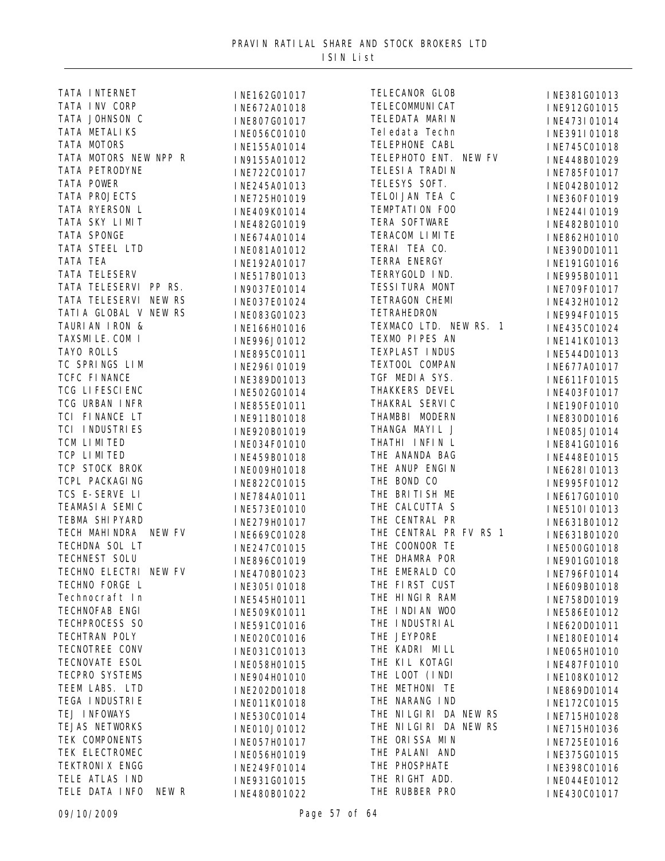| TATA INTERNET           | INE162G01017 | TELECANOR GLOB         | INE381G01013 |
|-------------------------|--------------|------------------------|--------------|
| TATA INV CORP           | INE672A01018 | TELECOMMUNI CAT        | INE912G01015 |
| TATA JOHNSON C          | INE807G01017 | TELEDATA MARIN         | INE473I01014 |
| TATA METALIKS           | INE056C01010 | Tel edat a Techn       | INE391I01018 |
| TATA MOTORS             | INE155A01014 | TELEPHONE CABL         | INE745C01018 |
| TATA MOTORS NEW NPP R   | IN9155A01012 | TELEPHOTO ENT. NEW FV  | INE448B01029 |
| TATA PETRODYNE          | INE722C01017 | TELESI A TRADIN        | INE785F01017 |
| TATA POWER              | INE245A01013 | TELESYS SOFT.          | INE042B01012 |
| TATA PROJECTS           | INE725H01019 | TELOI JAN TEA C        | INE360F01019 |
| TATA RYERSON L          | INE409K01014 | TEMPTATION FOO         | INE244I01019 |
| TATA SKY LIMIT          |              | TERA SOFTWARE          |              |
| TATA SPONGE             | INE482G01019 | TERACOM LIMITE         | INE482B01010 |
| TATA STEEL LTD          | INE674A01014 | TERAI TEA CO.          | INE862H01010 |
| TATA TEA                | INE081A01012 | TERRA ENERGY           | INE390D01011 |
| TATA TELESERV           | INE192A01017 | TERRYGOLD IND.         | INE191G01016 |
| TATA TELESERVI PP RS.   | INE517B01013 | TESSI TURA MONT        | INE995B01011 |
|                         | IN9037E01014 |                        | INE709F01017 |
| TATA TELESERVI NEW RS   | INE037E01024 | TETRAGON CHEMI         | INE432H01012 |
| TATI A GLOBAL V NEW RS  | INE083G01023 | <b>TETRAHEDRON</b>     | INE994F01015 |
| TAURIAN IRON &          | INE166H01016 | TEXMACO LTD. NEW RS. 1 | INE435C01024 |
| TAXSMI LE. COM I        | INE996J01012 | TEXMO PIPES AN         | INE141K01013 |
| TAYO ROLLS              | INE895C01011 | TEXPLAST INDUS         | INE544D01013 |
| TC SPRINGS LIM          | INE296I01019 | TEXTOOL COMPAN         | INE677A01017 |
| TCFC FINANCE            | INE389D01013 | TGF MEDIA SYS.         | INE611F01015 |
| TCG LIFESCIENC          | INE502G01014 | THAKKERS DEVEL         | INE403F01017 |
| TCG URBAN INFR          | INE855E01011 | THAKRAL SERVIC         | INE190F01010 |
| TCI FINANCE LT          | INE911B01018 | THAMBBI MODERN         | INE830D01016 |
| TCI INDUSTRIES          | INE920B01019 | THANGA MAYIL J         | INE085J01014 |
| TCM LIMITED             | INE034F01010 | THATHI INFIN L         | INE841G01016 |
| TCP LIMITED             | INE459B01018 | THE ANANDA BAG         | INE448E01015 |
| TCP STOCK BROK          | INE009H01018 | THE ANUP ENGIN         | INE628I01013 |
| TCPL PACKAGING          | INE822C01015 | THE BOND CO            | INE995F01012 |
| TCS E-SERVE LI          | INE784A01011 | THE BRITISH ME         | INE617G01010 |
| TEAMASIA SEMIC          | INE573E01010 | THE CALCUTTA S         | INE510I01013 |
| TEBMA SHI PYARD         | INE279H01017 | THE CENTRAL PR         | INE631B01012 |
| TECH MAHINDRA NEW FV    | INE669C01028 | THE CENTRAL PR FV RS 1 | INE631B01020 |
| TECHDNA SOL LT          | INE247C01015 | THE COONOOR TE         | INE500G01018 |
| TECHNEST SOLU           | INE896C01019 | THE DHAMRA POR         | INE901G01018 |
| TECHNO ELECTRI NEW FV   | INE470B01023 | THE EMERALD CO         | INE796F01014 |
| TECHNO FORGE L          | INE305I01018 | THE FIRST CUST         | INE609B01018 |
| Technocraft In          | INE545H01011 | THE HINGIR RAM         | INE758D01019 |
| TECHNOFAB ENGI          | INE509K01011 | THE INDIAN WOO         | INE586E01012 |
| TECHPROCESS SO          | INE591C01016 | THE INDUSTRIAL         | INE620D01011 |
| TECHTRAN POLY           | INE020C01016 | THE JEYPORE            | INE180E01014 |
| TECNOTREE CONV          | INE031C01013 | THE KADRI MILL         | INE065H01010 |
| TECNOVATE ESOL          |              | THE KIL KOTAGI         |              |
| TECPRO SYSTEMS          | INE058H01015 | THE LOOT (INDI         | INE487F01010 |
| TEEM LABS. LTD          | INE904H01010 | THE METHONI TE         | INE108K01012 |
| TEGA I NDUSTRI E        | INE202D01018 | THE NARANG IND         | INE869D01014 |
| TEJ INFOWAYS            | INE011K01018 | THE NILGIRI DA NEW RS  | INE172C01015 |
|                         | INE530C01014 |                        | INE715H01028 |
| TEJAS NETWORKS          | INE010J01012 | THE NILGIRI DA NEW RS  | INE715H01036 |
| TEK COMPONENTS          | INE057H01017 | THE ORISSA MIN         | INE725E01016 |
| TEK ELECTROMEC          | INE056H01019 | THE PALANI AND         | INE375G01015 |
| TEKTRONI X ENGG         | INE249F01014 | THE PHOSPHATE          | INE398C01016 |
| TELE ATLAS IND          | INE931G01015 | THE RIGHT ADD.         | INE044E01012 |
| TELE DATA INFO<br>NEW R | INE480B01022 | THE RUBBER PRO         | INE430C01017 |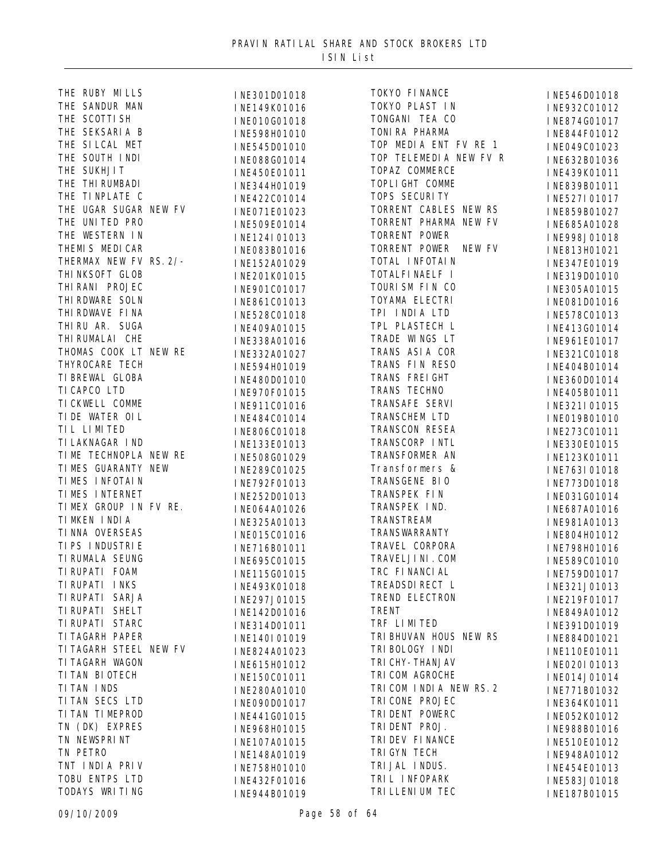|                                                                                                                                                                                                            | INE301D01018  | TOKYO FII                 |
|------------------------------------------------------------------------------------------------------------------------------------------------------------------------------------------------------------|---------------|---------------------------|
| THE RUBY MILLS<br>THE SANDUR MAN<br>THE SCOTTI SH<br>THE SEKSARIA B<br>THE SI LCAL MET<br>THE SOUTH I NDI<br>THE SUKHJIT<br>THE THI RUMBADI<br>THE TI NPLATE C<br>THE TI NPLATE C<br>THE UGAR SUGAR NEW FV | INE149K01016  | TOKYO PLA                 |
|                                                                                                                                                                                                            | INE010G01018  | TONGANI 7                 |
|                                                                                                                                                                                                            | INE598H01010  | TONI RA PI                |
|                                                                                                                                                                                                            | INE545D01010  | TOP MEDIA                 |
|                                                                                                                                                                                                            | INE088G01014  | TOP TELEM                 |
|                                                                                                                                                                                                            | INE450E01011  | TOPAZ COM                 |
|                                                                                                                                                                                                            | INE344H01019  | TOPLI GHT                 |
|                                                                                                                                                                                                            | INE422C01014  | TOPS SECU                 |
| THE UGAR SUGAR NEW FV                                                                                                                                                                                      | INE071E01023  | TORRENT O                 |
|                                                                                                                                                                                                            | INE509E01014  | TORRENT <b>F</b>          |
|                                                                                                                                                                                                            | INE124I01013  | TORRENT <b>H</b>          |
| THE UNITED PRO<br>THE WESTERN IN<br>THEMIS MEDICAR<br>THERMAX NEW FV RS. 2/-<br>THERMAX NEW FV RS. 2/-                                                                                                     | INE083B01016  | TORRENT <b>H</b>          |
|                                                                                                                                                                                                            | INE152A01029  | TOTAL INE                 |
|                                                                                                                                                                                                            | INE201K01015  | TOTALFI <sub>NA</sub>     |
|                                                                                                                                                                                                            | INE901C01017  | TOURI SM H                |
|                                                                                                                                                                                                            | INE861C01013  | TOYAMA EI                 |
|                                                                                                                                                                                                            | INE528C01018  | TPI INDIA                 |
| THERMAN NEW FY RS. 27<br>THI NKSOFT GLOB<br>THI RANI PROJEC<br>THI RDWARE SOLN<br>THI RDWAVE FI NA<br>THI RU AR. SUGA<br>THI RUMALAI CHE<br>THOMAS COOK LT NEW RE                                          | INE409A01015  | TPL PLAST                 |
|                                                                                                                                                                                                            | INE338A01016  | TRADE WIN                 |
|                                                                                                                                                                                                            | INE332A01027  | TRANS ASI                 |
|                                                                                                                                                                                                            | INE594H01019  | TRANS FIN                 |
|                                                                                                                                                                                                            | INE480D01010  | TRANS FRI                 |
|                                                                                                                                                                                                            | INE970F01015  | TRANS TEO                 |
|                                                                                                                                                                                                            | INE911C01016  | TRANSAFE                  |
|                                                                                                                                                                                                            | INE484C01014  | <b>TRANSCHEM</b>          |
| THYROCARE TECH<br>TI BREWAL GLOBA<br>TI CAPCO LTD<br>TI CKWELL COMME<br>TI DE WATER OI L<br>TI L LI MI TED<br>TI LAKNAGAR I ND<br>TI LAKNAGAR I ND                                                         | INE806C01018  | TRANSCON                  |
|                                                                                                                                                                                                            | INE133E01013  | TRANSCORE                 |
| TIME TECHNOPLA NEW RE                                                                                                                                                                                      | INE508G01029  | TRANSFORM                 |
| TIMES GUARANTY NEW                                                                                                                                                                                         | INE289C01025  | Transform                 |
|                                                                                                                                                                                                            |               | TRANSGENE                 |
|                                                                                                                                                                                                            | INE792F01013  | TRANSPEK                  |
|                                                                                                                                                                                                            | INE252D01013  | <b>TRANSPEK</b>           |
| TIMKEN INDIA                                                                                                                                                                                               | I NE064A01026 | <b>TRANSTREA</b>          |
| TI NNA OVERSEAS                                                                                                                                                                                            | INE325A01013  | TRANSWARI                 |
| TI PS INDUSTRIE                                                                                                                                                                                            | INE015C01016  | TRAVEL CO                 |
| TI RUMALA SEUNG                                                                                                                                                                                            | INE716B01011  | <b>TRAVELJIN</b>          |
| TI RUPATI FOAM                                                                                                                                                                                             | INE695C01015  | TRC FINAN                 |
| TI RUPATI INKS                                                                                                                                                                                             | INE115G01015  | <b>TREADSDI F</b>         |
| TI RUPATI SARJA                                                                                                                                                                                            | INE493K01018  | TREND ELI                 |
| TI RUPATI SHELT                                                                                                                                                                                            | INE297J01015  |                           |
| TI RUPATI STARC                                                                                                                                                                                            | INE142D01016  | <b>TRENT</b><br>TRF LIMIT |
| TI TAGARH PAPER                                                                                                                                                                                            | INE314D01011  |                           |
|                                                                                                                                                                                                            | INE140I01019  | TRI BHUVAN                |
| TI TAGARH STEEL NEW FV                                                                                                                                                                                     | INE824A01023  | TRI BOLOGY                |
| TI TAGARH WAGON                                                                                                                                                                                            | INE615H01012  | TRI CHY-TH                |
| TI TAN BI OTECH                                                                                                                                                                                            | INE150C01011  | TRI COM AO                |
| TI TAN INDS                                                                                                                                                                                                | INE280A01010  | TRI COM IN                |
| TI TAN SECS LTD                                                                                                                                                                                            | INE090D01017  | TRI CONE <b>H</b>         |
| TI TAN TI MEPROD                                                                                                                                                                                           | INE441G01015  | TRI DENT H                |
| TN (DK) EXPRES                                                                                                                                                                                             | INE968H01015  | TRI DENT H                |
| TN NEWSPRINT                                                                                                                                                                                               | INE107A01015  | TRI DEV FI                |
| TN PETRO                                                                                                                                                                                                   | INE148A01019  | TRI GYN TH                |
| TNT INDIA PRIV                                                                                                                                                                                             | INE758H01010  | TRI JAL IN                |
| TOBU ENTPS LTD                                                                                                                                                                                             | INE432F01016  | TRIL INFO                 |
| TODAYS WRITING                                                                                                                                                                                             | INF944R01019  | TRI LLENI I               |

| NE301D01018<br>Ι |
|------------------|
| NE149K01016<br>I |
| NE010G01018<br>I |
| NE598H01010<br>I |
| NE545D01010<br>I |
| NE088G01014<br>I |
| NE450E01011<br>I |
| NE344H01019<br>I |
| NE422C01014<br>I |
| NE071E01023<br>Ι |
| NE509E01014<br>Ι |
| NE124I01013<br>I |
| NE083B01016<br>Ι |
| NE152A01029<br>I |
| NE201K01015<br>I |
| NE901C01017<br>I |
| NE861C01013<br>I |
| NE528C01018<br>I |
| I<br>NE409A01015 |
|                  |
| NE338A01016<br>I |
| INE332A01027     |
| I<br>NE594H01019 |
| NE480D01010<br>I |
| INE970F01015     |
| INE911C01016     |
| INE484C01014     |
| INE806C01018     |
| INE133E01013     |
| INE508G01029     |
| INE289C01025     |
| INE792F01013     |
| INE252D01013     |
| INE064A01026     |
| INE325A01013     |
| INE015C01016     |
| INE716B01011     |
| INE695C01015     |
| INE115G01015     |
| INE493K01018     |
| INE297J01015     |
| INE142D01016     |
| INE314D01011     |
| INE140I01019     |
| INE824A01023     |
| INE615H01012     |
| INE150C01011     |
| INE280A01010     |
| INE090D01017     |
| NE441G01015<br>Ī |
| NE968H01015<br>I |
| Ī<br>NE107A01015 |
| I<br>NE148A01019 |
| Ī<br>NE758H01010 |
| INE432F01016     |
|                  |

|              | TOKYO FI NANCE          |              |
|--------------|-------------------------|--------------|
| INE301D01018 | TOKYO PLAST IN          | INE546D01018 |
| INE149K01016 | TONGANI TEA CO          | INE932C01012 |
| INE010G01018 | TONI RA PHARMA          | INE874G01017 |
| INE598H01010 | TOP MEDIA ENT FV RE 1   | INE844F01012 |
| INE545D01010 | TOP TELEMEDIA NEW FV R  | INE049C01023 |
| INE088G01014 |                         | INE632B01036 |
| INE450E01011 | TOPAZ COMMERCE          | INE439K01011 |
| INE344H01019 | TOPLI GHT COMME         | INE839B01011 |
| INE422C01014 | TOPS SECURITY           | INE527I01017 |
| INE071E01023 | TORRENT CABLES NEW RS   | INE859B01027 |
| INE509E01014 | TORRENT PHARMA NEW FV   | INE685A01028 |
| INE124I01013 | TORRENT POWER           | INE998J01018 |
| INE083B01016 | TORRENT POWER<br>NEW FV | INE813H01021 |
| INE152A01029 | TOTAL INFOTAIN          | INE347E01019 |
| INE201K01015 | TOTALFI NAELF I         | INE319D01010 |
| INE901C01017 | TOURI SM FIN CO         | INE305A01015 |
| INE861C01013 | TOYAMA ELECTRI          | INE081D01016 |
| INE528C01018 | TPI INDIA LTD           | INE578C01013 |
| INE409A01015 | TPL PLASTECH L          | INE413G01014 |
| INE338A01016 | TRADE WINGS LT          | INE961E01017 |
| INE332A01027 | TRANS ASIA COR          | INE321C01018 |
| INE594H01019 | TRANS FIN RESO          | INE404B01014 |
| INE480D01010 | TRANS FREI GHT          | INE360D01014 |
| INE970F01015 | TRANS TECHNO            | INE405B01011 |
| INE911C01016 | TRANSAFE SERVI          | INE321I01015 |
| INE484C01014 | TRANSCHEM LTD           | INE019B01010 |
| INE806C01018 | TRANSCON RESEA          | INE273C01011 |
| INE133E01013 | TRANSCORP INTL          | INE330E01015 |
| INE508G01029 | TRANSFORMER AN          | INE123K01011 |
| INE289C01025 | Transformers &          | INE763I01018 |
| INE792F01013 | TRANSGENE BIO           | INE773D01018 |
| INE252D01013 | TRANSPEK FIN            | INE031G01014 |
| INE064A01026 | TRANSPEK IND.           | INE687A01016 |
| INE325A01013 | TRANSTREAM              | INE981A01013 |
| INE015C01016 | TRANSWARRANTY           | INE804H01012 |
| INE716B01011 | TRAVEL CORPORA          | INE798H01016 |
| INE695C01015 | TRAVELJI NI . COM       | INE589C01010 |
| INE115G01015 | TRC FINANCIAL           | INE759D01017 |
| INE493K01018 | TREADSDI RECT L         | INE321J01013 |
| INE297J01015 | TREND ELECTRON          | INE219F01017 |
| INE142D01016 | <b>TRENT</b>            | INE849A01012 |
| INE314D01011 | TRF LIMITED             | INE391D01019 |
| INE140I01019 | TRI BHUVAN HOUS NEW RS  | INE884D01021 |
| INE824A01023 | TRI BOLOGY INDI         | INE110E01011 |
| INE615H01012 | TRI CHY-THANJAV         | INE020I01013 |
| INE150C01011 | TRI COM AGROCHE         | INE014J01014 |
| INE280A01010 | TRICOM INDIA NEW RS. 2  | INE771B01032 |
| INE090D01017 | TRI CONE PROJEC         | INE364K01011 |
| INE441G01015 | TRI DENT POWERC         | INE052K01012 |
| INE968H01015 | TRI DENT PROJ.          | INE988B01016 |
| INE107A01015 | TRI DEV FI NANCE        | INE510E01012 |
| INE148A01019 | TRI GYN TECH            | INE948A01012 |
| INE758H01010 | TRI JAL INDUS.          | INE454E01013 |
| INE432F01016 | TRIL INFOPARK           | INE583J01018 |
| INE944B01019 | TRI LLENI UM TEC        | INE187B01015 |
|              |                         |              |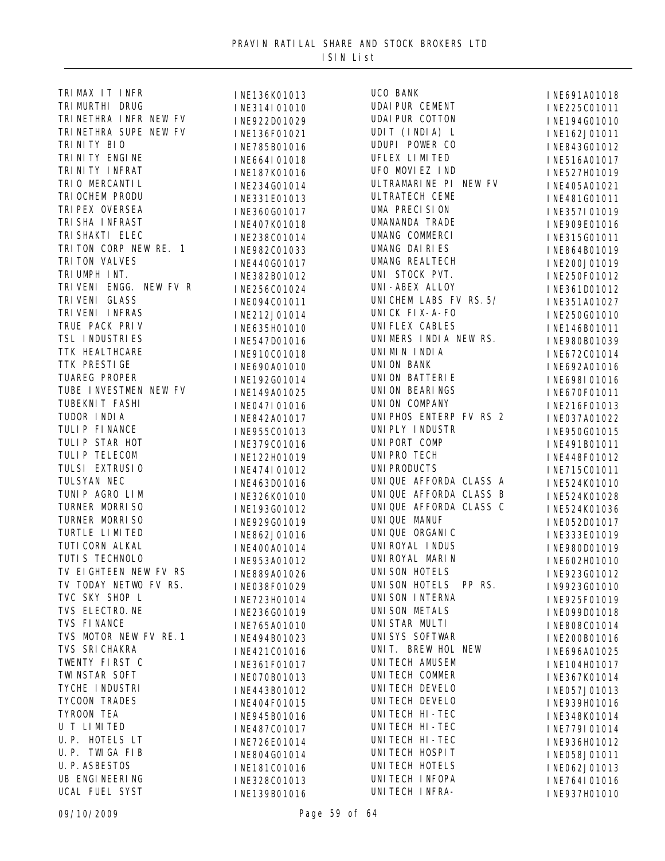| TRIMAX IT INFR         | INE136K01013 | UCO BANK               | INE691A01018 |
|------------------------|--------------|------------------------|--------------|
| TRI MURTHI DRUG        | INE314I01010 | <b>UDAI PUR CEMENT</b> | INE225C01011 |
| TRINETHRA INFR NEW FV  | INE922D01029 | <b>UDAI PUR COTTON</b> | INE194G01010 |
| TRINETHRA SUPE NEW FV  | INE136F01021 | UDIT (INDIA) L         | INE162J01011 |
| TRI NI TY BIO          | INE785B01016 | UDUPI POWER CO         | INE843G01012 |
| TRI NI TY ENGI NE      | INE664I01018 | UFLEX LIMITED          | INE516A01017 |
| TRI NI TY I NFRAT      | INE187K01016 | UFO MOVIEZ IND         | INE527H01019 |
| TRI O MERCANTI L       | INE234G01014 | ULTRAMARINE PI NEW FV  | INE405A01021 |
| TRI OCHEM PRODU        | INE331E01013 | ULTRATECH CEME         | INE481G01011 |
| TRI PEX OVERSEA        | INE360G01017 | UMA PRECISION          | INE357I01019 |
| TRI SHA I NFRAST       | INE407K01018 | UMANANDA TRADE         | INE909E01016 |
| TRI SHAKTI ELEC        | INE238C01014 | UMANG COMMERCI         | INE315G01011 |
| TRITON CORP NEW RE. 1  | INE982C01033 | UMANG DAIRIES          | INE864B01019 |
| TRI TON VALVES         |              | UMANG REALTECH         |              |
| TRIUMPH INT.           | INE440G01017 | UNI STOCK PVT.         | INE200J01019 |
| TRIVENI ENGG. NEW FV R | INE382B01012 | UNI-ABEX ALLOY         | INE250F01012 |
| TRI VENI GLASS         | INE256C01024 | UNICHEM LABS FV RS. 5/ | INE361D01012 |
| TRI VENI INFRAS        | INE094C01011 | UNI CK FI X-A-FO       | INE351A01027 |
| TRUE PACK PRIV         | INE212J01014 | UNI FLEX CABLES        | INE250G01010 |
| TSL INDUSTRIES         | INE635H01010 | UNIMERS INDIA NEW RS.  | INE146B01011 |
|                        | INE547D01016 | UNIMIN INDIA           | INE980B01039 |
| TTK HEALTHCARE         | INE910C01018 |                        | INE672C01014 |
| TTK PRESTI GE          | INE690A01010 | UNI ON BANK            | INE692A01016 |
| TUAREG PROPER          | INE192G01014 | UNI ON BATTERIE        | INE698I01016 |
| TUBE INVESTMEN NEW FV  | INE149A01025 | UNI ON BEARINGS        | INE670F01011 |
| TUBEKNI T FASHI        | INE047I01016 | UNION COMPANY          | INE216F01013 |
| TUDOR INDIA            | INE842A01017 | UNIPHOS ENTERP FV RS 2 | INE037A01022 |
| TULIP FINANCE          | INE955C01013 | UNI PLY I NDUSTR       | INE950G01015 |
| TULIP STAR HOT         | INE379C01016 | UNI PORT COMP          | INE491B01011 |
| TULIP TELECOM          | INE122H01019 | UNI PRO TECH           | INE448F01012 |
| TULSI EXTRUSIO         | INE474I01012 | <b>UNI PRODUCTS</b>    | INE715C01011 |
| TULSYAN NEC            | INE463D01016 | UNIQUE AFFORDA CLASS A | INE524K01010 |
| TUNIP AGRO LIM         | INE326K01010 | UNIQUE AFFORDA CLASS B | INE524K01028 |
| TURNER MORRISO         | INE193G01012 | UNIQUE AFFORDA CLASS C | INE524K01036 |
| TURNER MORRISO         | INE929G01019 | UNIQUE MANUF           | INE052D01017 |
| TURTLE LIMITED         | INE862J01016 | UNI QUE ORGANI C       | INE333E01019 |
| TUTI CORN ALKAL        | INE400A01014 | UNI ROYAL I NDUS       | INE980D01019 |
| TUTI S TECHNOLO        | INE953A01012 | UNI ROYAL MARI N       | INE602H01010 |
| TV EIGHTEEN NEW FV RS  | INE889A01026 | UNI SON HOTELS         | INE923G01012 |
| TV TODAY NETWO FV RS.  | INE038F01029 | UNI SON HOTELS PP RS.  | IN9923G01010 |
| TVC SKY SHOP L         | INE723H01014 | UNI SON INTERNA        | INE925F01019 |
| TVS ELECTRO. NE        | INE236G01019 | UNI SON METALS         | INE099D01018 |
| TVS FINANCE            | INE765A01010 | UNISTAR MULTI          | INE808C01014 |
| TVS MOTOR NEW FV RE. 1 | INE494B01023 | UNI SYS SOFTWAR        | INE200B01016 |
| TVS SRI CHAKRA         | INE421C01016 | UNIT. BREW HOL NEW     | INE696A01025 |
| TWENTY FIRST C         | INE361F01017 | UNITECH AMUSEM         | INE104H01017 |
| TWI NSTAR SOFT         | INE070B01013 | UNITECH COMMER         | INE367K01014 |
| TYCHE I NDUSTRI        | INE443B01012 | UNITECH DEVELO         | INE057J01013 |
| TYCOON TRADES          | INE404F01015 | UNI TECH DEVELO        | INE939H01016 |
| TYROON TEA             |              | UNI TECH HI - TEC      |              |
| U T LIMITED            | INE945B01016 | UNITECH HI-TEC         | INE348K01014 |
| U. P. HOTELS LT        | INE487C01017 | UNITECH HI-TEC         | INE779I01014 |
| U.P. TWIGA FIB         | INE726E01014 | UNITECH HOSPIT         | INE936H01012 |
| U. P. ASBESTOS         | INE804G01014 | UNI TECH HOTELS        | INE058J01011 |
| UB ENGI NEERI NG       | INE181C01016 | UNITECH INFOPA         | INE062J01013 |
| UCAL FUEL SYST         | INE328C01013 | UNITECH INFRA-         | INE764I01016 |
|                        | INE139B01016 |                        | INE937H01010 |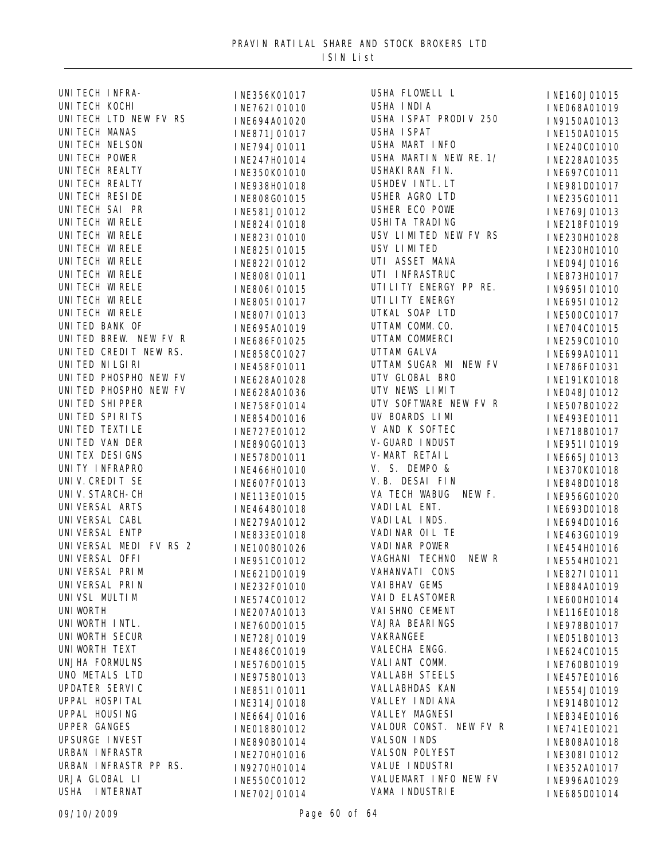| UNITECH INFRA-           | INE356K01017 | USHA FLOWELL L          | INE160J01015 |
|--------------------------|--------------|-------------------------|--------------|
| UNI TECH KOCHI           | INE762I01010 | USHA INDIA              | INE068A01019 |
| UNITECH LTD NEW FV RS    | INE694A01020 | USHA I SPAT PRODIV 250  | IN9150A01013 |
| <b>UNITECH MANAS</b>     | INE871J01017 | <b>USHA I SPAT</b>      | INE150A01015 |
| UNI TECH NELSON          | INE794J01011 | USHA MART INFO          | INE240C01010 |
| UNITECH POWER            | INE247H01014 | USHA MARTIN NEW RE. 1/  | INE228A01035 |
| UNI TECH REALTY          | INE350K01010 | USHAKI RAN FI N.        | INE697C01011 |
| UNITECH REALTY           | INE938H01018 | USHDEV INTL. LT         | INE981D01017 |
| UNI TECH RESI DE         | INE808G01015 | USHER AGRO LTD          | INE235G01011 |
| UNITECH SAI PR           | INE581J01012 | USHER ECO POWE          | INE769J01013 |
| UNI TECH WI RELE         | INE824I01018 | <b>USHI TA TRADI NG</b> | INE218F01019 |
| UNI TECH WI RELE         | INE823I01010 | USV LIMITED NEW FV RS   | INE230H01028 |
| UNI TECH WI RELE         | INE825I01015 | USV LIMITED             | INE230H01010 |
| UNI TECH WI RELE         | INE822I01012 | UTI ASSET MANA          | INE094J01016 |
| UNI TECH WI RELE         |              | UTI INFRASTRUC          |              |
| UNI TECH WI RELE         | INE808I01011 | UTI LI TY ENERGY PP RE. | INE873H01017 |
| UNI TECH WI RELE         | INE806I01015 | UTI LI TY ENERGY        | IN9695I01010 |
| UNI TECH WI RELE         | INE805I01017 | UTKAL SOAP LTD          | INE695I01012 |
| UNITED BANK OF           | INE807I01013 | UTTAM COMM. CO.         | INE500C01017 |
| UNITED BREW. NEW FV R    | INE695A01019 | UTTAM COMMERCI          | INE704C01015 |
| UNITED CREDIT NEW RS.    | INE686F01025 |                         | INE259C01010 |
|                          | INE858C01027 | UTTAM GALVA             | INE699A01011 |
| UNITED NILGIRI           | INE458F01011 | UTTAM SUGAR MI NEW FV   | INE786F01031 |
| UNITED PHOSPHO NEW FV    | INE628A01028 | UTV GLOBAL BRO          | INE191K01018 |
| UNITED PHOSPHO NEW FV    | INE628A01036 | UTV NEWS LIMIT          | INE048J01012 |
| UNITED SHIPPER           | INE758F01014 | UTV SOFTWARE NEW FV R   | INE507B01022 |
| UNITED SPIRITS           | INE854D01016 | UV BOARDS LIMI          | INE493E01011 |
| UNI TED TEXTI LE         | INE727E01012 | V AND K SOFTEC          | INE718B01017 |
| UNITED VAN DER           | INE890G01013 | V-GUARD INDUST          | INE951I01019 |
| UNI TEX DESI GNS         | INE578D01011 | V-MART RETAIL           | INE665J01013 |
| UNITY INFRAPRO           | INE466H01010 | V. S. DEMPO &           | INE370K01018 |
| UNI V. CREDIT SE         | INE607F01013 | V. B. DESAI FIN         | INE848D01018 |
| UNI V. STARCH-CH         | INE113E01015 | VA TECH WABUG NEW F.    | INE956G01020 |
| UNI VERSAL ARTS          | INE464B01018 | VADI LAL ENT.           | INE693D01018 |
| UNI VERSAL CABL          | INE279A01012 | VADI LAL INDS.          | INE694D01016 |
| UNI VERSAL ENTP          | INE833E01018 | VADI NAR OIL TE         | INE463G01019 |
| UNIVERSAL MEDI FV RS 2   | INE100B01026 | VADI NAR POWER          | INE454H01016 |
| UNI VERSAL OFFI          | INE951C01012 | VAGHANI TECHNO<br>NEW R | INE554H01021 |
| UNI VERSAL PRI M         | INE621D01019 | VAHANVATI CONS          | INE827I01011 |
| UNI VERSAL PRI N         | INE232F01010 | VAI BHAV GEMS           | INE884A01019 |
| UNI VSL MULTI M          | INE574C01012 | VAI D ELASTOMER         | INE600H01014 |
| <b>UNI WORTH</b>         | INE207A01013 | VAI SHNO CEMENT         | INE116E01018 |
| UNI WORTH INTL.          | INE760D01015 | VAJRA BEARINGS          | INE978B01017 |
| UNI WORTH SECUR          | INE728J01019 | VAKRANGEE               | INE051B01013 |
| UNI WORTH TEXT           | INE486C01019 | VALECHA ENGG.           | INE624C01015 |
| UNJHA FORMULNS           | INE576D01015 | VALI ANT COMM.          | INE760B01019 |
| UNO METALS LTD           | INE975B01013 | <b>VALLABH STEELS</b>   | INE457E01016 |
| UPDATER SERVIC           |              | VALLABHDAS KAN          |              |
| UPPAL HOSPITAL           | INE851I01011 | VALLEY INDIANA          | INE554J01019 |
| UPPAL HOUSING            | INE314J01018 | VALLEY MAGNESI          | INE914B01012 |
| <b>UPPER GANGES</b>      | INE664J01016 | VALOUR CONST. NEW FV R  | INE834E01016 |
| UPSURGE INVEST           | INE018B01012 | VALSON INDS             | INE741E01021 |
| URBAN INFRASTR           | INE890B01014 | VALSON POLYEST          | INE808A01018 |
| URBAN INFRASTR PP RS.    | INE270H01016 | VALUE I NDUSTRI         | INE308I01012 |
|                          | IN9270H01014 | VALUEMART INFO NEW FV   | INE352A01017 |
| URJA GLOBAL LI           | INE550C01012 |                         | INE996A01029 |
| <b>I NTERNAT</b><br>USHA | INE702J01014 | VAMA I NDUSTRI E        | INE685D01014 |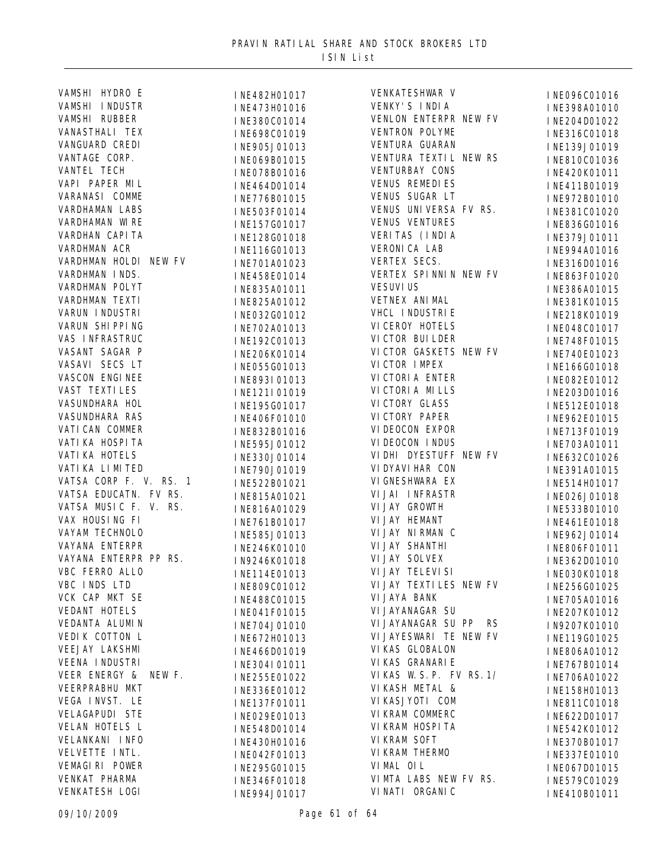| VAMSHI HYDRO E          | INE482H01017 | VENKATESHWAR V            | INE096C01016 |
|-------------------------|--------------|---------------------------|--------------|
| VAMSHI INDUSTR          | INE473H01016 | VENKY'S INDIA             | INE398A01010 |
| VAMSHI RUBBER           | INE380C01014 | VENLON ENTERPR NEW FV     | INE204D01022 |
| VANASTHALI TEX          | INE698C01019 | VENTRON POLYME            | INE316C01018 |
| VANGUARD CREDI          | INE905J01013 | VENTURA GUARAN            | INE139J01019 |
| VANTAGE CORP.           | INE069B01015 | VENTURA TEXTIL NEW RS     | INE810C01036 |
| VANTEL TECH             | INE078B01016 | VENTURBAY CONS            | INE420K01011 |
| VAPI PAPER MIL          | INE464D01014 | <b>VENUS REMEDIES</b>     | INE411B01019 |
| VARANASI COMME          | INE776B01015 | VENUS SUGAR LT            | INE972B01010 |
| VARDHAMAN LABS          | INE503F01014 | VENUS UNIVERSA FV RS.     | INE381C01020 |
| VARDHAMAN WIRE          | INE157G01017 | <b>VENUS VENTURES</b>     | INE836G01016 |
| VARDHAN CAPI TA         | INE128G01018 | VERITAS (INDIA            | INE379J01011 |
| VARDHMAN ACR            | INE116G01013 | VERONI CA LAB             | INE994A01016 |
| VARDHMAN HOLDI NEW FV   | INE701A01023 | VERTEX SECS.              | INE316D01016 |
| VARDHMAN INDS.          | INE458E01014 | VERTEX SPINNIN NEW FV     | INE863F01020 |
| VARDHMAN POLYT          | INE835A01011 | <b>VESUVI US</b>          | INE386A01015 |
| VARDHMAN TEXTI          | INE825A01012 | VETNEX ANI MAL            | INE381K01015 |
| VARUN I NDUSTRI         | INE032G01012 | VHCL I NDUSTRI E          | INE218K01019 |
| VARUN SHIPPING          | INE702A01013 | VI CEROY HOTELS           |              |
| VAS INFRASTRUC          |              | VI CTOR BUI LDER          | INE048C01017 |
| VASANT SAGAR P          | INE192C01013 | VICTOR GASKETS NEW FV     | INE748F01015 |
| VASAVI SECS LT          | INE206K01014 | VICTOR IMPEX              | INE740E01023 |
| VASCON ENGINEE          | INE055G01013 | VI CTORI A ENTER          | INE166G01018 |
| VAST TEXTI LES          | INE893I01013 | VI CTORI A MI LLS         | INE082E01012 |
| VASUNDHARA HOL          | INE121I01019 | VI CTORY GLASS            | INE203D01016 |
| VASUNDHARA RAS          | INE195G01017 | VI CTORY PAPER            | INE512E01018 |
|                         | INE406F01010 |                           | INE962E01015 |
| VATI CAN COMMER         | INE832B01016 | VI DEOCON EXPOR           | INE713F01019 |
| VATI KA HOSPI TA        | INE595J01012 | VI DEOCON I NDUS          | INE703A01011 |
| VATI KA HOTELS          | INE330J01014 | VI DHI DYESTUFF NEW FV    | INE632C01026 |
| VATI KA LI MI TED       | INE790J01019 | VI DYAVI HAR CON          | INE391A01015 |
| VATSA CORP F. V. RS. 1  | INE522B01021 | VI GNESHWARA EX           | INE514H01017 |
| VATSA EDUCATN. FV RS.   | INE815A01021 | VI JAI INFRASTR           | INE026J01018 |
| VATSA MUSIC F. V. RS.   | INE816A01029 | VI JAY GROWTH             | INE533B01010 |
| VAX HOUSING FI          | INE761B01017 | VI JAY HEMANT             | INE461E01018 |
| VAYAM TECHNOLO          | INE585J01013 | VI JAY NI RMAN C          | INE962J01014 |
| VAYANA ENTERPR          | INE246K01010 | VI JAY SHANTHI            | INE806F01011 |
| VAYANA ENTERPR PP RS.   | IN9246K01018 | VI JAY SOLVEX             | INE362D01010 |
| VBC FERRO ALLO          | INE114E01013 | VI JAY TELEVI SI          | INE030K01018 |
| VBC INDS LTD            | INE809C01012 | VI JAY TEXTI LES NEW FV   | INE256G01025 |
| VCK CAP MKT SE          | INE488C01015 | VI JAYA BANK              | INE705A01016 |
| VEDANT HOTELS           | INE041F01015 | VI JAYANAGAR SU           | INE207K01012 |
| VEDANTA ALUMIN          | INE704J01010 | VI JAYANAGAR SU PP RS     | IN9207K01010 |
| VEDIK COTTON L          | INE672H01013 | VI JAYESWARI TE NEW FV    | INE119G01025 |
| <b>VEEJAY LAKSHMI</b>   | INE466D01019 | VI KAS GLOBALON           | INE806A01012 |
| <b>VEENA INDUSTRI</b>   | INE304I01011 | VI KAS GRANARI E          | INE767B01014 |
| VEER ENERGY &<br>NEW F. | INE255E01022 | VI KAS W. S. P. FV RS. 1/ | INE706A01022 |
| VEERPRABHU MKT          | INE336E01012 | VI KASH METAL &           | INE158H01013 |
| VEGA INVST. LE          | INE137F01011 | VI KASJYOTI COM           | INE811C01018 |
| VELAGAPUDI STE          | INE029E01013 | VI KRAM COMMERC           | INE622D01017 |
| VELAN HOTELS L          | INE548D01014 | VI KRAM HOSPI TA          | INE542K01012 |
| VELANKANI INFO          | INE430H01016 | VI KRAM SOFT              | INE370B01017 |
| VELVETTE INTL.          | INE042F01013 | VI KRAM THERMO            | INE337E01010 |
| VEMAGIRI POWER          | INE295G01015 | VI MAL OI L               | INE067D01015 |
| VENKAT PHARMA           | INE346F01018 | VIMTA LABS NEW FV RS.     | INE579C01029 |
| VENKATESH LOGI          | INE994J01017 | VI NATI ORGANI C          | INE410B01011 |
|                         |              |                           |              |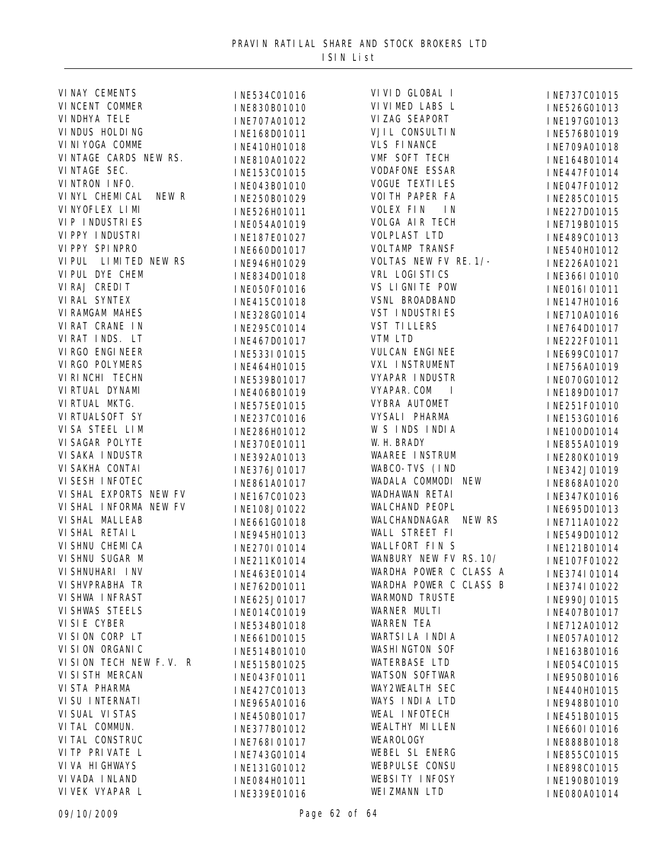| VINAY CEMENTS             | INE534C01016 | VI VI D GLOBAL I            | INE737C01015 |
|---------------------------|--------------|-----------------------------|--------------|
| VI NCENT COMMER           | INE830B01010 | VI VI MED LABS L            | INE526G01013 |
| VI NDHYA TELE             | INE707A01012 | VIZAG SEAPORT               | INE197G01013 |
| VI NDUS HOLDI NG          | INE168D01011 | VJI L CONSULTI N            | INE576B01019 |
| VI NI YOGA COMME          | INE410H01018 | <b>VLS FINANCE</b>          | INE709A01018 |
| VINTAGE CARDS NEW RS.     | INE810A01022 | VMF SOFT TECH               | INE164B01014 |
| VINTAGE SEC.              | INE153C01015 | <b>VODAFONE ESSAR</b>       | INE447F01014 |
| VINTRON INFO.             | INE043B01010 | <b>VOGUE TEXTILES</b>       | INE047F01012 |
| NEW R<br>VI NYL CHEMI CAL | INE250B01029 | VOI TH PAPER FA             | INE285C01015 |
| VI NYOFLEX LI MI          | INE526H01011 | VOLEX FIN<br>I N            | INE227D01015 |
| <b>VIP INDUSTRIES</b>     | INE054A01019 | VOLGA AIR TECH              | INE719B01015 |
| VI PPY I NDUSTRI          | INE187E01027 | <b>VOLPLAST LTD</b>         | INE489C01013 |
| VI PPY SPI NPRO           | INE660D01017 | <b>VOLTAMP TRANSF</b>       | INE540H01012 |
| VIPUL LIMITED NEW RS      | INE946H01029 | VOLTAS NEW FV RE. 1/-       | INE226A01021 |
| VI PUL DYE CHEM           | INE834D01018 | VRL LOGI STICS              | INE366I01010 |
| VIRAJ CREDIT              | INE050F01016 | VS LIGNITE POW              | INE016I01011 |
| VI RAL SYNTEX             | INE415C01018 | VSNL BROADBAND              | INE147H01016 |
| VI RAMGAM MAHES           |              | <b>VST INDUSTRIES</b>       |              |
| VIRAT CRANE IN            | INE328G01014 | <b>VST TILLERS</b>          | INE710A01016 |
| VIRAT INDS. LT            | INE295C01014 | VTM LTD                     | INE764D01017 |
| VI RGO ENGI NEER          | INE467D01017 | VULCAN ENGINEE              | INE222F01011 |
| VI RGO POLYMERS           | INE533I01015 | VXL INSTRUMENT              | INE699C01017 |
| VI RI NCHI TECHN          | INE464H01015 | VYAPAR INDUSTR              | INE756A01019 |
| VI RTUAL DYNAMI           | INE539B01017 | VYAPAR. COM<br>$\mathbf{I}$ | INE070G01012 |
| VI RTUAL MKTG.            | INE406B01019 |                             | INE189D01017 |
|                           | INE575E01015 | VYBRA AUTOMET               | INE251F01010 |
| VI RTUALSOFT SY           | INE237C01016 | VYSALI PHARMA               | INE153G01016 |
| VISA STEEL LIM            | INE286H01012 | W S INDS INDIA              | INE100D01014 |
| VI SAGAR POLYTE           | INE370E01011 | W. H. BRADY                 | INE855A01019 |
| VI SAKA I NDUSTR          | INE392A01013 | <b>WAAREE INSTRUM</b>       | INE280K01019 |
| VI SAKHA CONTAI           | INE376J01017 | WABCO-TVS (IND              | INE342J01019 |
| VI SESH I NFOTEC          | INE861A01017 | WADALA COMMODI NEW          | INE868A01020 |
| VI SHAL EXPORTS NEW FV    | INE167C01023 | WADHAWAN RETAI              | INE347K01016 |
| VI SHAL I NFORMA NEW FV   | INE108J01022 | WALCHAND PEOPL              | INE695D01013 |
| VI SHAL MALLEAB           | INE661G01018 | WALCHANDNAGAR NEW RS        | INE711A01022 |
| VI SHAL RETAI L           | INE945H01013 | WALL STREET FI              | INE549D01012 |
| VI SHNU CHEMI CA          | INE270I01014 | WALLFORT FINS               | INE121B01014 |
| VI SHNU SUGAR M           | INE211K01014 | WANBURY NEW FV RS. 10/      | INE107F01022 |
| VI SHNUHARI I NV          | INE463E01014 | WARDHA POWER C CLASS A      | INE374I01014 |
| VI SHVPRABHA TR           | INE762D01011 | WARDHA POWER C CLASS B      | INE374I01022 |
| VI SHWA I NFRAST          | INE625J01017 | <b>WARMOND TRUSTE</b>       | INE990J01015 |
| <b>VI SHWAS STEELS</b>    | INE014C01019 | WARNER MULTI                | INE407B01017 |
| VI SI E CYBER             | INE534B01018 | <b>WARREN TEA</b>           | INE712A01012 |
| VISION CORP LT            | INE661D01015 | WARTSI LA INDIA             | INE057A01012 |
| VI SI ON ORGANI C         | INE514B01010 | <b>WASHINGTON SOF</b>       | INE163B01016 |
| VISION TECH NEW F.V. R    | INE515B01025 | WATERBASE LTD               | INE054C01015 |
| VI SI STH MERCAN          | INE043F01011 | WATSON SOFTWAR              | INE950B01016 |
| VI STA PHARMA             | INE427C01013 | WAY2WEALTH SEC              | INE440H01015 |
| VI SU I NTERNATI          | INE965A01016 | WAYS INDIA LTD              | INE948B01010 |
| VI SUAL VI STAS           | INE450B01017 | WEAL INFOTECH               | INE451B01015 |
| VI TAL COMMUN.            | INE377B01012 | WEALTHY MILLEN              | INE660I01016 |
| VI TAL CONSTRUC           | INE768I01017 | WEAROLOGY                   | INE888B01018 |
| VI TP PRI VATE L          | INE743G01014 | WEBEL SL ENERG              | INE855C01015 |
| VI VA HI GHWAYS           | INE131G01012 | WEBPULSE CONSU              | INE898C01015 |
| VI VADA I NLAND           | INE084H01011 | WEBSITY INFOSY              | INE190B01019 |
| VI VEK VYAPAR L           | INE339E01016 | WEI ZMANN LTD               | INE080A01014 |
|                           |              |                             |              |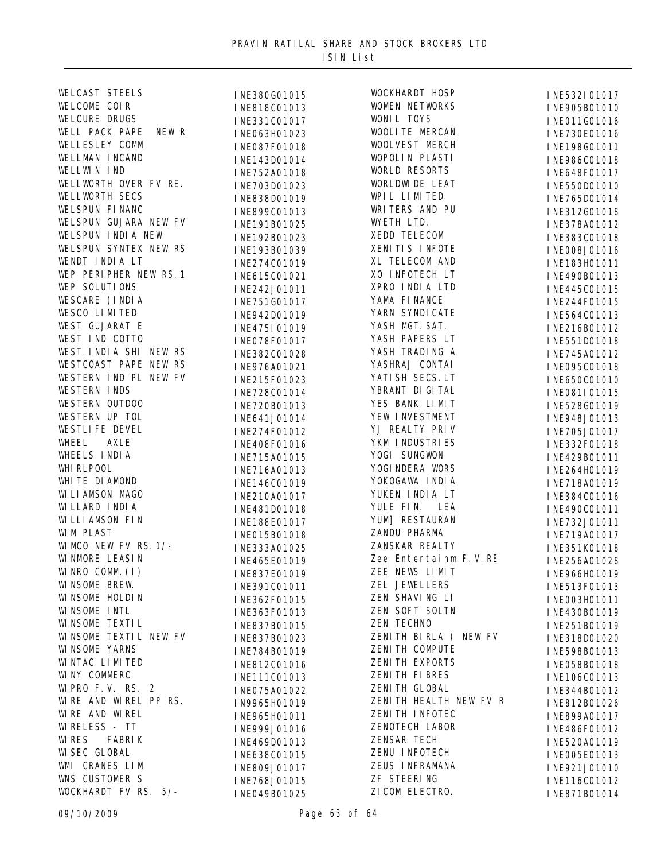| <b>WELCAST STEELS</b>          | INE380G01015 | WOCKHARDT HOSP         | INE532I01017 |
|--------------------------------|--------------|------------------------|--------------|
| WELCOME COIR                   | INE818C01013 | WOMEN NETWORKS         | INE905B01010 |
| <b>WELCURE DRUGS</b>           | INE331C01017 | WONIL TOYS             | INE011G01016 |
| WELL PACK PAPE<br>NEW R        | INE063H01023 | WOOLI TE MERCAN        | INE730E01016 |
| WELLESLEY COMM                 | INE087F01018 | WOOLVEST MERCH         | INE198G01011 |
| WELLMAN INCAND                 | INE143D01014 | WOPOLIN PLASTI         | INE986C01018 |
| WELLWIN IND                    | INE752A01018 | WORLD RESORTS          | INE648F01017 |
| WELLWORTH OVER FV RE.          | INE703D01023 | WORLDWIDE LEAT         | INE550D01010 |
| WELLWORTH SECS                 | INE838D01019 | WPIL LIMITED           | INE765D01014 |
| WELSPUN FINANC                 | INE899C01013 | WRITERS AND PU         | INE312G01018 |
| WELSPUN GUJARA NEW FV          | INE191B01025 | WYETH LTD.             | INE378A01012 |
| WELSPUN INDIA NEW              | INE192B01023 | XEDD TELECOM           | INE383C01018 |
| WELSPUN SYNTEX NEW RS          | INE193B01039 | XENITIS INFOTE         | INE008J01016 |
| WENDT INDIA LT                 | INE274C01019 | XL TELECOM AND         | INE183H01011 |
| WEP PERIPHER NEW RS. 1         | INE615C01021 | XO INFOTECH LT         | INE490B01013 |
| WEP SOLUTIONS                  | INE242J01011 | XPRO INDIA LTD         | INE445C01015 |
| WESCARE (INDIA                 | INE751G01017 | YAMA FI NANCE          | INE244F01015 |
| WESCO LIMITED                  | INE942D01019 | YARN SYNDI CATE        | INE564C01013 |
| WEST GUJARAT E                 | INE475I01019 | YASH MGT. SAT.         | INE216B01012 |
| WEST IND COTTO                 | INE078F01017 | YASH PAPERS LT         | INE551D01018 |
| WEST. INDIA SHI NEW RS         | INE382C01028 | YASH TRADING A         | INE745A01012 |
| WESTCOAST PAPE NEW RS          | INE976A01021 | YASHRAJ CONTAI         | INE095C01018 |
| WESTERN IND PL NEW FV          | INE215F01023 | YATI SH SECS. LT       | INE650C01010 |
| <b>WESTERN INDS</b>            | INE728C01014 | YBRANT DI GI TAL       | INE081I01015 |
| WESTERN OUTDOO                 | INE720B01013 | YES BANK LIMIT         | INE528G01019 |
| WESTERN UP TOL                 | INE641J01014 | YEW INVESTMENT         | INE948J01013 |
| WESTLIFE DEVEL                 | INE274F01012 | YJ REALTY PRIV         | INE705J01017 |
| WHEEL<br>AXLE                  | INE408F01016 | YKM I NDUSTRI ES       | INE332F01018 |
| WHEELS INDIA                   | INE715A01015 | YOGI SUNGWON           | INE429B01011 |
| WHI RLPOOL                     | INE716A01013 | YOGI NDERA WORS        | INE264H01019 |
| WHITE DIAMOND                  | INE146C01019 | YOKOGAWA INDIA         | INE718A01019 |
| WI LI AMSON MAGO               | INE210A01017 | YUKEN INDIA LT         | INE384C01016 |
| <b>WILLARD INDIA</b>           | INE481D01018 | YULE FIN. LEA          | INE490C01011 |
| WI LLI AMSON FI N              | INE188E01017 | YUM] RESTAURAN         | INE732J01011 |
| <b>WIM PLAST</b>               | INE015B01018 | ZANDU PHARMA           | INE719A01017 |
| WI MCO NEW FV RS. 1/-          | INE333A01025 | ZANSKAR REALTY         | INE351K01018 |
| WI NMORE LEASIN                | INE465E01019 | Zee Entertainm F.V.RE  | INE256A01028 |
| WINRO COMM. (I)                | INE837E01019 | ZEE NEWS LIMIT         | INE966H01019 |
| WI NSOME BREW.                 | INE391C01011 | ZEL JEWELLERS          | INE513F01013 |
| WI NSOME HOLDIN                | INE362F01015 | ZEN SHAVING LI         | INE003H01011 |
| WINSOME INTL                   | INE363F01013 | ZEN SOFT SOLTN         | INE430B01019 |
| WI NSOME TEXTI L               | INE837B01015 | ZEN TECHNO             | INE251B01019 |
| WI NSOME TEXTIL NEW FV         | INE837B01023 | ZENITH BIRLA ( NEW FV  | INE318D01020 |
| <b>WI NSOME YARNS</b>          | INE784B01019 | ZENITH COMPUTE         | INE598B01013 |
| WINTAC LIMITED                 | INE812C01016 | ZENITH EXPORTS         | INE058B01018 |
| WINY COMMERC                   | INE111C01013 | ZENITH FIBRES          | INE106C01013 |
| WI PRO F.V. RS. 2              | INE075A01022 | ZENI TH GLOBAL         | INE344B01012 |
| WIRE AND WIREL PP RS.          | IN9965H01019 | ZENITH HEALTH NEW FV R | INE812B01026 |
| WIRE AND WIREL                 | INE965H01011 | ZENI TH I NFOTEC       | INE899A01017 |
| <b>WI RELESS - TT</b>          | INE999J01016 | ZENOTECH LABOR         | INE486F01012 |
| <b>WI RES</b><br><b>FABRIK</b> | INE469D01013 | ZENSAR TECH            | INE520A01019 |
| <b>WI SEC GLOBAL</b>           | INE638C01015 | ZENU INFOTECH          | INE005E01013 |
| WMI CRANES LIM                 | INE809J01017 | ZEUS INFRAMANA         | INE921J01010 |
| WNS CUSTOMER S                 | INE768J01015 | ZF STEERING            | INE116C01012 |
| WOCKHARDT FV RS. 5/-           | INE049B01025 | ZI COM ELECTRO.        | INE871B01014 |
|                                |              |                        |              |